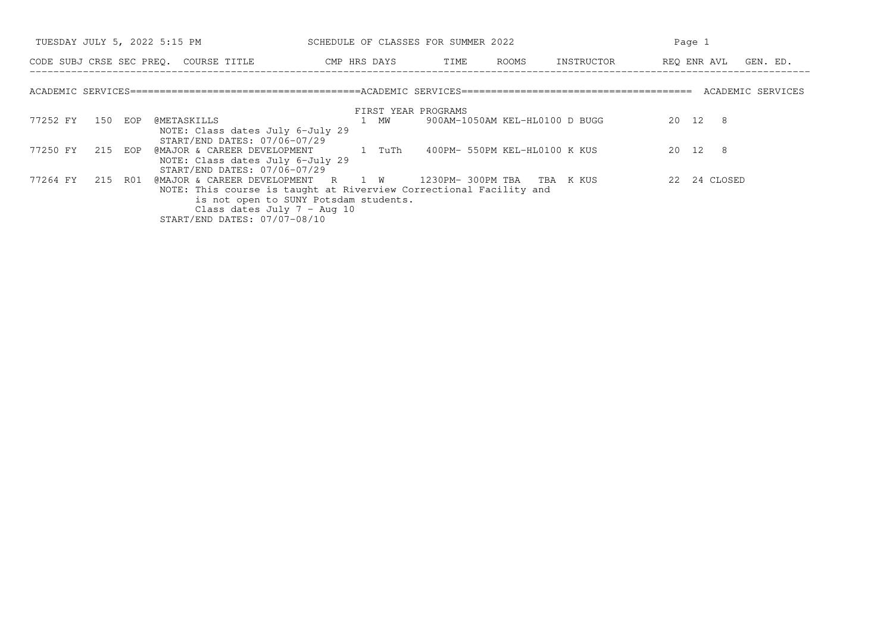|          | TUESDAY JULY 5, 2022 5:15 PM |  |                                                                                       | SCHEDULE OF CLASSES FOR SUMMER 2022 |      |                     |  |                                | Page 1                          |  |  |  |
|----------|------------------------------|--|---------------------------------------------------------------------------------------|-------------------------------------|------|---------------------|--|--------------------------------|---------------------------------|--|--|--|
|          |                              |  | CODE SUBJ CRSE SEC PREQ. COURSE TITLE THE ROOMS CODE SUBJ CRSE SEC PREQ. COURSE TITLE |                                     |      |                     |  |                                | INSTRUCTOR REO ENR AVL GEN. ED. |  |  |  |
|          |                              |  |                                                                                       |                                     |      |                     |  |                                |                                 |  |  |  |
|          |                              |  |                                                                                       |                                     |      | FIRST YEAR PROGRAMS |  |                                |                                 |  |  |  |
| 77252 FY | 150 EOP                      |  | @METASKILLS                                                                           |                                     | 1 MW |                     |  | 900AM-1050AM KEL-HL0100 D BUGG | 20 12 8                         |  |  |  |
|          |                              |  | NOTE: Class dates July 6-July 29<br>START/END DATES: 07/06-07/29                      |                                     |      |                     |  |                                |                                 |  |  |  |
| 77250 FY | 215 EOP                      |  | @MAJOR & CAREER DEVELOPMENT 1 TuTh                                                    |                                     |      |                     |  | 400PM- 550PM KEL-HL0100 K KUS  | 20 12 8                         |  |  |  |
|          |                              |  | NOTE: Class dates July 6-July 29<br>START/END DATES: 07/06-07/29                      |                                     |      |                     |  |                                |                                 |  |  |  |
| 77264 FY | 215 R01                      |  | @MAJOR & CAREER DEVELOPMENT R 1 W 1230PM-300PM TBA TBA K KUS                          |                                     |      |                     |  |                                | 22 24 CLOSED                    |  |  |  |
|          |                              |  | NOTE: This course is taught at Riverview Correctional Facility and                    |                                     |      |                     |  |                                |                                 |  |  |  |
|          |                              |  | is not open to SUNY Potsdam students.                                                 |                                     |      |                     |  |                                |                                 |  |  |  |
|          |                              |  | Class dates July $7 - \text{Aug } 10$                                                 |                                     |      |                     |  |                                |                                 |  |  |  |
|          |                              |  | START/END DATES: 07/07-08/10                                                          |                                     |      |                     |  |                                |                                 |  |  |  |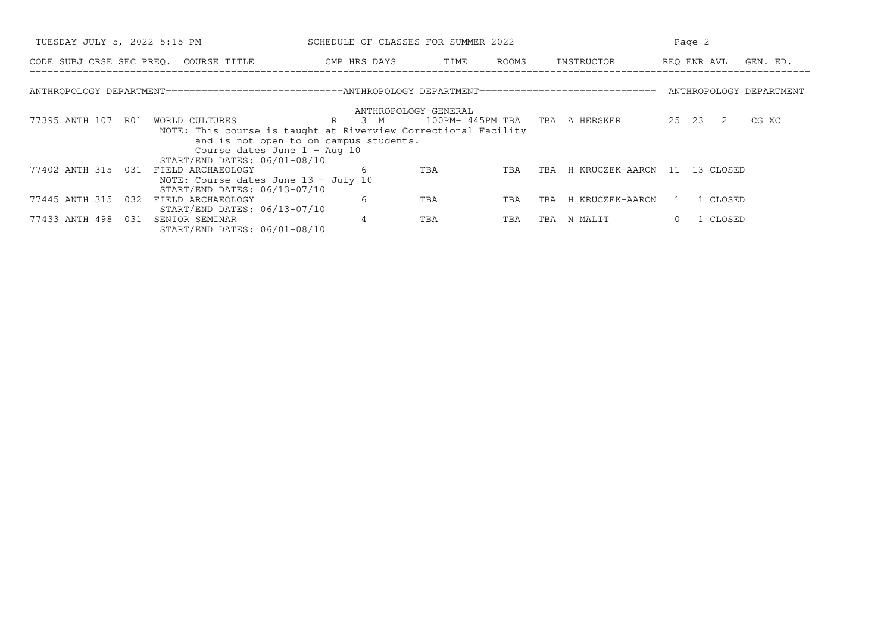| TUESDAY JULY 5, 2022 5:15 PM                                                                                                                                                        | SCHEDULE OF CLASSES FOR SUMMER 2022                              |                                |            | Page 2          |                 |          |
|-------------------------------------------------------------------------------------------------------------------------------------------------------------------------------------|------------------------------------------------------------------|--------------------------------|------------|-----------------|-----------------|----------|
| CODE SUBJ CRSE SEC PREQ. COURSE TITLE                                                                                                                                               | CMP HRS DAYS                                                     | TIME                           | ROOMS      | INSTRUCTOR      | REO ENR AVL     | GEN. ED. |
| ANTHROPOLOGY DEPARTMENT============================ANTHROPOLOGY DEPARTMENT=============================== ANTHROPOLOGY DEPARTMENT                                                   |                                                                  |                                |            |                 |                 |          |
|                                                                                                                                                                                     | ANTHROPOLOGY-GENERAL                                             |                                |            |                 |                 |          |
| 77395 ANTH 107<br>R01<br>WORLD CULTURES<br>NOTE: This course is taught at Riverview Correctional Facility<br>Course dates June $1 - \text{Aug } 10$<br>START/END DATES: 06/01-08/10 | $R_{\parallel}$<br>3 M<br>and is not open to on campus students. | 100PM- 445PM TBA TBA A HERSKER |            |                 | 25 23 2         | CG XC    |
| 77402 ANTH 315 031<br>FIELD ARCHAEOLOGY<br>NOTE: Course dates June 13 - July 10<br>START/END DATES: 06/13-07/10                                                                     | 6                                                                | TBA                            | TBA<br>TBA | H KRUCZEK-AARON | 13 CLOSED<br>11 |          |
| 77445 ANTH 315 032<br>FIELD ARCHAEOLOGY<br>START/END DATES: 06/13-07/10                                                                                                             | 6                                                                | TBA                            | TBA<br>TBA | H KRUCZEK-AARON | 1 CLOSED        |          |
| 77433 ANTH 498 031<br>SENIOR SEMINAR<br>START/END DATES: 06/01-08/10                                                                                                                | 4                                                                | TBA                            | TBA<br>TBA | N MALIT         | 1 CLOSED        |          |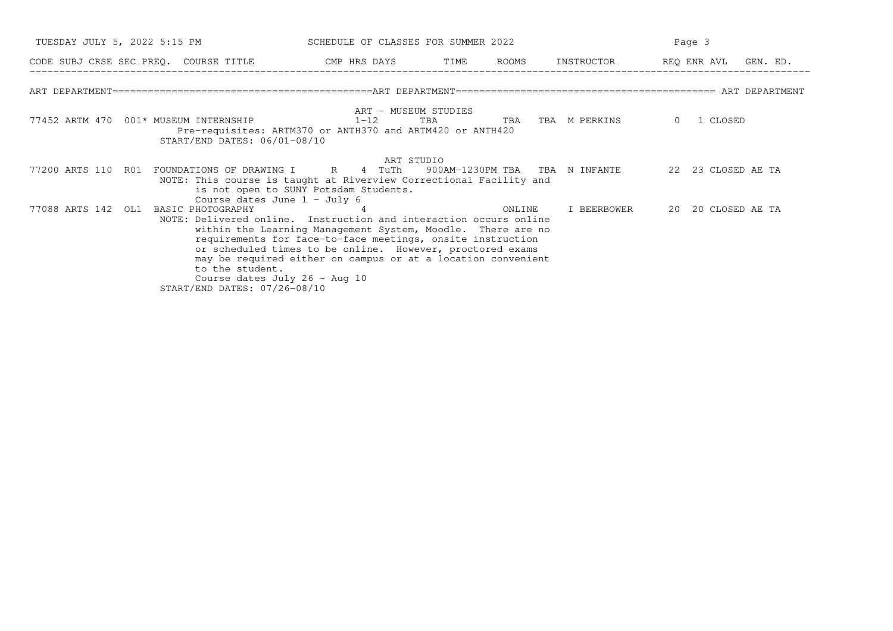| TUESDAY JULY 5, 2022 5:15 PM                                                                                                                                                                                   | SCHEDULE OF CLASSES FOR SUMMER 2022                                                                                                                                                                                                                          |     |        | Page 3            |                      |  |  |  |
|----------------------------------------------------------------------------------------------------------------------------------------------------------------------------------------------------------------|--------------------------------------------------------------------------------------------------------------------------------------------------------------------------------------------------------------------------------------------------------------|-----|--------|-------------------|----------------------|--|--|--|
| CODE SUBJ CRSE SEC PREQ. COURSE TITLE THE CMP HRS DAYS TIME ROOMS INSTRUCTOR TREQ ENR AVL GEN. ED.                                                                                                             |                                                                                                                                                                                                                                                              |     |        |                   |                      |  |  |  |
|                                                                                                                                                                                                                |                                                                                                                                                                                                                                                              |     |        |                   |                      |  |  |  |
| 77452 ARTM 470 001* MUSEUM INTERNSHIP<br>Pre-requisites: ARTM370 or ANTH370 and ARTM420 or ANTH420<br>START/END DATES: 06/01-08/10                                                                             | ART - MUSEUM STUDIES<br>$1 - 12$                                                                                                                                                                                                                             | TBA |        | TBA TBA M PERKINS | 1 CLOSED<br>$\Omega$ |  |  |  |
| 77200 ARTS 110 RO1 FOUNDATIONS OF DRAWING I R 4 TuTh 900AM-1230PM TBA TBA N INFANTE 22 23 CLOSED AE TA<br>NOTE: This course is taught at Riverview Correctional Facility and<br>Course dates June $1 -$ July 6 | ART STUDIO<br>is not open to SUNY Potsdam Students.                                                                                                                                                                                                          |     |        |                   |                      |  |  |  |
| 77088 ARTS 142 OL1 BASIC PHOTOGRAPHY<br>NOTE: Delivered online. Instruction and interaction occurs online<br>to the student.<br>Course dates July 26 - Aug 10<br>START/END DATES: 07/26-08/10                  | -4<br>within the Learning Management System, Moodle. There are no<br>requirements for face-to-face meetings, onsite instruction<br>or scheduled times to be online. However, proctored exams<br>may be required either on campus or at a location convenient |     | ONLINE | I BEERBOWER       | 20 20 CLOSED AE TA   |  |  |  |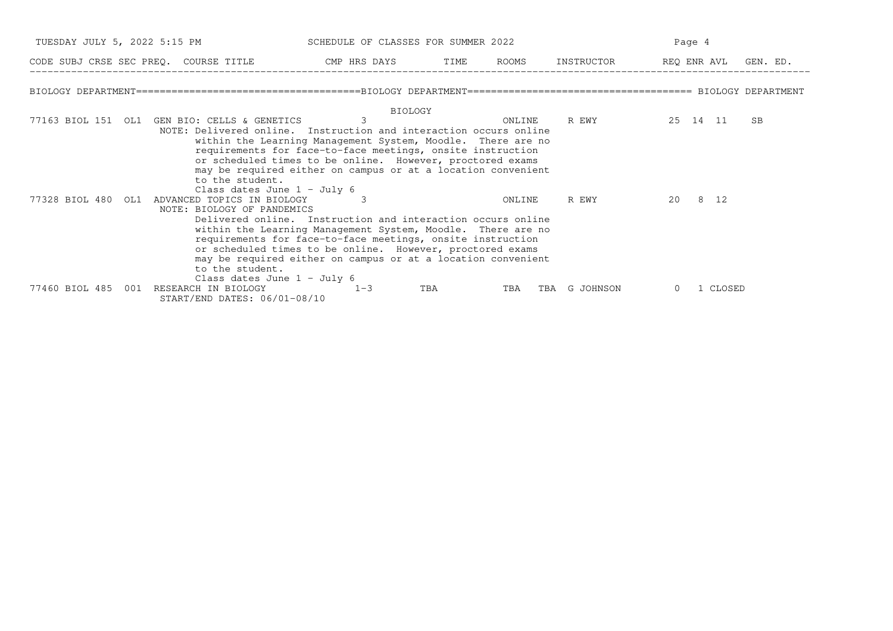|                       | TUESDAY JULY 5, 2022 5:15 PM SCHEDULE OF CLASSES FOR SUMMER 2022                                                                                                      |                                                                                                                                                                                                                                                                                                                       |     |        |                                                                                      | Page 4   |    |
|-----------------------|-----------------------------------------------------------------------------------------------------------------------------------------------------------------------|-----------------------------------------------------------------------------------------------------------------------------------------------------------------------------------------------------------------------------------------------------------------------------------------------------------------------|-----|--------|--------------------------------------------------------------------------------------|----------|----|
|                       | CODE SUBJ CRSE SEC PREQ. COURSE TITLE THE ROOMS INSTRUCTOR THE ROOMS INSTRUCTOR THE REQ ENR AVL GEN. ED.                                                              |                                                                                                                                                                                                                                                                                                                       |     |        |                                                                                      |          |    |
|                       |                                                                                                                                                                       |                                                                                                                                                                                                                                                                                                                       |     |        |                                                                                      |          |    |
|                       | 77163 BIOL 151 OL1 GEN BIO: CELLS & GENETICS<br>NOTE: Delivered online. Instruction and interaction occurs online<br>to the student.<br>Class dates June $1 -$ July 6 | <b>BIOLOGY</b><br>3<br>within the Learning Management System, Moodle. There are no<br>requirements for face-to-face meetings, onsite instruction<br>or scheduled times to be online. However, proctored exams<br>may be required either on campus or at a location convenient                                         |     | ONLINE | R EWY THE REAL PROPERTY OF THE REAL PROPERTY OF THE REAL PROPERTY AND REAL PROPERTY. | 25 14 11 | SB |
| 77328 BIOL 480 OL1    | ADVANCED TOPICS IN BIOLOGY<br>NOTE: BIOLOGY OF PANDEMICS<br>to the student.<br>Class dates June $1 -$ July 6                                                          | Delivered online. Instruction and interaction occurs online<br>within the Learning Management System, Moodle. There are no<br>requirements for face-to-face meetings, onsite instruction<br>or scheduled times to be online. However, proctored exams<br>may be required either on campus or at a location convenient |     | ONLINE | R EWY                                                                                | 20 8 12  |    |
| 77460 BIOL 485<br>001 | RESEARCH IN BIOLOGY<br>START/END DATES: 06/01-08/10                                                                                                                   | $1 - 3$                                                                                                                                                                                                                                                                                                               | TBA | TBA    | TBA G JOHNSON                                                                        | 1 CLOSED |    |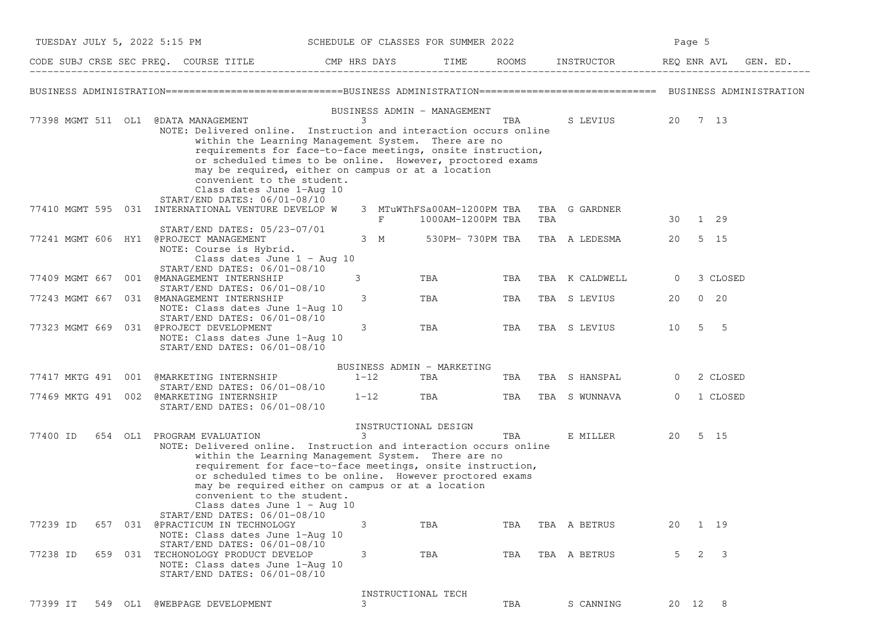|          | TUESDAY JULY 5, 2022 5:15 PM                                                                                                                                                                                                                                                                                                                                                                                 | SCHEDULE OF CLASSES FOR SUMMER 2022 |                                                 |     |     |                                   | Page 5         |         |             |  |
|----------|--------------------------------------------------------------------------------------------------------------------------------------------------------------------------------------------------------------------------------------------------------------------------------------------------------------------------------------------------------------------------------------------------------------|-------------------------------------|-------------------------------------------------|-----|-----|-----------------------------------|----------------|---------|-------------|--|
|          |                                                                                                                                                                                                                                                                                                                                                                                                              |                                     | TIME                                            |     |     |                                   |                |         | GEN. ED.    |  |
|          |                                                                                                                                                                                                                                                                                                                                                                                                              |                                     |                                                 |     |     |                                   |                |         |             |  |
|          | 77398 MGMT 511 OL1 @DATA MANAGEMENT<br>NOTE: Delivered online. Instruction and interaction occurs online<br>within the Learning Management System. There are no<br>requirements for face-to-face meetings, onsite instruction,<br>or scheduled times to be online. However, proctored exams<br>may be required, either on campus or at a location<br>convenient to the student.<br>Class dates June 1-Aug 10 | BUSINESS ADMIN - MANAGEMENT<br>3    |                                                 | TBA |     | S LEVIUS 20 7 13                  |                |         |             |  |
|          | START/END DATES: 06/01-08/10<br>77410 MGMT 595 031 INTERNATIONAL VENTURE DEVELOP W                                                                                                                                                                                                                                                                                                                           | F                                   | 3 MTuWThFSa00AM-1200PM TBA<br>1000AM-1200PM TBA |     | TBA | TBA G GARDNER                     |                | 30 1 29 |             |  |
|          | START/END DATES: 05/23-07/01<br>77241 MGMT 606 HY1 @PROJECT MANAGEMENT<br>NOTE: Course is Hybrid.<br>Class dates June 1 - Aug 10                                                                                                                                                                                                                                                                             |                                     |                                                 |     |     | 3 M 530PM-730PM TBA TBA A LEDESMA | 20             |         | 5 15        |  |
|          | START/END DATES: 06/01-08/10<br>77409 MGMT 667 001 @MANAGEMENT INTERNSHIP                                                                                                                                                                                                                                                                                                                                    | 3                                   | TBA                                             | TBA |     | TBA K CALDWELL                    | 0              |         | 3 CLOSED    |  |
|          | START/END DATES: 06/01-08/10<br>77243 MGMT 667 031 @MANAGEMENT INTERNSHIP<br>NOTE: Class dates June 1-Aug 10                                                                                                                                                                                                                                                                                                 | 3                                   | TBA                                             | TBA |     | TBA S LEVIUS                      | 20             |         | $0\quad 20$ |  |
|          | START/END DATES: 06/01-08/10<br>77323 MGMT 669 031 @PROJECT DEVELOPMENT<br>NOTE: Class dates June 1-Aug 10<br>START/END DATES: 06/01-08/10                                                                                                                                                                                                                                                                   | 3                                   | TBA                                             | TBA |     | TBA S LEVIUS                      | 10             |         | $5\quad 5$  |  |
|          |                                                                                                                                                                                                                                                                                                                                                                                                              | BUSINESS ADMIN - MARKETING          |                                                 |     |     |                                   |                |         |             |  |
|          | 77417 MKTG 491 001 @MARKETING INTERNSHIP<br>$START/END$ DATES: $06/01-08/10$                                                                                                                                                                                                                                                                                                                                 | $1 - 12$                            | TBA                                             | TBA |     | TBA S HANSPAL                     | $\overline{0}$ |         | 2 CLOSED    |  |
|          | 77469 MKTG 491 002 @MARKETING INTERNSHIP<br>START/END DATES: 06/01-08/10                                                                                                                                                                                                                                                                                                                                     | $1 - 12$                            | <b>TBA</b>                                      | TBA |     | TBA S WUNNAVA                     | $\overline{0}$ |         | 1 CLOSED    |  |
| 77400 ID | 654 OL1 PROGRAM EVALUATION<br>NOTE: Delivered online. Instruction and interaction occurs online<br>within the Learning Management System. There are no<br>requirement for face-to-face meetings, onsite instruction,<br>or scheduled times to be online. However proctored exams<br>may be required either on campus or at a location<br>convenient to the student.<br>Class dates June $1 - \text{Aug } 10$ | INSTRUCTIONAL DESIGN<br>3           |                                                 | TBA |     | E MILLER                          |                | 20 5 15 |             |  |
| 77239 ID | START/END DATES: 06/01-08/10<br>657 031 @PRACTICUM IN TECHNOLOGY<br>NOTE: Class dates June 1-Aug 10                                                                                                                                                                                                                                                                                                          | 3                                   | TBA                                             | TBA |     | TBA A BETRUS                      | 20             |         | 1 19        |  |
| 77238 ID | $START/END$ DATES: $06/01-08/10$<br>659 031 TECHONOLOGY PRODUCT DEVELOP<br>NOTE: Class dates June 1-Aug 10<br>START/END DATES: 06/01-08/10                                                                                                                                                                                                                                                                   | 3                                   | TBA                                             | TBA |     | TBA A BETRUS                      | 5 <sup>5</sup> |         | $2 \quad 3$ |  |
| 77399 IT | 549 OL1 @WEBPAGE DEVELOPMENT                                                                                                                                                                                                                                                                                                                                                                                 | INSTRUCTIONAL TECH<br>3             |                                                 | TBA |     | S CANNING                         |                | 20 12 8 |             |  |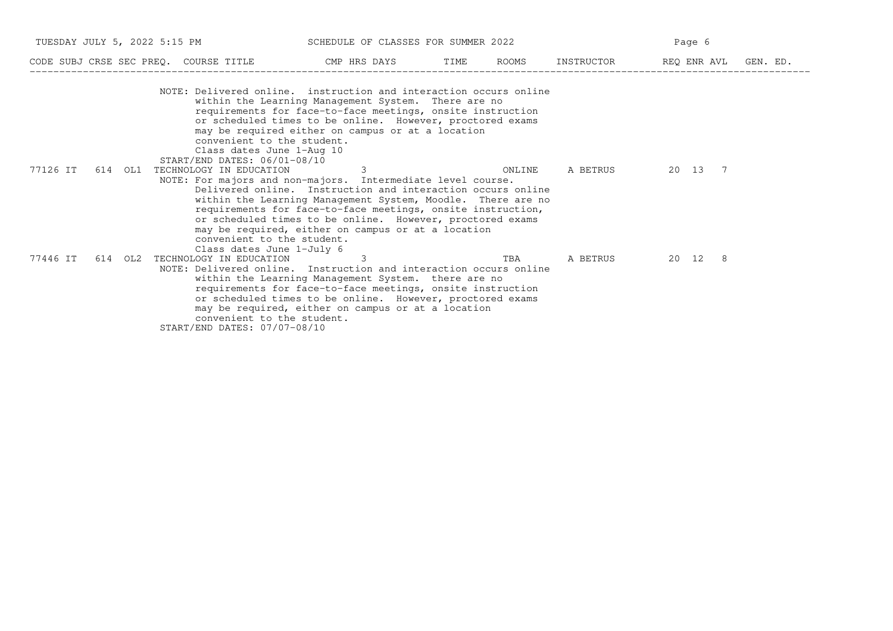|          |     |         | TUESDAY JULY 5, 2022 5:15 PM                                                            | SCHEDULE OF CLASSES FOR SUMMER 2022                                                                                                                                                                                                                                                                                                                                              |        |            | Page 6  |                      |
|----------|-----|---------|-----------------------------------------------------------------------------------------|----------------------------------------------------------------------------------------------------------------------------------------------------------------------------------------------------------------------------------------------------------------------------------------------------------------------------------------------------------------------------------|--------|------------|---------|----------------------|
|          |     |         |                                                                                         | CODE SUBJ CRSE SEC PREQ. COURSE TITLE THE CMP HRS DAYS TIME                                                                                                                                                                                                                                                                                                                      | ROOMS  | INSTRUCTOR |         | REQ ENR AVL GEN. ED. |
|          |     |         | convenient to the student.<br>Class dates June 1-Aug 10<br>START/END DATES: 06/01-08/10 | NOTE: Delivered online. instruction and interaction occurs online<br>within the Learning Management System. There are no<br>requirements for face-to-face meetings, onsite instruction<br>or scheduled times to be online. However, proctored exams<br>may be required either on campus or at a location                                                                         |        |            |         |                      |
| 77126 IT | 614 | OL1     | TECHNOLOGY IN EDUCATION<br>convenient to the student.<br>Class dates June 1-July 6      | 3<br>NOTE: For majors and non-majors. Intermediate level course.<br>Delivered online. Instruction and interaction occurs online<br>within the Learning Management System, Moodle. There are no<br>requirements for face-to-face meetings, onsite instruction,<br>or scheduled times to be online. However, proctored exams<br>may be required, either on campus or at a location | ONLINE | A BETRUS   | 20 13 7 |                      |
| 77446 IT |     | 614 OL2 | TECHNOLOGY IN EDUCATION<br>convenient to the student.<br>START/END DATES: 07/07-08/10   | 3<br>NOTE: Delivered online. Instruction and interaction occurs online<br>within the Learning Management System. there are no<br>requirements for face-to-face meetings, onsite instruction<br>or scheduled times to be online. However, proctored exams<br>may be required, either on campus or at a location                                                                   | TBA    | A BETRUS   | 20 12 8 |                      |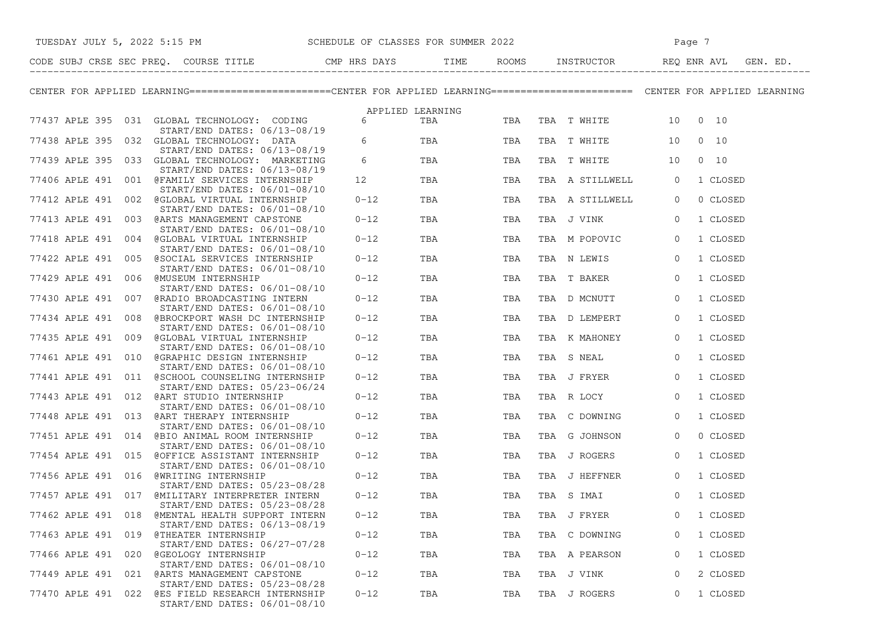|                    |     | TUESDAY JULY 5, 2022 5:15 PM SCHEDULE OF CLASSES FOR SUMMER 2022                                                                   |                       |                  |     |                        | Page 7         |          |
|--------------------|-----|------------------------------------------------------------------------------------------------------------------------------------|-----------------------|------------------|-----|------------------------|----------------|----------|
|                    |     |                                                                                                                                    |                       | TIME             |     |                        |                |          |
|                    |     | CENTER FOR APPLIED LEARNING=======================CENTER FOR APPLIED LEARNING========================= CENTER FOR APPLIED LEARNING |                       |                  |     |                        |                |          |
|                    |     |                                                                                                                                    |                       | APPLIED LEARNING |     |                        |                |          |
|                    |     | 77437 APLE 395 031 GLOBAL TECHNOLOGY: CODING 6<br>START/END DATES: 06/13-08/19                                                     |                       | TBA              |     | TBA TBA TWHITE 10 0 10 |                |          |
|                    |     | 77438 APLE 395 032 GLOBAL TECHNOLOGY: DATA<br>START/END DATES: 06/13-08/19                                                         | $6\overline{)}$       | TBA              | TBA | TBA TWHITE 10 0 10     |                |          |
|                    |     | 77439 APLE 395 033 GLOBAL TECHNOLOGY: MARKETING<br>START/END DATES: 06/13-08/19                                                    | $6\overline{6}$       | TBA              | TBA | TBA T WHITE 10         | $0\quad 10$    |          |
|                    |     | 77406 APLE 491 001 @FAMILY SERVICES INTERNSHIP<br>START/END DATES: 06/01-08/10                                                     | 12 and $\overline{a}$ | TBA              | TBA | TBA A STILLWELL        | $\overline{0}$ | 1 CLOSED |
|                    |     | 77412 APLE 491 002 @GLOBAL VIRTUAL INTERNSHIP                                                                                      | $0 - 12$              | TBA              | TBA | TBA A STILLWELL        | $\circ$        | 0 CLOSED |
|                    |     | START/END DATES: 06/01-08/10<br>77413 APLE 491 003 @ARTS MANAGEMENT CAPSTONE                                                       | $0 - 12$              | TBA              | TBA | TBA J VINK             | $\overline{0}$ | 1 CLOSED |
|                    |     | START/END DATES: 06/01-08/10<br>77418 APLE 491 004 @GLOBAL VIRTUAL INTERNSHIP                                                      | $0 - 12$              | TBA              | TBA | TBA M POPOVIC          | $\overline{0}$ | 1 CLOSED |
|                    |     | START/END DATES: 06/01-08/10<br>77422 APLE 491 005 @SOCIAL SERVICES INTERNSHIP                                                     | $0 - 12$              | <b>TBA</b>       | TBA | TBA N LEWIS            | $\overline{0}$ | 1 CLOSED |
|                    |     | START/END DATES: 06/01-08/10<br>77429 APLE 491 006 @MUSEUM INTERNSHIP                                                              | $0 - 12$              | TBA              | TBA | TBA T BAKER            | $\overline{0}$ | 1 CLOSED |
|                    |     | START/END DATES: 06/01-08/10<br>77430 APLE 491 007 @RADIO BROADCASTING INTERN                                                      | $0 - 12$              | TBA              | TBA | TBA D MCNUTT           | $\overline{0}$ | 1 CLOSED |
|                    |     | START/END DATES: 06/01-08/10<br>77434 APLE 491 008 @BROCKPORT WASH DC INTERNSHIP                                                   | $0 - 12$              | TBA              | TBA | TBA D LEMPERT          | $\overline{0}$ | 1 CLOSED |
|                    |     | START/END DATES: 06/01-08/10<br>77435 APLE 491 009 @GLOBAL VIRTUAL INTERNSHIP                                                      | $0 - 12$              | <b>TBA</b>       | TBA | TBA K MAHONEY          | $\circ$        | 1 CLOSED |
|                    |     | START/END DATES: 06/01-08/10<br>77461 APLE 491 010 @GRAPHIC DESIGN INTERNSHIP                                                      | $0 - 12$              | TBA              | TBA | TBA S NEAL             | $\circ$        | 1 CLOSED |
|                    |     | START/END DATES: 06/01-08/10<br>77441 APLE 491 011 @SCHOOL COUNSELING INTERNSHIP                                                   | $0 - 12$              | TBA              | TBA | TBA J FRYER            | $\circ$        | 1 CLOSED |
|                    |     | START/END DATES: 05/23-06/24<br>77443 APLE 491 012 @ART STUDIO INTERNSHIP<br>START/END DATES: 06/01-08/10                          | $0 - 12$              | <b>TBA</b>       | TBA | TBA R LOCY             | $\overline{0}$ | 1 CLOSED |
|                    |     | 77448 APLE 491 013 @ART THERAPY INTERNSHIP                                                                                         | $0 - 12$              | TBA              | TBA | TBA C DOWNING          | $\overline{0}$ | 1 CLOSED |
|                    |     | $START/END$ DATES: $06/01-08/10$<br>77451 APLE 491 014 @BIO ANIMAL ROOM INTERNSHIP<br>START/END DATES: 06/01-08/10                 | $0 - 12$              | TBA              | TBA | TBA G JOHNSON          | $\overline{0}$ | 0 CLOSED |
|                    |     | 77454 APLE 491 015 @OFFICE ASSISTANT INTERNSHIP<br>START/END DATES: 06/01-08/10                                                    | $0 - 12$              | TBA              | TBA | TBA J ROGERS           | $\overline{0}$ | 1 CLOSED |
|                    |     | 77456 APLE 491 016 @WRITING INTERNSHIP<br>START/END DATES: 05/23-08/28                                                             | $0 - 12$              | <b>TBA</b>       | TBA | TBA J HEFFNER          | $\overline{0}$ | 1 CLOSED |
|                    |     | 77457 APLE 491 017 @MILITARY INTERPRETER INTERN<br>START/END DATES: 05/23-08/28                                                    | $0 - 12$              | TBA              | TBA | TBA S IMAI             | $\mathbf 0$    | 1 CLOSED |
| 77462 APLE 491 018 |     | <b>@MENTAL HEALTH SUPPORT INTERN</b><br>START/END DATES: 06/13-08/19                                                               | $0 - 12$              | TBA              | TBA | TBA J FRYER            | 0              | 1 CLOSED |
| 77463 APLE 491     | 019 | @THEATER INTERNSHIP<br>START/END DATES: 06/27-07/28                                                                                | $0 - 12$              | TBA              | TBA | TBA C DOWNING          | 0              | 1 CLOSED |
| 77466 APLE 491     | 020 | @GEOLOGY INTERNSHIP<br>START/END DATES: 06/01-08/10                                                                                | $0 - 12$              | TBA              | TBA | TBA A PEARSON          | 0              | 1 CLOSED |
| 77449 APLE 491     | 021 | @ARTS MANAGEMENT CAPSTONE<br>START/END DATES: 05/23-08/28                                                                          | $0 - 12$              | TBA              | TBA | TBA J VINK             | 0              | 2 CLOSED |
| 77470 APLE 491     |     | 022 @ES FIELD RESEARCH INTERNSHIP<br>START/END DATES: 06/01-08/10                                                                  | $0 - 12$              | TBA              | TBA | TBA J ROGERS           | 0              | 1 CLOSED |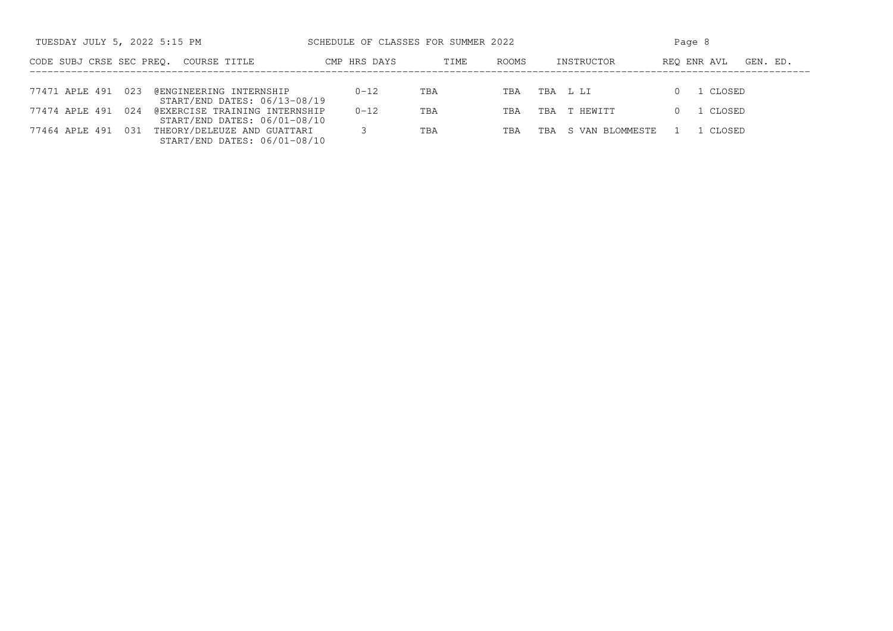| TUESDAY JULY 5, 2022 5:15 PM |                               | SCHEDULE OF CLASSES FOR SUMMER 2022 |               |                        | Page 8                  |  |  |  |  |
|------------------------------|-------------------------------|-------------------------------------|---------------|------------------------|-------------------------|--|--|--|--|
| CODE SUBJ CRSE SEC PREO.     | COURSE TITLE                  | CMP HRS DAYS                        | ROOMS<br>TIME | INSTRUCTOR             | REO ENR AVL<br>GEN. ED. |  |  |  |  |
|                              |                               |                                     |               |                        |                         |  |  |  |  |
| 023<br>77471 APLE 491        | @ENGINEERING INTERNSHIP       | $0 - 12$                            | TBA<br>TBA    | TBA L LI               | CLOSED                  |  |  |  |  |
|                              | START/END DATES: 06/13-08/19  |                                     |               |                        |                         |  |  |  |  |
| 77474 APLE 491<br>024        | @EXERCISE TRAINING INTERNSHIP | $0 - 12$                            | TBA<br>TBA    | T HEWITT<br>TBA        | CLOSED                  |  |  |  |  |
|                              | START/END DATES: 06/01-08/10  |                                     |               |                        |                         |  |  |  |  |
| 77464 APLE 491<br>031        | THEORY/DELEUZE AND GUATTARI   |                                     | TBA<br>TBA    | S VAN BLOMMESTE<br>TBA | CLOSED                  |  |  |  |  |
|                              | START/END DATES: 06/01-08/10  |                                     |               |                        |                         |  |  |  |  |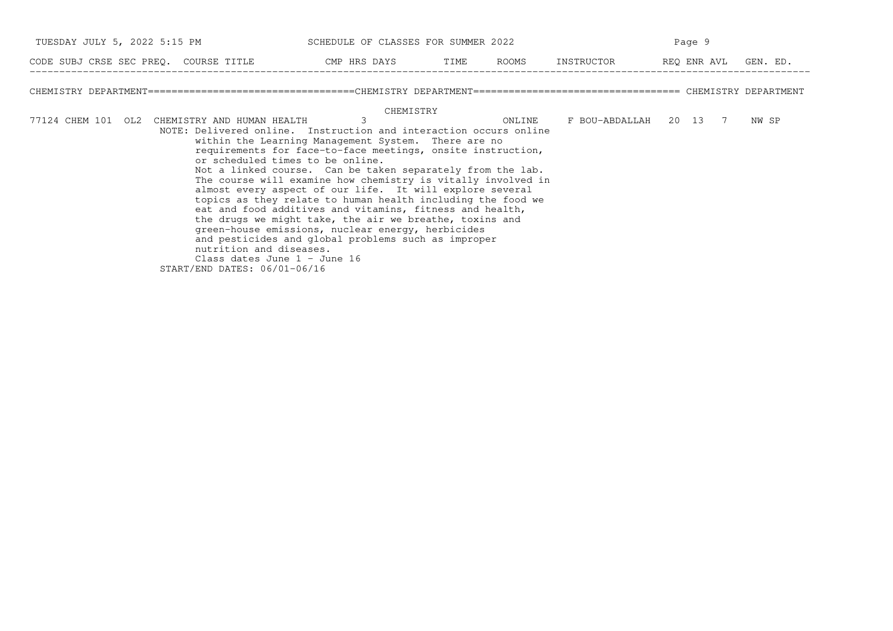|  | TUESDAY JULY 5, 2022 5:15 PM                  | SCHEDULE OF CLASSES FOR SUMMER 2022                                                                                     |        |                        | Page 9 |       |
|--|-----------------------------------------------|-------------------------------------------------------------------------------------------------------------------------|--------|------------------------|--------|-------|
|  |                                               | CODE SUBJ CRSE SEC PREQ. COURSE TITLE THE CMP HRS DAYS TIME ROOMS INSTRUCTOR THE REQ ENR AVL GEN. ED.                   |        |                        |        |       |
|  |                                               |                                                                                                                         |        |                        |        |       |
|  |                                               | CHEMISTRY                                                                                                               |        |                        |        |       |
|  | 77124 CHEM 101 OL2 CHEMISTRY AND HUMAN HEALTH |                                                                                                                         | ONLINE | F BOU-ABDALLAH 20 13 7 |        | NW SP |
|  |                                               | NOTE: Delivered online. Instruction and interaction occurs online                                                       |        |                        |        |       |
|  |                                               | within the Learning Management System. There are no                                                                     |        |                        |        |       |
|  |                                               | requirements for face-to-face meetings, onsite instruction,                                                             |        |                        |        |       |
|  |                                               | or scheduled times to be online.                                                                                        |        |                        |        |       |
|  |                                               | Not a linked course. Can be taken separately from the lab.                                                              |        |                        |        |       |
|  |                                               | The course will examine how chemistry is vitally involved in                                                            |        |                        |        |       |
|  |                                               | almost every aspect of our life. It will explore several<br>topics as they relate to human health including the food we |        |                        |        |       |
|  |                                               | eat and food additives and vitamins, fitness and health,                                                                |        |                        |        |       |
|  |                                               | the drugs we might take, the air we breathe, toxins and                                                                 |        |                        |        |       |
|  |                                               | green-house emissions, nuclear energy, herbicides                                                                       |        |                        |        |       |
|  |                                               | and pesticides and global problems such as improper                                                                     |        |                        |        |       |
|  | nutrition and diseases.                       |                                                                                                                         |        |                        |        |       |
|  | Class dates June $1 -$ June 16                |                                                                                                                         |        |                        |        |       |
|  | START/END DATES: 06/01-06/16                  |                                                                                                                         |        |                        |        |       |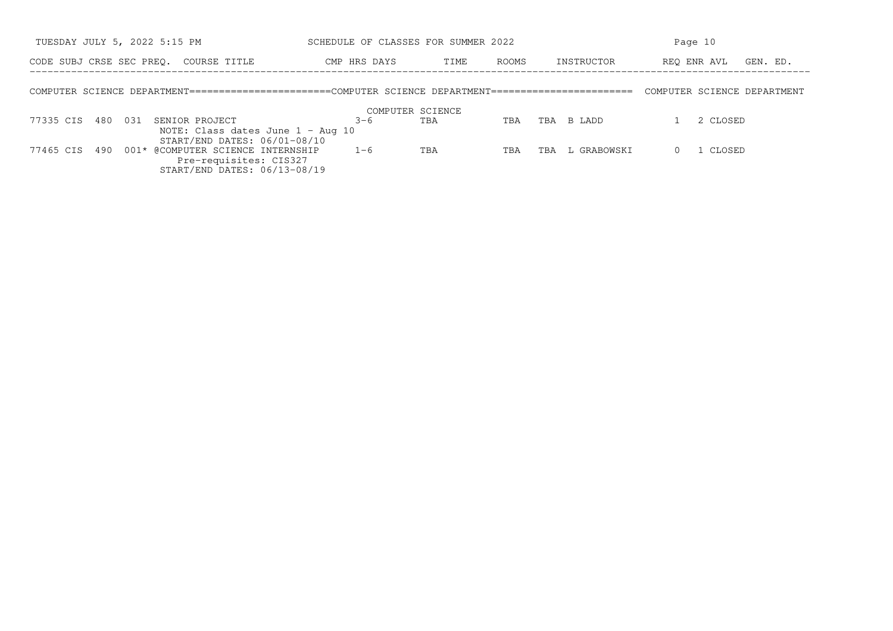| TUESDAY JULY 5, 2022 5:15 PM |     |     | SCHEDULE OF CLASSES FOR SUMMER 2022                                                                  |                  |      |       |     | Page 10     |  |                             |
|------------------------------|-----|-----|------------------------------------------------------------------------------------------------------|------------------|------|-------|-----|-------------|--|-----------------------------|
| CODE SUBJ CRSE SEC PREO.     |     |     | COURSE TITLE                                                                                         | CMP HRS DAYS     | TIME | ROOMS |     | INSTRUCTOR  |  | REO ENR AVL<br>GEN. ED.     |
|                              |     |     | COMPUTER SCIENCE DEPARTMENT=======================COMPUTER SCIENCE DEPARTMENT======================= |                  |      |       |     |             |  | COMPUTER SCIENCE DEPARTMENT |
|                              |     |     |                                                                                                      | COMPUTER SCIENCE |      |       |     |             |  |                             |
| 77335 CIS 480                |     | 031 | SENIOR PROJECT                                                                                       | $3 - 6$          | TBA  | TBA   | TBA | B LADD      |  | 2 CLOSED                    |
|                              |     |     | NOTE: Class dates June $1 - \text{Aug } 10$<br>START/END DATES: 06/01-08/10                          |                  |      |       |     |             |  |                             |
| 77465 CIS                    | 490 |     | 001* @COMPUTER SCIENCE INTERNSHIP                                                                    | $1 - 6$          | TBA  | TBA   | TBA | L GRABOWSKI |  | 1 CLOSED                    |
|                              |     |     | Pre-requisites: CIS327                                                                               |                  |      |       |     |             |  |                             |
|                              |     |     | START/END DATES: 06/13-08/19                                                                         |                  |      |       |     |             |  |                             |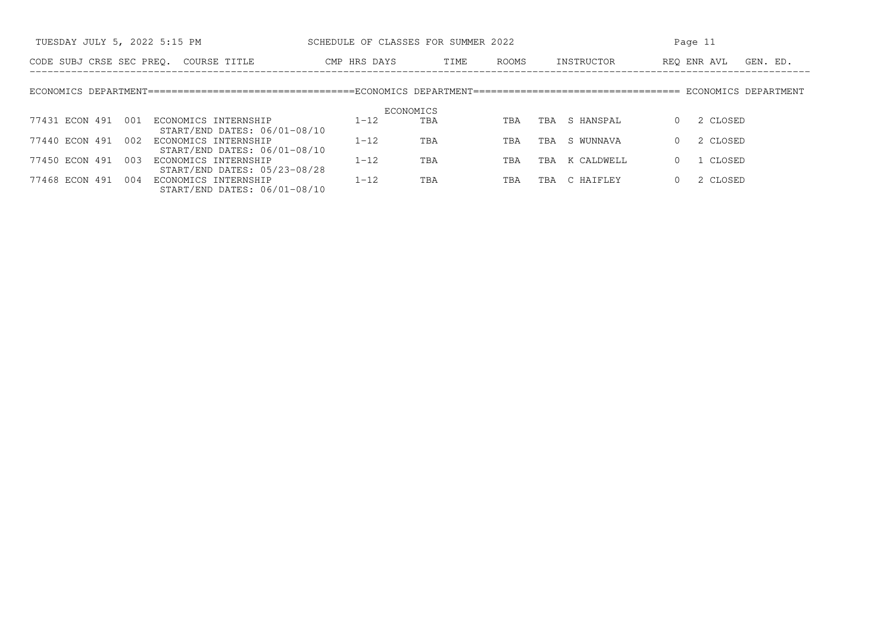| TUESDAY JULY 5, 2022 5:15 PM                                                  | SCHEDULE OF CLASSES FOR SUMMER 2022 |               |                   | Page 11                 |  |  |  |
|-------------------------------------------------------------------------------|-------------------------------------|---------------|-------------------|-------------------------|--|--|--|
| CODE SUBJ CRSE SEC PREO. COURSE TITLE                                         | CMP HRS DAYS                        | ROOMS<br>TIME | INSTRUCTOR        | REO ENR AVL<br>GEN. ED. |  |  |  |
|                                                                               |                                     |               |                   |                         |  |  |  |
|                                                                               | ECONOMICS                           |               |                   |                         |  |  |  |
| 77431 ECON 491<br>001<br>ECONOMICS INTERNSHIP<br>START/END DATES: 06/01-08/10 | $1 - 12$                            | TBA<br>TBA    | S HANSPAL<br>TBA  | 2 CLOSED<br>$\Omega$    |  |  |  |
| 77440 ECON 491<br>002<br>ECONOMICS INTERNSHIP<br>START/END DATES: 06/01-08/10 | $1 - 12$                            | TBA<br>TBA    | S WUNNAVA<br>TBA  | 2 CLOSED                |  |  |  |
| 77450 ECON 491<br>003<br>ECONOMICS INTERNSHIP<br>START/END DATES: 05/23-08/28 | $1 - 12$                            | TBA<br>TBA    | K CALDWELL<br>TBA | 1 CLOSED                |  |  |  |
| 77468 ECON 491<br>004<br>ECONOMICS INTERNSHIP<br>START/END DATES: 06/01-08/10 | $1 - 12$                            | TBA<br>TBA    | C HAIFLEY<br>TBA  | 2 CLOSED<br>$\Omega$    |  |  |  |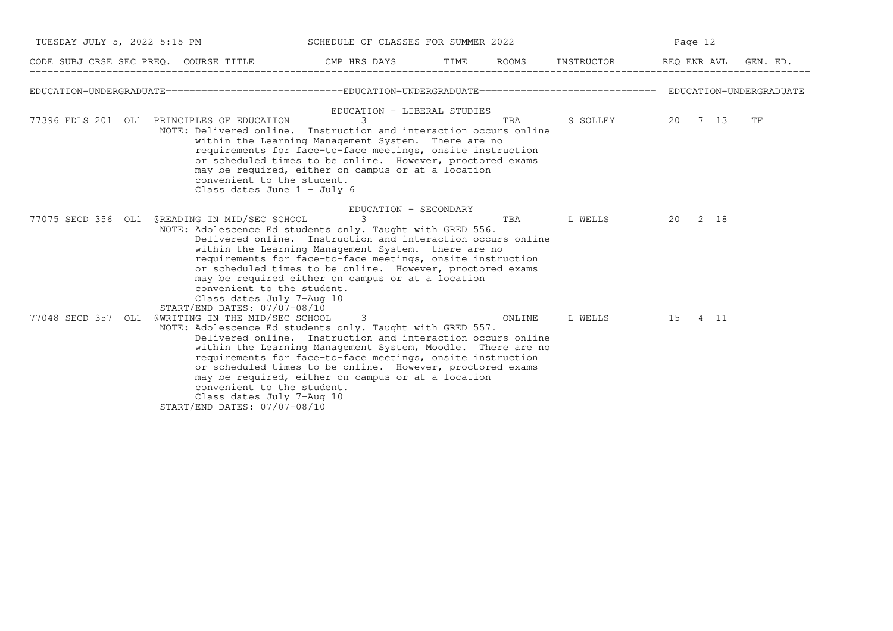| TUESDAY JULY 5, 2022 5:15 PM |                                                                                                                                                                                        | SCHEDULE OF CLASSES FOR SUMMER 2022                                                                                                                                                                                                                                                                                                                                                           |      |        |                              |         | Page 12 |          |  |  |
|------------------------------|----------------------------------------------------------------------------------------------------------------------------------------------------------------------------------------|-----------------------------------------------------------------------------------------------------------------------------------------------------------------------------------------------------------------------------------------------------------------------------------------------------------------------------------------------------------------------------------------------|------|--------|------------------------------|---------|---------|----------|--|--|
|                              |                                                                                                                                                                                        | CODE SUBJ CRSE SEC PREO. COURSE TITLE THE CMP HRS DAYS                                                                                                                                                                                                                                                                                                                                        | TIME |        | ROOMS INSTRUCTOR REQ ENR AVL |         |         | GEN. ED. |  |  |
|                              |                                                                                                                                                                                        |                                                                                                                                                                                                                                                                                                                                                                                               |      |        |                              |         |         |          |  |  |
|                              | 77396 EDLS 201 OL1 PRINCIPLES OF EDUCATION<br>convenient to the student.<br>Class dates June $1 - July 6$                                                                              | EDUCATION - LIBERAL STUDIES<br>3<br>NOTE: Delivered online. Instruction and interaction occurs online<br>within the Learning Management System. There are no<br>requirements for face-to-face meetings, onsite instruction<br>or scheduled times to be online. However, proctored exams<br>may be required, either on campus or at a location                                                 |      | TBA    | S SOLLEY                     | 20 7 13 |         | TF       |  |  |
|                              | 77075 SECD 356 OL1 @READING IN MID/SEC SCHOOL<br>convenient to the student.                                                                                                            | EDUCATION - SECONDARY<br>3<br>NOTE: Adolescence Ed students only. Taught with GRED 556.<br>Delivered online. Instruction and interaction occurs online<br>within the Learning Management System. there are no<br>requirements for face-to-face meetings, onsite instruction<br>or scheduled times to be online. However, proctored exams<br>may be required either on campus or at a location |      | TBA    | L WELLS                      | 20 2 18 |         |          |  |  |
| 77048 SECD 357 OL1           | Class dates July 7-Aug 10<br>START/END DATES: 07/07-08/10<br>@WRITING IN THE MID/SEC SCHOOL<br>convenient to the student.<br>Class dates July 7-Aug 10<br>START/END DATES: 07/07-08/10 | 3<br>NOTE: Adolescence Ed students only. Taught with GRED 557.<br>Delivered online. Instruction and interaction occurs online<br>within the Learning Management System, Moodle. There are no<br>requirements for face-to-face meetings, onsite instruction<br>or scheduled times to be online. However, proctored exams<br>may be required, either on campus or at a location                 |      | ONLINE | L WELLS                      | 15 4 11 |         |          |  |  |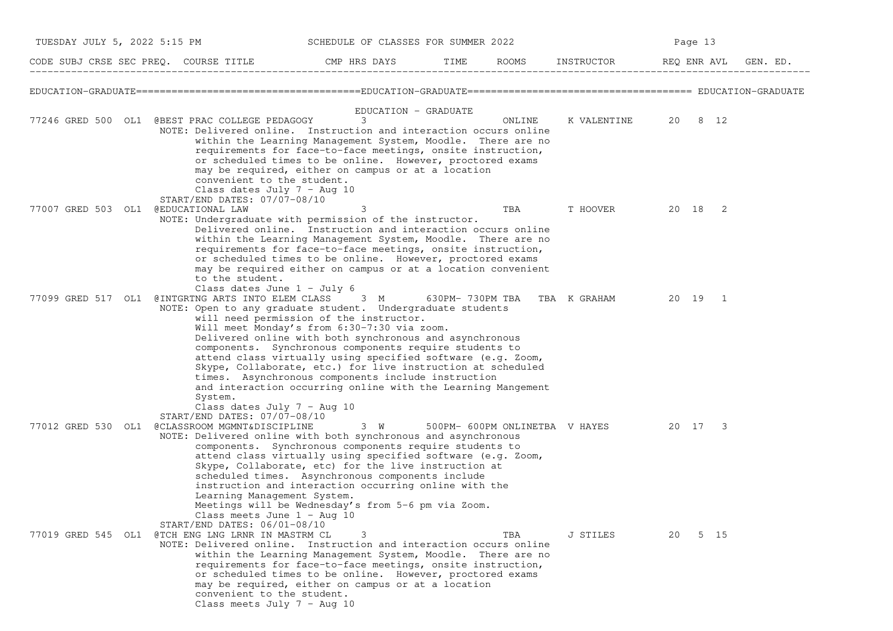| TUESDAY JULY 5, 2022 5:15 PM        |                                                                                                                                                                                                                    | SCHEDULE OF CLASSES FOR SUMMER 2022                                                                                                                                                                                                                                                                                                                                                                                                                             |      |        |                                        |    | Page 13     |          |
|-------------------------------------|--------------------------------------------------------------------------------------------------------------------------------------------------------------------------------------------------------------------|-----------------------------------------------------------------------------------------------------------------------------------------------------------------------------------------------------------------------------------------------------------------------------------------------------------------------------------------------------------------------------------------------------------------------------------------------------------------|------|--------|----------------------------------------|----|-------------|----------|
|                                     | CODE SUBJ CRSE SEC PREQ. COURSE TITLE<br>-------------------------                                                                                                                                                 | CMP HRS DAYS                                                                                                                                                                                                                                                                                                                                                                                                                                                    | TIME |        | ROOMS INSTRUCTOR                       |    | REQ ENR AVL | GEN. ED. |
|                                     |                                                                                                                                                                                                                    |                                                                                                                                                                                                                                                                                                                                                                                                                                                                 |      |        |                                        |    |             |          |
|                                     | 77246 GRED 500 OL1 @BEST PRAC COLLEGE PEDAGOGY<br>NOTE: Delivered online. Instruction and interaction occurs online<br>convenient to the student.<br>Class dates July $7 - Aug 10$<br>START/END DATES: 07/07-08/10 | EDUCATION - GRADUATE<br>3<br>within the Learning Management System, Moodle. There are no<br>requirements for face-to-face meetings, onsite instruction,<br>or scheduled times to be online. However, proctored exams<br>may be required, either on campus or at a location                                                                                                                                                                                      |      | ONLINE | K VALENTINE                            |    | 20 8 12     |          |
| 77007 GRED 503 OL1 @EDUCATIONAL LAW | NOTE: Undergraduate with permission of the instructor.<br>to the student.<br>Class dates June $1 - July 6$                                                                                                         | 3<br>Delivered online. Instruction and interaction occurs online<br>within the Learning Management System, Moodle. There are no<br>requirements for face-to-face meetings, onsite instruction,<br>or scheduled times to be online. However, proctored exams<br>may be required either on campus or at a location convenient                                                                                                                                     |      | TBA    | T HOOVER                               |    | 20 18 2     |          |
|                                     | 77099 GRED 517 OL1 @INTGRTNG ARTS INTO ELEM CLASS 3 M<br>NOTE: Open to any graduate student. Undergraduate students<br>System.<br>Class dates July $7 - \text{Aug } 10$<br>START/END DATES: 07/07-08/10            | will need permission of the instructor.<br>Will meet Monday's from 6:30-7:30 via zoom.<br>Delivered online with both synchronous and asynchronous<br>components. Synchronous components require students to<br>attend class virtually using specified software (e.g. Zoom,<br>Skype, Collaborate, etc.) for live instruction at scheduled<br>times. Asynchronous components include instruction<br>and interaction occurring online with the Learning Mangement |      |        | 630PM-730PM TBA TBA K GRAHAM           |    | 20 19 1     |          |
| 77012 GRED 530 OL1                  | @CLASSROOM MGMNT&DISCIPLINE<br>NOTE: Delivered online with both synchronous and asynchronous<br>Learning Management System.<br>Class meets June $1 - \text{Aug } 10$<br>START/END DATES: 06/01-08/10               | 3 W<br>components. Synchronous components require students to<br>attend class virtually using specified software (e.g. Zoom,<br>Skype, Collaborate, etc) for the live instruction at<br>scheduled times. Asynchronous components include<br>instruction and interaction occurring online with the<br>Meetings will be Wednesday's from 5-6 pm via Zoom.                                                                                                         |      |        | 500PM- 600PM ONLINETBA V HAYES 20 17 3 |    |             |          |
|                                     | 77019 GRED 545 OL1 @TCH ENG LNG LRNR IN MASTRM CL<br>NOTE: Delivered online. Instruction and interaction occurs online<br>convenient to the student.<br>Class meets July $7 - Aug 10$                              | 3<br>within the Learning Management System, Moodle. There are no<br>requirements for face-to-face meetings, onsite instruction,<br>or scheduled times to be online. However, proctored exams<br>may be required, either on campus or at a location                                                                                                                                                                                                              |      | TBA    | J STILES                               | 20 | 5 15        |          |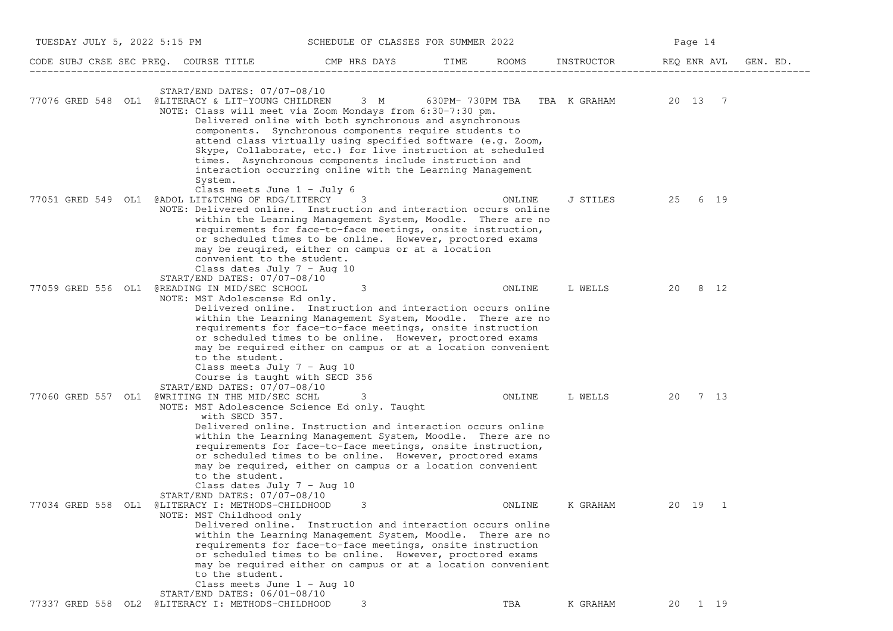| TUESDAY JULY 5, 2022 5:15 PM |                                                                                                                                                                                                 | SCHEDULE OF CLASSES FOR SUMMER 2022                                                                                                                                                                                                                                                                                                                                                                                                 |      |        |            | Page 14                 |          |
|------------------------------|-------------------------------------------------------------------------------------------------------------------------------------------------------------------------------------------------|-------------------------------------------------------------------------------------------------------------------------------------------------------------------------------------------------------------------------------------------------------------------------------------------------------------------------------------------------------------------------------------------------------------------------------------|------|--------|------------|-------------------------|----------|
|                              | CODE SUBJ CRSE SEC PREQ. COURSE TITLE THE CMP HRS DAYS                                                                                                                                          |                                                                                                                                                                                                                                                                                                                                                                                                                                     | TIME | ROOMS  | INSTRUCTOR | REQ ENR AVL             | GEN. ED. |
|                              | START/END DATES: 07/07-08/10<br>77076 GRED 548 OL1 @LITERACY & LIT-YOUNG CHILDREN                                                                                                               | NOTE: Class will meet via Zoom Mondays from 6:30-7:30 pm.<br>Delivered online with both synchronous and asynchronous<br>components. Synchronous components require students to<br>attend class virtually using specified software (e.g. Zoom,<br>Skype, Collaborate, etc.) for live instruction at scheduled<br>times. Asynchronous components include instruction and<br>interaction occurring online with the Learning Management |      |        |            | 20 13 7                 |          |
| 77051 GRED 549 OL1           | System.<br>Class meets June $1 -$ July 6<br>@ADOL LIT&TCHNG OF RDG/LITERCY<br>convenient to the student.                                                                                        | 3<br>NOTE: Delivered online. Instruction and interaction occurs online<br>within the Learning Management System, Moodle. There are no<br>requirements for face-to-face meetings, onsite instruction,<br>or scheduled times to be online. However, proctored exams<br>may be reugired, either on campus or at a location                                                                                                             |      | ONLINE | J STILES   | 25 6 19                 |          |
| 77059 GRED 556 OL1           | Class dates July $7 - \text{Aug } 10$<br>START/END DATES: 07/07-08/10<br>@READING IN MID/SEC SCHOOL<br>NOTE: MST Adolescense Ed only.                                                           | 3<br>Delivered online. Instruction and interaction occurs online<br>within the Learning Management System, Moodle. There are no<br>requirements for face-to-face meetings, onsite instruction<br>or scheduled times to be online. However, proctored exams<br>may be required either on campus or at a location convenient                                                                                                          |      | ONLINE | L WELLS    | 20 8 12                 |          |
|                              | to the student.<br>Class meets July $7 - \text{Aug } 10$<br>Course is taught with SECD 356<br>START/END DATES: 07/07-08/10<br>77060 GRED 557 OL1 @WRITING IN THE MID/SEC SCHL<br>with SECD 357. | 3<br>NOTE: MST Adolescence Science Ed only. Taught<br>Delivered online. Instruction and interaction occurs online<br>within the Learning Management System, Moodle. There are no<br>requirements for face-to-face meetings, onsite instruction,                                                                                                                                                                                     |      | ONLINE | L WELLS    | 20 7 13                 |          |
|                              | to the student.<br>Class dates July $7 - \text{Aug } 10$<br>START/END DATES: 07/07-08/10<br>77034 GRED 558 OL1 @LITERACY I: METHODS-CHILDHOOD<br>NOTE: MST Childhood only                       | or scheduled times to be online. However, proctored exams<br>may be required, either on campus or a location convenient<br>3<br>Delivered online. Instruction and interaction occurs online<br>within the Learning Management System, Moodle. There are no<br>requirements for face-to-face meetings, onsite instruction<br>or scheduled times to be online. However, proctored exams                                               |      | ONLINE | K GRAHAM   | 20 19<br>$\overline{1}$ |          |
|                              | to the student.<br>Class meets June $1 - \text{Aug } 10$<br>START/END DATES: 06/01-08/10<br>77337 GRED 558 OL2 @LITERACY I: METHODS-CHILDHOOD                                                   | may be required either on campus or at a location convenient<br>3                                                                                                                                                                                                                                                                                                                                                                   |      | TBA    | K GRAHAM   | 1 19<br>20              |          |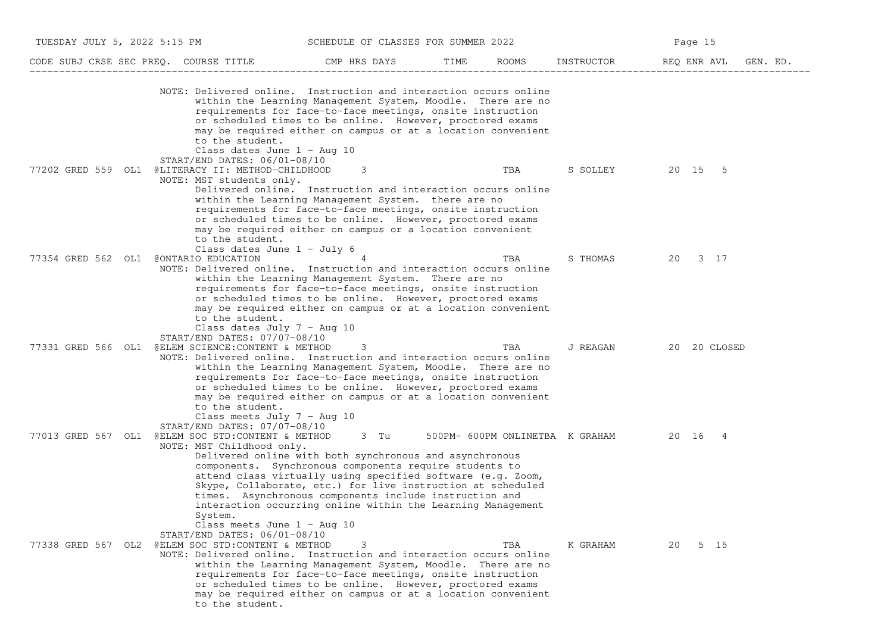| TUESDAY JULY 5, 2022 5:15 PM |                                                                                                                                                                                          | SCHEDULE OF CLASSES FOR SUMMER 2022                                                                                                                                                                                                                                                                                                                                              |      |                                 | Page 15                 |
|------------------------------|------------------------------------------------------------------------------------------------------------------------------------------------------------------------------------------|----------------------------------------------------------------------------------------------------------------------------------------------------------------------------------------------------------------------------------------------------------------------------------------------------------------------------------------------------------------------------------|------|---------------------------------|-------------------------|
|                              | CODE SUBJ CRSE SEC PREQ. COURSE TITLE                                                                                                                                                    | CMP HRS DAYS                                                                                                                                                                                                                                                                                                                                                                     | TIME | ROOMS<br>INSTRUCTOR             | REQ ENR AVL<br>GEN. ED. |
|                              | NOTE: Delivered online. Instruction and interaction occurs online<br>to the student.<br>Class dates June $1 - \text{Aug } 10$                                                            | within the Learning Management System, Moodle. There are no<br>requirements for face-to-face meetings, onsite instruction<br>or scheduled times to be online. However, proctored exams<br>may be required either on campus or at a location convenient                                                                                                                           |      |                                 |                         |
| 77202 GRED 559 OL1           | $START/END$ DATES: $06/01-08/10$<br>@LITERACY II: METHOD-CHILDHOOD<br>NOTE: MST students only.<br>to the student.                                                                        | 3<br>Delivered online. Instruction and interaction occurs online<br>within the Learning Management System. there are no<br>requirements for face-to-face meetings, onsite instruction<br>or scheduled times to be online. However, proctored exams<br>may be required either on campus or a location convenient                                                                  | TBA  | S SOLLEY                        | 20 15 5                 |
| 77354 GRED 562 OL1           | Class dates June $1 -$ July 6<br>CONTARIO EDUCATION<br>NOTE: Delivered online. Instruction and interaction occurs online<br>to the student.<br>Class dates July $7 - \text{Aug } 10$     | within the Learning Management System. There are no<br>requirements for face-to-face meetings, onsite instruction<br>or scheduled times to be online. However, proctored exams<br>may be required either on campus or at a location convenient                                                                                                                                   | TBA  | S THOMAS                        | 20 3 17                 |
| 77331 GRED 566 OL1           | START/END DATES: 07/07-08/10<br>@ELEM SCIENCE: CONTENT & METHOD<br>NOTE: Delivered online. Instruction and interaction occurs online<br>to the student.<br>Class meets July $7 - Aug 10$ | 3<br>within the Learning Management System, Moodle. There are no<br>requirements for face-to-face meetings, onsite instruction<br>or scheduled times to be online. However, proctored exams<br>may be required either on campus or at a location convenient                                                                                                                      | TBA  | J REAGAN                        | 20 20 CLOSED            |
|                              | START/END DATES: 07/07-08/10<br>77013 GRED 567 OL1 @ELEM SOC STD:CONTENT & METHOD<br>NOTE: MST Childhood only.<br>System.<br>Class meets June $1 - \text{Aug } 10$                       | 3 Tu<br>Delivered online with both synchronous and asynchronous<br>components. Synchronous components require students to<br>attend class virtually using specified software (e.g. Zoom,<br>Skype, Collaborate, etc.) for live instruction at scheduled<br>times. Asynchronous components include instruction and<br>interaction occurring online within the Learning Management |      | 500PM- 600PM ONLINETBA K GRAHAM | 20 16 4                 |
| 77338 GRED 567 OL2           | START/END DATES: 06/01-08/10<br>@ELEM SOC STD: CONTENT & METHOD<br>NOTE: Delivered online. Instruction and interaction occurs online<br>to the student.                                  | within the Learning Management System, Moodle. There are no<br>requirements for face-to-face meetings, onsite instruction<br>or scheduled times to be online. However, proctored exams<br>may be required either on campus or at a location convenient                                                                                                                           | TBA  | K GRAHAM                        | 5 15<br>20              |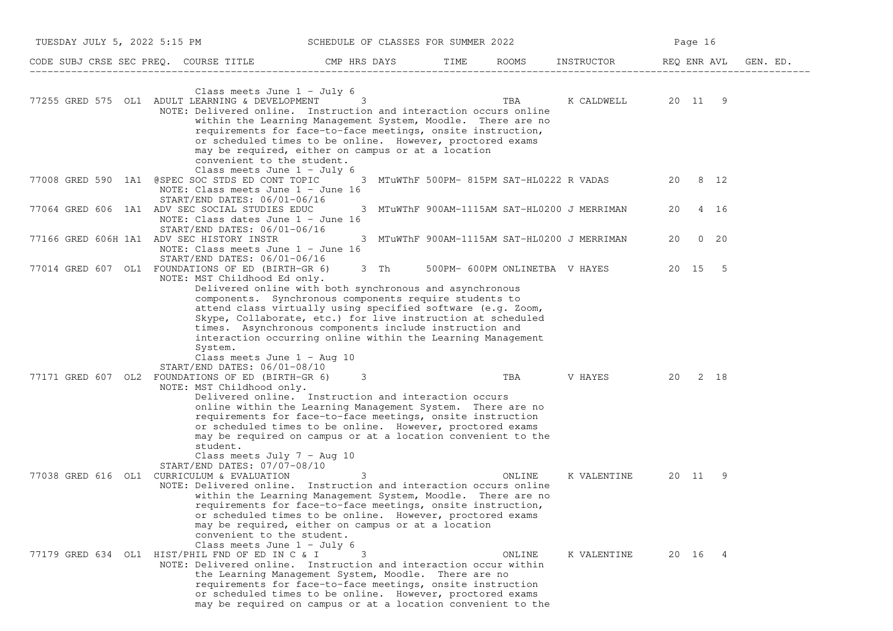| TUESDAY JULY 5, 2022 5:15 PM                                                                                                                                                                                                                                                                                         | SCHEDULE OF CLASSES FOR SUMMER 2022 |                                                                                                                                                                                                                                                              |                    | Page 16           |          |
|----------------------------------------------------------------------------------------------------------------------------------------------------------------------------------------------------------------------------------------------------------------------------------------------------------------------|-------------------------------------|--------------------------------------------------------------------------------------------------------------------------------------------------------------------------------------------------------------------------------------------------------------|--------------------|-------------------|----------|
| CODE SUBJ CRSE SEC PREQ. COURSE TITLE THE CMP HRS DAYS TIME                                                                                                                                                                                                                                                          |                                     |                                                                                                                                                                                                                                                              | ROOMS INSTRUCTOR   | REQ ENR AVL       | GEN. ED. |
| Class meets June $1 - July 6$<br>77255 GRED 575 OL1 ADULT LEARNING & DEVELOPMENT 3<br>NOTE: Delivered online. Instruction and interaction occurs online<br>may be required, either on campus or at a location<br>convenient to the student.                                                                          |                                     | within the Learning Management System, Moodle. There are no<br>requirements for face-to-face meetings, onsite instruction,<br>or scheduled times to be online. However, proctored exams                                                                      | K CALDWELL 20 11 9 |                   |          |
| Class meets June 1 - July 6<br>77008 GRED 590 1A1 @SPEC SOC STDS ED CONT TOPIC<br>NOTE: Class meets June $1 -$ June 16<br>START/END DATES: 06/01-06/16                                                                                                                                                               |                                     | 3 MTuWThF 500PM- 815PM SAT-HL0222 R VADAS                                                                                                                                                                                                                    |                    | 20 8 12           |          |
| 77064 GRED 606 1A1 ADV SEC SOCIAL STUDIES EDUC<br>NOTE: Class dates June 1 - June 16<br>$START/END$ DATES: $06/01-06/16$                                                                                                                                                                                             |                                     | 3 MTuWThF 900AM-1115AM SAT-HL0200 J MERRIMAN                                                                                                                                                                                                                 |                    | 4 16<br>20        |          |
| 77166 GRED 606H 1A1 ADV SEC HISTORY INSTR<br>NOTE: Class meets June 1 - June 16<br>START/END DATES: 06/01-06/16                                                                                                                                                                                                      |                                     | 3 MTuWThF 900AM-1115AM SAT-HL0200 J MERRIMAN                                                                                                                                                                                                                 |                    | $0\quad 20$<br>20 |          |
| 77014 GRED 607 OL1 FOUNDATIONS OF ED (BIRTH-GR 6)<br>NOTE: MST Childhood Ed only.<br>Delivered online with both synchronous and asynchronous<br>components. Synchronous components require students to<br>times. Asynchronous components include instruction and<br>System.<br>Class meets June $1 - \text{Aug } 10$ |                                     | 3 Th 500PM-600PM ONLINETBA V HAYES<br>attend class virtually using specified software (e.g. Zoom,<br>Skype, Collaborate, etc.) for live instruction at scheduled<br>interaction occurring online within the Learning Management                              |                    | 20 15 5           |          |
| $START/END$ DATES: $06/01-08/10$<br>77171 GRED 607 OL2 FOUNDATIONS OF ED (BIRTH-GR 6)<br>NOTE: MST Childhood only.<br>Delivered online. Instruction and interaction occurs<br>student.<br>Class meets July $7 - \text{Aug } 10$                                                                                      | 3                                   | TBA<br>online within the Learning Management System. There are no<br>requirements for face-to-face meetings, onsite instruction<br>or scheduled times to be online. However, proctored exams<br>may be required on campus or at a location convenient to the | V HAYES 20 2 18    |                   |          |
| START/END DATES: 07/07-08/10<br>77038 GRED 616 OL1 CURRICULUM & EVALUATION<br>NOTE: Delivered online. Instruction and interaction occurs online<br>may be required, either on campus or at a location<br>convenient to the student.<br>Class meets June $1 -$ July 6                                                 | 3                                   | ONLINE<br>within the Learning Management System, Moodle. There are no<br>requirements for face-to-face meetings, onsite instruction,<br>or scheduled times to be online. However, proctored exams                                                            | K VALENTINE        | 20 11 9           |          |
| 77179 GRED 634 OL1 HIST/PHIL FND OF ED IN C & I<br>NOTE: Delivered online. Instruction and interaction occur within<br>the Learning Management System, Moodle. There are no                                                                                                                                          | 3                                   | ONLINE<br>requirements for face-to-face meetings, onsite instruction<br>or scheduled times to be online. However, proctored exams<br>may be required on campus or at a location convenient to the                                                            | K VALENTINE        | 20 16 4           |          |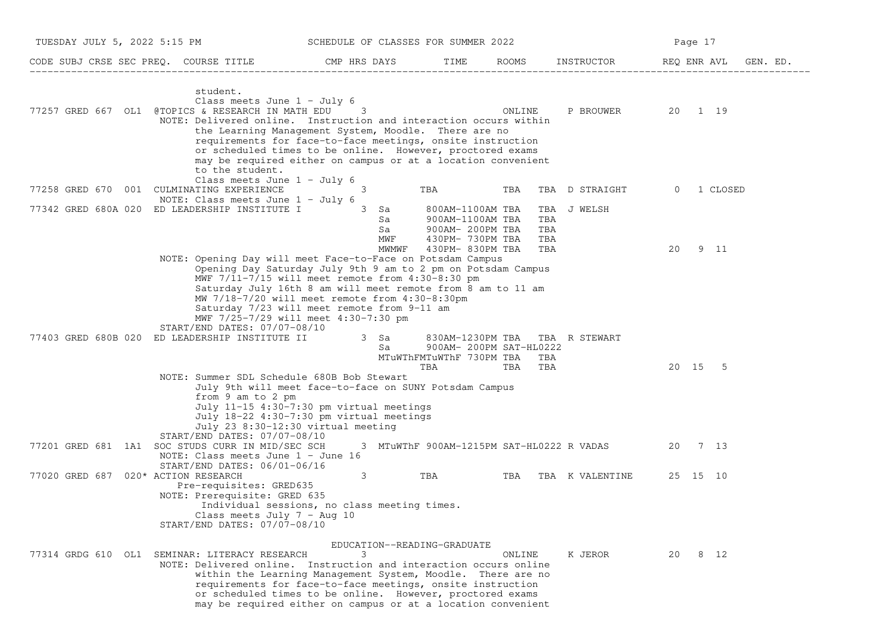| TUESDAY JULY 5, 2022 5:15 PM                                                                                                                                                                                                          | SCHEDULE OF CLASSES FOR SUMMER 2022                                                                                                                                                                                                                                                                                                    |                                                                              |        |                                              | Page 17              |
|---------------------------------------------------------------------------------------------------------------------------------------------------------------------------------------------------------------------------------------|----------------------------------------------------------------------------------------------------------------------------------------------------------------------------------------------------------------------------------------------------------------------------------------------------------------------------------------|------------------------------------------------------------------------------|--------|----------------------------------------------|----------------------|
| CODE SUBJ CRSE SEC PREQ. COURSE TITLE THE ROOMS INSTRUCTOR THE ROOMS ENSTRUCTOR THE REQ ENR AVL GEN. ED.                                                                                                                              |                                                                                                                                                                                                                                                                                                                                        |                                                                              |        |                                              |                      |
| student.<br>Class meets June $1 - July 6$<br>77257 GRED 667 OL1 @TOPICS & RESEARCH IN MATH EDU<br>NOTE: Delivered online. Instruction and interaction occurs within                                                                   | 3<br>the Learning Management System, Moodle. There are no<br>requirements for face-to-face meetings, onsite instruction<br>or scheduled times to be online. However, proctored exams                                                                                                                                                   |                                                                              | ONLINE | P BROUWER                                    | 20 1 19              |
| to the student.<br>Class meets June $1 - July 6$<br>77258 GRED 670 001 CULMINATING EXPERIENCE<br>NOTE: Class meets June $1 - July 6$<br>77342 GRED 680A 020 ED LEADERSHIP INSTITUTE I                                                 | may be required either on campus or at a location convenient<br>3<br>$3$ Sa                                                                                                                                                                                                                                                            | TBA<br>800AM-1100AM TBA                                                      | TBA    | TBA D STRAIGHT<br>TBA J WELSH                | 1 CLOSED<br>$\Omega$ |
| NOTE: Opening Day will meet Face-to-Face on Potsdam Campus                                                                                                                                                                            | Sa<br>Sa<br>MWF<br>MWMWF                                                                                                                                                                                                                                                                                                               | 900AM-1100AM TBA<br>900AM- 200PM TBA<br>430PM- 730PM TBA<br>430PM- 830PM TBA |        | TBA<br>TBA<br>TBA<br>TBA                     | 20<br>9 11           |
| START/END DATES: 07/07-08/10<br>77403 GRED 680B 020 ED LEADERSHIP INSTITUTE II                                                                                                                                                        | Opening Day Saturday July 9th 9 am to 2 pm on Potsdam Campus<br>MWF 7/11-7/15 will meet remote from 4:30-8:30 pm<br>Saturday July 16th 8 am will meet remote from 8 am to 11 am<br>MW 7/18-7/20 will meet remote from 4:30-8:30pm<br>Saturday 7/23 will meet remote from 9-11 am<br>MWF 7/25-7/29 will meet 4:30-7:30 pm<br>3 Sa<br>Sa | 900AM- 200PM SAT-HL0222<br>MTuWThFMTuWThF 730PM TBA<br>TBA                   | TBA    | 830AM-1230PM TBA TBA R STEWART<br>TBA<br>TBA | 20 15 5              |
| NOTE: Summer SDL Schedule 680B Bob Stewart<br>from 9 am to 2 pm<br>START/END DATES: 07/07-08/10<br>77201 GRED 681 1A1 SOC STUDS CURR IN MID/SEC SCH                                                                                   | July 9th will meet face-to-face on SUNY Potsdam Campus<br>July 11-15 4:30-7:30 pm virtual meetings<br>July 18-22 4:30-7:30 pm virtual meetings<br>July 23 8:30-12:30 virtual meeting                                                                                                                                                   |                                                                              |        | 3 MTuWThF 900AM-1215PM SAT-HL0222 R VADAS    | 20 7 13              |
| NOTE: Class meets June 1 - June 16<br>START/END DATES: 06/01-06/16<br>77020 GRED 687 020* ACTION RESEARCH<br>Pre-requisites: GRED635<br>NOTE: Prerequisite: GRED 635<br>Class meets July $7 - Aug 10$<br>START/END DATES: 07/07-08/10 | 3<br>Individual sessions, no class meeting times.                                                                                                                                                                                                                                                                                      | <b>TBA</b>                                                                   |        | TBA TBA K VALENTINE                          | 25 15 10             |
| 77314 GRDG 610 OL1 SEMINAR: LITERACY RESEARCH<br>NOTE: Delivered online. Instruction and interaction occurs online                                                                                                                    | EDUCATION--READING-GRADUATE<br>3<br>within the Learning Management System, Moodle. There are no<br>requirements for face-to-face meetings, onsite instruction<br>or scheduled times to be online. However, proctored exams<br>may be required either on campus or at a location convenient                                             |                                                                              | ONLINE | K JEROR                                      | 20 8 12              |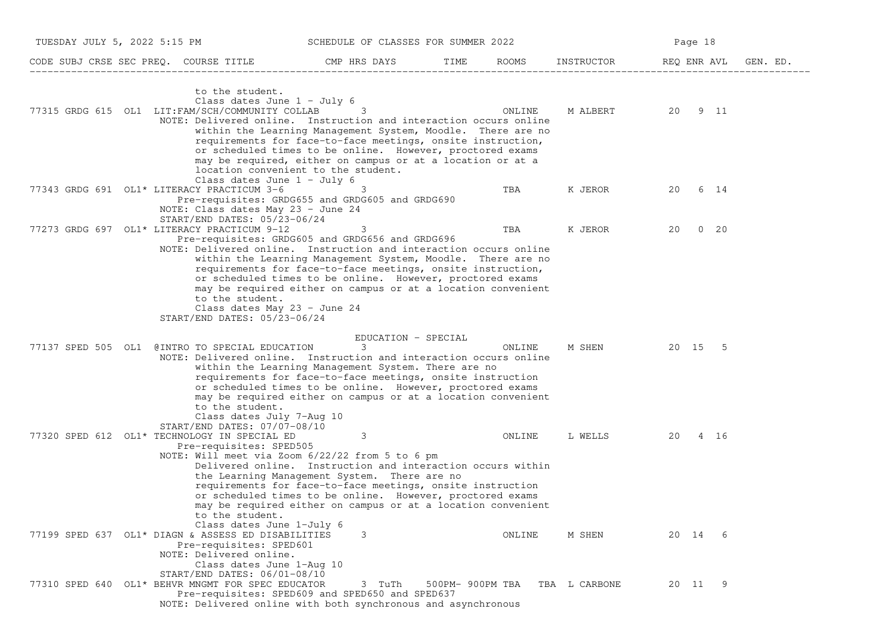| TUESDAY JULY 5, 2022 5:15 PM |                                                                                                                                                                                                            | SCHEDULE OF CLASSES FOR SUMMER 2022                                                                                                                                                                                                                                                                         |                  |        |               | Page 18 |             |  |
|------------------------------|------------------------------------------------------------------------------------------------------------------------------------------------------------------------------------------------------------|-------------------------------------------------------------------------------------------------------------------------------------------------------------------------------------------------------------------------------------------------------------------------------------------------------------|------------------|--------|---------------|---------|-------------|--|
|                              | CODE SUBJ CRSE SEC PREQ. COURSE TITLE THE ROOMS INSTRUCTOR THE ROOMS INSTRUCTOR THE REQ ENR AVL GEN. ED.                                                                                                   |                                                                                                                                                                                                                                                                                                             |                  |        |               |         |             |  |
|                              | to the student.<br>Class dates June 1 - July 6<br>77315 GRDG 615 OL1 LIT:FAM/SCH/COMMUNITY COLLAB<br>NOTE: Delivered online. Instruction and interaction occurs online                                     | 3<br>within the Learning Management System, Moodle. There are no<br>requirements for face-to-face meetings, onsite instruction,<br>or scheduled times to be online. However, proctored exams                                                                                                                |                  | ONLINE | M ALBERT      | 20 9 11 |             |  |
|                              | location convenient to the student.<br>Class dates June $1 -$ July 6<br>77343 GRDG 691 OL1* LITERACY PRACTICUM 3-6<br>Pre-requisites: GRDG655 and GRDG605 and GRDG690                                      | may be required, either on campus or at a location or at a<br>3                                                                                                                                                                                                                                             |                  | TBA    |               | 20      | 6 14        |  |
|                              | NOTE: Class dates May 23 - June 24<br>START/END DATES: 05/23-06/24<br>77273 GRDG 697 OL1* LITERACY PRACTICUM 9-12                                                                                          | 3                                                                                                                                                                                                                                                                                                           |                  | TBA    | K JEROR       | 20      | $0\quad 20$ |  |
|                              | Pre-requisites: GRDG605 and GRDG656 and GRDG696<br>NOTE: Delivered online. Instruction and interaction occurs online<br>to the student.<br>Class dates May 23 - June 24<br>START/END DATES: 05/23-06/24    | within the Learning Management System, Moodle. There are no<br>requirements for face-to-face meetings, onsite instruction,<br>or scheduled times to be online. However, proctored exams<br>may be required either on campus or at a location convenient                                                     |                  |        |               |         |             |  |
| 77137 SPED 505 OL1           | @INTRO TO SPECIAL EDUCATION<br>NOTE: Delivered online. Instruction and interaction occurs online<br>to the student.<br>Class dates July 7-Aug 10                                                           | EDUCATION - SPECIAL<br>3<br>within the Learning Management System. There are no<br>requirements for face-to-face meetings, onsite instruction<br>or scheduled times to be online. However, proctored exams<br>may be required either on campus or at a location convenient                                  |                  | ONLINE | M SHEN        | 20 15 5 |             |  |
|                              | START/END DATES: 07/07-08/10<br>77320 SPED 612 OL1* TECHNOLOGY IN SPECIAL ED<br>Pre-requisites: SPED505<br>NOTE: Will meet via Zoom 6/22/22 from 5 to 6 pm<br>to the student.<br>Class dates June 1-July 6 | 3<br>Delivered online. Instruction and interaction occurs within<br>the Learning Management System. There are no<br>requirements for face-to-face meetings, onsite instruction<br>or scheduled times to be online. However, proctored exams<br>may be required either on campus or at a location convenient |                  | ONLINE | L WELLS       | 20      | 4 16        |  |
|                              | 77199 SPED 637 OL1* DIAGN & ASSESS ED DISABILITIES<br>Pre-requisites: SPED601<br>NOTE: Delivered online.<br>Class dates June 1-Aug 10<br>START/END DATES: 06/01-08/10                                      | 3                                                                                                                                                                                                                                                                                                           |                  | ONLINE | M SHEN        | 20 14 6 |             |  |
|                              | 77310 SPED 640 OL1* BEHVR MNGMT FOR SPEC EDUCATOR<br>Pre-requisites: SPED609 and SPED650 and SPED637<br>NOTE: Delivered online with both synchronous and asynchronous                                      | 3 TuTh                                                                                                                                                                                                                                                                                                      | 500PM- 900PM TBA |        | TBA L CARBONE | 20 11 9 |             |  |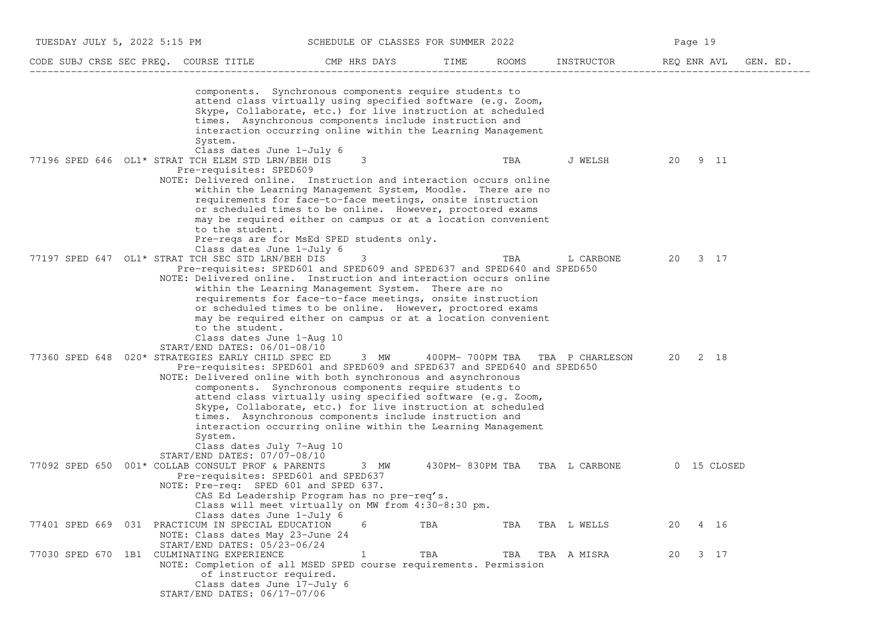| TUESDAY JULY 5, 2022 5:15 PM                       |                                                                                                                                                                                                                                                                                                                                                                                                                                                                                                                                                                   |              | SCHEDULE OF CLASSES FOR SUMMER 2022 |       |                               | Page 19     |          |
|----------------------------------------------------|-------------------------------------------------------------------------------------------------------------------------------------------------------------------------------------------------------------------------------------------------------------------------------------------------------------------------------------------------------------------------------------------------------------------------------------------------------------------------------------------------------------------------------------------------------------------|--------------|-------------------------------------|-------|-------------------------------|-------------|----------|
| CODE SUBJ CRSE SEC PREQ. COURSE TITLE              |                                                                                                                                                                                                                                                                                                                                                                                                                                                                                                                                                                   | CMP HRS DAYS | TIME                                | ROOMS | INSTRUCTOR                    | REQ ENR AVL | GEN. ED. |
| System.                                            | components. Synchronous components require students to<br>attend class virtually using specified software (e.g. Zoom,<br>Skype, Collaborate, etc.) for live instruction at scheduled<br>times. Asynchronous components include instruction and<br>interaction occurring online within the Learning Management                                                                                                                                                                                                                                                     |              |                                     |       |                               |             |          |
| 77196 SPED 646 OL1* STRAT TCH ELEM STD LRN/BEH DIS | Class dates June 1-July 6<br>Pre-requisites: SPED609<br>NOTE: Delivered online. Instruction and interaction occurs online<br>within the Learning Management System, Moodle. There are no<br>requirements for face-to-face meetings, onsite instruction<br>or scheduled times to be online. However, proctored exams                                                                                                                                                                                                                                               | 3            |                                     | TBA   | J WELSH                       | 20<br>9 11  |          |
| 77197 SPED 647 OL1* STRAT TCH SEC STD LRN/BEH DIS  | may be required either on campus or at a location convenient<br>to the student.<br>Pre-reqs are for MsEd SPED students only.<br>Class dates June 1-July 6<br>Pre-requisites: SPED601 and SPED609 and SPED637 and SPED640 and SPED650                                                                                                                                                                                                                                                                                                                              | 3            |                                     | TBA   | L CARBONE                     | 3 17<br>20  |          |
|                                                    | NOTE: Delivered online. Instruction and interaction occurs online<br>within the Learning Management System. There are no<br>requirements for face-to-face meetings, onsite instruction<br>or scheduled times to be online. However, proctored exams<br>may be required either on campus or at a location convenient<br>to the student.<br>Class dates June 1-Aug 10                                                                                                                                                                                               |              |                                     |       |                               |             |          |
| 77360 SPED 648<br>System.                          | $START/END$ DATES: $06/01-08/10$<br>020* STRATEGIES EARLY CHILD SPEC ED<br>Pre-requisites: SPED601 and SPED609 and SPED637 and SPED640 and SPED650<br>NOTE: Delivered online with both synchronous and asynchronous<br>components. Synchronous components require students to<br>attend class virtually using specified software (e.g. Zoom,<br>Skype, Collaborate, etc.) for live instruction at scheduled<br>times. Asynchronous components include instruction and<br>interaction occurring online within the Learning Management<br>Class dates July 7-Aug 10 | 3 MW         | 400РМ- 700РМ ТВА                    |       | TBA P CHARLESON               | 20<br>2 18  |          |
| 77092 SPED 650 001* COLLAB CONSULT PROF & PARENTS  | START/END DATES: 07/07-08/10<br>Pre-requisites: SPED601 and SPED637<br>NOTE: Pre-req: SPED 601 and SPED 637.<br>CAS Ed Leadership Program has no pre-reg's.<br>Class will meet virtually on MW from 4:30-8:30 pm.<br>Class dates June 1-July 6                                                                                                                                                                                                                                                                                                                    | 3 MW         |                                     |       | 430PM-830PM TBA TBA L CARBONE | 0 15 CLOSED |          |
| 77401 SPED 669 031 PRACTICUM IN SPECIAL EDUCATION  | NOTE: Class dates May 23-June 24<br>START/END DATES: 05/23-06/24                                                                                                                                                                                                                                                                                                                                                                                                                                                                                                  | 6            | TBA                                 | TBA   | TBA L WELLS                   | 20<br>4 16  |          |
| 77030 SPED 670 1B1 CULMINATING EXPERIENCE          | NOTE: Completion of all MSED SPED course requirements. Permission<br>of instructor required.<br>Class dates June 17-July 6<br>START/END DATES: 06/17-07/06                                                                                                                                                                                                                                                                                                                                                                                                        | $\mathbf 1$  | TBA                                 | TBA   | TBA A MISRA                   | 3 17<br>20  |          |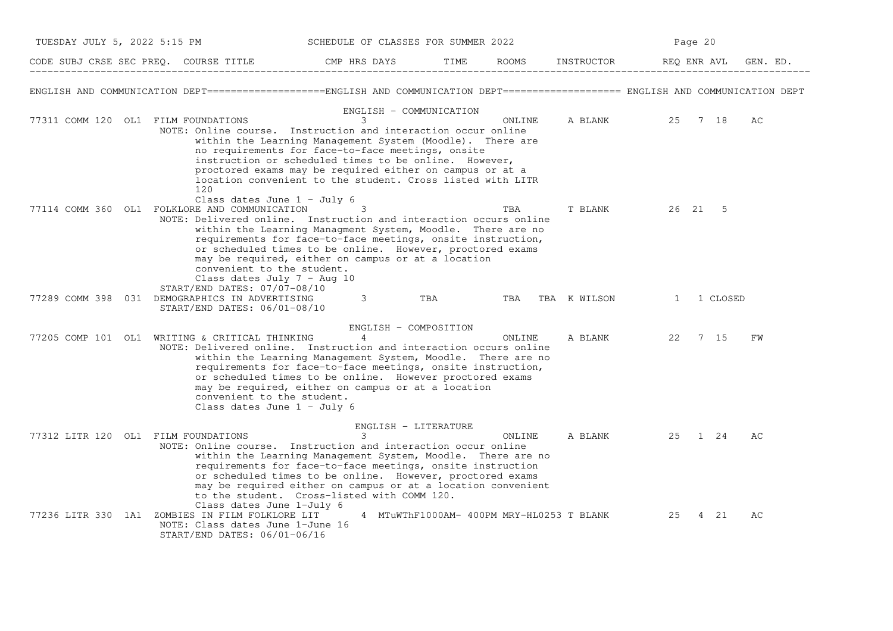| TUESDAY JULY 5, 2022 5:15 PM | SCHEDULE OF CLASSES FOR SUMMER 2022                                                                                                                                                                                                                        |                                                                                                                                                                                                                                                                                                                                   |      |                                           | Page 20      |               |          |  |  |
|------------------------------|------------------------------------------------------------------------------------------------------------------------------------------------------------------------------------------------------------------------------------------------------------|-----------------------------------------------------------------------------------------------------------------------------------------------------------------------------------------------------------------------------------------------------------------------------------------------------------------------------------|------|-------------------------------------------|--------------|---------------|----------|--|--|
|                              | CODE SUBJ CRSE SEC PREQ. COURSE TITLE                                                                                                                                                                                                                      | CMP HRS DAYS                                                                                                                                                                                                                                                                                                                      | TIME | ROOMS                                     | INSTRUCTOR   | REO ENR AVL   | GEN. ED. |  |  |
|                              | ENGLISH AND COMMUNICATION DEPT===================ENGLISH AND COMMUNICATION DEPT==================== ENGLISH AND COMMUNICATION DEPT                                                                                                                         |                                                                                                                                                                                                                                                                                                                                   |      |                                           |              |               |          |  |  |
|                              | 77311 COMM 120 OL1 FILM FOUNDATIONS<br>NOTE: Online course. Instruction and interaction occur online<br>120                                                                                                                                                | ENGLISH - COMMUNICATION<br>3<br>within the Learning Management System (Moodle). There are<br>no requirements for face-to-face meetings, onsite<br>instruction or scheduled times to be online. However,<br>proctored exams may be required either on campus or at a<br>location convenient to the student. Cross listed with LITR |      | ONLINE                                    | A BLANK      | 25 7 18       | АC       |  |  |
|                              | Class dates June $1 - July 6$<br>77114 COMM 360 OL1 FOLKLORE AND COMMUNICATION<br>NOTE: Delivered online. Instruction and interaction occurs online<br>convenient to the student.<br>Class dates July $7 - \text{Aug } 10$<br>START/END DATES: 07/07-08/10 | 3<br>within the Learning Managment System, Moodle. There are no<br>requirements for face-to-face meetings, onsite instruction,<br>or scheduled times to be online. However, proctored exams<br>may be required, either on campus or at a location                                                                                 |      | TBA                                       | T BLANK      | 26 21 5       |          |  |  |
|                              | 77289 COMM 398 031 DEMOGRAPHICS IN ADVERTISING<br>START/END DATES: 06/01-08/10                                                                                                                                                                             | 3                                                                                                                                                                                                                                                                                                                                 | TBA  | TBA                                       | TBA K WILSON | 1 CLOSED<br>1 |          |  |  |
|                              | 77205 COMP 101 OL1 WRITING & CRITICAL THINKING<br>NOTE: Delivered online. Instruction and interaction occurs online<br>convenient to the student.<br>Class dates June $1 - July 6$                                                                         | ENGLISH - COMPOSITION<br>4<br>within the Learning Management System, Moodle. There are no<br>requirements for face-to-face meetings, onsite instruction,<br>or scheduled times to be online. However proctored exams<br>may be required, either on campus or at a location                                                        |      | ONLINE                                    | A BLANK      | 7 15<br>22    | FW       |  |  |
|                              |                                                                                                                                                                                                                                                            | ENGLISH - LITERATURE                                                                                                                                                                                                                                                                                                              |      |                                           |              |               |          |  |  |
|                              | 77312 LITR 120 OL1 FILM FOUNDATIONS<br>NOTE: Online course. Instruction and interaction occur online<br>Class dates June 1-July 6                                                                                                                          | 3<br>within the Learning Management System, Moodle. There are no<br>requirements for face-to-face meetings, onsite instruction<br>or scheduled times to be online. However, proctored exams<br>may be required either on campus or at a location convenient<br>to the student. Cross-listed with COMM 120.                        |      | ONLINE                                    | A BLANK      | 25 1 24       | AC       |  |  |
|                              | 77236 LITR 330 1A1 ZOMBIES IN FILM FOLKLORE LIT<br>NOTE: Class dates June 1-June 16<br>START/END DATES: 06/01-06/16                                                                                                                                        |                                                                                                                                                                                                                                                                                                                                   |      | 4 MTuWThF1000AM- 400PM MRY-HL0253 T BLANK |              | 25<br>4 21    | AC       |  |  |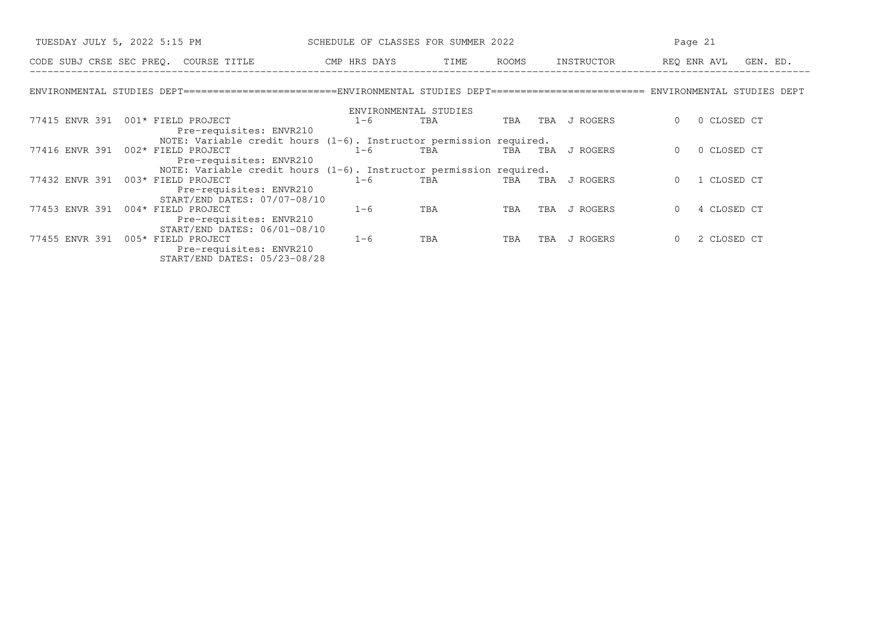|         |                                                                                                                                                                                                                                                                                                                                                                                                                                                               |                                            |                                                                                                                         | Page 21                                                                                                                                                                                                                      |                                                                                                                                                                                                                            |  |  |
|---------|---------------------------------------------------------------------------------------------------------------------------------------------------------------------------------------------------------------------------------------------------------------------------------------------------------------------------------------------------------------------------------------------------------------------------------------------------------------|--------------------------------------------|-------------------------------------------------------------------------------------------------------------------------|------------------------------------------------------------------------------------------------------------------------------------------------------------------------------------------------------------------------------|----------------------------------------------------------------------------------------------------------------------------------------------------------------------------------------------------------------------------|--|--|
|         |                                                                                                                                                                                                                                                                                                                                                                                                                                                               | ROOMS                                      |                                                                                                                         | REQ ENR AVL GEN. ED.                                                                                                                                                                                                         |                                                                                                                                                                                                                            |  |  |
|         |                                                                                                                                                                                                                                                                                                                                                                                                                                                               |                                            |                                                                                                                         |                                                                                                                                                                                                                              |                                                                                                                                                                                                                            |  |  |
|         |                                                                                                                                                                                                                                                                                                                                                                                                                                                               |                                            |                                                                                                                         |                                                                                                                                                                                                                              |                                                                                                                                                                                                                            |  |  |
| $1 - 6$ | TBA                                                                                                                                                                                                                                                                                                                                                                                                                                                           | TBA                                        | J ROGERS<br>TBA                                                                                                         | 0 CLOSED CT<br>$\Omega$                                                                                                                                                                                                      |                                                                                                                                                                                                                            |  |  |
|         |                                                                                                                                                                                                                                                                                                                                                                                                                                                               |                                            |                                                                                                                         |                                                                                                                                                                                                                              |                                                                                                                                                                                                                            |  |  |
|         |                                                                                                                                                                                                                                                                                                                                                                                                                                                               |                                            |                                                                                                                         |                                                                                                                                                                                                                              |                                                                                                                                                                                                                            |  |  |
| $1 - 6$ | TBA                                                                                                                                                                                                                                                                                                                                                                                                                                                           | TBA                                        | J ROGERS                                                                                                                | 0 CLOSED CT<br>$\Omega$                                                                                                                                                                                                      |                                                                                                                                                                                                                            |  |  |
|         |                                                                                                                                                                                                                                                                                                                                                                                                                                                               |                                            |                                                                                                                         |                                                                                                                                                                                                                              |                                                                                                                                                                                                                            |  |  |
|         |                                                                                                                                                                                                                                                                                                                                                                                                                                                               |                                            |                                                                                                                         |                                                                                                                                                                                                                              |                                                                                                                                                                                                                            |  |  |
|         |                                                                                                                                                                                                                                                                                                                                                                                                                                                               |                                            |                                                                                                                         |                                                                                                                                                                                                                              |                                                                                                                                                                                                                            |  |  |
|         |                                                                                                                                                                                                                                                                                                                                                                                                                                                               |                                            |                                                                                                                         |                                                                                                                                                                                                                              |                                                                                                                                                                                                                            |  |  |
|         |                                                                                                                                                                                                                                                                                                                                                                                                                                                               |                                            |                                                                                                                         |                                                                                                                                                                                                                              |                                                                                                                                                                                                                            |  |  |
|         |                                                                                                                                                                                                                                                                                                                                                                                                                                                               |                                            |                                                                                                                         |                                                                                                                                                                                                                              |                                                                                                                                                                                                                            |  |  |
|         |                                                                                                                                                                                                                                                                                                                                                                                                                                                               |                                            |                                                                                                                         |                                                                                                                                                                                                                              |                                                                                                                                                                                                                            |  |  |
|         |                                                                                                                                                                                                                                                                                                                                                                                                                                                               |                                            |                                                                                                                         |                                                                                                                                                                                                                              |                                                                                                                                                                                                                            |  |  |
|         |                                                                                                                                                                                                                                                                                                                                                                                                                                                               |                                            |                                                                                                                         |                                                                                                                                                                                                                              |                                                                                                                                                                                                                            |  |  |
|         |                                                                                                                                                                                                                                                                                                                                                                                                                                                               |                                            |                                                                                                                         |                                                                                                                                                                                                                              |                                                                                                                                                                                                                            |  |  |
|         | 77415 ENVR 391 001* FIELD PROJECT<br>Pre-requisites: ENVR210<br>77416 ENVR 391 002* FIELD PROJECT<br>Pre-requisites: ENVR210<br>77432 ENVR 391 003* FIELD PROJECT<br>$1 - 6$<br>Pre-requisites: ENVR210<br>START/END DATES: 07/07-08/10<br>77453 ENVR 391 004* FIELD PROJECT<br>$1 - 6$<br>Pre-requisites: ENVR210<br>START/END DATES: 06/01-08/10<br>77455 ENVR 391 005* FIELD PROJECT<br>$1 - 6$<br>Pre-requisites: ENVR210<br>START/END DATES: 05/23-08/28 | ENVIRONMENTAL STUDIES<br>TBA<br>TBA<br>TBA | SCHEDULE OF CLASSES FOR SUMMER 2022<br>CODE SUBJ CRSE SEC PREQ. COURSE TITLE THE CMP HRS DAYS TIME<br>TBA<br>TBA<br>TBA | INSTRUCTOR<br>NOTE: Variable credit hours $(1-6)$ . Instructor permission required.<br>TBA<br>NOTE: Variable credit hours $(1-6)$ . Instructor permission required.<br>TBA<br>J ROGERS<br>J ROGERS<br>TBA<br>J ROGERS<br>TBA | ENVIRONMENTAL STUDIES DEPT========================ENVIRONMENTAL STUDIES DEPT======================== ENVIRONMENTAL STUDIES DEPT<br>1 CLOSED CT<br>$\Omega$<br>4 CLOSED CT<br>$\mathbf{0}$<br>2 CLOSED CT<br>$\overline{0}$ |  |  |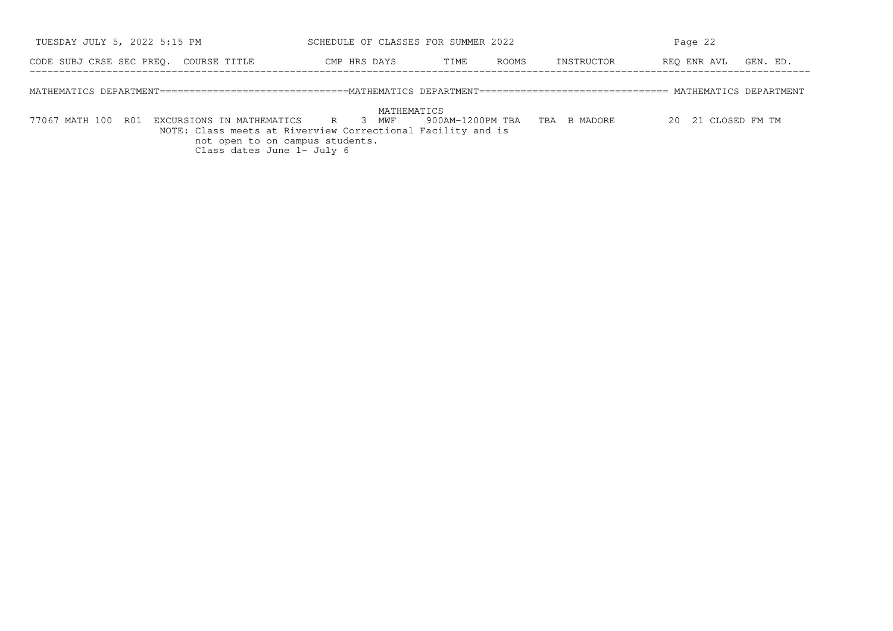| TUESDAY JULY 5, 2022 5:15 PM                                                                                                     | SCHEDULE OF CLASSES FOR SUMMER 2022 |      |       | Page 22    |                      |  |  |
|----------------------------------------------------------------------------------------------------------------------------------|-------------------------------------|------|-------|------------|----------------------|--|--|
| CODE SUBJ CRSE SEC PREO. COURSE TITLE                                                                                            | CMP HRS DAYS                        | TIME | ROOMS | INSTRUCTOR | REO ENR AVL GEN. ED. |  |  |
| MATHEMATICS DEPARTMENT===============================MATHEMATICS DEPARTMENT============================== MATHEMATICS DEPARTMENT |                                     |      |       |            |                      |  |  |

```
 MATHEMATICS
```
 77067 MATH 100 R01 EXCURSIONS IN MATHEMATICS R 3 MWF 900AM−1200PM TBA TBA B MADORE 20 21 CLOSED FM TM NOTE: Class meets at Riverview Correctional Facility and isnot open to on campus students. Class dates June 1− July 6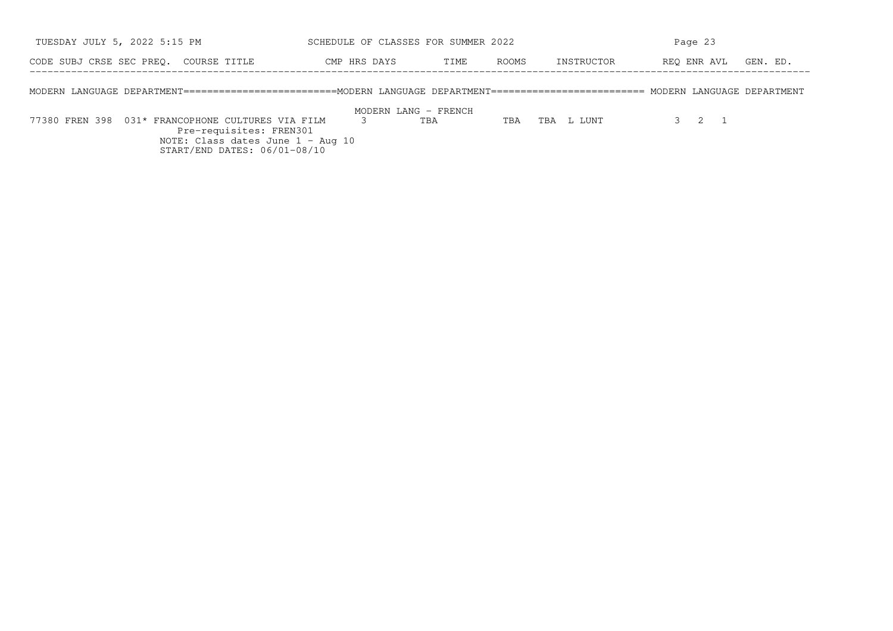| TUESDAY JULY 5, 2022 5:15 PM                                                                                                      |  |                                                                                              |              |                      | SCHEDULE OF CLASSES FOR SUMMER 2022 |       |            |             | Page 23 |                |          |
|-----------------------------------------------------------------------------------------------------------------------------------|--|----------------------------------------------------------------------------------------------|--------------|----------------------|-------------------------------------|-------|------------|-------------|---------|----------------|----------|
| CODE SUBJ CRSE SEC PREO. COURSE TITLE                                                                                             |  |                                                                                              | CMP HRS DAYS |                      | TIME                                | ROOMS | INSTRUCTOR | REO ENR AVL |         |                | GEN. ED. |
| MODERN LANGUAGE DEPARTMENT=========================MODERN LANGUAGE DEPARTMENT========================= MODERN LANGUAGE DEPARTMENT |  |                                                                                              |              |                      |                                     |       |            |             |         |                |          |
|                                                                                                                                   |  |                                                                                              |              | MODERN LANG - FRENCH |                                     |       |            |             |         |                |          |
| 77380 FREN 398 031* FRANCOPHONE CULTURES VIA FILM                                                                                 |  | Pre-requisites: FREN301<br>NOTE: Class dates June 1 - Aug 10<br>START/END DATES: 06/01-08/10 |              |                      | TBA                                 | TBA   | TBA L LUNT |             |         | $\overline{1}$ |          |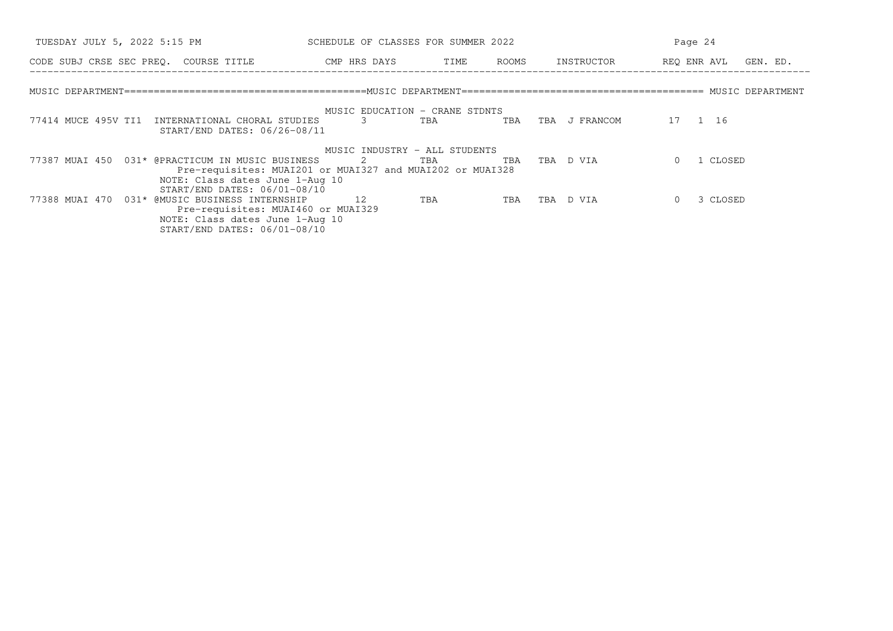| TUESDAY JULY 5, 2022 5:15 PM                                                                                  | SCHEDULE OF CLASSES FOR SUMMER 2022 |               |               | Page 24              |
|---------------------------------------------------------------------------------------------------------------|-------------------------------------|---------------|---------------|----------------------|
| CODE SUBJ CRSE SEC PREQ. COURSE TITLE THE CMP HRS DAYS                                                        |                                     | TIME<br>ROOMS | INSTRUCTOR    | REO ENR AVL GEN. ED. |
|                                                                                                               |                                     |               |               |                      |
|                                                                                                               | MUSIC EDUCATION - CRANE STDNTS      |               |               |                      |
| 77414 MUCE 495V TI1<br>INTERNATIONAL CHORAL STUDIES<br>START/END DATES: 06/26-08/11                           | 3                                   | TBA<br>TBA    | TBA J FRANCOM | 17 1 16              |
|                                                                                                               | MUSIC INDUSTRY - ALL STUDENTS       |               |               |                      |
| 77387 MUAI 450 031* @PRACTICUM IN MUSIC BUSINESS<br>Pre-requisites: MUAI201 or MUAI327 and MUAI202 or MUAI328 | 2 TBA                               | TBA           | TBA D VIA     | 1 CLOSED             |
| NOTE: Class dates June 1-Aug 10                                                                               |                                     |               |               |                      |
| START/END DATES: 06/01-08/10<br>77388 MUAI 470 031* @MUSIC BUSINESS INTERNSHIP                                | 12                                  | TBA<br>TBA    | TBA D VIA     | 3 CLOSED             |
| Pre-requisites: MUAI460 or MUAI329<br>NOTE: Class dates June 1-Aug 10<br>START/END DATES: 06/01-08/10         |                                     |               |               |                      |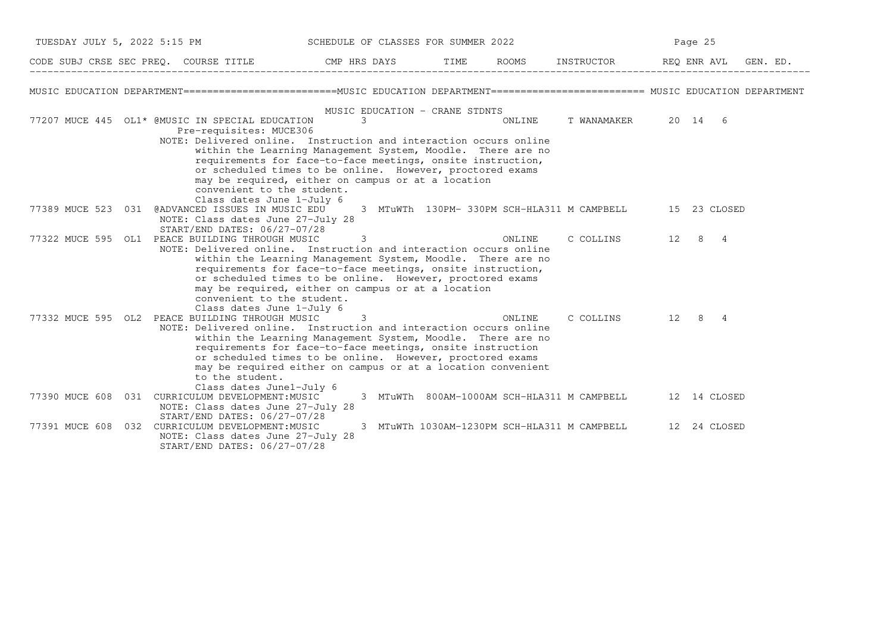| TUESDAY JULY 5, 2022 5:15 PM |  | SCHEDULE OF CLASSES FOR SUMMER 2022                                                                                              |   |                                |        |                                                          | Page 25      |          |
|------------------------------|--|----------------------------------------------------------------------------------------------------------------------------------|---|--------------------------------|--------|----------------------------------------------------------|--------------|----------|
|                              |  | CODE SUBJ CRSE SEC PREQ. COURSE TITLE THE CMP HRS DAYS                                                                           |   | TIME                           |        | ROOMS INSTRUCTOR REQ ENR AVL                             |              | GEN. ED. |
|                              |  | MUSIC EDUCATION DEPARTMENT=========================MUSIC EDUCATION DEPARTMENT======================== MUSIC EDUCATION DEPARTMENT |   |                                |        |                                                          |              |          |
|                              |  |                                                                                                                                  |   | MUSIC EDUCATION - CRANE STDNTS |        |                                                          |              |          |
|                              |  | 77207 MUCE 445 OL1* @MUSIC IN SPECIAL EDUCATION                                                                                  | 3 |                                | ONLINE | T WANAMAKER 20 14 6                                      |              |          |
|                              |  | Pre-requisites: MUCE306                                                                                                          |   |                                |        |                                                          |              |          |
|                              |  | NOTE: Delivered online. Instruction and interaction occurs online                                                                |   |                                |        |                                                          |              |          |
|                              |  | within the Learning Management System, Moodle. There are no                                                                      |   |                                |        |                                                          |              |          |
|                              |  | requirements for face-to-face meetings, onsite instruction,                                                                      |   |                                |        |                                                          |              |          |
|                              |  | or scheduled times to be online. However, proctored exams<br>may be required, either on campus or at a location                  |   |                                |        |                                                          |              |          |
|                              |  | convenient to the student.                                                                                                       |   |                                |        |                                                          |              |          |
|                              |  | Class dates June 1-July 6                                                                                                        |   |                                |        |                                                          |              |          |
|                              |  | 77389 MUCE 523 031 @ADVANCED ISSUES IN MUSIC EDU                                                                                 |   |                                |        | 3 MTuWTh 130PM-330PM SCH-HLA311 M CAMPBELL 15 23 CLOSED  |              |          |
|                              |  | NOTE: Class dates June 27-July 28                                                                                                |   |                                |        |                                                          |              |          |
|                              |  | START/END DATES: 06/27-07/28                                                                                                     |   |                                |        |                                                          |              |          |
|                              |  | 77322 MUCE 595 OL1 PEACE BUILDING THROUGH MUSIC                                                                                  | 3 |                                | ONLINE | C COLLINS 12 8 4                                         |              |          |
|                              |  | NOTE: Delivered online. Instruction and interaction occurs online<br>within the Learning Management System, Moodle. There are no |   |                                |        |                                                          |              |          |
|                              |  | requirements for face-to-face meetings, onsite instruction,                                                                      |   |                                |        |                                                          |              |          |
|                              |  | or scheduled times to be online. However, proctored exams                                                                        |   |                                |        |                                                          |              |          |
|                              |  | may be required, either on campus or at a location                                                                               |   |                                |        |                                                          |              |          |
|                              |  | convenient to the student.                                                                                                       |   |                                |        |                                                          |              |          |
|                              |  | Class dates June 1-July 6                                                                                                        |   |                                |        |                                                          |              |          |
|                              |  | 77332 MUCE 595 OL2 PEACE BUILDING THROUGH MUSIC <sup>7</sup> 3                                                                   |   |                                | ONLINE | C COLLINS 12 8 4                                         |              |          |
|                              |  | NOTE: Delivered online. Instruction and interaction occurs online                                                                |   |                                |        |                                                          |              |          |
|                              |  | within the Learning Management System, Moodle. There are no<br>requirements for face-to-face meetings, onsite instruction        |   |                                |        |                                                          |              |          |
|                              |  | or scheduled times to be online. However, proctored exams                                                                        |   |                                |        |                                                          |              |          |
|                              |  | may be required either on campus or at a location convenient                                                                     |   |                                |        |                                                          |              |          |
|                              |  | to the student.                                                                                                                  |   |                                |        |                                                          |              |          |
|                              |  | Class dates June1-July 6                                                                                                         |   |                                |        |                                                          |              |          |
|                              |  | 77390 MUCE 608 031 CURRICULUM DEVELOPMENT: MUSIC                                                                                 |   |                                |        | 3 MTuWTh 800AM-1000AM SCH-HLA311 M CAMPBELL 12 14 CLOSED |              |          |
|                              |  | NOTE: Class dates June 27-July 28                                                                                                |   |                                |        |                                                          |              |          |
|                              |  | START/END DATES: 06/27-07/28<br>77391 MUCE 608 032 CURRICULUM DEVELOPMENT: MUSIC                                                 |   |                                |        | 3 MTuWTh 1030AM-1230PM SCH-HLA311 M CAMPBELL             | 12 24 CLOSED |          |
|                              |  | NOTE: Class dates June 27-July 28                                                                                                |   |                                |        |                                                          |              |          |
|                              |  | START/END DATES: 06/27-07/28                                                                                                     |   |                                |        |                                                          |              |          |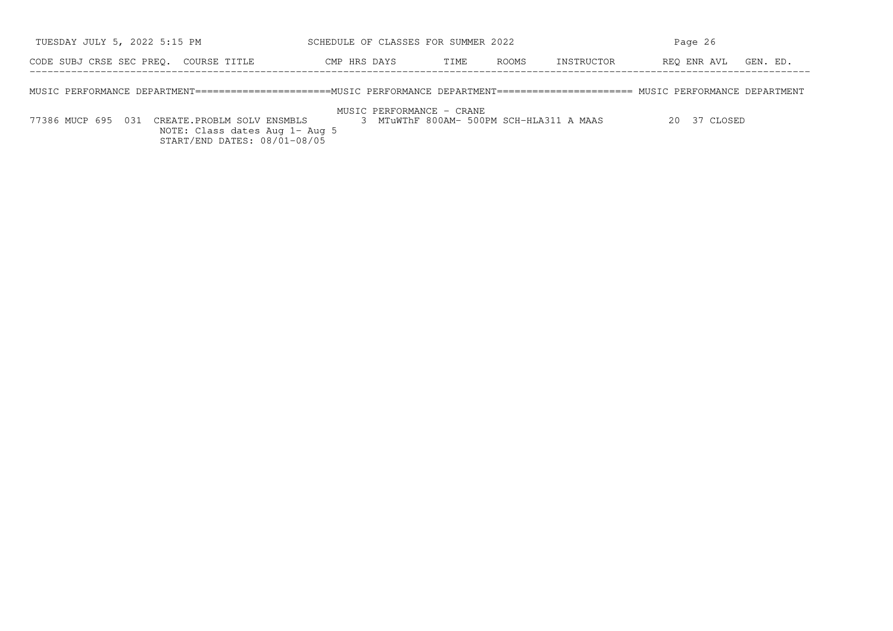| TUESDAY JULY 5, 2022 5:15 PM                                                                                                      | SCHEDULE OF CLASSES FOR SUMMER 2022 |      |                     | Page 26              |  |  |
|-----------------------------------------------------------------------------------------------------------------------------------|-------------------------------------|------|---------------------|----------------------|--|--|
| CODE SUBJ CRSE SEC PREO. COURSE TITLE                                                                                             | CMP HRS DAYS                        | TIME | ROOMS<br>INSTRUCTOR | REO ENR AVL GEN. ED. |  |  |
| MUSIC PERFORMANCE DEPARTMENT======================MUSIC PERFORMANCE DEPARTMENT====================== MUSIC PERFORMANCE DEPARTMENT |                                     |      |                     |                      |  |  |

MUSIC PERFORMANCE − CRANE

 NOTE: Class dates Aug 1− Aug 5START/END DATES: 08/01−08/05

77386 MUCP 695 031 CREATE.PROBLM SOLV ENSMBLS 3 MTuWThF 800AM− 500PM SCH−HLA311 A MAAS 20 37 CLOSED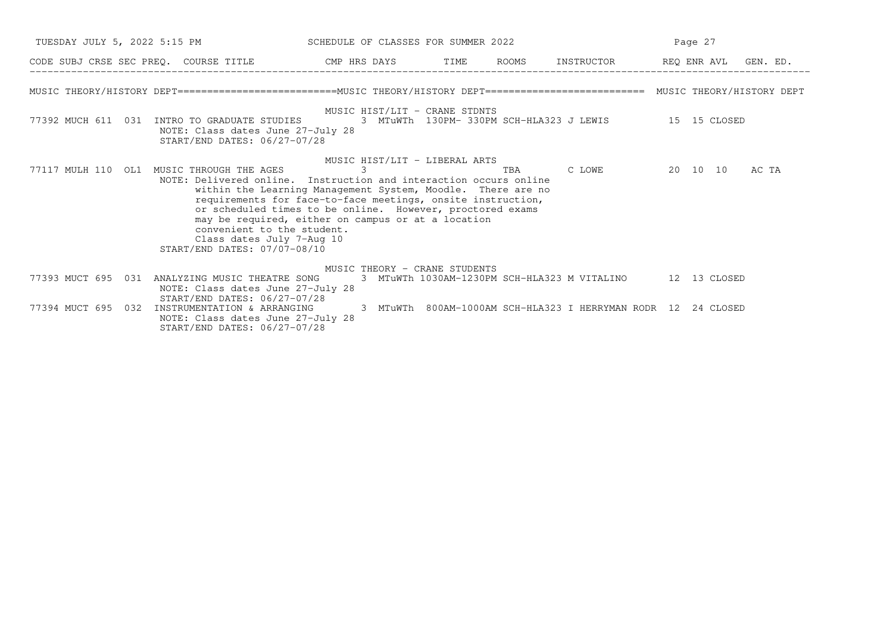| TUESDAY JULY 5, 2022 5:15 PM SCHEDULE OF CLASSES FOR SUMMER 2022                                                                                                                                                                               |                                                                                                                                                                                                                                                                                |     |                                                                                                                            | Page 27              |       |
|------------------------------------------------------------------------------------------------------------------------------------------------------------------------------------------------------------------------------------------------|--------------------------------------------------------------------------------------------------------------------------------------------------------------------------------------------------------------------------------------------------------------------------------|-----|----------------------------------------------------------------------------------------------------------------------------|----------------------|-------|
| CODE SUBJ CRSE SEC PREQ. COURSE TITLE THE CMP HRS DAYS TIME                                                                                                                                                                                    |                                                                                                                                                                                                                                                                                |     | ROOMS INSTRUCTOR                                                                                                           | REQ ENR AVL GEN. ED. |       |
| MUSIC THEORY/HISTORY DEPT==========================MUSIC THEORY/HISTORY DEPT========================= MUSIC THEORY/HISTORY DEPT                                                                                                                |                                                                                                                                                                                                                                                                                |     |                                                                                                                            |                      |       |
| 77392 MUCH 611 031 INTRO TO GRADUATE STUDIES<br>NOTE: Class dates June 27-July 28<br>START/END DATES: 06/27-07/28                                                                                                                              | MUSIC HIST/LIT - CRANE STDNTS                                                                                                                                                                                                                                                  |     | 3 MTuWTh 130PM-330PM SCH-HLA323 J LEWIS 45 15 CLOSED                                                                       |                      |       |
| 77117 MULH 110 OL1 MUSIC THROUGH THE AGES<br>NOTE: Delivered online. Instruction and interaction occurs online<br>convenient to the student.<br>Class dates July 7-Aug 10<br>START/END DATES: 07/07-08/10                                      | MUSIC HIST/LIT - LIBERAL ARTS<br>within the Learning Management System, Moodle. There are no<br>requirements for face-to-face meetings, onsite instruction,<br>or scheduled times to be online. However, proctored exams<br>may be required, either on campus or at a location | TBA |                                                                                                                            | C LOWE 20 10 10      | AC TA |
| 77393 MUCT 695 031<br>ANALYZING MUSIC THEATRE SONG<br>NOTE: Class dates June 27-July 28<br>START/END DATES: 06/27-07/28<br>77394 MUCT 695 032 INSTRUMENTATION & ARRANGING<br>NOTE: Class dates June 27-July 28<br>START/END DATES: 06/27-07/28 | MUSIC THEORY - CRANE STUDENTS                                                                                                                                                                                                                                                  |     | 3 MTuWTh 1030AM-1230PM SCH-HLA323 M VITALINO 12 13 CLOSED<br>3 MTuWTh 800AM-1000AM SCH-HLA323 I HERRYMAN RODR 12 24 CLOSED |                      |       |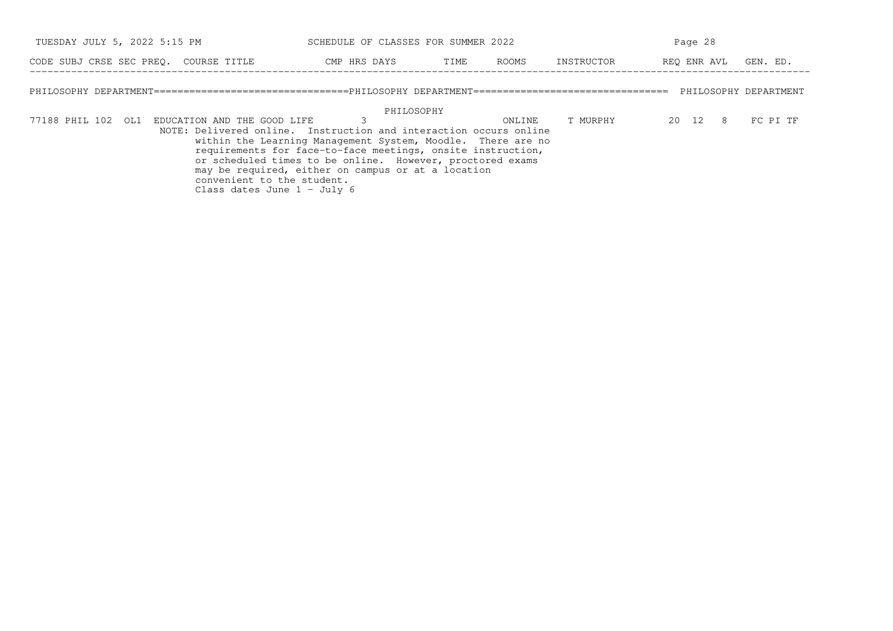| TUESDAY JULY 5, 2022 5:15 PM                                                                                                                                                       | SCHEDULE OF CLASSES FOR SUMMER 2022                                                                                                                                                                                                                         |      |        |            | Page 28     |          |
|------------------------------------------------------------------------------------------------------------------------------------------------------------------------------------|-------------------------------------------------------------------------------------------------------------------------------------------------------------------------------------------------------------------------------------------------------------|------|--------|------------|-------------|----------|
| CODE SUBJ CRSE SEC PREO. COURSE TITLE                                                                                                                                              | CMP HRS DAYS                                                                                                                                                                                                                                                | TIME | ROOMS  | INSTRUCTOR | REO ENR AVL | GEN. ED. |
|                                                                                                                                                                                    |                                                                                                                                                                                                                                                             |      |        |            |             |          |
| 77188 PHIL 102 OL1 EDUCATION AND THE GOOD LIFE<br>NOTE: Delivered online. Instruction and interaction occurs online<br>convenient to the student.<br>Class dates June $1 -$ July 6 | PHILOSOPHY<br>within the Learning Management System, Moodle. There are no<br>requirements for face-to-face meetings, onsite instruction,<br>or scheduled times to be online. However, proctored exams<br>may be required, either on campus or at a location |      | ONLINE | T MURPHY   | 20 12 8     | FC PI TF |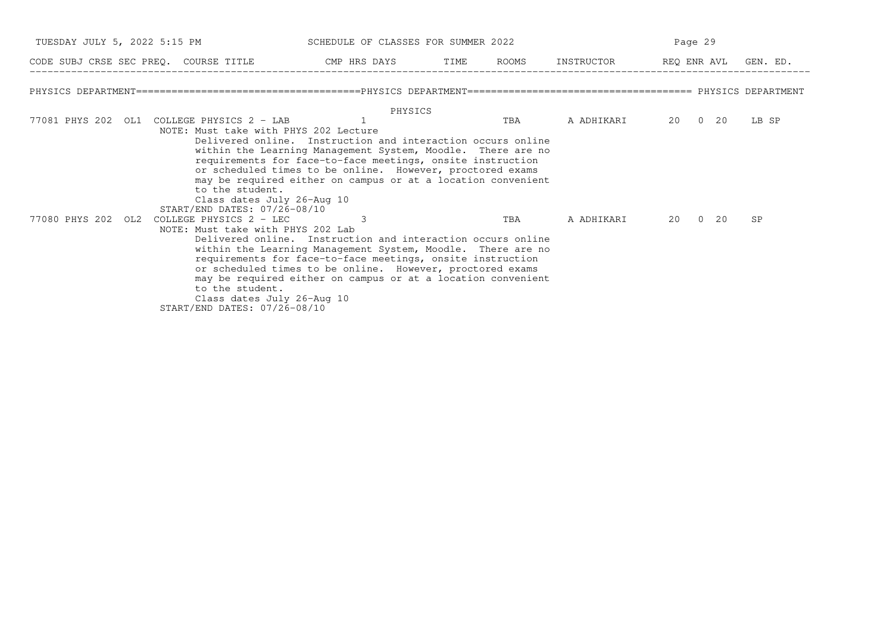| TUESDAY JULY 5, 2022 5:15 PM |                                                                                                                                                 |                                                                                                                                                                                                                                                                                                                                                                                                         | SCHEDULE OF CLASSES FOR SUMMER 2022 |     |            | Page 29 |       |  |  |
|------------------------------|-------------------------------------------------------------------------------------------------------------------------------------------------|---------------------------------------------------------------------------------------------------------------------------------------------------------------------------------------------------------------------------------------------------------------------------------------------------------------------------------------------------------------------------------------------------------|-------------------------------------|-----|------------|---------|-------|--|--|
|                              |                                                                                                                                                 | CODE SUBJ CRSE SEC PREQ. COURSE TITLE CMP HRS DAYS TIME ROOMS INSTRUCTOR REQ ENR AVL GEN. ED.                                                                                                                                                                                                                                                                                                           |                                     |     |            |         |       |  |  |
|                              |                                                                                                                                                 |                                                                                                                                                                                                                                                                                                                                                                                                         |                                     |     |            |         |       |  |  |
|                              | 77081 PHYS 202 OL1 COLLEGE PHYSICS 2 - LAB<br>to the student.                                                                                   | PHYSICS<br>NOTE: Must take with PHYS 202 Lecture<br>Delivered online. Instruction and interaction occurs online<br>within the Learning Management System, Moodle. There are no<br>requirements for face-to-face meetings, onsite instruction<br>or scheduled times to be online. However, proctored exams<br>may be required either on campus or at a location convenient<br>Class dates July 26-Aug 10 |                                     | TBA | A ADHIKARI | 20 0 20 | LB SP |  |  |
| 77080 PHYS 202 OL2           | START/END DATES: 07/26-08/10<br>COLLEGE PHYSICS 2 - LEC<br>NOTE: Must take with PHYS 202 Lab<br>to the student.<br>START/END DATES: 07/26-08/10 | Delivered online. Instruction and interaction occurs online<br>within the Learning Management System, Moodle. There are no<br>requirements for face-to-face meetings, onsite instruction<br>or scheduled times to be online. However, proctored exams<br>may be required either on campus or at a location convenient<br>Class dates July 26-Aug 10                                                     |                                     | TBA | A ADHIKARI | 20 0 20 | SP    |  |  |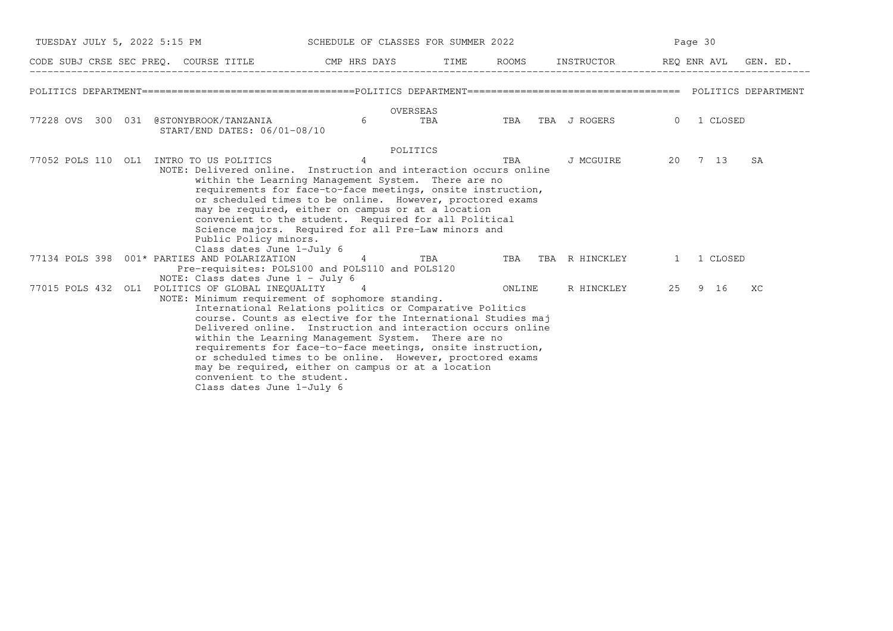|                                                                                                                              |                                                                                                                                                                                                                                                                                                                                                                                                                                                                                      | TUESDAY JULY 5, 2022 5:15 PM SCHEDULE OF CLASSES FOR SUMMER 2022 |  |                                | Page 30 |  |    |  |
|------------------------------------------------------------------------------------------------------------------------------|--------------------------------------------------------------------------------------------------------------------------------------------------------------------------------------------------------------------------------------------------------------------------------------------------------------------------------------------------------------------------------------------------------------------------------------------------------------------------------------|------------------------------------------------------------------|--|--------------------------------|---------|--|----|--|
| CODE SUBJ CRSE SEC PREQ. COURSE TITLE THE THE THE ROOMS INSTRUCTOR THE REQ ENR AVL GEN. ED.                                  |                                                                                                                                                                                                                                                                                                                                                                                                                                                                                      |                                                                  |  |                                |         |  |    |  |
|                                                                                                                              |                                                                                                                                                                                                                                                                                                                                                                                                                                                                                      |                                                                  |  |                                |         |  |    |  |
| 77228 OVS 300 031 @STONYBROOK/TANZANIA 6<br>START/END DATES: 06/01-08/10                                                     | OVERSEAS                                                                                                                                                                                                                                                                                                                                                                                                                                                                             |                                                                  |  | TBA TBA TBA JROGERS 0 1 CLOSED |         |  |    |  |
| Public Policy minors.<br>Class dates June 1-July 6                                                                           | POLITICS<br>NOTE: Delivered online. Instruction and interaction occurs online<br>within the Learning Management System. There are no<br>requirements for face-to-face meetings, onsite instruction,<br>or scheduled times to be online. However, proctored exams<br>may be required, either on campus or at a location<br>convenient to the student. Required for all Political<br>Science majors. Required for all Pre-Law minors and                                               |                                                                  |  | J MCGUIRE 20 7 13              |         |  | SA |  |
| 77134 POLS 398 001* PARTIES AND POLARIZATION 14 TBA TBA TBA TBA R HINCKLEY 1 1 CLOSED<br>NOTE: Class dates June $1 - July 6$ | Pre-requisites: POLS100 and POLS110 and POLS120                                                                                                                                                                                                                                                                                                                                                                                                                                      |                                                                  |  |                                |         |  |    |  |
| 77015 POLS 432 OL1 POLITICS OF GLOBAL INEOUALITY 4<br>convenient to the student.<br>Class dates June 1-July 6                | NOTE: Minimum requirement of sophomore standing.<br>International Relations politics or Comparative Politics<br>course. Counts as elective for the International Studies maj<br>Delivered online. Instruction and interaction occurs online<br>within the Learning Management System. There are no<br>requirements for face-to-face meetings, onsite instruction,<br>or scheduled times to be online. However, proctored exams<br>may be required, either on campus or at a location |                                                                  |  | ONLINE R HINCKLEY 25 9 16      |         |  | XC |  |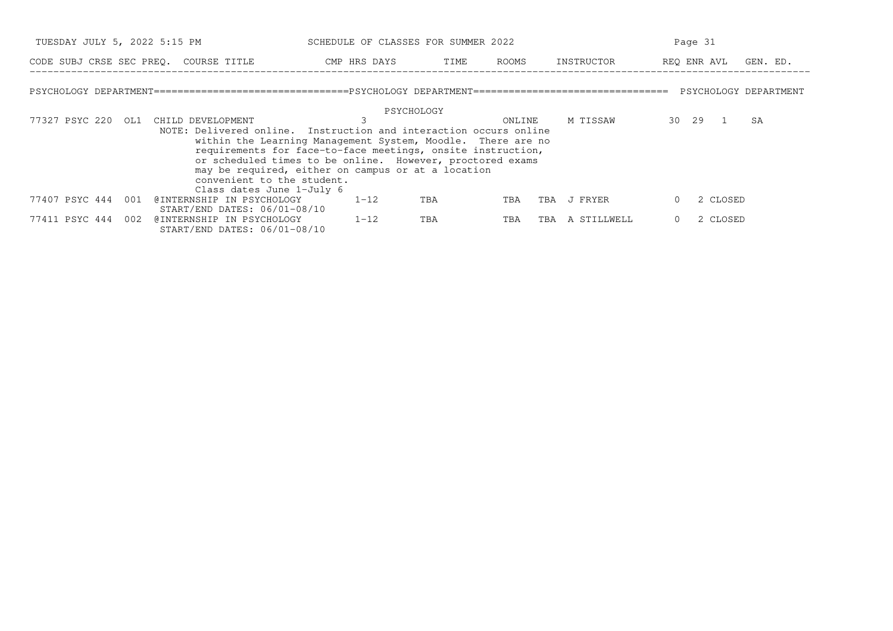| TUESDAY JULY 5, 2022 5:15 PM                                                                                                                                               | SCHEDULE OF CLASSES FOR SUMMER 2022                                                                                                                                                                                                           |      |        |                    | Page 31                 |
|----------------------------------------------------------------------------------------------------------------------------------------------------------------------------|-----------------------------------------------------------------------------------------------------------------------------------------------------------------------------------------------------------------------------------------------|------|--------|--------------------|-------------------------|
| CODE SUBJ CRSE SEC PREO. COURSE TITLE                                                                                                                                      | CMP HRS DAYS                                                                                                                                                                                                                                  | TIME | ROOMS  | INSTRUCTOR         | REO ENR AVL<br>GEN. ED. |
|                                                                                                                                                                            |                                                                                                                                                                                                                                               |      |        |                    |                         |
|                                                                                                                                                                            | PSYCHOLOGY                                                                                                                                                                                                                                    |      |        |                    |                         |
| 77327 PSYC 220<br>OL1<br>CHILD DEVELOPMENT<br>NOTE: Delivered online. Instruction and interaction occurs online<br>convenient to the student.<br>Class dates June 1-July 6 | within the Learning Management System, Moodle. There are no<br>requirements for face-to-face meetings, onsite instruction,<br>or scheduled times to be online. However, proctored exams<br>may be required, either on campus or at a location |      | ONLINE | M TISSAW           | 30 29<br>SA             |
| 77407 PSYC 444<br>@INTERNSHIP IN PSYCHOLOGY<br>001<br>START/END DATES: 06/01-08/10                                                                                         | $1 - 12$                                                                                                                                                                                                                                      | TBA  | TBA    | J FRYER<br>TBA     | 2 CLOSED                |
| @INTERNSHIP IN PSYCHOLOGY<br>77411 PSYC 444<br>002<br>START/END DATES: 06/01-08/10                                                                                         | $1 - 12$                                                                                                                                                                                                                                      | TBA  | TBA    | A STILLWELL<br>TBA | 2 CLOSED                |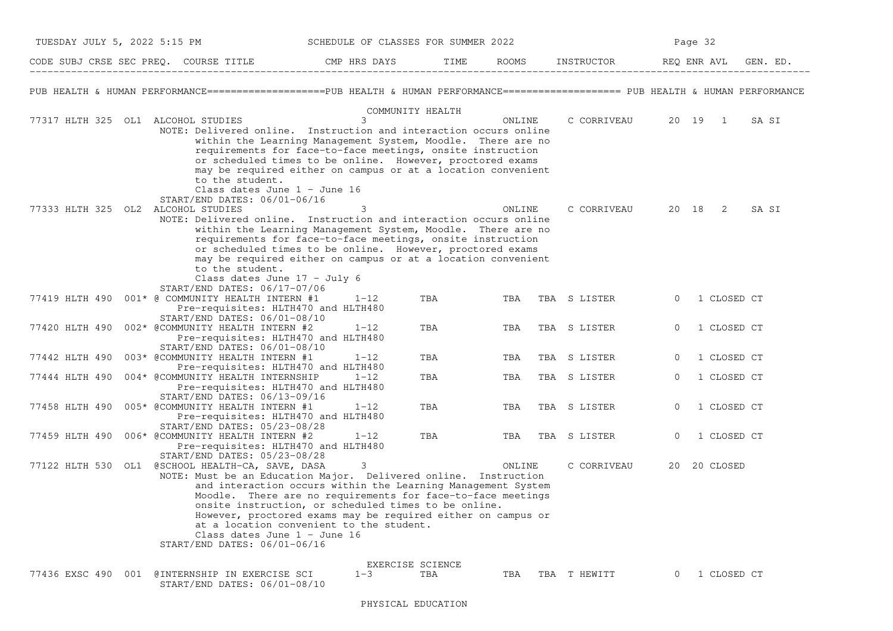| TUESDAY JULY 5, 2022 5:15 PM       |                                                                                                                                                                                           | SCHEDULE OF CLASSES FOR SUMMER 2022                                                                                                                                                     |     |        |              | Page 32                                                                                                                             |
|------------------------------------|-------------------------------------------------------------------------------------------------------------------------------------------------------------------------------------------|-----------------------------------------------------------------------------------------------------------------------------------------------------------------------------------------|-----|--------|--------------|-------------------------------------------------------------------------------------------------------------------------------------|
|                                    | CODE SUBJ CRSE SEC PREQ. COURSE TITLE THE CMP HRS DAYS TIME                                                                                                                               |                                                                                                                                                                                         |     |        |              | ROOMS INSTRUCTOR REQ ENR AVL<br>GEN. ED.                                                                                            |
|                                    |                                                                                                                                                                                           |                                                                                                                                                                                         |     |        |              | PUB HEALTH & HUMAN PERFORMANCE===================PUB HEALTH & HUMAN PERFORMANCE===================== PUB HEALTH & HUMAN PERFORMANCE |
| 77317 HLTH 325 OL1 ALCOHOL STUDIES | NOTE: Delivered online. Instruction and interaction occurs online                                                                                                                         | COMMUNITY HEALTH<br>within the Learning Management System, Moodle. There are no                                                                                                         |     | ONLINE | C CORRIVEAU  | 20 19 1<br>SA SI                                                                                                                    |
|                                    | to the student.<br>Class dates June 1 - June 16<br>START/END DATES: 06/01-06/16                                                                                                           | requirements for face-to-face meetings, onsite instruction<br>or scheduled times to be online. However, proctored exams<br>may be required either on campus or at a location convenient |     |        |              |                                                                                                                                     |
| 77333 HLTH 325 OL2 ALCOHOL STUDIES | NOTE: Delivered online. Instruction and interaction occurs online                                                                                                                         | 3<br>within the Learning Management System, Moodle. There are no                                                                                                                        |     | ONLINE | C CORRIVEAU  | 20 18 2<br>SA SI                                                                                                                    |
|                                    | to the student.                                                                                                                                                                           | requirements for face-to-face meetings, onsite instruction<br>or scheduled times to be online. However, proctored exams<br>may be required either on campus or at a location convenient |     |        |              |                                                                                                                                     |
|                                    | Class dates June $17 - July 6$<br>START/END DATES: 06/17-07/06<br>77419 HLTH 490 001* @ COMMUNITY HEALTH INTERN #1<br>Pre-requisites: HLTH470 and HLTH480<br>START/END DATES: 06/01-08/10 | $1 - 12$                                                                                                                                                                                | TBA | TBA    | TBA S LISTER | 1 CLOSED CT<br>$\mathbf{0}$                                                                                                         |
|                                    | 77420 HLTH 490 002* @COMMUNITY HEALTH INTERN #2<br>Pre-requisites: HLTH470 and HLTH480                                                                                                    | $1 - 12$                                                                                                                                                                                | TBA | TBA    | TBA S LISTER | 1 CLOSED CT<br>$\overline{0}$                                                                                                       |
| 77442 HLTH 490                     | START/END DATES: 06/01-08/10<br>003* @COMMUNITY HEALTH INTERN #1<br>Pre-requisites: HLTH470 and HLTH480                                                                                   | $1 - 12$                                                                                                                                                                                | TBA | TBA    | TBA S LISTER | 1 CLOSED CT<br>$\circ$                                                                                                              |
| 77444 HLTH 490                     | 004* @COMMUNITY HEALTH INTERNSHIP<br>Pre-requisites: HLTH470 and HLTH480                                                                                                                  | $1 - 12$                                                                                                                                                                                | TBA | TBA    | TBA S LISTER | 1 CLOSED CT<br>$\overline{0}$                                                                                                       |
|                                    | START/END DATES: 06/13-09/16<br>77458 HLTH 490 005* @COMMUNITY HEALTH INTERN #1<br>Pre-requisites: HLTH470 and HLTH480                                                                    | $1 - 12$                                                                                                                                                                                | TBA | TBA    | TBA S LISTER | $\Omega$<br>1 CLOSED CT                                                                                                             |
|                                    | START/END DATES: 05/23-08/28<br>77459 HLTH 490 006* @COMMUNITY HEALTH INTERN #2<br>Pre-requisites: HLTH470 and HLTH480                                                                    | $1 - 12$                                                                                                                                                                                | TBA | TBA    | TBA S LISTER | $\mathbf{0}$<br>1 CLOSED CT                                                                                                         |
|                                    | START/END DATES: 05/23-08/28<br>77122 HLTH 530 OL1 @SCHOOL HEALTH-CA, SAVE, DASA<br>NOTE: Must be an Education Major. Delivered online. Instruction                                       | 3                                                                                                                                                                                       |     | ONLINE | C CORRIVEAU  | 20 20 CLOSED                                                                                                                        |
|                                    |                                                                                                                                                                                           | and interaction occurs within the Learning Management System<br>Moodle. There are no requirements for face-to-face meetings<br>onsite instruction, or scheduled times to be online.     |     |        |              |                                                                                                                                     |
|                                    | Class dates June $1 -$ June 16<br>START/END DATES: 06/01-06/16                                                                                                                            | However, proctored exams may be required either on campus or<br>at a location convenient to the student.                                                                                |     |        |              |                                                                                                                                     |
|                                    |                                                                                                                                                                                           | EXERCISE SCIENCE                                                                                                                                                                        |     |        |              |                                                                                                                                     |
|                                    | 77436 EXSC 490 001 @INTERNSHIP IN EXERCISE SCI<br>START/END DATES: 06/01-08/10                                                                                                            | $1 - 3$                                                                                                                                                                                 | TBA | TBA    | TBA T HEWITT | 1 CLOSED CT<br>$\Omega$                                                                                                             |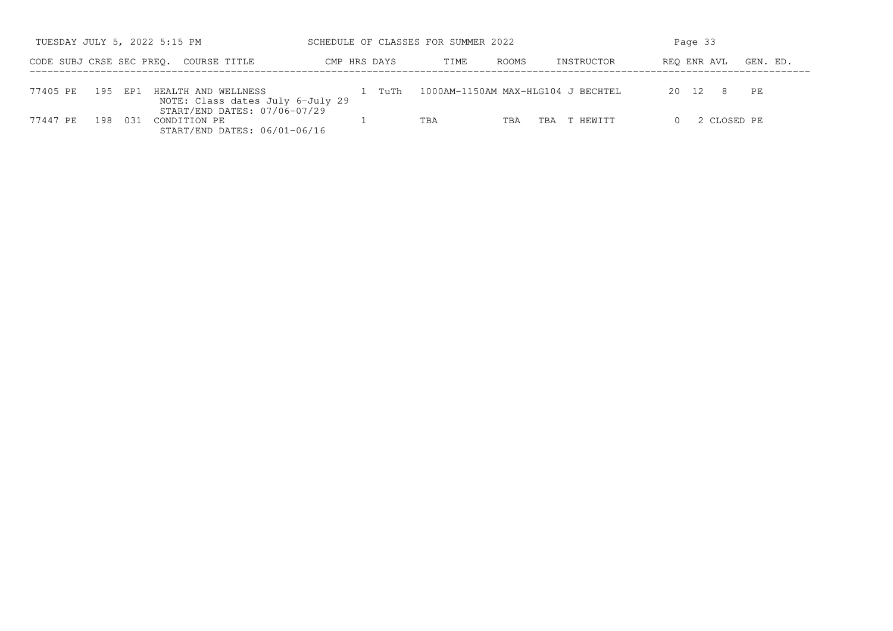|                          |         |       | TUESDAY JULY 5, 2022 5:15 PM                                                 | SCHEDULE OF CLASSES FOR SUMMER 2022 |      |              |                                    | Page 33     |          |
|--------------------------|---------|-------|------------------------------------------------------------------------------|-------------------------------------|------|--------------|------------------------------------|-------------|----------|
| CODE SUBJ CRSE SEC PREO. |         |       | COURSE TITLE                                                                 | CMP HRS DAYS                        | TIME | <b>ROOMS</b> | INSTRUCTOR                         | REO ENR AVL | GEN. ED. |
| 77405 PE                 | 195 EP1 |       | HEALTH AND WELLNESS<br>NOTE: Class dates July 6-July 29                      | TuTh<br>The contract                |      |              | 1000AM-1150AM MAX-HLG104 J BECHTEL | 20 12<br>8  | PE       |
| 77447 PE                 | 198     | - 031 | START/END DATES: 07/06-07/29<br>CONDITION PE<br>START/END DATES: 06/01-06/16 |                                     | TBA  | TBA          | T HEWITT<br>TBA                    | 2 CLOSED PE |          |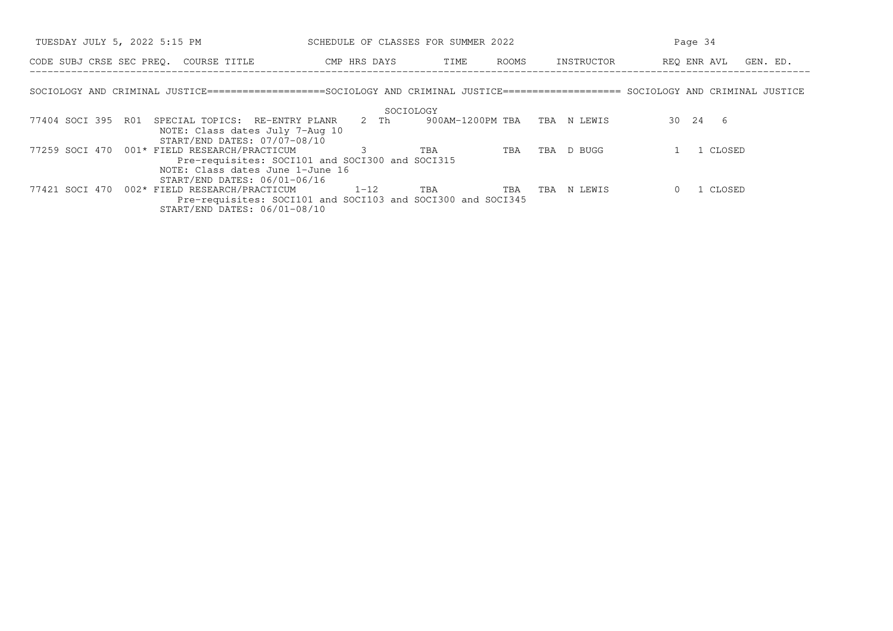| TUESDAY JULY 5, 2022 5:15 PM                                                                                                       | SCHEDULE OF CLASSES FOR SUMMER 2022                         |                              |                | Page 34                 |
|------------------------------------------------------------------------------------------------------------------------------------|-------------------------------------------------------------|------------------------------|----------------|-------------------------|
| CODE SUBJ CRSE SEC PREO. COURSE TITLE                                                                                              | CMP HRS DAYS                                                | ROOMS<br>TIME                | INSTRUCTOR     | REO ENR AVL<br>GEN. ED. |
| SOCIOLOGY AND CRIMINAL JUSTICE===================SOCIOLOGY AND CRIMINAL JUSTICE==================== SOCIOLOGY AND CRIMINAL JUSTICE |                                                             |                              |                |                         |
|                                                                                                                                    | SOCIOLOGY                                                   |                              |                |                         |
| 77404 SOCI 395 R01<br>SPECIAL TOPICS: RE-ENTRY PLANR                                                                               | 2 Th                                                        | 900AM-1200PM TBA TBA N LEWIS |                | 30  24  6               |
| NOTE: Class dates July 7-Aug 10<br>START/END DATES: 07/07-08/10                                                                    |                                                             |                              |                |                         |
| 77259 SOCI 470 001* FIELD RESEARCH/PRACTICUM                                                                                       |                                                             | TBA<br>TBA                   | D BUGG<br>TBA  | 1 CLOSED                |
| NOTE: Class dates June 1-June 16<br>$START/END$ DATES: $06/01-06/16$                                                               | Pre-requisites: SOCI101 and SOCI300 and SOCI315             |                              |                |                         |
| 77421 SOCI 470 002* FIELD RESEARCH/PRACTICUM $1-12$ TBA                                                                            |                                                             | TBA                          | N LEWIS<br>TBA | 1 CLOSED                |
| START/END DATES: 06/01-08/10                                                                                                       | Pre-requisites: SOCI101 and SOCI103 and SOCI300 and SOCI345 |                              |                |                         |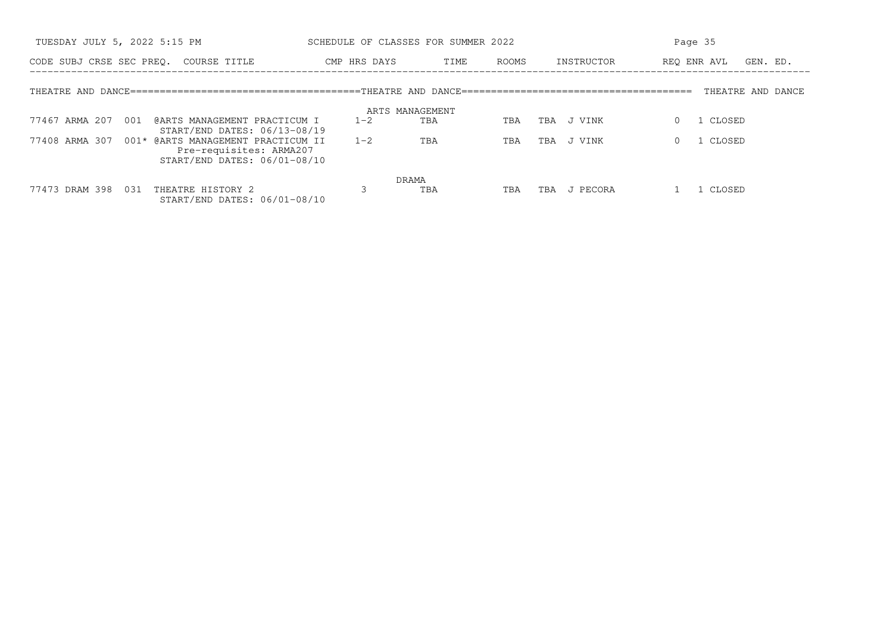| TUESDAY JULY 5, 2022 5:15 PM                                                                                    | SCHEDULE OF CLASSES FOR SUMMER 2022 |               |                          | Page 35                 |
|-----------------------------------------------------------------------------------------------------------------|-------------------------------------|---------------|--------------------------|-------------------------|
| CODE SUBJ CRSE SEC PREO. COURSE TITLE                                                                           | CMP HRS DAYS                        | TIME<br>ROOMS | INSTRUCTOR               | REO ENR AVL<br>GEN. ED. |
|                                                                                                                 |                                     |               |                          | THEATRE AND DANCE       |
|                                                                                                                 | ARTS MANAGEMENT                     |               |                          |                         |
| 77467 ARMA 207<br>@ARTS MANAGEMENT PRACTICUM I<br>001<br>START/END DATES: 06/13-08/19                           | $1 - 2$                             | TBA<br>TBA    | J VINK<br>TBA            | CLOSED                  |
| 77408 ARMA 307<br>001* @ARTS MANAGEMENT PRACTICUM II<br>Pre-requisites: ARMA207<br>START/END DATES: 06/01-08/10 | $1 - 2$                             | TBA<br>TBA    | VINK<br>TBA<br>$\cdot$ T | CLOSED                  |
|                                                                                                                 | DRAMA                               |               |                          |                         |
| 031<br>THEATRE HISTORY 2<br>77473 DRAM 398<br>START/END DATES: 06/01-08/10                                      |                                     | TBA<br>TBA    | J PECORA<br>TBA          | CLOSED                  |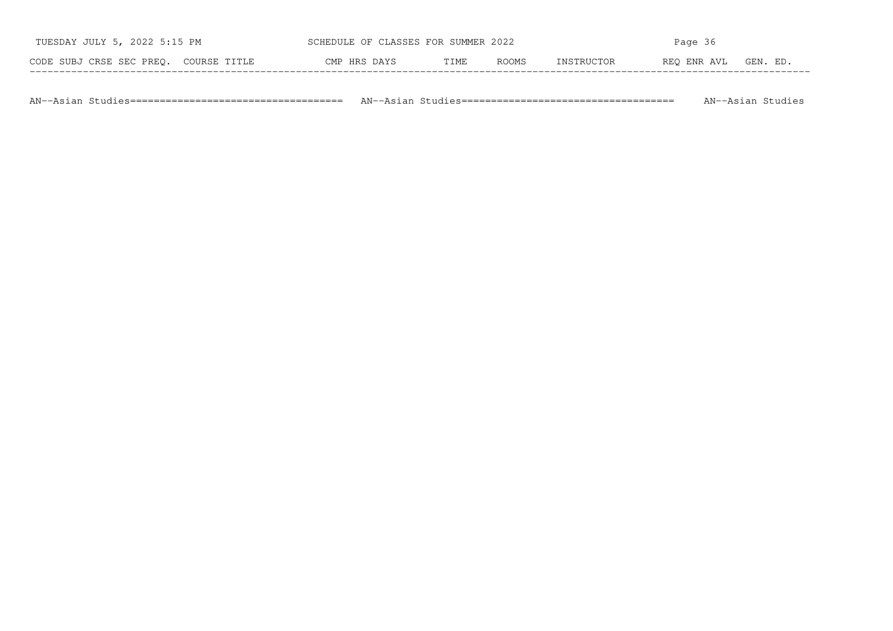| TUESDAY JULY 5, 2022 5:15 PM          | SCHEDULE OF CLASSES FOR SUMMER 2022 |      |       | Page 36           |             |          |
|---------------------------------------|-------------------------------------|------|-------|-------------------|-------------|----------|
| CODE SUBJ CRSE SEC PREQ. COURSE TITLE | CMP HRS DAYS                        | TIME | ROOMS | <b>INSTRUCTOR</b> | REO ENR AVL | GEN. ED. |

AN−−Asian Studies==================================== AN−−Asian Studies==================================== AN−−Asian Studies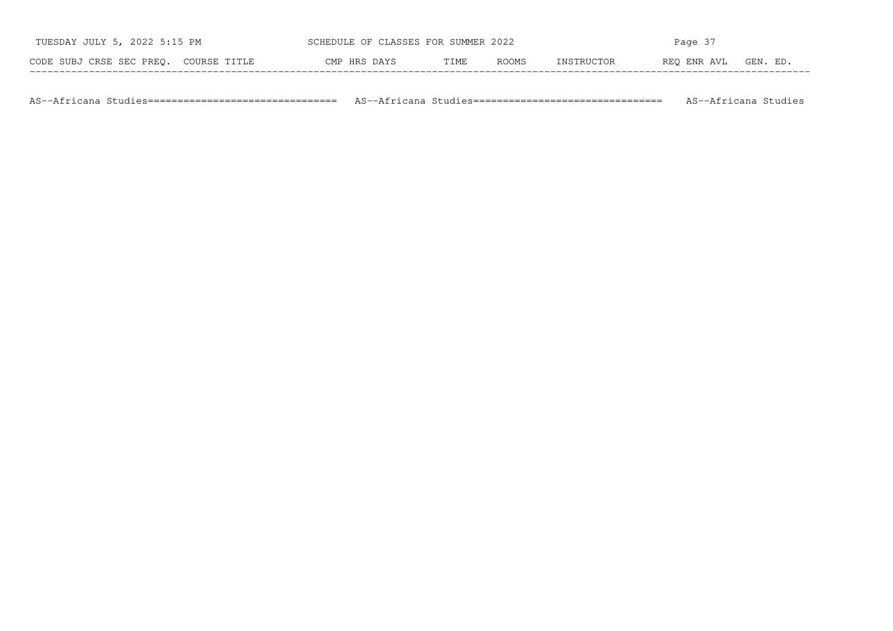| TUESDAY JULY 5, 2022 5:15 PM          | SCHEDULE OF CLASSES FOR SUMMER 2022 |      |       |            | Page 37     |          |
|---------------------------------------|-------------------------------------|------|-------|------------|-------------|----------|
| CODE SUBJ CRSE SEC PREQ. COURSE TITLE | CMP HRS DAYS                        | TIME | ROOMS | INSTRUCTOR | REO ENR AVL | GEN. ED. |

AS−−Africana Studies================================ AS−−Africana Studies================================ AS−−Africana Studies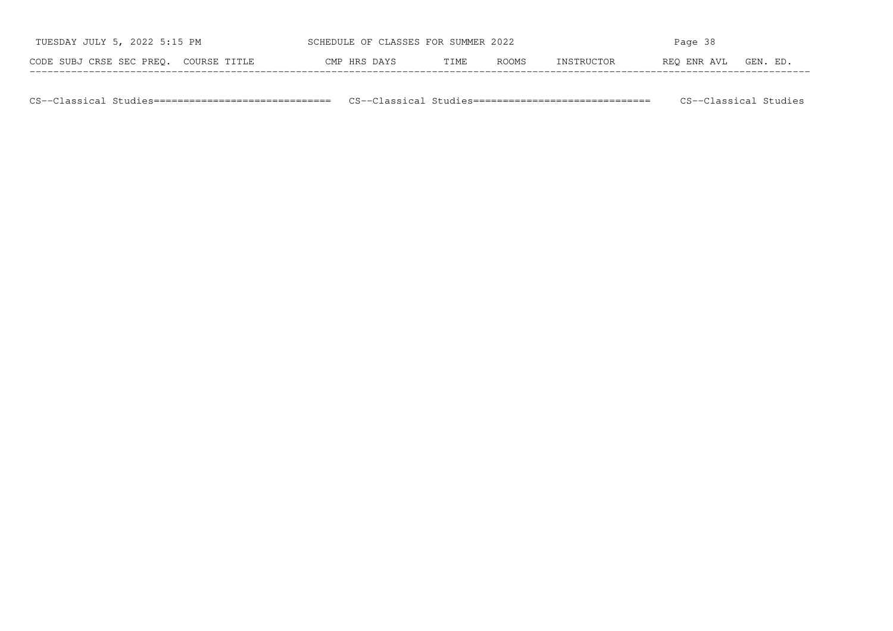| TUESDAY JULY 5, 2022 5:15 PM               | SCHEDULE OF CLASSES FOR SUMMER 2022 |      |       |             | Page 38     |          |
|--------------------------------------------|-------------------------------------|------|-------|-------------|-------------|----------|
| CODE SUBJ CRSE SEC PREO.<br>. COURSE TITLE | CMP HRS DAYS                        | TIME | ROOMS | TNSTRIICTOR | REO ENR AVL | GEN. ED. |

CS−−Classical Studies============================== CS−−Classical Studies============================== CS−−Classical Studies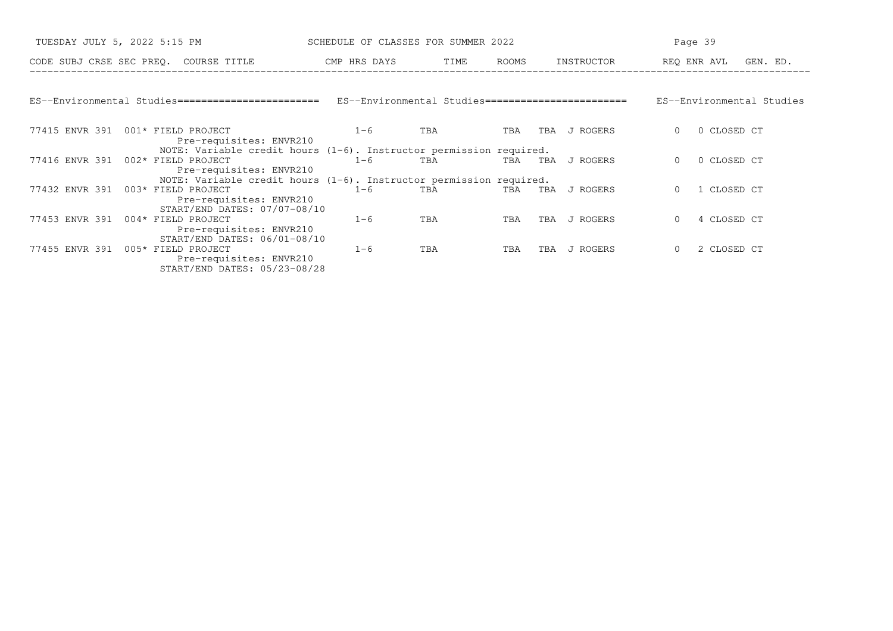| TUESDAY JULY 5, 2022 5:15 PM |                                                                                                                                                        | SCHEDULE OF CLASSES FOR SUMMER 2022 |     |       |                 | Page 39                     |
|------------------------------|--------------------------------------------------------------------------------------------------------------------------------------------------------|-------------------------------------|-----|-------|-----------------|-----------------------------|
|                              | CODE SUBJ CRSE SEC PREO. COURSE TITLE                                                                                                                  | CMP HRS DAYS TIME                   |     | ROOMS | INSTRUCTOR      | REO ENR AVL GEN. ED.        |
|                              |                                                                                                                                                        |                                     |     |       |                 |                             |
|                              | ES--Environmental Studies=========================== ES--Environmental Studies================================                                         |                                     |     |       |                 | ES--Environmental Studies   |
|                              | 77415 ENVR 391 001* FIELD PROJECT<br>Pre-requisites: ENVR210                                                                                           | $1 - 6$                             | TBA | TBA   | TBA<br>J ROGERS | 0 CLOSED CT<br>$\Omega$     |
|                              | NOTE: Variable credit hours $(1-6)$ . Instructor permission required.<br>77416 ENVR 391 002* FIELD PROJECT<br>Pre-requisites: ENVR210                  | $1 - 6$                             | TBA | TBA   | J ROGERS<br>TBA | 0 CLOSED CT<br>$\Omega$     |
| 77432 ENVR 391               | NOTE: Variable credit hours $(1-6)$ . Instructor permission required.<br>003* FIELD PROJECT<br>Pre-requisites: ENVR210<br>START/END DATES: 07/07-08/10 | $1 - 6$                             | TBA | TBA   | TBA<br>J ROGERS | 1 CLOSED CT                 |
| 77453 ENVR 391               | 004* FIELD PROJECT<br>Pre-requisites: ENVR210<br>START/END DATES: 06/01-08/10                                                                          | $1 - 6$                             | TBA | TBA   | TBA<br>J ROGERS | 4 CLOSED CT<br>$\Omega$     |
|                              | 77455 ENVR 391 005* FIELD PROJECT<br>Pre-requisites: ENVR210<br>START/END DATES: 05/23-08/28                                                           | $1 - 6$                             | TBA | TBA   | TBA<br>J ROGERS | 2 CLOSED CT<br>$\mathbf{0}$ |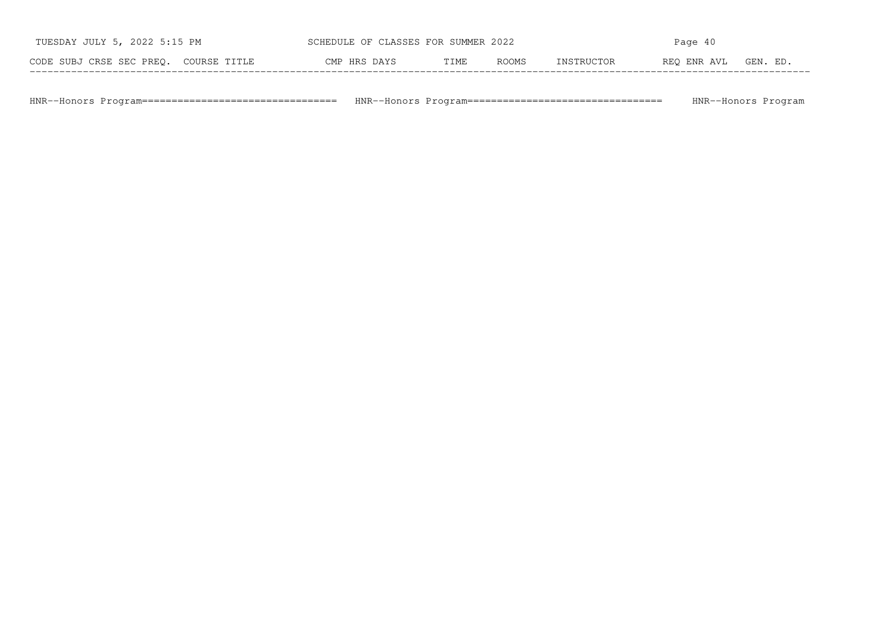| TUESDAY JULY 5, 2022 5:15 PM          | SCHEDULE OF CLASSES FOR SUMMER 2022 |      |       |            | Page 40     |          |
|---------------------------------------|-------------------------------------|------|-------|------------|-------------|----------|
| CODE SUBJ CRSE SEC PREQ. COURSE TITLE | CMP HRS DAYS                        | TIME | ROOMS | INSTRUCTOR | REO ENR AVL | GEN. ED. |

HNR−−Honors Program================================= HNR−−Honors Program================================= HNR−−Honors Program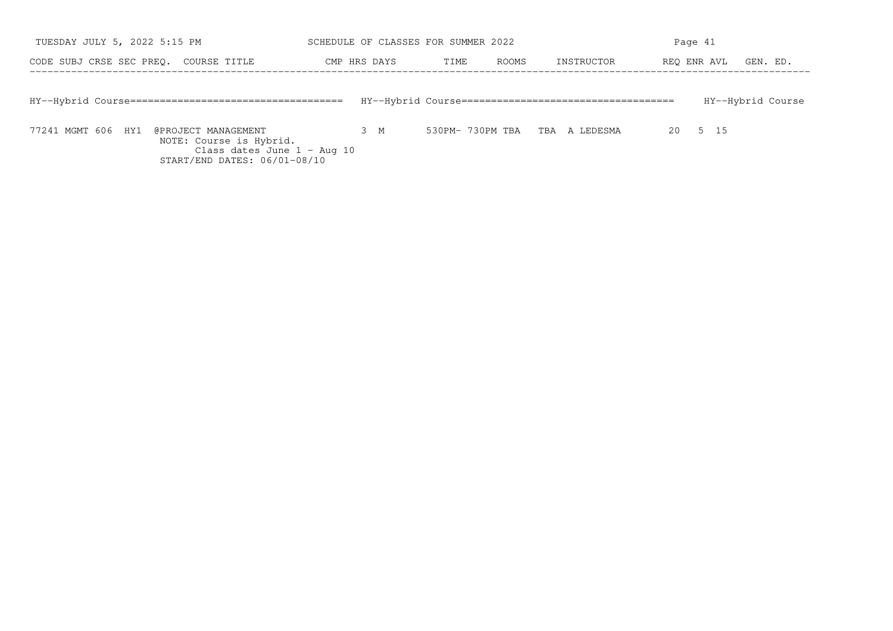| TUESDAY JULY 5, 2022 5:15 PM                                                                                                                  | SCHEDULE OF CLASSES FOR SUMMER 2022 |                               |            | Page 41                 |
|-----------------------------------------------------------------------------------------------------------------------------------------------|-------------------------------------|-------------------------------|------------|-------------------------|
| CODE SUBJ CRSE SEC PREO. COURSE TITLE                                                                                                         | CMP HRS DAYS                        | ROOMS<br>TIME                 | INSTRUCTOR | REO ENR AVL<br>GEN. ED. |
|                                                                                                                                               |                                     |                               |            | HY--Hybrid Course       |
| 77241 MGMT 606 HY1<br>@PROJECT MANAGEMENT<br>NOTE: Course is Hybrid.<br>Class dates June $1 - \text{Aug } 10$<br>START/END DATES: 06/01-08/10 | 3 M                                 | 530PM-730PM TBA TBA A LEDESMA |            | 5 15<br>20              |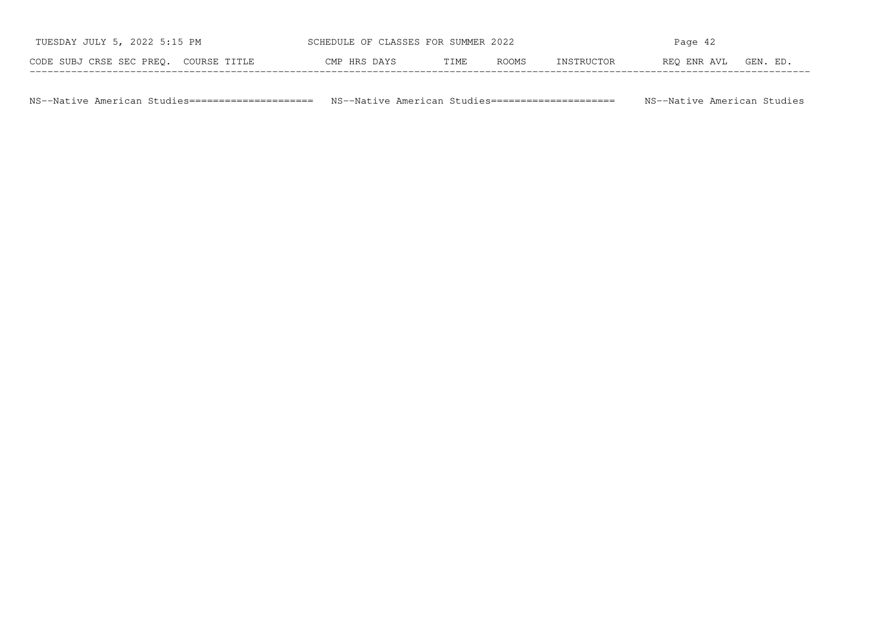| TUESDAY JULY 5, 2022 5:15 PM          | SCHEDULE OF CLASSES FOR SUMMER 2022 |      |              |            | Page 42     |          |
|---------------------------------------|-------------------------------------|------|--------------|------------|-------------|----------|
| CODE SUBJ CRSE SEC PREO. COURSE TITLE | CMP HRS DAYS                        | TIME | <b>ROOMS</b> | INSTRUCTOR | REO ENR AVL | GEN. ED. |

NS−−Native American Studies===================== NS−−Native American Studies===================== NS−−Native American Studies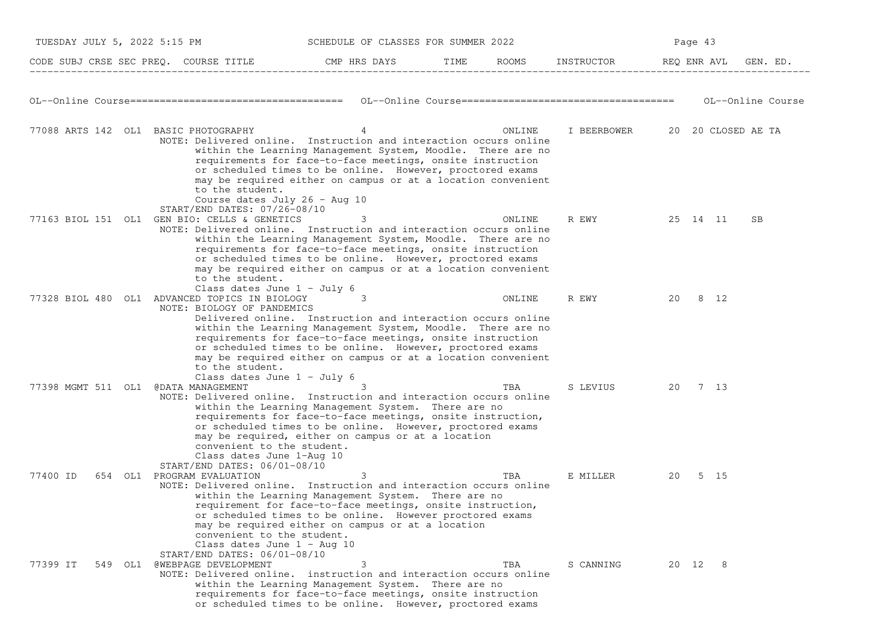| TUESDAY JULY 5, 2022 5:15 PM         |                                                                                                                                                                                                        | SCHEDULE OF CLASSES FOR SUMMER 2022                                                                                                                                                                                                                                                                                        |      |        |                                |             | Page 43  |                   |
|--------------------------------------|--------------------------------------------------------------------------------------------------------------------------------------------------------------------------------------------------------|----------------------------------------------------------------------------------------------------------------------------------------------------------------------------------------------------------------------------------------------------------------------------------------------------------------------------|------|--------|--------------------------------|-------------|----------|-------------------|
|                                      | CODE SUBJ CRSE SEC PREQ. COURSE TITLE THE CMP HRS DAYS                                                                                                                                                 |                                                                                                                                                                                                                                                                                                                            | TIME | ROOMS  | INSTRUCTOR                     | REQ ENR AVL |          | GEN. ED.          |
|                                      |                                                                                                                                                                                                        |                                                                                                                                                                                                                                                                                                                            |      |        |                                |             |          | OL--Online Course |
| 77088 ARTS 142 OL1 BASIC PHOTOGRAPHY | NOTE: Delivered online. Instruction and interaction occurs online<br>to the student.<br>Course dates July 26 - Aug 10<br>START/END DATES: 07/26-08/10                                                  | 4<br>within the Learning Management System, Moodle. There are no<br>requirements for face-to-face meetings, onsite instruction<br>or scheduled times to be online. However, proctored exams<br>may be required either on campus or at a location convenient                                                                |      | ONLINE | I BEERBOWER 20 20 CLOSED AE TA |             |          |                   |
|                                      | 77163 BIOL 151 OL1 GEN BIO: CELLS & GENETICS<br>NOTE: Delivered online. Instruction and interaction occurs online<br>to the student.<br>Class dates June 1 - July 6                                    | 3<br>within the Learning Management System, Moodle. There are no<br>requirements for face-to-face meetings, onsite instruction<br>or scheduled times to be online. However, proctored exams<br>may be required either on campus or at a location convenient                                                                |      | ONLINE | R EWY                          |             | 25 14 11 | SB                |
|                                      | 77328 BIOL 480 OL1 ADVANCED TOPICS IN BIOLOGY<br>NOTE: BIOLOGY OF PANDEMICS<br>to the student.<br>Class dates June $1 - July 6$                                                                        | 3<br>Delivered online. Instruction and interaction occurs online<br>within the Learning Management System, Moodle. There are no<br>requirements for face-to-face meetings, onsite instruction<br>or scheduled times to be online. However, proctored exams<br>may be required either on campus or at a location convenient |      | ONLINE | R EWY                          | 20          | 8 12     |                   |
| 77398 MGMT 511 OL1 @DATA MANAGEMENT  | NOTE: Delivered online. Instruction and interaction occurs online<br>convenient to the student.<br>Class dates June 1-Aug 10<br>START/END DATES: 06/01-08/10                                           | within the Learning Management System. There are no<br>requirements for face-to-face meetings, onsite instruction,<br>or scheduled times to be online. However, proctored exams<br>may be required, either on campus or at a location                                                                                      |      | TBA    | S LEVIUS                       | 20          | 7 13     |                   |
| 77400 ID                             | 654 OL1 PROGRAM EVALUATION<br>NOTE: Delivered online. Instruction and interaction occurs online<br>convenient to the student.<br>Class dates June $1 - \text{Aug } 10$<br>START/END DATES: 06/01-08/10 | 3<br>within the Learning Management System. There are no<br>requirement for face-to-face meetings, onsite instruction,<br>or scheduled times to be online. However proctored exams<br>may be required either on campus or at a location                                                                                    |      | TBA    | E MILLER                       | 20          | 5 15     |                   |
| 77399 IT                             | 549 OL1 @WEBPAGE DEVELOPMENT<br>NOTE: Delivered online. instruction and interaction occurs online                                                                                                      | 3<br>within the Learning Management System. There are no<br>requirements for face-to-face meetings, onsite instruction<br>or scheduled times to be online. However, proctored exams                                                                                                                                        |      | TBA    | S CANNING                      |             | 20 12 8  |                   |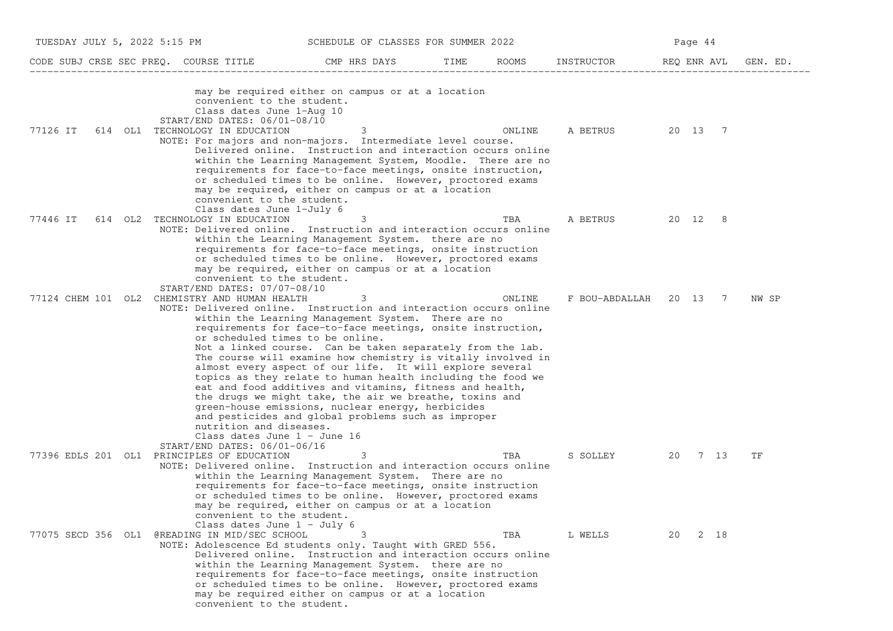| TUESDAY JULY 5, 2022 5:15 PM |                                                                                                                                                                                                                         | SCHEDULE OF CLASSES FOR SUMMER 2022                                                                                                                                                                                                                                                                                                                                                                                                                                                                                                                                                                                 |      |        |                        | Page 44     |      |          |
|------------------------------|-------------------------------------------------------------------------------------------------------------------------------------------------------------------------------------------------------------------------|---------------------------------------------------------------------------------------------------------------------------------------------------------------------------------------------------------------------------------------------------------------------------------------------------------------------------------------------------------------------------------------------------------------------------------------------------------------------------------------------------------------------------------------------------------------------------------------------------------------------|------|--------|------------------------|-------------|------|----------|
|                              | CODE SUBJ CRSE SEC PREQ. COURSE TITLE                                                                                                                                                                                   | CMP HRS DAYS                                                                                                                                                                                                                                                                                                                                                                                                                                                                                                                                                                                                        | TIME | ROOMS  | INSTRUCTOR             | REQ ENR AVL |      | GEN. ED. |
| 77126 IT                     | convenient to the student.<br>Class dates June 1-Aug 10<br>START/END DATES: 06/01-08/10<br>614 OL1 TECHNOLOGY IN EDUCATION<br>NOTE: For majors and non-majors. Intermediate level course.<br>convenient to the student. | may be required either on campus or at a location<br>$\sim$ 3<br>Delivered online. Instruction and interaction occurs online<br>within the Learning Management System, Moodle. There are no<br>requirements for face-to-face meetings, onsite instruction,<br>or scheduled times to be online. However, proctored exams<br>may be required, either on campus or at a location                                                                                                                                                                                                                                       |      | ONLINE | A BETRUS 20 13 7       |             |      |          |
| 77446 IT                     | Class dates June 1-July 6<br>614 OL2 TECHNOLOGY IN EDUCATION<br>NOTE: Delivered online. Instruction and interaction occurs online                                                                                       | 3<br>within the Learning Management System. there are no<br>requirements for face-to-face meetings, onsite instruction<br>or scheduled times to be online. However, proctored exams<br>may be required, either on campus or at a location                                                                                                                                                                                                                                                                                                                                                                           |      | TBA    | A BETRUS 20 12 8       |             |      |          |
| 77124 CHEM 101 OL2           | convenient to the student.<br>START/END DATES: 07/07-08/10<br>CHEMISTRY AND HUMAN HEALTH<br>NOTE: Delivered online. Instruction and interaction occurs online<br>or scheduled times to be online.                       | 3<br>within the Learning Management System. There are no<br>requirements for face-to-face meetings, onsite instruction,<br>Not a linked course. Can be taken separately from the lab.<br>The course will examine how chemistry is vitally involved in<br>almost every aspect of our life. It will explore several<br>topics as they relate to human health including the food we<br>eat and food additives and vitamins, fitness and health,<br>the drugs we might take, the air we breathe, toxins and<br>green-house emissions, nuclear energy, herbicides<br>and pesticides and global problems such as improper |      | ONLINE | F BOU-ABDALLAH 20 13 7 |             |      | NW SP    |
|                              | nutrition and diseases.<br>Class dates June $1 -$ June 16<br>$START/END$ DATES: $06/01-06/16$<br>77396 EDLS 201 OL1 PRINCIPLES OF EDUCATION<br>NOTE: Delivered online. Instruction and interaction occurs online        | 3<br>within the Learning Management System. There are no<br>requirements for face-to-face meetings, onsite instruction<br>or scheduled times to be online. However, proctored exams<br>may be required, either on campus or at a location                                                                                                                                                                                                                                                                                                                                                                           |      | TBA    | S SOLLEY               | 20          | 7 13 | TF       |
| 77075 SECD 356 OL1           | convenient to the student.<br>Class dates June $1 - July 6$<br>@READING IN MID/SEC SCHOOL<br>NOTE: Adolescence Ed students only. Taught with GRED 556.<br>convenient to the student.                                    | Delivered online. Instruction and interaction occurs online<br>within the Learning Management System. there are no<br>requirements for face-to-face meetings, onsite instruction<br>or scheduled times to be online. However, proctored exams<br>may be required either on campus or at a location                                                                                                                                                                                                                                                                                                                  |      | TBA    | L WELLS                | 20          | 2 18 |          |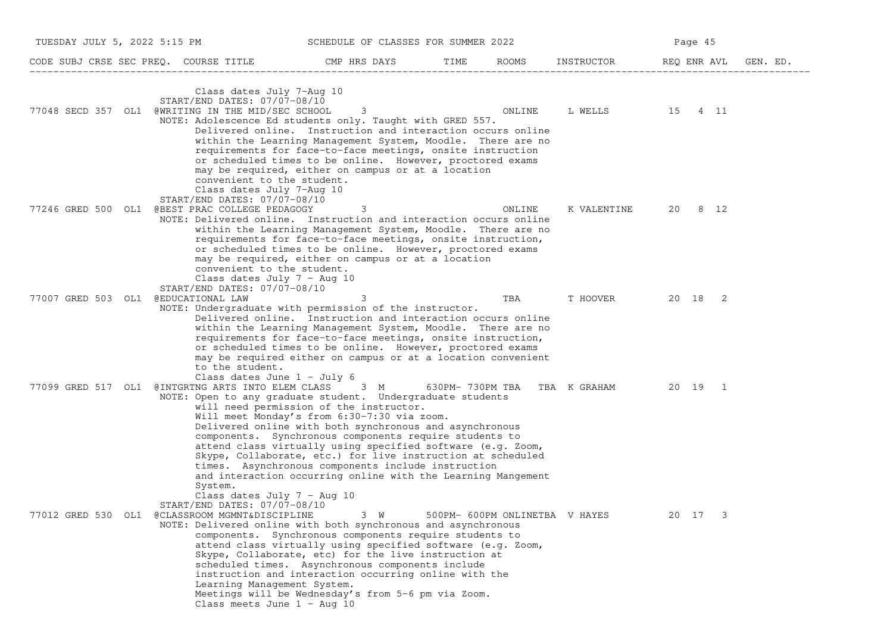| TUESDAY JULY 5, 2022 5:15 PM        |                                                                                                                                                                                                                                        | SCHEDULE OF CLASSES FOR SUMMER 2022                                                                                                                                                                                                                                                                                                                                                                                                                             |      |                                |                              | Page 45     |          |
|-------------------------------------|----------------------------------------------------------------------------------------------------------------------------------------------------------------------------------------------------------------------------------------|-----------------------------------------------------------------------------------------------------------------------------------------------------------------------------------------------------------------------------------------------------------------------------------------------------------------------------------------------------------------------------------------------------------------------------------------------------------------|------|--------------------------------|------------------------------|-------------|----------|
|                                     | CODE SUBJ CRSE SEC PREQ. COURSE TITLE                                                                                                                                                                                                  | CMP HRS DAYS                                                                                                                                                                                                                                                                                                                                                                                                                                                    | TIME | ROOMS                          | INSTRUCTOR                   | REQ ENR AVL | GEN. ED. |
|                                     | Class dates July 7-Aug 10<br>START/END DATES: 07/07-08/10<br>77048 SECD 357 OL1 @WRITING IN THE MID/SEC SCHOOL<br>NOTE: Adolescence Ed students only. Taught with GRED 557.<br>convenient to the student.<br>Class dates July 7-Aug 10 | 3<br>Delivered online. Instruction and interaction occurs online<br>within the Learning Management System, Moodle. There are no<br>requirements for face-to-face meetings, onsite instruction<br>or scheduled times to be online. However, proctored exams<br>may be required, either on campus or at a location                                                                                                                                                |      | ONLINE                         | L WELLS 15 4 11              |             |          |
|                                     | START/END DATES: 07/07-08/10<br>77246 GRED 500 OL1 @BEST PRAC COLLEGE PEDAGOGY<br>NOTE: Delivered online. Instruction and interaction occurs online<br>convenient to the student.<br>Class dates July $7 - \text{Aug } 10$             | 3<br>within the Learning Management System, Moodle. There are no<br>requirements for face-to-face meetings, onsite instruction,<br>or scheduled times to be online. However, proctored exams<br>may be required, either on campus or at a location                                                                                                                                                                                                              |      | ONLINE                         | K VALENTINE                  | 20 8 12     |          |
| 77007 GRED 503 OL1 @EDUCATIONAL LAW | START/END DATES: 07/07-08/10<br>NOTE: Undergraduate with permission of the instructor.<br>to the student.<br>Class dates June $1 - July 6$                                                                                             | 3<br>Delivered online. Instruction and interaction occurs online<br>within the Learning Management System, Moodle. There are no<br>requirements for face-to-face meetings, onsite instruction,<br>or scheduled times to be online. However, proctored exams<br>may be required either on campus or at a location convenient                                                                                                                                     |      | TBA                            | T HOOVER                     | 20 18 2     |          |
|                                     | 77099 GRED 517 OL1 @INTGRTNG ARTS INTO ELEM CLASS 3 M<br>NOTE: Open to any graduate student. Undergraduate students<br>System.<br>Class dates July $7 - \text{Aug } 10$                                                                | will need permission of the instructor.<br>Will meet Monday's from 6:30-7:30 via zoom.<br>Delivered online with both synchronous and asynchronous<br>components. Synchronous components require students to<br>attend class virtually using specified software (e.g. Zoom,<br>Skype, Collaborate, etc.) for live instruction at scheduled<br>times. Asynchronous components include instruction<br>and interaction occurring online with the Learning Mangement |      |                                | 630PM-730PM TBA TBA K GRAHAM | 20 19 1     |          |
|                                     | START/END DATES: 07/07-08/10<br>77012 GRED 530 OL1 @CLASSROOM MGMNT&DISCIPLINE<br>NOTE: Delivered online with both synchronous and asynchronous<br>Learning Management System.<br>Class meets June $1 - \text{Aug } 10$                | $3 \quad W$<br>components. Synchronous components require students to<br>attend class virtually using specified software (e.g. Zoom,<br>Skype, Collaborate, etc) for the live instruction at<br>scheduled times. Asynchronous components include<br>instruction and interaction occurring online with the<br>Meetings will be Wednesday's from 5-6 pm via Zoom.                                                                                                 |      | 500PM- 600PM ONLINETBA V HAYES |                              | 20 17<br>3  |          |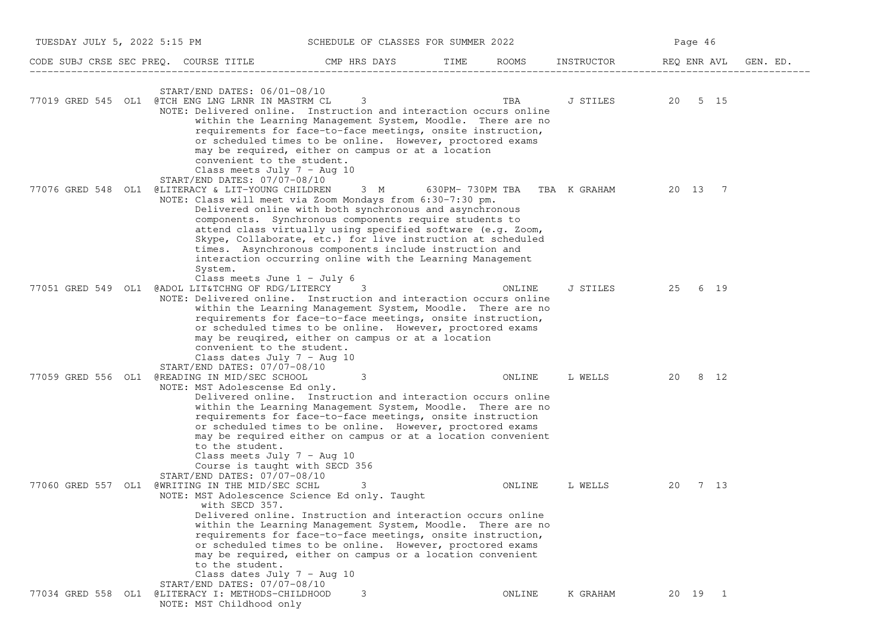|                    | TUESDAY JULY 5, 2022 5:15 PM                                                                                                                                                                                                                                   | SCHEDULE OF CLASSES FOR SUMMER 2022                                                                                                                                                                                                                                                                                       |        |                  | Page 46 |      |          |
|--------------------|----------------------------------------------------------------------------------------------------------------------------------------------------------------------------------------------------------------------------------------------------------------|---------------------------------------------------------------------------------------------------------------------------------------------------------------------------------------------------------------------------------------------------------------------------------------------------------------------------|--------|------------------|---------|------|----------|
|                    | CODE SUBJ CRSE SEC PREQ. COURSE TITLE THE ROOMS TIME ROOMS INSTRUCTOR REQ ENRAVL                                                                                                                                                                               |                                                                                                                                                                                                                                                                                                                           |        |                  |         |      | GEN. ED. |
|                    | $START/END$ DATES: $06/01-08/10$<br>77019 GRED 545 OL1 @TCH ENG LNG LRNR IN MASTRM CL 3<br>NOTE: Delivered online. Instruction and interaction occurs online                                                                                                   | within the Learning Management System, Moodle. There are no<br>requirements for face-to-face meetings, onsite instruction,<br>or scheduled times to be online. However, proctored exams                                                                                                                                   |        | J STILES 20 5 15 |         |      |          |
|                    | convenient to the student.<br>Class meets July $7 - \text{Aug } 10$<br>START/END DATES: 07/07-08/10<br>77076 GRED 548 OL1 @LITERACY & LIT-YOUNG CHILDREN 3 M 630PM-730PM TBA TBA K GRAHAM 20 13 7<br>NOTE: Class will meet via Zoom Mondays from 6:30-7:30 pm. | may be required, either on campus or at a location<br>Delivered online with both synchronous and asynchronous<br>components. Synchronous components require students to<br>attend class virtually using specified software (e.g. Zoom,<br>Skype, Collaborate, etc.) for live instruction at scheduled                     |        |                  |         |      |          |
|                    | System.<br>Class meets June $1 - July 6$<br>77051 GRED 549 OL1 @ADOL LIT&TCHNG OF RDG/LITERCY<br>NOTE: Delivered online. Instruction and interaction occurs online                                                                                             | times. Asynchronous components include instruction and<br>interaction occurring online with the Learning Management<br>3<br>within the Learning Management System, Moodle. There are no<br>requirements for face-to-face meetings, onsite instruction,<br>or scheduled times to be online. However, proctored exams       | ONLINE | J STILES 25      |         | 6 19 |          |
|                    | convenient to the student.<br>Class dates July $7 - \text{Aug } 10$<br>START/END DATES: 07/07-08/10<br>77059 GRED 556 OL1 @READING IN MID/SEC SCHOOL<br>NOTE: MST Adolescense Ed only.                                                                         | may be reugired, either on campus or at a location<br>3<br>Delivered online. Instruction and interaction occurs online                                                                                                                                                                                                    | ONLINE | L WELLS 20 8 12  |         |      |          |
|                    | to the student.<br>Class meets July $7 - \text{Aug } 10$<br>Course is taught with SECD 356<br>$START/END$ DATES: $07/07-08/10$                                                                                                                                 | within the Learning Management System, Moodle. There are no<br>requirements for face-to-face meetings, onsite instruction<br>or scheduled times to be online. However, proctored exams<br>may be required either on campus or at a location convenient                                                                    |        |                  |         |      |          |
| 77060 GRED 557 OL1 | @WRITING IN THE MID/SEC SCHL<br>NOTE: MST Adolescence Science Ed only. Taught<br>with SECD 357.<br>to the student.<br>Class dates July $7 - \text{Aug } 10$                                                                                                    | 3<br>Delivered online. Instruction and interaction occurs online<br>within the Learning Management System, Moodle. There are no<br>requirements for face-to-face meetings, onsite instruction,<br>or scheduled times to be online. However, proctored exams<br>may be required, either on campus or a location convenient | ONLINE | L WELLS          | 20      | 7 13 |          |
|                    | START/END DATES: 07/07-08/10<br>77034 GRED 558 OL1 @LITERACY I: METHODS-CHILDHOOD<br>NOTE: MST Childhood only                                                                                                                                                  | 3                                                                                                                                                                                                                                                                                                                         | ONLINE | K GRAHAM         | 20 19 1 |      |          |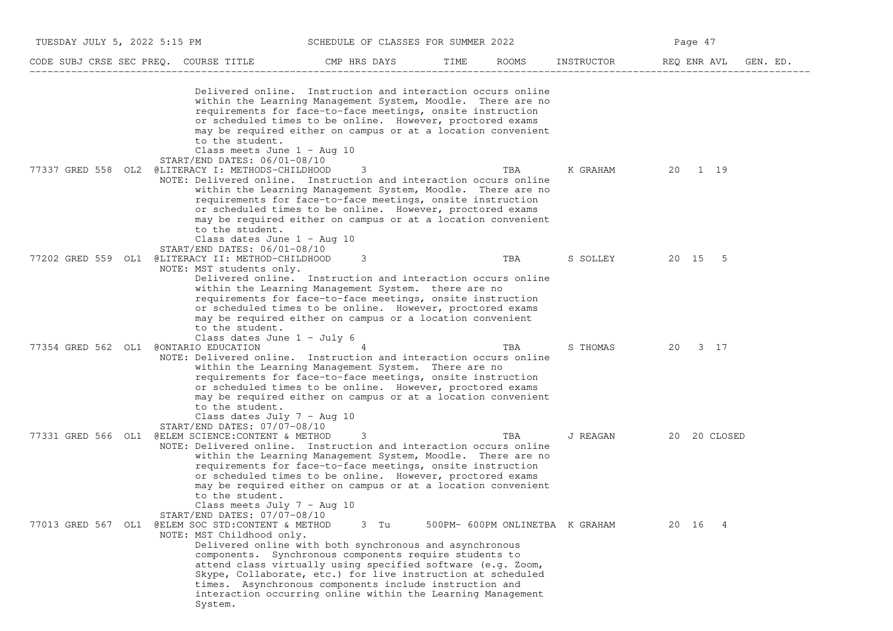| TUESDAY JULY 5, 2022 5:15 PM          |                                                                                                                                                                                                                                     | SCHEDULE OF CLASSES FOR SUMMER 2022                                                                                                                                                                                                                                                                                                                                              |      |       |                                 | Page 47                 |  |
|---------------------------------------|-------------------------------------------------------------------------------------------------------------------------------------------------------------------------------------------------------------------------------------|----------------------------------------------------------------------------------------------------------------------------------------------------------------------------------------------------------------------------------------------------------------------------------------------------------------------------------------------------------------------------------|------|-------|---------------------------------|-------------------------|--|
| CODE SUBJ CRSE SEC PREQ. COURSE TITLE |                                                                                                                                                                                                                                     | CMP HRS DAYS                                                                                                                                                                                                                                                                                                                                                                     | TIME | ROOMS | INSTRUCTOR                      | REQ ENR AVL<br>GEN. ED. |  |
|                                       | to the student.<br>Class meets June 1 - Aug 10                                                                                                                                                                                      | Delivered online. Instruction and interaction occurs online<br>within the Learning Management System, Moodle. There are no<br>requirements for face-to-face meetings, onsite instruction<br>or scheduled times to be online. However, proctored exams<br>may be required either on campus or at a location convenient                                                            |      |       |                                 |                         |  |
| 77337 GRED 558 OL2                    | $START/END$ DATES: $06/01-08/10$<br>@LITERACY I: METHODS-CHILDHOOD<br>NOTE: Delivered online. Instruction and interaction occurs online<br>to the student.<br>Class dates June $1 - \text{Aug } 10$<br>START/END DATES: 06/01-08/10 | 3<br>within the Learning Management System, Moodle. There are no<br>requirements for face-to-face meetings, onsite instruction<br>or scheduled times to be online. However, proctored exams<br>may be required either on campus or at a location convenient                                                                                                                      |      | TBA   | K GRAHAM                        | 20 1 19                 |  |
| 77202 GRED 559 OL1                    | @LITERACY II: METHOD-CHILDHOOD<br>NOTE: MST students only.<br>to the student.<br>Class dates June $1 - July 6$                                                                                                                      | 3<br>Delivered online. Instruction and interaction occurs online<br>within the Learning Management System. there are no<br>requirements for face-to-face meetings, onsite instruction<br>or scheduled times to be online. However, proctored exams<br>may be required either on campus or a location convenient                                                                  |      | TBA   | S SOLLEY                        | 20 15 5                 |  |
| 77354 GRED 562 OL1                    | CONTARIO EDUCATION<br>NOTE: Delivered online. Instruction and interaction occurs online<br>to the student.<br>Class dates July $7 - \text{Aug } 10$<br>START/END DATES: 07/07-08/10                                                 | within the Learning Management System. There are no<br>requirements for face-to-face meetings, onsite instruction<br>or scheduled times to be online. However, proctored exams<br>may be required either on campus or at a location convenient                                                                                                                                   |      | TBA   | S THOMAS                        | 20<br>3 17              |  |
| 77331 GRED 566 OL1                    | @ELEM SCIENCE: CONTENT & METHOD<br>NOTE: Delivered online. Instruction and interaction occurs online<br>to the student.<br>Class meets July $7 - \text{Aug } 10$<br>START/END DATES: 07/07-08/10                                    | 3<br>within the Learning Management System, Moodle. There are no<br>requirements for face-to-face meetings, onsite instruction<br>or scheduled times to be online. However, proctored exams<br>may be required either on campus or at a location convenient                                                                                                                      |      | TBA   | J REAGAN                        | 20 20 CLOSED            |  |
| 77013 GRED 567 OL1                    | @ELEM SOC STD: CONTENT & METHOD<br>NOTE: MST Childhood only.<br>System.                                                                                                                                                             | 3 Tu<br>Delivered online with both synchronous and asynchronous<br>components. Synchronous components require students to<br>attend class virtually using specified software (e.g. Zoom,<br>Skype, Collaborate, etc.) for live instruction at scheduled<br>times. Asynchronous components include instruction and<br>interaction occurring online within the Learning Management |      |       | 500PM- 600PM ONLINETBA K GRAHAM | 20 16<br>4              |  |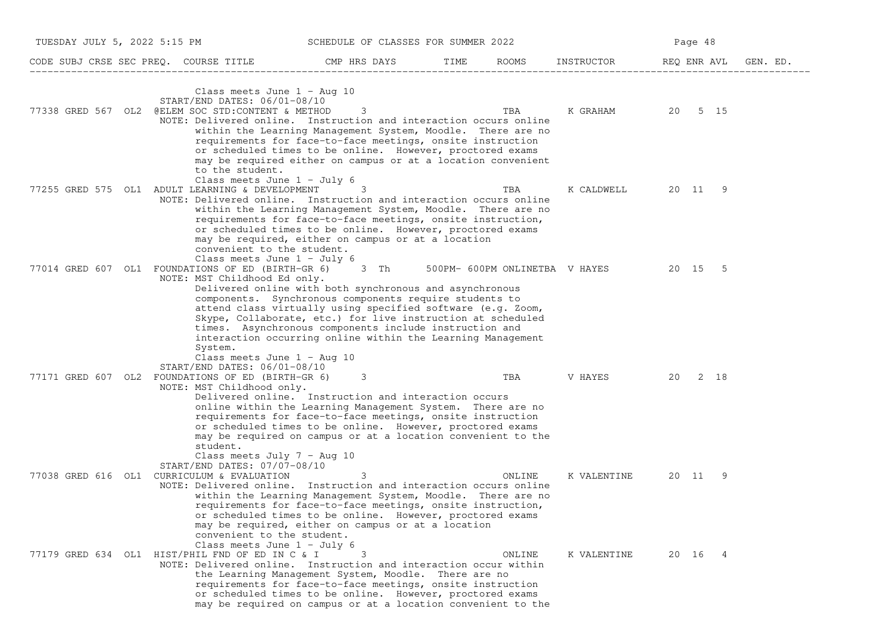| TUESDAY JULY 5, 2022 5:15 PM |                                                                                                                                                                                                      | SCHEDULE OF CLASSES FOR SUMMER 2022                                                                                                                                                                                                                                                                                                                                         |      |        |                                      | Page 48     |          |
|------------------------------|------------------------------------------------------------------------------------------------------------------------------------------------------------------------------------------------------|-----------------------------------------------------------------------------------------------------------------------------------------------------------------------------------------------------------------------------------------------------------------------------------------------------------------------------------------------------------------------------|------|--------|--------------------------------------|-------------|----------|
|                              | CODE SUBJ CRSE SEC PREQ. COURSE TITLE                                                                                                                                                                | CMP HRS DAYS                                                                                                                                                                                                                                                                                                                                                                | TIME | ROOMS  | INSTRUCTOR                           | REQ ENR AVL | GEN. ED. |
| 77338 GRED 567 OL2           | Class meets June $1 - \text{Aug } 10$<br>START/END DATES: 06/01-08/10<br>@ELEM SOC STD: CONTENT & METHOD<br>NOTE: Delivered online. Instruction and interaction occurs online                        | 3<br>within the Learning Management System, Moodle. There are no<br>requirements for face-to-face meetings, onsite instruction<br>or scheduled times to be online. However, proctored exams                                                                                                                                                                                 |      | TBA    | K GRAHAM 20 5 15                     |             |          |
|                              | to the student.<br>Class meets June $1 - July 6$<br>77255 GRED 575 OL1 ADULT LEARNING & DEVELOPMENT<br>NOTE: Delivered online. Instruction and interaction occurs online                             | may be required either on campus or at a location convenient<br>3<br>within the Learning Management System, Moodle. There are no<br>requirements for face-to-face meetings, onsite instruction,<br>or scheduled times to be online. However, proctored exams<br>may be required, either on campus or at a location                                                          |      | TBA    | K CALDWELL                           | 20 11       | 9        |
| 77014 GRED 607 OL1           | convenient to the student.<br>Class meets June $1 - July 6$<br>FOUNDATIONS OF ED (BIRTH-GR 6) 3 Th<br>NOTE: MST Childhood Ed only.                                                                   | Delivered online with both synchronous and asynchronous<br>components. Synchronous components require students to<br>attend class virtually using specified software (e.g. Zoom,<br>Skype, Collaborate, etc.) for live instruction at scheduled                                                                                                                             |      |        | 500PM- 600PM ONLINETBA V HAYES 20 15 |             | - 5      |
| 77171 GRED 607 OL2           | System.<br>Class meets June $1 - \text{Aug } 10$<br>START/END DATES: 06/01-08/10<br>FOUNDATIONS OF ED (BIRTH-GR 6)<br>NOTE: MST Childhood only.                                                      | times. Asynchronous components include instruction and<br>interaction occurring online within the Learning Management<br>3<br>Delivered online. Instruction and interaction occurs<br>online within the Learning Management System. There are no<br>requirements for face-to-face meetings, onsite instruction<br>or scheduled times to be online. However, proctored exams |      | TBA    | V HAYES                              | 20          | 2 18     |
|                              | student.<br>Class meets July $7 - \text{Aug } 10$<br>START/END DATES: 07/07-08/10<br>77038 GRED 616 OL1 CURRICULUM & EVALUATION<br>NOTE: Delivered online. Instruction and interaction occurs online | may be required on campus or at a location convenient to the<br>3<br>within the Learning Management System, Moodle. There are no<br>requirements for face-to-face meetings, onsite instruction,<br>or scheduled times to be online. However, proctored exams                                                                                                                |      | ONLINE | K VALENTINE                          | 20 11 9     |          |
|                              | convenient to the student.<br>Class meets June $1 - July 6$<br>77179 GRED 634 OL1 HIST/PHIL FND OF ED IN C & I<br>NOTE: Delivered online. Instruction and interaction occur within                   | may be required, either on campus or at a location<br>3<br>the Learning Management System, Moodle. There are no<br>requirements for face-to-face meetings, onsite instruction<br>or scheduled times to be online. However, proctored exams<br>may be required on campus or at a location convenient to the                                                                  |      | ONLINE | K VALENTINE                          | 20 16 4     |          |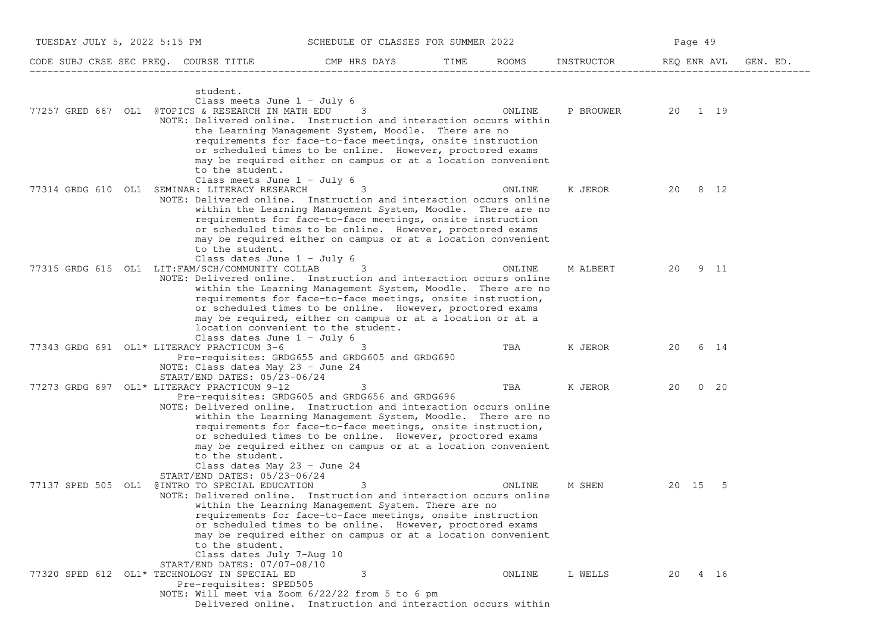| TUESDAY JULY 5, 2022 5:15 PM<br>SCHEDULE OF CLASSES FOR SUMMER 2022                                                                                     |                                                                                                                                                                                                                                                                                                                                   |        |                  | Page 49              |  |  |
|---------------------------------------------------------------------------------------------------------------------------------------------------------|-----------------------------------------------------------------------------------------------------------------------------------------------------------------------------------------------------------------------------------------------------------------------------------------------------------------------------------|--------|------------------|----------------------|--|--|
| CODE SUBJ CRSE SEC PREQ. COURSE TITLE THE CMP HRS DAYS                                                                                                  |                                                                                                                                                                                                                                                                                                                                   | TIME   | ROOMS INSTRUCTOR | REQ ENR AVL GEN. ED. |  |  |
| student.<br>Class meets June $1 - July 6$<br>77257 GRED 667 OL1 @TOPICS & RESEARCH IN MATH EDU                                                          | 3<br>NOTE: Delivered online. Instruction and interaction occurs within<br>the Learning Management System, Moodle. There are no<br>requirements for face-to-face meetings, onsite instruction<br>or scheduled times to be online. However, proctored exams                                                                         | ONLINE |                  | P BROUWER 20 1 19    |  |  |
| to the student.<br>Class meets June $1 -$ July 6<br>77314 GRDG 610 OL1 SEMINAR: LITERACY RESEARCH                                                       | may be required either on campus or at a location convenient<br>3<br>NOTE: Delivered online. Instruction and interaction occurs online<br>within the Learning Management System, Moodle. There are no<br>requirements for face-to-face meetings, onsite instruction<br>or scheduled times to be online. However, proctored exams  | ONLINE | K JEROR          | 20 8 12              |  |  |
| to the student.<br>Class dates June 1 - July 6<br>77315 GRDG 615 OL1 LIT: FAM/SCH/COMMUNITY COLLAB                                                      | may be required either on campus or at a location convenient<br>3<br>NOTE: Delivered online. Instruction and interaction occurs online<br>within the Learning Management System, Moodle. There are no<br>requirements for face-to-face meetings, onsite instruction,<br>or scheduled times to be online. However, proctored exams | ONLINE | M ALBERT         | 20 9 11              |  |  |
| Class dates June $1 - July 6$<br>77343 GRDG 691 OL1* LITERACY PRACTICUM 3-6<br>NOTE: Class dates May 23 - June 24                                       | may be required, either on campus or at a location or at a<br>location convenient to the student.<br>3<br>Pre-requisites: GRDG655 and GRDG605 and GRDG690                                                                                                                                                                         | TBA    | K JEROR          | 20 6 14              |  |  |
| START/END DATES: 05/23-06/24<br>77273 GRDG 697 OL1* LITERACY PRACTICUM 9-12                                                                             | 3<br>Pre-requisites: GRDG605 and GRDG656 and GRDG696<br>NOTE: Delivered online. Instruction and interaction occurs online<br>within the Learning Management System, Moodle. There are no                                                                                                                                          | TBA    | K JEROR          | $0\quad 20$<br>20    |  |  |
| to the student.<br>Class dates May 23 - June 24<br>START/END DATES: 05/23-06/24<br>77137 SPED 505 OL1 @INTRO TO SPECIAL EDUCATION                       | requirements for face-to-face meetings, onsite instruction,<br>or scheduled times to be online. However, proctored exams<br>may be required either on campus or at a location convenient<br>3<br>NOTE: Delivered online. Instruction and interaction occurs online<br>within the Learning Management System. There are no         | ONLINE | M SHEN           | 20 15 5              |  |  |
| to the student.<br>Class dates July 7-Aug 10<br>START/END DATES: 07/07-08/10<br>77320 SPED 612 OL1* TECHNOLOGY IN SPECIAL ED<br>Pre-requisites: SPED505 | requirements for face-to-face meetings, onsite instruction<br>or scheduled times to be online. However, proctored exams<br>may be required either on campus or at a location convenient<br>3<br>NOTE: Will meet via Zoom 6/22/22 from 5 to 6 pm<br>Delivered online. Instruction and interaction occurs within                    | ONLINE | L WELLS          | 20 4 16              |  |  |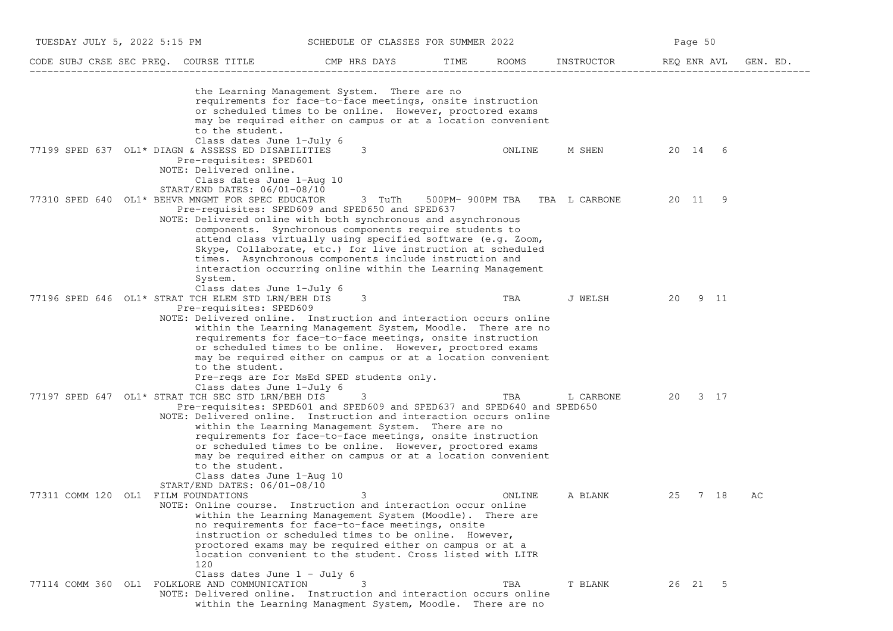| TUESDAY JULY 5, 2022 5:15 PM        |                                                                                                                                                                                                                                                                                                                    | SCHEDULE OF CLASSES FOR SUMMER 2022                                                                                                                                                                                                                                                                                     |      |        |                               |             | Page 50 |      |          |
|-------------------------------------|--------------------------------------------------------------------------------------------------------------------------------------------------------------------------------------------------------------------------------------------------------------------------------------------------------------------|-------------------------------------------------------------------------------------------------------------------------------------------------------------------------------------------------------------------------------------------------------------------------------------------------------------------------|------|--------|-------------------------------|-------------|---------|------|----------|
|                                     | CODE SUBJ CRSE SEC PREQ. COURSE TITLE                                                                                                                                                                                                                                                                              | CMP HRS DAYS                                                                                                                                                                                                                                                                                                            | TIME | ROOMS  | INSTRUCTOR                    | REQ ENR AVL |         |      | GEN. ED. |
|                                     | to the student.                                                                                                                                                                                                                                                                                                    | the Learning Management System. There are no<br>requirements for face-to-face meetings, onsite instruction<br>or scheduled times to be online. However, proctored exams<br>may be required either on campus or at a location convenient                                                                                 |      |        |                               |             |         |      |          |
|                                     | Class dates June 1-July 6<br>77199 SPED 637 OL1* DIAGN & ASSESS ED DISABILITIES<br>Pre-requisites: SPED601<br>NOTE: Delivered online.<br>Class dates June 1-Aug 10                                                                                                                                                 | 3                                                                                                                                                                                                                                                                                                                       |      | ONLINE | M SHEN                        |             | 20 14 6 |      |          |
|                                     | $START/END$ DATES: $06/01-08/10$<br>77310 SPED 640 OL1* BEHVR MNGMT FOR SPEC EDUCATOR<br>Pre-requisites: SPED609 and SPED650 and SPED637<br>NOTE: Delivered online with both synchronous and asynchronous<br>System.                                                                                               | 3 TuTh<br>components. Synchronous components require students to<br>attend class virtually using specified software (e.g. Zoom,<br>Skype, Collaborate, etc.) for live instruction at scheduled<br>times. Asynchronous components include instruction and<br>interaction occurring online within the Learning Management |      |        | 500PM-900PM TBA TBA L CARBONE |             | 20 11 9 |      |          |
|                                     | Class dates June 1-July 6<br>77196 SPED 646 OL1* STRAT TCH ELEM STD LRN/BEH DIS<br>Pre-requisites: SPED609<br>NOTE: Delivered online. Instruction and interaction occurs online<br>to the student.                                                                                                                 | 3<br>within the Learning Management System, Moodle. There are no<br>requirements for face-to-face meetings, onsite instruction<br>or scheduled times to be online. However, proctored exams<br>may be required either on campus or at a location convenient<br>Pre-reqs are for MsEd SPED students only.                |      | TBA    | J WELSH                       | 20          |         | 9 11 |          |
|                                     | Class dates June 1-July 6<br>77197 SPED 647 OL1* STRAT TCH SEC STD LRN/BEH DIS<br>Pre-requisites: SPED601 and SPED609 and SPED637 and SPED640 and SPED650<br>NOTE: Delivered online. Instruction and interaction occurs online<br>to the student.<br>Class dates June 1-Aug 10<br>$START/END$ DATES: $06/01-08/10$ | 3<br>within the Learning Management System. There are no<br>requirements for face-to-face meetings, onsite instruction<br>or scheduled times to be online. However, proctored exams<br>may be required either on campus or at a location convenient                                                                     |      | TBA    | L CARBONE                     |             | 20 3 17 |      |          |
| 77311 COMM 120 OL1 FILM FOUNDATIONS | NOTE: Online course. Instruction and interaction occur online<br>120<br>Class dates June 1 - July 6                                                                                                                                                                                                                | 3<br>within the Learning Management System (Moodle). There are<br>no requirements for face-to-face meetings, onsite<br>instruction or scheduled times to be online. However,<br>proctored exams may be required either on campus or at a<br>location convenient to the student. Cross listed with LITR                  |      | ONLINE | A BLANK                       | 25          |         | 7 18 | AС       |
|                                     | 77114 COMM 360 OL1 FOLKLORE AND COMMUNICATION<br>NOTE: Delivered online. Instruction and interaction occurs online                                                                                                                                                                                                 | 3<br>within the Learning Managment System, Moodle. There are no                                                                                                                                                                                                                                                         |      | TBA    | T BLANK                       |             | 26 21 5 |      |          |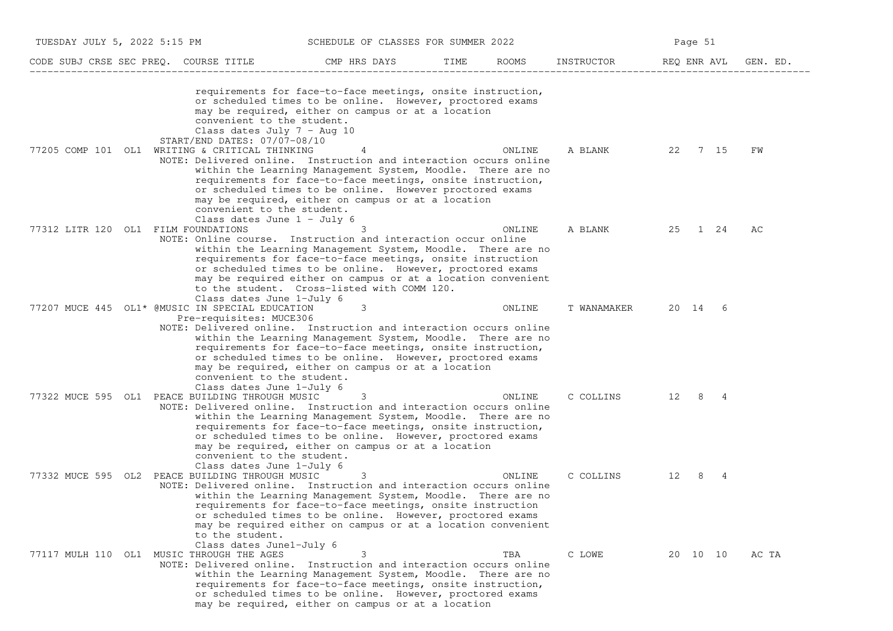| TUESDAY JULY 5, 2022 5:15 PM              |                                                                                                                                                                                                                    | SCHEDULE OF CLASSES FOR SUMMER 2022                                                                                                                                                                                                                                                                        |      |        |                                 | Page 51  |      |       |
|-------------------------------------------|--------------------------------------------------------------------------------------------------------------------------------------------------------------------------------------------------------------------|------------------------------------------------------------------------------------------------------------------------------------------------------------------------------------------------------------------------------------------------------------------------------------------------------------|------|--------|---------------------------------|----------|------|-------|
| CODE SUBJ CRSE SEC PREQ. COURSE TITLE     |                                                                                                                                                                                                                    | CMP HRS DAYS                                                                                                                                                                                                                                                                                               | TIME | ROOMS  | INSTRUCTOR REQ ENR AVL GEN. ED. |          |      |       |
|                                           | convenient to the student.<br>Class dates July 7 - Aug 10                                                                                                                                                          | requirements for face-to-face meetings, onsite instruction,<br>or scheduled times to be online. However, proctored exams<br>may be required, either on campus or at a location                                                                                                                             |      |        |                                 |          |      |       |
|                                           | START/END DATES: 07/07-08/10<br>77205 COMP 101 OL1 WRITING & CRITICAL THINKING<br>NOTE: Delivered online. Instruction and interaction occurs online<br>convenient to the student.<br>Class dates June $1 -$ July 6 | 4<br>within the Learning Management System, Moodle. There are no<br>requirements for face-to-face meetings, onsite instruction,<br>or scheduled times to be online. However proctored exams<br>may be required, either on campus or at a location                                                          |      | ONLINE | A BLANK                         | 22       | 7 15 | FW    |
| 77312 LITR 120 OL1 FILM FOUNDATIONS       | NOTE: Online course. Instruction and interaction occur online<br>Class dates June 1-July 6                                                                                                                         | 3<br>within the Learning Management System, Moodle. There are no<br>requirements for face-to-face meetings, onsite instruction<br>or scheduled times to be online. However, proctored exams<br>may be required either on campus or at a location convenient<br>to the student. Cross-listed with COMM 120. |      | ONLINE | A BLANK                         | 25 1 24  |      | AC    |
|                                           | 77207 MUCE 445 OL1* @MUSIC IN SPECIAL EDUCATION<br>Pre-requisites: MUCE306<br>NOTE: Delivered online. Instruction and interaction occurs online<br>convenient to the student.<br>Class dates June 1-July 6         | 3<br>within the Learning Management System, Moodle. There are no<br>requirements for face-to-face meetings, onsite instruction,<br>or scheduled times to be online. However, proctored exams<br>may be required, either on campus or at a location                                                         |      | ONLINE | T WANAMAKER                     | 20 14 6  |      |       |
|                                           | 77322 MUCE 595 OL1 PEACE BUILDING THROUGH MUSIC<br>NOTE: Delivered online. Instruction and interaction occurs online<br>convenient to the student.<br>Class dates June 1-July 6                                    | 3<br>within the Learning Management System, Moodle. There are no<br>requirements for face-to-face meetings, onsite instruction,<br>or scheduled times to be online. However, proctored exams<br>may be required, either on campus or at a location                                                         |      | ONLINE | C COLLINS 12 8 4                |          |      |       |
|                                           | 77332 MUCE 595 OL2 PEACE BUILDING THROUGH MUSIC<br>NOTE: Delivered online. Instruction and interaction occurs online<br>to the student.<br>Class dates June1-July 6                                                | 3<br>within the Learning Management System, Moodle. There are no<br>requirements for face-to-face meetings, onsite instruction<br>or scheduled times to be online. However, proctored exams<br>may be required either on campus or at a location convenient                                                |      | ONLINE | C COLLINS                       | 12 8 4   |      |       |
| 77117 MULH 110 OL1 MUSIC THROUGH THE AGES | NOTE: Delivered online. Instruction and interaction occurs online                                                                                                                                                  | 3<br>within the Learning Management System, Moodle. There are no<br>requirements for face-to-face meetings, onsite instruction,<br>or scheduled times to be online. However, proctored exams<br>may be required, either on campus or at a location                                                         |      | TBA    | C LOWE                          | 20 10 10 |      | AC TA |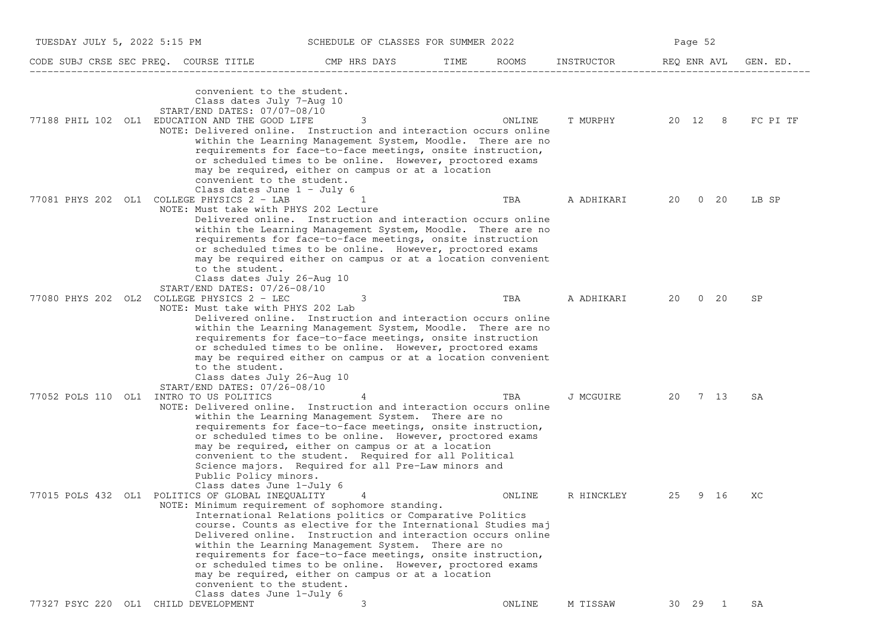| TUESDAY JULY 5, 2022 5:15 PM |                                                                                                                                                                                                                | SCHEDULE OF CLASSES FOR SUMMER 2022                                                                                                                                                                                                                                                                                                                                                |      |        |            |    | Page 52     |          |
|------------------------------|----------------------------------------------------------------------------------------------------------------------------------------------------------------------------------------------------------------|------------------------------------------------------------------------------------------------------------------------------------------------------------------------------------------------------------------------------------------------------------------------------------------------------------------------------------------------------------------------------------|------|--------|------------|----|-------------|----------|
|                              | CODE SUBJ CRSE SEC PREQ. COURSE TITLE THE CMP HRS DAYS                                                                                                                                                         |                                                                                                                                                                                                                                                                                                                                                                                    | TIME | ROOMS  | INSTRUCTOR |    | REQ ENR AVL | GEN. ED. |
|                              | convenient to the student.<br>Class dates July 7-Aug 10<br>START/END DATES: 07/07-08/10<br>77188 PHIL 102 OL1 EDUCATION AND THE GOOD LIFE<br>NOTE: Delivered online. Instruction and interaction occurs online | 3<br>within the Learning Management System, Moodle. There are no<br>requirements for face-to-face meetings, onsite instruction,<br>or scheduled times to be online. However, proctored exams<br>may be required, either on campus or at a location                                                                                                                                 |      | ONLINE | T MURPHY   |    | 20 12 8     | FC PI TF |
|                              | convenient to the student.<br>Class dates June $1 -$ July 6<br>77081 PHYS 202 OL1 COLLEGE PHYSICS 2 - LAB<br>NOTE: Must take with PHYS 202 Lecture                                                             | -1<br>Delivered online. Instruction and interaction occurs online<br>within the Learning Management System, Moodle. There are no<br>requirements for face-to-face meetings, onsite instruction                                                                                                                                                                                     |      | TBA    | A ADHIKARI | 20 | $0\quad 20$ | LB SP    |
|                              | to the student.<br>Class dates July 26-Aug 10<br>START/END DATES: 07/26-08/10<br>77080 PHYS 202 OL2 COLLEGE PHYSICS 2 - LEC<br>NOTE: Must take with PHYS 202 Lab                                               | or scheduled times to be online. However, proctored exams<br>may be required either on campus or at a location convenient<br>Delivered online. Instruction and interaction occurs online<br>within the Learning Management System, Moodle. There are no<br>requirements for face-to-face meetings, onsite instruction<br>or scheduled times to be online. However, proctored exams |      | TBA    | A ADHIKARI |    | 20 0 20     | SP       |
|                              | to the student.<br>Class dates July 26-Aug 10<br>$START/END$ DATES: $07/26-08/10$<br>77052 POLS 110 OL1 INTRO TO US POLITICS<br>NOTE: Delivered online. Instruction and interaction occurs online              | may be required either on campus or at a location convenient<br>within the Learning Management System. There are no<br>requirements for face-to-face meetings, onsite instruction,<br>or scheduled times to be online. However, proctored exams                                                                                                                                    |      | TBA    | J MCGUIRE  |    | 20 7 13     | SA       |
|                              | Public Policy minors.<br>Class dates June 1-July 6<br>77015 POLS 432 OL1 POLITICS OF GLOBAL INEQUALITY<br>NOTE: Minimum requirement of sophomore standing.                                                     | may be required, either on campus or at a location<br>convenient to the student. Required for all Political<br>Science majors. Required for all Pre-Law minors and<br>4<br>International Relations politics or Comparative Politics<br>course. Counts as elective for the International Studies maj<br>Delivered online. Instruction and interaction occurs online                 |      | ONLINE | R HINCKLEY | 25 | 9 16        | XC       |
|                              | convenient to the student.<br>Class dates June 1-July 6<br>77327 PSYC 220 OL1 CHILD DEVELOPMENT                                                                                                                | within the Learning Management System. There are no<br>requirements for face-to-face meetings, onsite instruction,<br>or scheduled times to be online. However, proctored exams<br>may be required, either on campus or at a location<br>3                                                                                                                                         |      | ONLINE | M TISSAW   |    | 30  29  1   | SA       |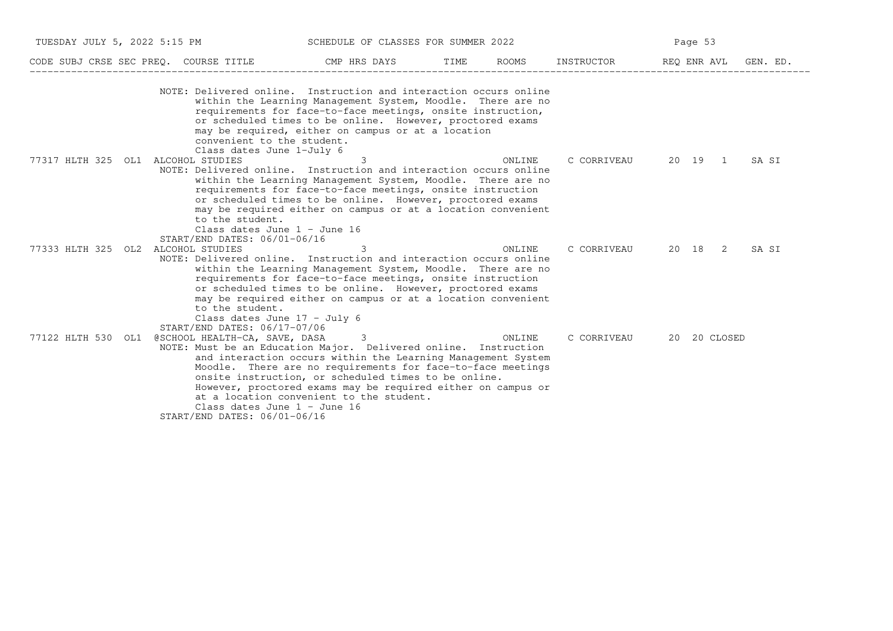| TUESDAY JULY 5, 2022 5:15 PM          | SCHEDULE OF CLASSES FOR SUMMER 2022                                                                                                                                                    |                                                                                                                                                                                                                                                                                                      |      |        | Page 53                         |  |              |       |
|---------------------------------------|----------------------------------------------------------------------------------------------------------------------------------------------------------------------------------------|------------------------------------------------------------------------------------------------------------------------------------------------------------------------------------------------------------------------------------------------------------------------------------------------------|------|--------|---------------------------------|--|--------------|-------|
| CODE SUBJ CRSE SEC PREQ. COURSE TITLE |                                                                                                                                                                                        | CMP HRS DAYS                                                                                                                                                                                                                                                                                         | TIME | ROOMS  | INSTRUCTOR REQ ENR AVL GEN. ED. |  |              |       |
|                                       | NOTE: Delivered online. Instruction and interaction occurs online<br>convenient to the student.<br>Class dates June 1-July 6                                                           | within the Learning Management System, Moodle. There are no<br>requirements for face-to-face meetings, onsite instruction,<br>or scheduled times to be online. However, proctored exams<br>may be required, either on campus or at a location                                                        |      |        |                                 |  |              |       |
| 77317 HLTH 325 OL1 ALCOHOL STUDIES    | NOTE: Delivered online. Instruction and interaction occurs online<br>to the student.<br>Class dates June $1 -$ June 16                                                                 | 3<br>within the Learning Management System, Moodle. There are no<br>requirements for face-to-face meetings, onsite instruction<br>or scheduled times to be online. However, proctored exams<br>may be required either on campus or at a location convenient                                          |      | ONLINE | C CORRIVEAU                     |  | 20 19 1      | SA SI |
| 77333 HLTH 325 OL2 ALCOHOL STUDIES    | START/END DATES: 06/01-06/16<br>NOTE: Delivered online. Instruction and interaction occurs online<br>to the student.<br>Class dates June $17 - July 6$<br>START/END DATES: 06/17-07/06 | 3<br>within the Learning Management System, Moodle. There are no<br>requirements for face-to-face meetings, onsite instruction<br>or scheduled times to be online. However, proctored exams<br>may be required either on campus or at a location convenient                                          |      | ONLINE | C CORRIVEAU                     |  | 20 18 2      | SA SI |
| 77122 HLTH 530 OL1                    | @SCHOOL HEALTH-CA, SAVE, DASA<br>NOTE: Must be an Education Major. Delivered online. Instruction<br>Class dates June $1 -$ June 16<br>START/END DATES: 06/01-06/16                     | 3<br>and interaction occurs within the Learning Management System<br>Moodle. There are no requirements for face-to-face meetings<br>onsite instruction, or scheduled times to be online.<br>However, proctored exams may be required either on campus or<br>at a location convenient to the student. |      | ONLINE | C CORRIVEAU                     |  | 20 20 CLOSED |       |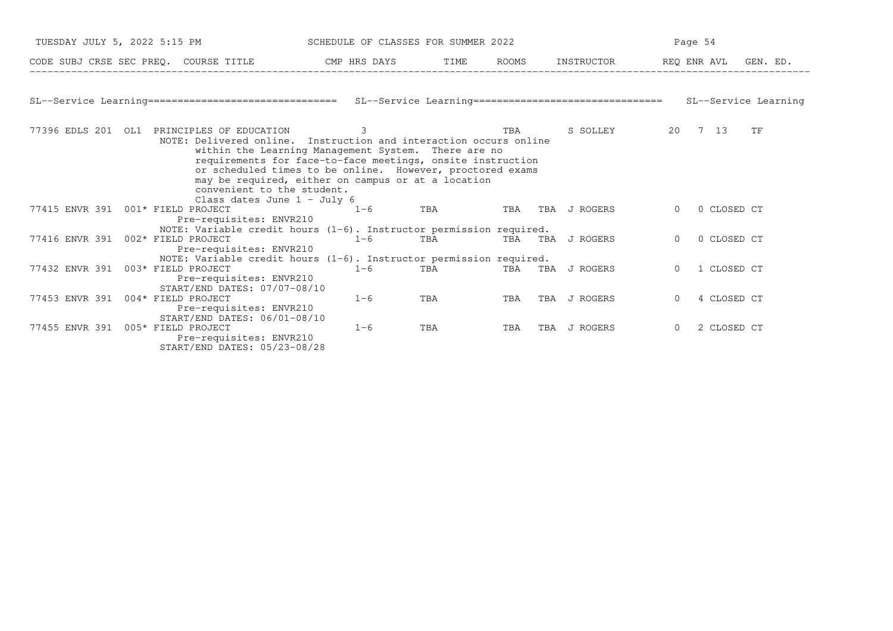|                                   | TUESDAY JULY 5, 2022 5:15 PM SCHEDULE OF CLASSES FOR SUMMER 2022                                                                                                                                                                                                                                                                                                                                                       |         |                    |            |                  | Page 54                 |          |  |  |
|-----------------------------------|------------------------------------------------------------------------------------------------------------------------------------------------------------------------------------------------------------------------------------------------------------------------------------------------------------------------------------------------------------------------------------------------------------------------|---------|--------------------|------------|------------------|-------------------------|----------|--|--|
|                                   | CODE SUBJ CRSE SEC PREQ. COURSE TITLE THE CMP HRS DAYS                                                                                                                                                                                                                                                                                                                                                                 |         |                    | TIME ROOMS | INSTRUCTOR       | REQ ENR AVL             | GEN. ED. |  |  |
|                                   |                                                                                                                                                                                                                                                                                                                                                                                                                        |         |                    |            |                  |                         |          |  |  |
|                                   | SL--Service Learning================================ SL--Service Learning================================= SL--Service Learning                                                                                                                                                                                                                                                                                        |         |                    |            |                  |                         |          |  |  |
|                                   | 77396 EDLS 201 OL1 PRINCIPLES OF EDUCATION<br>NOTE: Delivered online. Instruction and interaction occurs online<br>within the Learning Management System. There are no<br>requirements for face-to-face meetings, onsite instruction<br>or scheduled times to be online. However, proctored exams<br>may be required, either on campus or at a location<br>convenient to the student.<br>Class dates June $1 -$ July 6 | 3       |                    | TBA        | S SOLLEY         | 20 7 13                 | TF       |  |  |
| 77415 ENVR 391 001* FIELD PROJECT | Pre-requisites: ENVR210                                                                                                                                                                                                                                                                                                                                                                                                | $1 - 6$ | TBA <b>TRA</b>     |            | TBA TBA J ROGERS | 0 CLOSED CT             |          |  |  |
|                                   | NOTE: Variable credit hours $(1-6)$ . Instructor permission required.<br>77416 ENVR 391 002* FIELD PROJECT<br>Pre-requisites: ENVR210                                                                                                                                                                                                                                                                                  | $1 - 6$ | TBA                |            | TBA TBA J ROGERS | 0 CLOSED CT<br>$\Omega$ |          |  |  |
| 77432 ENVR 391 003* FIELD PROJECT | NOTE: Variable credit hours $(1-6)$ . Instructor permission required.<br>Pre-requisites: ENVR210<br>START/END DATES: 07/07-08/10                                                                                                                                                                                                                                                                                       | $1 - 6$ | TBA <b>TRANGER</b> |            | TBA TBA J ROGERS | 1 CLOSED CT             |          |  |  |
| 77453 ENVR 391 004* FIELD PROJECT | Pre-requisites: ENVR210<br>START/END DATES: 06/01-08/10                                                                                                                                                                                                                                                                                                                                                                | $1 - 6$ | TBA                | TBA        | TBA J ROGERS     | 4 CLOSED CT<br>$\Omega$ |          |  |  |
| 77455 ENVR 391 005* FIELD PROJECT | Pre-requisites: ENVR210<br>START/END DATES: 05/23-08/28                                                                                                                                                                                                                                                                                                                                                                | $1 - 6$ | TBA                | TBA        | TBA J ROGERS     | 2 CLOSED CT<br>$\Omega$ |          |  |  |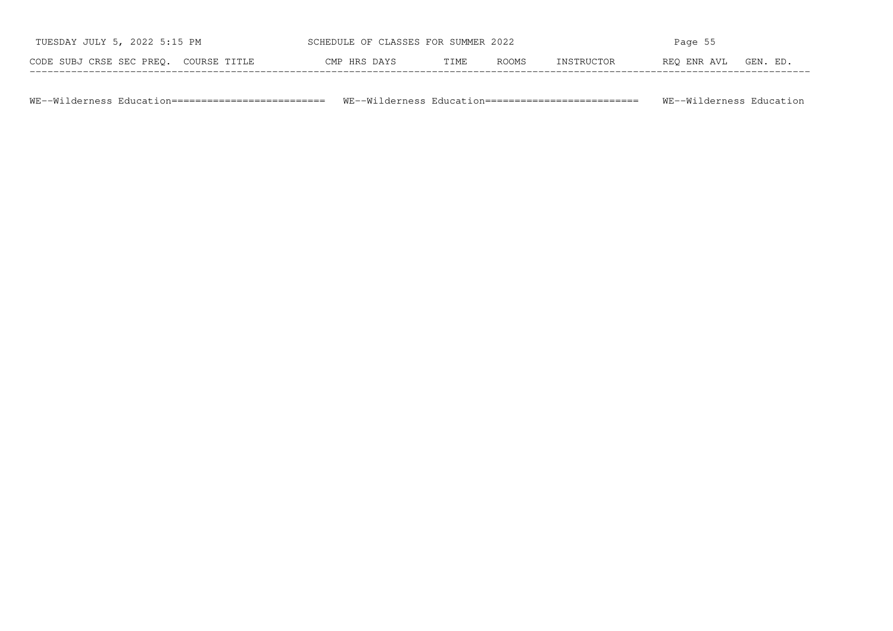| TUESDAY JULY 5, 2022 5:15 PM          | SCHEDULE OF CLASSES FOR SUMMER 2022 |      |              | Page 55           |             |         |  |
|---------------------------------------|-------------------------------------|------|--------------|-------------------|-------------|---------|--|
| CODE SUBJ CRSE SEC PREO. COURSE TITLE | CMP HRS DAYS                        | TIME | <b>ROOMS</b> | <b>TNSTRHCTOR</b> | REO ENR AVL | GEN. ED |  |

WE−−Wilderness Education========================== WE−−Wilderness Education========================== WE−−Wilderness Education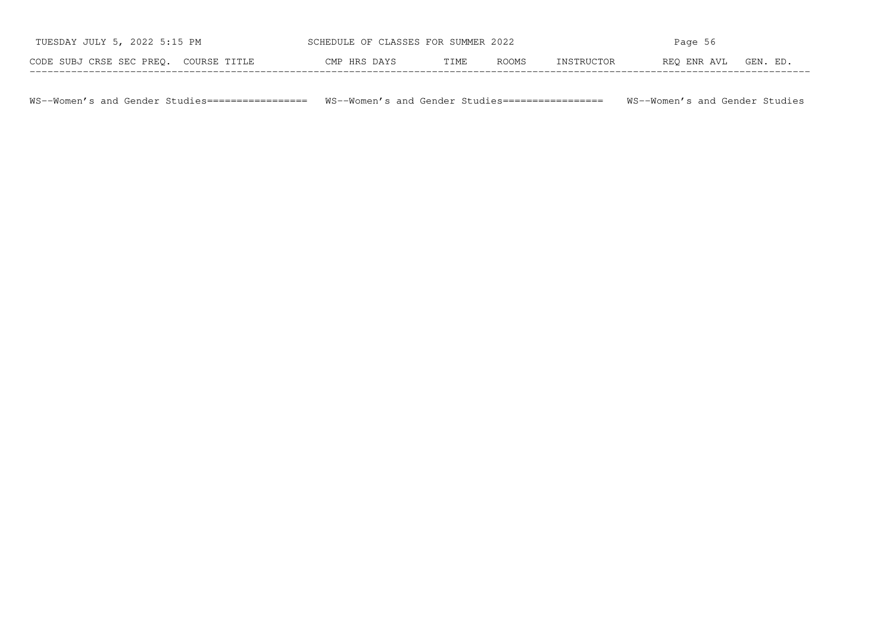| TUESDAY JULY 5, 2022 5:15 PM          | SCHEDULE OF CLASSES FOR SUMMER 2022 |      |              | Page 56    |             |          |  |
|---------------------------------------|-------------------------------------|------|--------------|------------|-------------|----------|--|
| CODE SUBJ CRSE SEC PREO. COURSE TITLE | CMP HRS DAYS                        | TIME | <b>ROOMS</b> | INSTRUCTOR | REO ENR AVL | GEN. ED. |  |

WS−−Women's and Gender Studies================= WS−−Women's and Gender Studies================= WS−−Women's and Gender Studies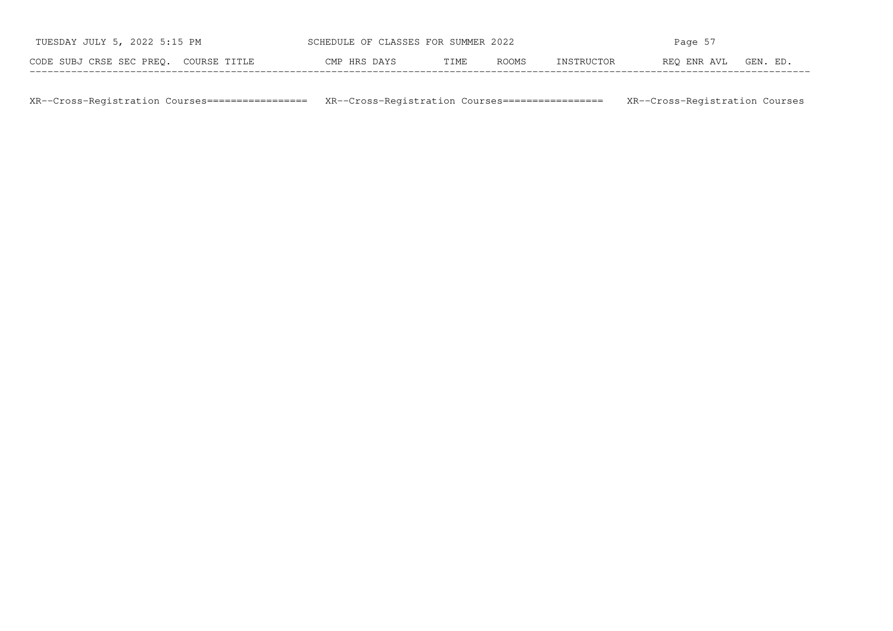| TUESDAY JULY 5, 2022 5:15 PM          | SCHEDULE OF CLASSES FOR SUMMER 2022 |      |       | Page 57    |             |          |  |
|---------------------------------------|-------------------------------------|------|-------|------------|-------------|----------|--|
| CODE SUBJ CRSE SEC PREO. COURSE TITLE | CMP HRS DAYS                        | TIME | ROOMS | INSTRUCTOR | REO ENR AVL | GEN. ED. |  |

XR−−Cross−Registration Courses================= XR−−Cross−Registration Courses================= XR−−Cross−Registration Courses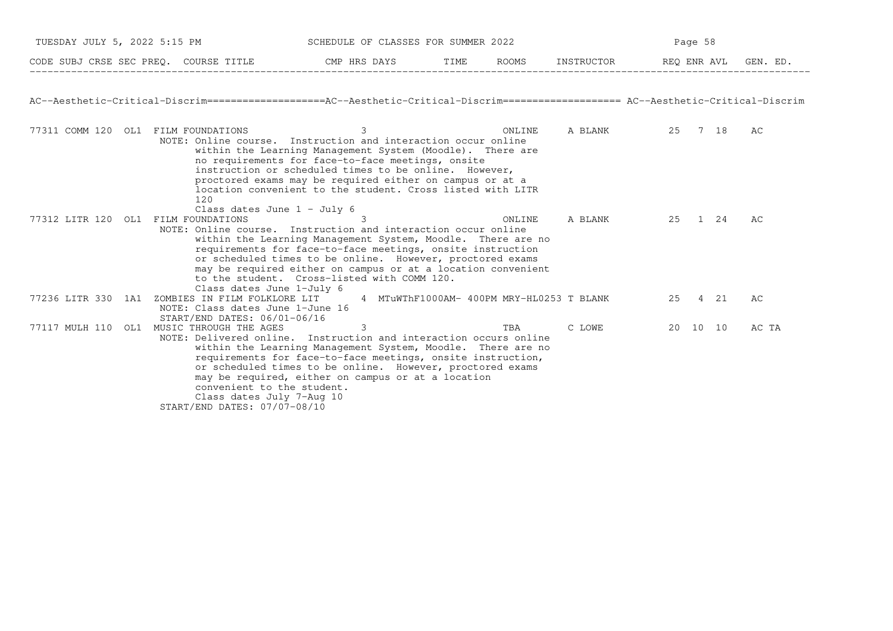|                                                                                                                                   | TUESDAY JULY 5, 2022 5:15 PM                                                                                                                                                                                                                                                                                                                                                                                                            |   | SCHEDULE OF CLASSES FOR SUMMER 2022       |        |            | Page 58 |             |          |
|-----------------------------------------------------------------------------------------------------------------------------------|-----------------------------------------------------------------------------------------------------------------------------------------------------------------------------------------------------------------------------------------------------------------------------------------------------------------------------------------------------------------------------------------------------------------------------------------|---|-------------------------------------------|--------|------------|---------|-------------|----------|
| CODE SUBJ CRSE SEC PREQ. COURSE TITLE THE CMP HRS DAYS                                                                            |                                                                                                                                                                                                                                                                                                                                                                                                                                         |   | TIME                                      | ROOMS  | INSTRUCTOR |         | REQ ENR AVL | GEN. ED. |
| AC--Aesthetic-Critical-Discrim==================AC--Aesthetic-Critical-Discrim==================== AC--Aesthetic-Critical-Discrim |                                                                                                                                                                                                                                                                                                                                                                                                                                         |   |                                           |        |            |         |             |          |
| 77311 COMM 120 OL1 FILM FOUNDATIONS                                                                                               | NOTE: Online course. Instruction and interaction occur online<br>within the Learning Management System (Moodle). There are<br>no requirements for face-to-face meetings, onsite<br>instruction or scheduled times to be online. However,<br>proctored exams may be required either on campus or at a<br>location convenient to the student. Cross listed with LITR<br>120<br>Class dates June $1 - July 6$                              | 3 |                                           | ONLINE | A BLANK    |         | 25 7 18     | AC       |
| 77312 LITR 120 OL1                                                                                                                | FILM FOUNDATIONS<br>NOTE: Online course. Instruction and interaction occur online<br>within the Learning Management System, Moodle. There are no<br>requirements for face-to-face meetings, onsite instruction<br>or scheduled times to be online. However, proctored exams<br>may be required either on campus or at a location convenient<br>to the student. Cross-listed with COMM 120.<br>Class dates June 1-July 6                 |   |                                           | ONLINE | A BLANK    |         | 25 1 24     | АC       |
| 77236 LITR 330 1A1                                                                                                                | ZOMBIES IN FILM FOLKLORE LIT<br>NOTE: Class dates June 1-June 16<br>START/END DATES: 06/01-06/16                                                                                                                                                                                                                                                                                                                                        |   | 4 MTuWThF1000AM- 400PM MRY-HL0253 T BLANK |        |            |         | 25 4 21     | АC       |
| 77117 MULH 110 OL1                                                                                                                | MUSIC THROUGH THE AGES<br>NOTE: Delivered online. Instruction and interaction occurs online<br>within the Learning Management System, Moodle. There are no<br>requirements for face-to-face meetings, onsite instruction,<br>or scheduled times to be online. However, proctored exams<br>may be required, either on campus or at a location<br>convenient to the student.<br>Class dates July 7-Aug 10<br>START/END DATES: 07/07-08/10 | 3 |                                           | TBA    | C LOWE     |         | 20 10 10    | AC TA    |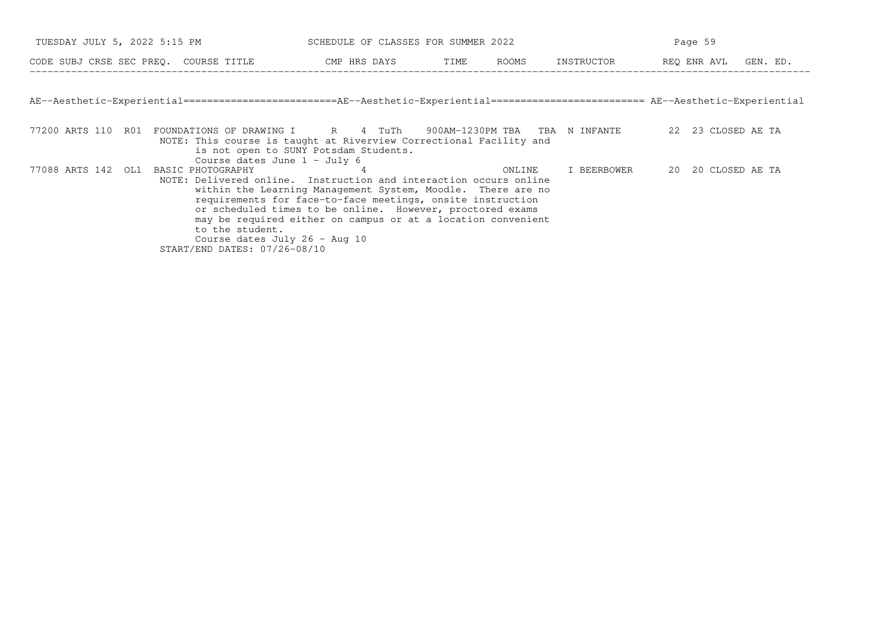| TUESDAY JULY 5, 2022 5:15 PM                                                                                                                                                                     | SCHEDULE OF CLASSES FOR SUMMER 2022                                                                                                                                                                                                                    |        | Page 59                          |                      |  |  |
|--------------------------------------------------------------------------------------------------------------------------------------------------------------------------------------------------|--------------------------------------------------------------------------------------------------------------------------------------------------------------------------------------------------------------------------------------------------------|--------|----------------------------------|----------------------|--|--|
| CODE SUBJ CRSE SEC PREQ. COURSE TITLE THE ROOMS CODE SUBJ CRSE SEC PREQ. COURSE TITLE                                                                                                            |                                                                                                                                                                                                                                                        |        | INSTRUCTOR                       | REQ ENR AVL GEN. ED. |  |  |
| AE--Aesthetic-Experiential========================AE--Aesthetic-Experiential======================== AE--Aesthetic-Experiential                                                                  |                                                                                                                                                                                                                                                        |        |                                  |                      |  |  |
| 77200 ARTS 110 R01<br>FOUNDATIONS OF DRAWING I R R 4 TuTh<br>NOTE: This course is taught at Riverview Correctional Facility and<br>Course dates June $1 -$ July 6                                | is not open to SUNY Potsdam Students.                                                                                                                                                                                                                  |        | 900AM-1230PM TBA  TBA  N INFANTE | 22 23 CLOSED AE TA   |  |  |
| 77088 ARTS 142 OL1<br>BASIC PHOTOGRAPHY<br>NOTE: Delivered online. Instruction and interaction occurs online<br>to the student.<br>Course dates July 26 - Aug 10<br>START/END DATES: 07/26-08/10 | within the Learning Management System, Moodle. There are no<br>requirements for face-to-face meetings, onsite instruction<br>or scheduled times to be online. However, proctored exams<br>may be required either on campus or at a location convenient | ONLINE | I BEERBOWER                      | 20 20 CLOSED AE TA   |  |  |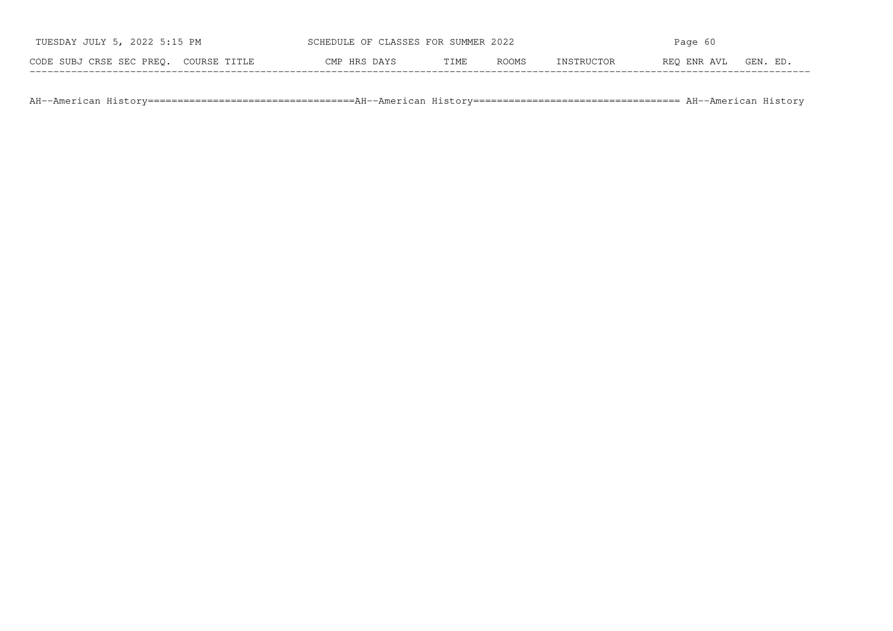| TUESDAY JULY 5, 2022 5:15 PM          | SCHEDULE OF CLASSES FOR SUMMER 2022 |      |              | Page 60    |             |          |  |
|---------------------------------------|-------------------------------------|------|--------------|------------|-------------|----------|--|
| CODE SUBJ CRSE SEC PREO. COURSE TITLE | CMP HRS DAYS                        | TIME | <b>ROOMS</b> | INSTRUCTOR | REO ENR AVL | GEN. ED. |  |

AH−−American History===================================AH−−American History=================================== AH−−American History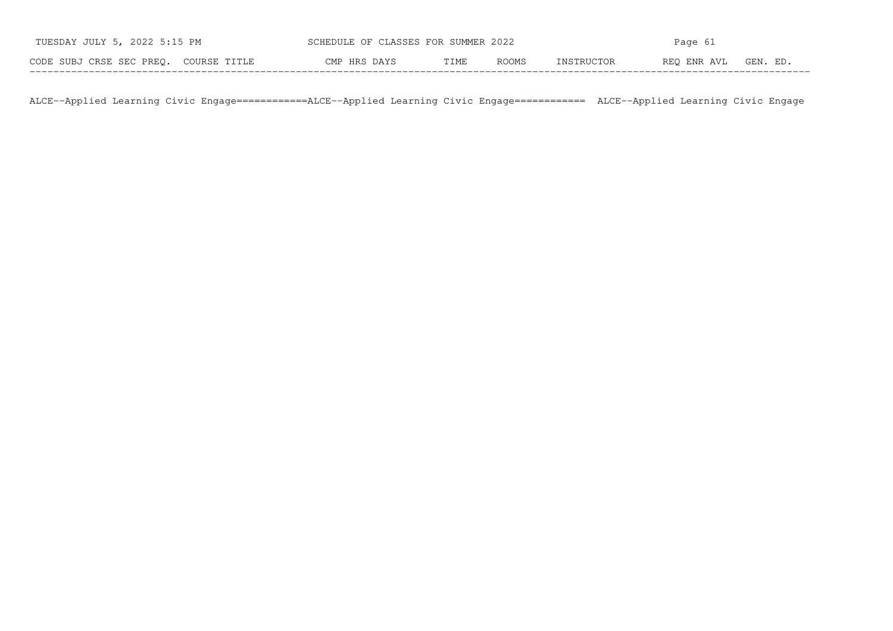| TUESDAY JULY 5, 2022 5:15 PM          | SCHEDULE OF CLASSES FOR SUMMER 2022 |      |       | Page 61    |             |          |  |
|---------------------------------------|-------------------------------------|------|-------|------------|-------------|----------|--|
| CODE SUBJ CRSE SEC PREO. COURSE TITLE | CMP HRS DAYS                        | TIME | ROOMS | INSTRUCTOR | REO ENR AVL | GEN. ED. |  |

ALCE−−Applied Learning Civic Engage============ALCE−−Applied Learning Civic Engage============ ALCE−−Applied Learning Civic Engage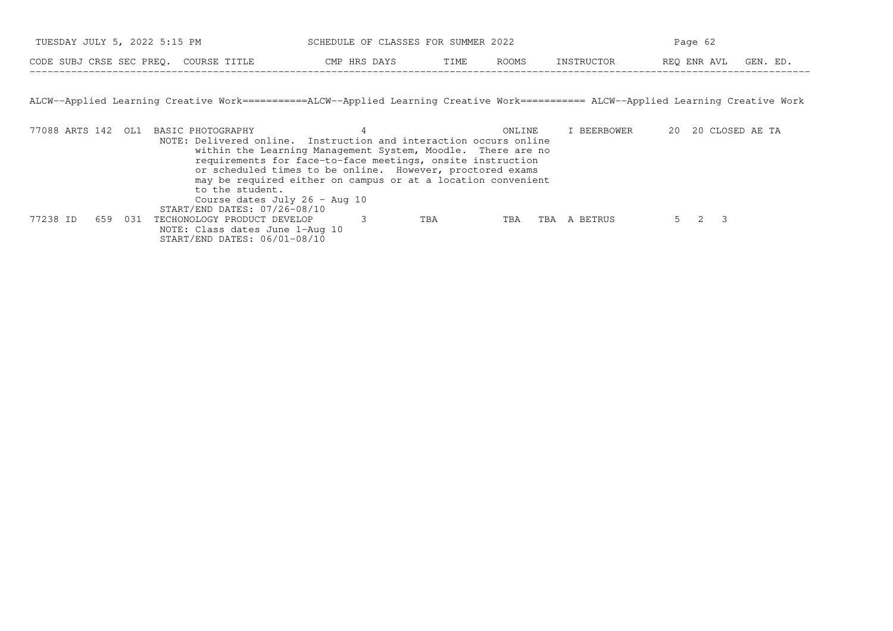| TUESDAY JULY 5, 2022 5:15 PM          | SCHEDULE OF CLASSES FOR SUMMER 2022 |       | Page 62      |            |             |         |
|---------------------------------------|-------------------------------------|-------|--------------|------------|-------------|---------|
| CODE SUBJ CRSE SEC PREQ. COURSE TITLE | CMP HRS DAYS                        | TTME. | <b>ROOMS</b> | INSTRUCTOR | REO ENR AVL | GEN. ED |

ALCW−−Applied Learning Creative Work===========ALCW−−Applied Learning Creative Work=========== ALCW−−Applied Learning Creative Work

|          |         | 77088 ARTS 142 OL1 BASIC PHOTOGRAPHY                              |                                                              | ONLINE     |     | I BEERBOWER |  | 20 20 CLOSED AE TA |  |
|----------|---------|-------------------------------------------------------------------|--------------------------------------------------------------|------------|-----|-------------|--|--------------------|--|
|          |         | NOTE: Delivered online. Instruction and interaction occurs online |                                                              |            |     |             |  |                    |  |
|          |         |                                                                   | within the Learning Management System, Moodle. There are no  |            |     |             |  |                    |  |
|          |         |                                                                   | requirements for face-to-face meetings, onsite instruction   |            |     |             |  |                    |  |
|          |         |                                                                   | or scheduled times to be online. However, proctored exams    |            |     |             |  |                    |  |
|          |         |                                                                   | may be required either on campus or at a location convenient |            |     |             |  |                    |  |
|          |         | to the student.                                                   |                                                              |            |     |             |  |                    |  |
|          |         | Course dates July 26 - Aug 10                                     |                                                              |            |     |             |  |                    |  |
|          |         | START/END DATES: 07/26-08/10                                      |                                                              |            |     |             |  |                    |  |
| 77238 ID | 659 031 | TECHONOLOGY PRODUCT DEVELOP                                       |                                                              | TBA<br>TBA | TBA | A BETRUS    |  |                    |  |
|          |         | NOTE: Class dates June 1-Aug 10                                   |                                                              |            |     |             |  |                    |  |
|          |         | START/END DATES: 06/01-08/10                                      |                                                              |            |     |             |  |                    |  |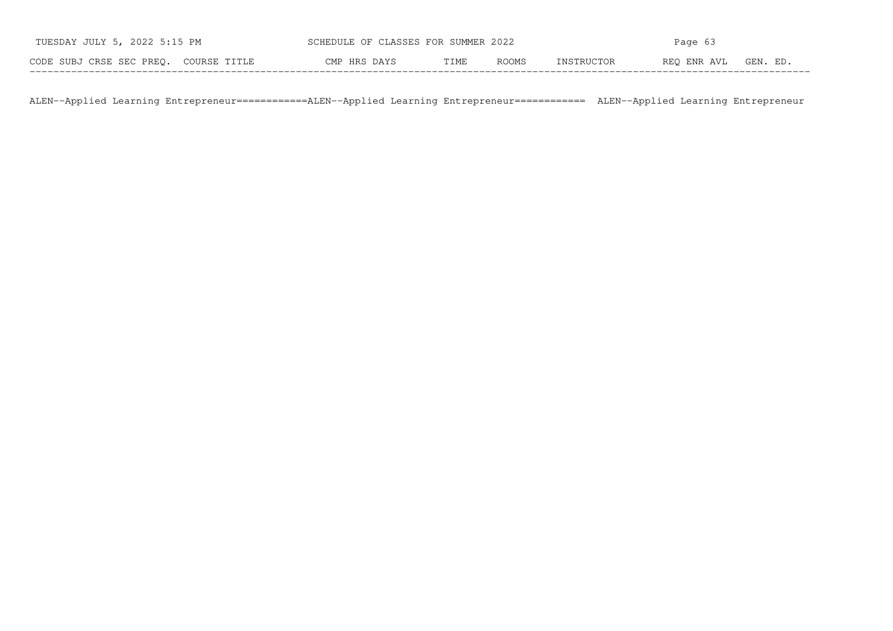| TUESDAY JULY 5, 2022 5:15 PM          | SCHEDULE OF CLASSES FOR SUMMER 2022 |      |       | Page 63    |             |          |  |
|---------------------------------------|-------------------------------------|------|-------|------------|-------------|----------|--|
| CODE SUBJ CRSE SEC PREO. COURSE TITLE | CMP HRS DAYS                        | TIME | ROOMS | INSTRUCTOR | REO ENR AVL | GEN. ED. |  |

ALEN−−Applied Learning Entrepreneur============ALEN−−Applied Learning Entrepreneur============ ALEN−−Applied Learning Entrepreneur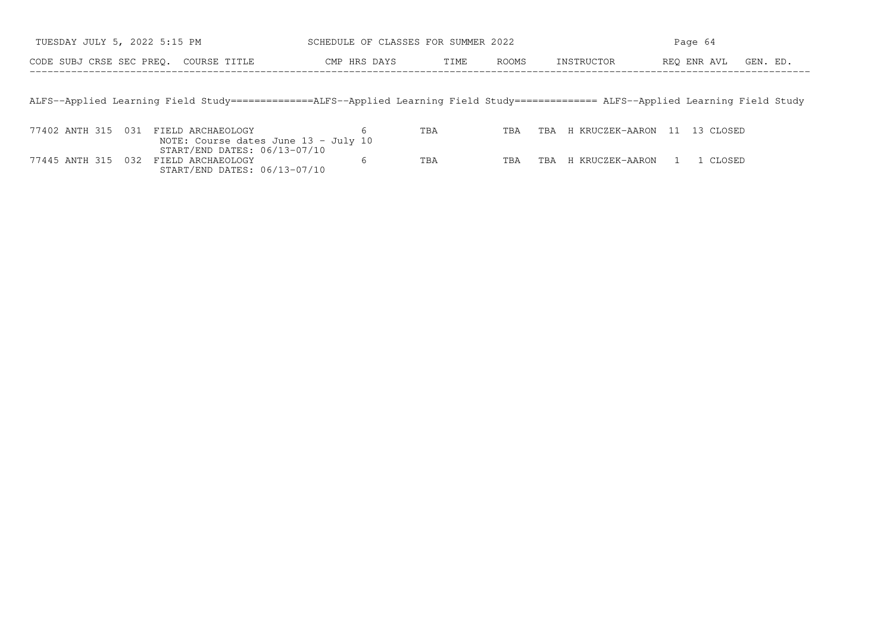| TUESDAY JULY 5, 2022 5:15 PM          |                                                                                                                                    | SCHEDULE OF CLASSES FOR SUMMER 2022 |      |       | Page 64    |                              |          |  |  |
|---------------------------------------|------------------------------------------------------------------------------------------------------------------------------------|-------------------------------------|------|-------|------------|------------------------------|----------|--|--|
| CODE SUBJ CRSE SEC PREO. COURSE TITLE |                                                                                                                                    | CMP HRS DAYS                        | TIME | ROOMS | INSTRUCTOR | REO ENR AVL                  | GEN. ED. |  |  |
|                                       |                                                                                                                                    |                                     |      |       |            |                              |          |  |  |
|                                       | ALFS--Applied Learning Field Study=============ALFS--Applied Learning Field Study============== ALFS--Applied Learning Field Study |                                     |      |       |            |                              |          |  |  |
| 77402 ANTH 315 031                    | FIELD ARCHAEOLOGY                                                                                                                  |                                     | TBA  | TBA   | TBA        | H KRUCZEK-AARON 11 13 CLOSED |          |  |  |
|                                       | NOTE: Course dates June 13 - July 10<br>START/END DATES: 06/13-07/10                                                               | 6                                   |      |       |            |                              |          |  |  |

77445 ANTH 315 032 FIELD ARCHAEOLOGY 6 TBA TBA TBA H KRUCZEK−AARON 1 1 CLOSED

77445 ANTH 315 032 FIELD ARCHAEOLOGY

START/END DATES: 06/13−07/10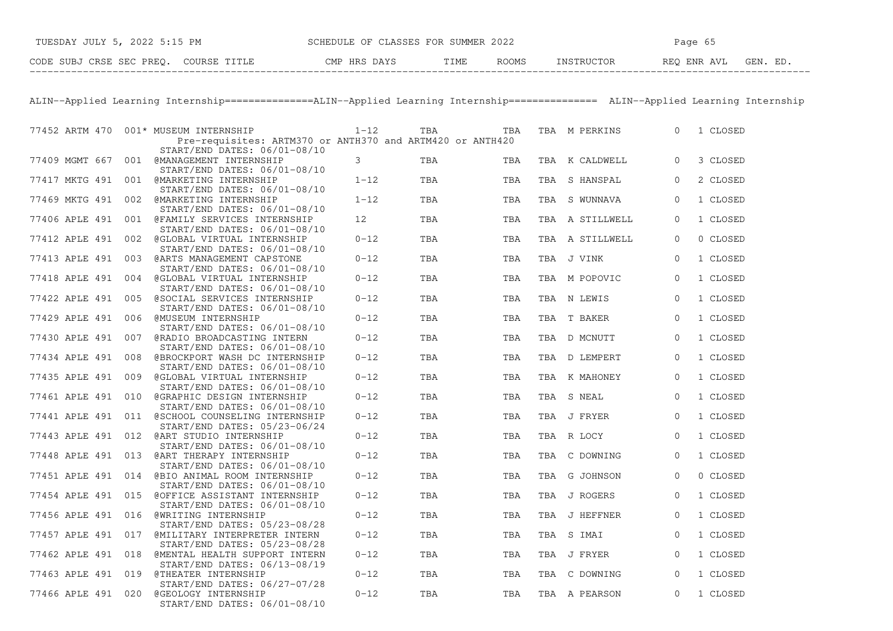| TUESDAY JULY 5, 2022 5:15 PM          | SCHEDULE OF CLASSES FOR SUMMER 2022 | Page 65                              |  |  |  |
|---------------------------------------|-------------------------------------|--------------------------------------|--|--|--|
| CODE SUBJ CRSE SEC PREO. COURSE TITLE | CMP HRS DAYS<br>ROOMS<br>TIME       | REO ENR AVL<br>INSTRUCTOR<br>GEN. ED |  |  |  |

ALIN−−Applied Learning Internship===============ALIN−−Applied Learning Internship=============== ALIN−−Applied Learning Internship

|                    |     | 77452 ARTM 470 001* MUSEUM INTERNSHIP<br>Pre-requisites: ARTM370 or ANTH370 and ARTM420 or ANTH420 | $1 - 12$ | TBA | TBA |     | TBA M PERKINS   | $\Omega$ | 1 CLOSED |
|--------------------|-----|----------------------------------------------------------------------------------------------------|----------|-----|-----|-----|-----------------|----------|----------|
| 77409 MGMT 667     |     | START/END DATES: 06/01-08/10<br>001 @MANAGEMENT INTERNSHIP<br>START/END DATES: 06/01-08/10         | 3        | TBA | TBA |     | TBA K CALDWELL  | 0        | 3 CLOSED |
| 77417 MKTG 491     | 001 | <b>@MARKETING INTERNSHIP</b><br>START/END DATES: 06/01-08/10                                       | $1 - 12$ | TBA | TBA | TBA | S HANSPAL       | $\Omega$ | 2 CLOSED |
| 77469 MKTG 491     | 002 | <b>@MARKETING INTERNSHIP</b><br>START/END DATES: 06/01-08/10                                       | $1 - 12$ | TBA | TBA | TBA | S WUNNAVA       | 0        | 1 CLOSED |
| 77406 APLE 491     | 001 | @FAMILY SERVICES INTERNSHIP<br>START/END DATES: 06/01-08/10                                        | 12       | TBA | TBA |     | TBA A STILLWELL | $\Omega$ | 1 CLOSED |
| 77412 APLE 491     | 002 | @GLOBAL VIRTUAL INTERNSHIP<br>START/END DATES: 06/01-08/10                                         | $0 - 12$ | TBA | TBA | TBA | A STILLWELL     | 0        | 0 CLOSED |
| 77413 APLE 491     | 003 | @ARTS MANAGEMENT CAPSTONE<br>START/END DATES: 06/01-08/10                                          | $0 - 12$ | TBA | TBA |     | TBA J VINK      | $\Omega$ | 1 CLOSED |
| 77418 APLE 491     | 004 | @GLOBAL VIRTUAL INTERNSHIP<br>START/END DATES: 06/01-08/10                                         | $0 - 12$ | TBA | TBA | TBA | M POPOVIC       | $\Omega$ | 1 CLOSED |
| 77422 APLE 491     | 005 | @SOCIAL SERVICES INTERNSHIP<br>START/END DATES: 06/01-08/10                                        | $0 - 12$ | TBA | TBA |     | TBA N LEWIS     | $\Omega$ | 1 CLOSED |
| 77429 APLE 491     | 006 | <b>@MUSEUM INTERNSHIP</b><br>START/END DATES: 06/01-08/10                                          | $0 - 12$ | TBA | TBA | TBA | T BAKER         | 0        | 1 CLOSED |
| 77430 APLE 491     | 007 | @RADIO BROADCASTING INTERN<br>START/END DATES: 06/01-08/10                                         | $0 - 12$ | TBA | TBA |     | TBA D MCNUTT    | 0        | 1 CLOSED |
| 77434 APLE 491     | 008 | @BROCKPORT WASH DC INTERNSHIP<br>START/END DATES: 06/01-08/10                                      | $0 - 12$ | TBA | TBA |     | TBA D LEMPERT   | 0        | 1 CLOSED |
| 77435 APLE 491     | 009 | @GLOBAL VIRTUAL INTERNSHIP<br>START/END DATES: 06/01-08/10                                         | $0 - 12$ | TBA | TBA |     | TBA K MAHONEY   | $\Omega$ | 1 CLOSED |
| 77461 APLE 491     | 010 | @GRAPHIC DESIGN INTERNSHIP<br>START/END DATES: 06/01-08/10                                         | $0 - 12$ | TBA | TBA | TBA | S NEAL          | $\Omega$ | 1 CLOSED |
|                    |     | 77441 APLE 491 011 @SCHOOL COUNSELING INTERNSHIP<br>START/END DATES: 05/23-06/24                   | $0 - 12$ | TBA | TBA |     | TBA J FRYER     | $\Omega$ | 1 CLOSED |
| 77443 APLE 491 012 |     | @ART STUDIO INTERNSHIP<br>START/END DATES: 06/01-08/10                                             | $0 - 12$ | TBA | TBA |     | TBA R LOCY      | $\Omega$ | 1 CLOSED |
| 77448 APLE 491 013 |     | @ART THERAPY INTERNSHIP<br>START/END DATES: 06/01-08/10                                            | $0 - 12$ | TBA | TBA |     | TBA C DOWNING   | $\Omega$ | 1 CLOSED |
| 77451 APLE 491 014 |     | @BIO ANIMAL ROOM INTERNSHIP<br>START/END DATES: 06/01-08/10                                        | $0 - 12$ | TBA | TBA | TBA | G JOHNSON       | $\Omega$ | 0 CLOSED |
| 77454 APLE 491 015 |     | @OFFICE ASSISTANT INTERNSHIP<br>START/END DATES: 06/01-08/10                                       | $0 - 12$ | TBA | TBA |     | TBA J ROGERS    | $\Omega$ | 1 CLOSED |
| 77456 APLE 491 016 |     | <b>@WRITING INTERNSHIP</b><br>START/END DATES: 05/23-08/28                                         | $0 - 12$ | TBA | TBA | TBA | J HEFFNER       | $\Omega$ | 1 CLOSED |
| 77457 APLE 491     | 017 | @MILITARY INTERPRETER INTERN<br>START/END DATES: 05/23-08/28                                       | $0 - 12$ | TBA | TBA |     | TBA S IMAI      | 0        | 1 CLOSED |
| 77462 APLE 491 018 |     | <b>@MENTAL HEALTH SUPPORT INTERN</b><br>START/END DATES: 06/13-08/19                               | $0 - 12$ | TBA | TBA |     | TBA J FRYER     | 0        | 1 CLOSED |
| 77463 APLE 491     | 019 | @THEATER INTERNSHIP<br>START/END DATES: 06/27-07/28                                                | $0 - 12$ | TBA | TBA | TBA | C DOWNING       | 0        | 1 CLOSED |
| 77466 APLE 491 020 |     | @GEOLOGY INTERNSHIP<br>START/END DATES: 06/01-08/10                                                | $0 - 12$ | TBA | TBA |     | TBA A PEARSON   | $\Omega$ | 1 CLOSED |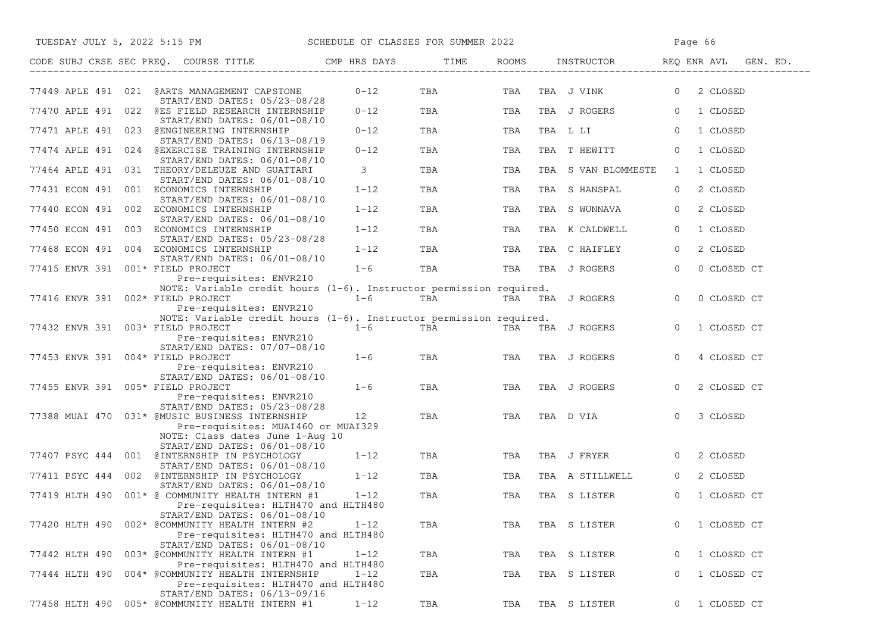| TUESDAY JULY 5, 2022 5:15 PM SCHEDULE OF CLASSES FOR SUMMER 2022                                                                                              |                |            |     |                     | Page 66                               |
|---------------------------------------------------------------------------------------------------------------------------------------------------------------|----------------|------------|-----|---------------------|---------------------------------------|
| CODE SUBJ CRSE SEC PREQ. COURSE TITLE THE CMP HRS DAYS                                                                                                        |                | TIME       |     |                     | ROOMS INSTRUCTOR REQ ENR AVL GEN. ED. |
| 77449 APLE 491 021 @ARTS MANAGEMENT CAPSTONE<br>START/END DATES: 05/23-08/28                                                                                  | $0 - 12$       | TBA        | TBA | TBA J VINK          | 2 CLOSED<br>$\overline{0}$            |
| 77470 APLE 491 022 @ES FIELD RESEARCH INTERNSHIP<br>START/END DATES: 06/01-08/10                                                                              | $0 - 12$       | TBA        | TBA | TBA J ROGERS        | 0 1 CLOSED                            |
| 77471 APLE 491 023 @ENGINEERING INTERNSHIP                                                                                                                    | $0 - 12$       | TBA        | TBA | TBA L LI            | $\overline{0}$<br>1 CLOSED            |
| START/END DATES: 06/13-08/19<br>77474 APLE 491 024 @EXERCISE TRAINING INTERNSHIP<br>START/END DATES: 06/01-08/10                                              | $0 - 12$       | TBA        | TBA | TBA T HEWITT        | $\overline{0}$<br>1 CLOSED            |
| 77464 APLE 491 031 THEORY/DELEUZE AND GUATTARI<br>START/END DATES: 06/01-08/10                                                                                | 3 <sup>7</sup> | TBA        | TBA | TBA S VAN BLOMMESTE | 1 CLOSED<br>1                         |
| 77431 ECON 491 001 ECONOMICS INTERNSHIP                                                                                                                       | $1 - 12$       | TBA        | TBA | TBA S HANSPAL       | 2 CLOSED<br>$\circ$                   |
| START/END DATES: 06/01-08/10<br>77440 ECON 491 002 ECONOMICS INTERNSHIP<br>START/END DATES: 06/01-08/10                                                       | $1 - 12$       | TBA        | TBA | TBA S WUNNAVA       | 2 CLOSED<br>$\overline{0}$            |
| 77450 ECON 491 003 ECONOMICS INTERNSHIP<br>START/END DATES: 05/23-08/28                                                                                       | $1 - 12$       | TBA        | TBA | TBA K CALDWELL      | $\circ$<br>1 CLOSED                   |
| 77468 ECON 491 004 ECONOMICS INTERNSHIP<br>START/END DATES: 06/01-08/10                                                                                       | $1 - 12$       | TBA        | TBA | TBA C HAIFLEY       | 2 CLOSED<br>$\overline{0}$            |
| 77415 ENVR 391 001* FIELD PROJECT                                                                                                                             | $1 - 6$        | <b>TBA</b> |     | TBA TBA J ROGERS    | $\overline{0}$<br>0 CLOSED CT         |
| Pre-requisites: ENVR210<br>NOTE: Variable credit hours (1-6). Instructor permission required.<br>77416 ENVR 391 002* FIELD PROJECT<br>Pre-requisites: ENVR210 | $1-6$ TBA      |            |     | TBA TBA J ROGERS    | 0 CLOSED CT<br>$\overline{0}$         |
| NOTE: Variable credit hours (1-6). Instructor permission required.<br>77432 ENVR 391 003* FIELD PROJECT<br>Pre-requisites: ENVR210                            | $1-6$          | TBA        |     | TBA TBA J ROGERS    | $\overline{0}$<br>1 CLOSED CT         |
| START/END DATES: 07/07-08/10<br>77453 ENVR 391 004* FIELD PROJECT<br>Pre-requisites: ENVR210                                                                  | $1 - 6$        | TBA        | TBA | TBA J ROGERS        | $\Omega$<br>4 CLOSED CT               |
| START/END DATES: 06/01-08/10<br>77455 ENVR 391 005* FIELD PROJECT<br>Pre-requisites: ENVR210                                                                  | $1 - 6$        | TBA        | TBA | TBA J ROGERS        | 2 CLOSED CT<br>$\overline{0}$         |
| START/END DATES: 05/23-08/28<br>77388 MUAI 470 031* @MUSIC BUSINESS INTERNSHIP<br>Pre-requisites: MUAI460 or MUAI329                                          | 12             | TBA        | TBA | TBA D VIA           | 3 CLOSED<br>$\circ$                   |
| NOTE: Class dates June 1-Aug 10<br>START/END DATES: 06/01-08/10<br>77407 PSYC 444 001 @INTERNSHIP IN PSYCHOLOGY                                               | $1 - 12$       | TBA        | TBA | TBA J FRYER         | 2 CLOSED<br>$\overline{0}$            |
| START/END DATES: 06/01-08/10<br>77411 PSYC 444 002 @INTERNSHIP IN PSYCHOLOGY                                                                                  | $1 - 12$       | TBA        | TBA | TBA A STILLWELL     | 2 CLOSED<br>$\overline{0}$            |
| START/END DATES: 06/01-08/10<br>77419 HLTH 490 001* @ COMMUNITY HEALTH INTERN #1<br>Pre-requisites: HLTH470 and HLTH480                                       | $1 - 12$       | TBA        | TBA | TBA S LISTER        | $\overline{0}$<br>1 CLOSED CT         |
| START/END DATES: 06/01-08/10<br>77420 HLTH 490 002* @COMMUNITY HEALTH INTERN #2<br>Pre-requisites: HLTH470 and HLTH480<br>START/END DATES: 06/01-08/10        | $1 - 12$       | TBA        | TBA | TBA S LISTER        | 1 CLOSED CT<br>$\circ$                |
| 77442 HLTH 490<br>003* @COMMUNITY HEALTH INTERN #1                                                                                                            | $1 - 12$       | TBA        | TBA | TBA S LISTER        | 1 CLOSED CT<br>0                      |
| Pre-requisites: HLTH470 and HLTH480<br>004* @COMMUNITY HEALTH INTERNSHIP<br>77444 HLTH 490<br>Pre-requisites: HLTH470 and HLTH480                             | $1 - 12$       | TBA        | TBA | TBA S LISTER        | 1 CLOSED CT<br>0                      |
| START/END DATES: 06/13-09/16<br>77458 HLTH 490<br>005* @COMMUNITY HEALTH INTERN #1                                                                            | $1 - 12$       | TBA        | TBA | TBA S LISTER        | 1 CLOSED CT<br>$\circ$                |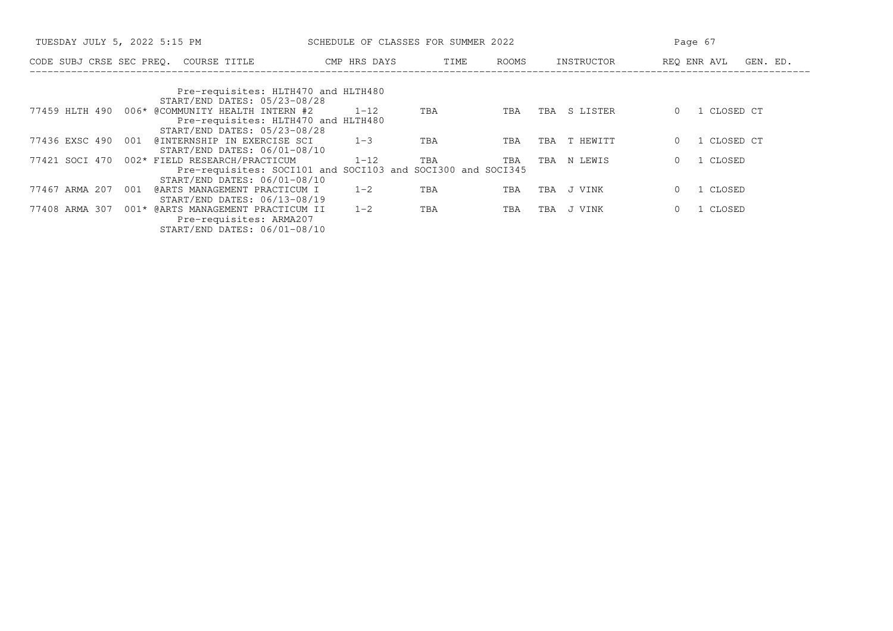| TUESDAY JULY 5, 2022 5:15 PM                                                                | SCHEDULE OF CLASSES FOR SUMMER 2022 |      |       |                 | Page 67                 |
|---------------------------------------------------------------------------------------------|-------------------------------------|------|-------|-----------------|-------------------------|
| CODE SUBJ CRSE SEC PREQ. COURSE TITLE                                                       | CMP HRS DAYS                        | TIME | ROOMS | INSTRUCTOR      | REQ ENR AVL<br>GEN. ED. |
| Pre-requisites: HLTH470 and HLTH480<br>START/END DATES: 05/23-08/28                         |                                     |      |       |                 |                         |
| 006* @COMMUNITY HEALTH INTERN #2<br>77459 HLTH 490<br>Pre-requisites: HLTH470 and HLTH480   | $1 - 12$                            | TBA  | TBA   | S LISTER<br>TBA | CLOSED CT               |
| START/END DATES: 05/23-08/28<br>77436 EXSC 490<br>@INTERNSHIP IN EXERCISE SCI<br>001        | $1 - 3$                             | TBA  | TBA   | T HEWITT<br>TBA | 1 CLOSED CT             |
| START/END DATES: 06/01-08/10                                                                |                                     |      |       |                 |                         |
| 002* FIELD RESEARCH/PRACTICUM<br>77421 SOCI 470                                             | $1 - 12$                            | TBA  | TBA   | TBA<br>N LEWIS  | 1 CLOSED                |
| Pre-requisites: SOCI101 and SOCI103 and SOCI300 and SOCI345<br>START/END DATES: 06/01-08/10 |                                     |      |       |                 |                         |
| 77467 ARMA 207<br>@ARTS MANAGEMENT PRACTICUM I<br>001                                       | $1 - 2$                             | TBA  | TBA   | J VINK<br>TBA   | CLOSED                  |
| START/END DATES: 06/13-08/19<br>001* @ARTS MANAGEMENT PRACTICUM II<br>77408 ARMA<br>- 307   | $1 - 2$                             | TBA  | TBA   | J VINK<br>TBA   | CLOSED                  |
| Pre-requisites: ARMA207<br>START/END DATES: 06/01-08/10                                     |                                     |      |       |                 |                         |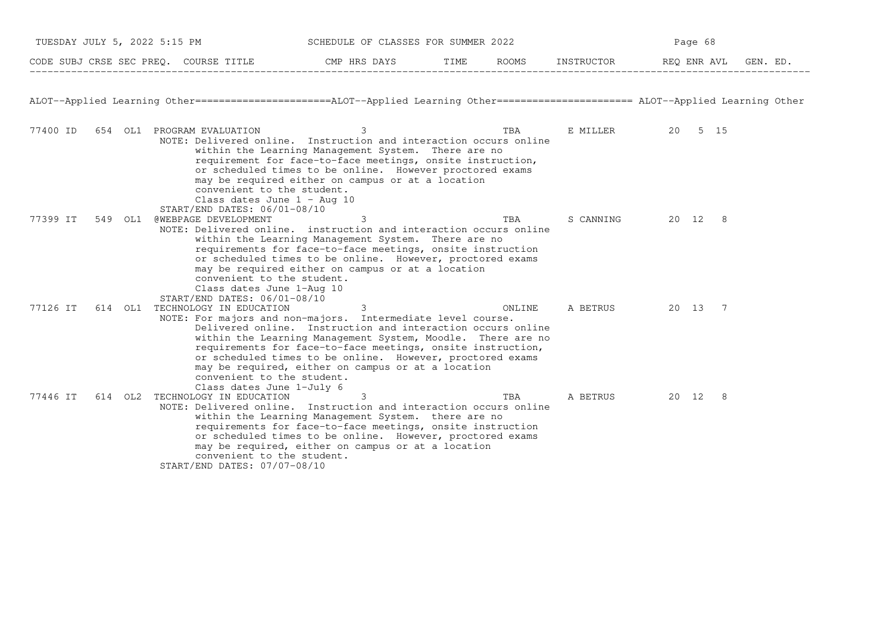| TUESDAY JULY 5, 2022 5:15 PM |         |                                                                                                                                   | SCHEDULE OF CLASSES FOR SUMMER 2022                                                                                                                                                                                                                                                                                                                                              |        |                   | Page 68 |  |
|------------------------------|---------|-----------------------------------------------------------------------------------------------------------------------------------|----------------------------------------------------------------------------------------------------------------------------------------------------------------------------------------------------------------------------------------------------------------------------------------------------------------------------------------------------------------------------------|--------|-------------------|---------|--|
|                              |         |                                                                                                                                   | CODE SUBJ CRSE SEC PREQ. COURSE TITLE TO THE ROOMS INSTRUCTOR THE ROOMS ENGLAVI GEN. ED.                                                                                                                                                                                                                                                                                         |        |                   |         |  |
|                              |         |                                                                                                                                   | ALOT--Applied Learning Other=======================ALOT--Applied Learning Other====================== ALOT--Applied Learning Other                                                                                                                                                                                                                                               |        |                   |         |  |
| 77400 ID                     |         | 654 OL1 PROGRAM EVALUATION<br>convenient to the student.<br>Class dates June $1 - \text{Aug } 10$<br>START/END DATES: 06/01-08/10 | 3<br>NOTE: Delivered online. Instruction and interaction occurs online<br>within the Learning Management System. There are no<br>requirement for face-to-face meetings, onsite instruction,<br>or scheduled times to be online. However proctored exams<br>may be required either on campus or at a location                                                                     | TBA    | E MILLER 20 5 15  |         |  |
| 77399 IT                     | 549 OL1 | @WEBPAGE DEVELOPMENT<br>convenient to the student.<br>Class dates June 1-Aug 10<br>START/END DATES: 06/01-08/10                   | 3<br>NOTE: Delivered online. instruction and interaction occurs online<br>within the Learning Management System. There are no<br>requirements for face-to-face meetings, onsite instruction<br>or scheduled times to be online. However, proctored exams<br>may be required either on campus or at a location                                                                    | TBA    | S CANNING 20 12 8 |         |  |
| 77126 IT                     |         | 614 OL1 TECHNOLOGY IN EDUCATION<br>convenient to the student.<br>Class dates June 1-July 6                                        | 3<br>NOTE: For majors and non-majors. Intermediate level course.<br>Delivered online. Instruction and interaction occurs online<br>within the Learning Management System, Moodle. There are no<br>requirements for face-to-face meetings, onsite instruction,<br>or scheduled times to be online. However, proctored exams<br>may be required, either on campus or at a location | ONLINE | A BETRUS 20 13 7  |         |  |
| 77446 IT                     |         | 614 OL2 TECHNOLOGY IN EDUCATION<br>convenient to the student.<br>START/END DATES: 07/07-08/10                                     | 3<br>NOTE: Delivered online. Instruction and interaction occurs online<br>within the Learning Management System. there are no<br>requirements for face-to-face meetings, onsite instruction<br>or scheduled times to be online. However, proctored exams<br>may be required, either on campus or at a location                                                                   | TBA    | A BETRUS 20 12 8  |         |  |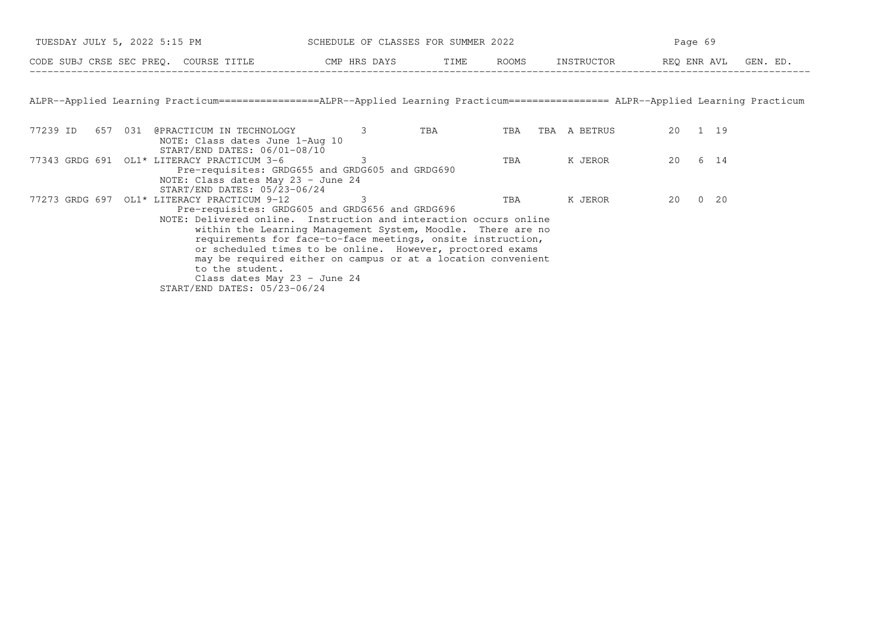|          | TUESDAY JULY 5, 2022 5:15 PM                                                                                                                                                                                                                                                                                                                                                                                    | SCHEDULE OF CLASSES FOR SUMMER 2022 |     |     |                  | Page 69 |  |
|----------|-----------------------------------------------------------------------------------------------------------------------------------------------------------------------------------------------------------------------------------------------------------------------------------------------------------------------------------------------------------------------------------------------------------------|-------------------------------------|-----|-----|------------------|---------|--|
|          | CODE SUBJ CRSE SEC PREQ. COURSE TITLE CMP HRS DAYS TIME ROOMS INSTRUCTOR BEQ ENR AVL GEN. ED.                                                                                                                                                                                                                                                                                                                   |                                     |     |     |                  |         |  |
|          |                                                                                                                                                                                                                                                                                                                                                                                                                 |                                     |     |     |                  |         |  |
|          | ALPR--Applied Learning Practicum================ALPR--Applied Learning Practicum================= ALPR--Applied Learning Practicum                                                                                                                                                                                                                                                                              |                                     |     |     |                  |         |  |
| 77239 ID | 657 031 @PRACTICUM IN TECHNOLOGY 3<br>NOTE: Class dates June 1-Aug 10                                                                                                                                                                                                                                                                                                                                           |                                     | TBA |     | TBA TBA A BETRUS | 20 1 19 |  |
|          | $START/END$ DATES: $06/01-08/10$<br>77343 GRDG 691 OL1* LITERACY PRACTICUM 3-6<br>Pre-requisites: GRDG655 and GRDG605 and GRDG690                                                                                                                                                                                                                                                                               | 3                                   |     | TBA | K JEROR          | 20 6 14 |  |
|          | NOTE: Class dates May 23 - June 24<br>START/END DATES: 05/23-06/24<br>77273 GRDG 697 OL1* LITERACY PRACTICUM 9-12<br>Pre-requisites: GRDG605 and GRDG656 and GRDG696                                                                                                                                                                                                                                            | -3                                  |     | TBA | K JEROR          | 20 0 20 |  |
|          | NOTE: Delivered online. Instruction and interaction occurs online<br>within the Learning Management System, Moodle. There are no<br>requirements for face-to-face meetings, onsite instruction,<br>or scheduled times to be online. However, proctored exams<br>may be required either on campus or at a location convenient<br>to the student.<br>Class dates May 23 - June 24<br>START/END DATES: 05/23-06/24 |                                     |     |     |                  |         |  |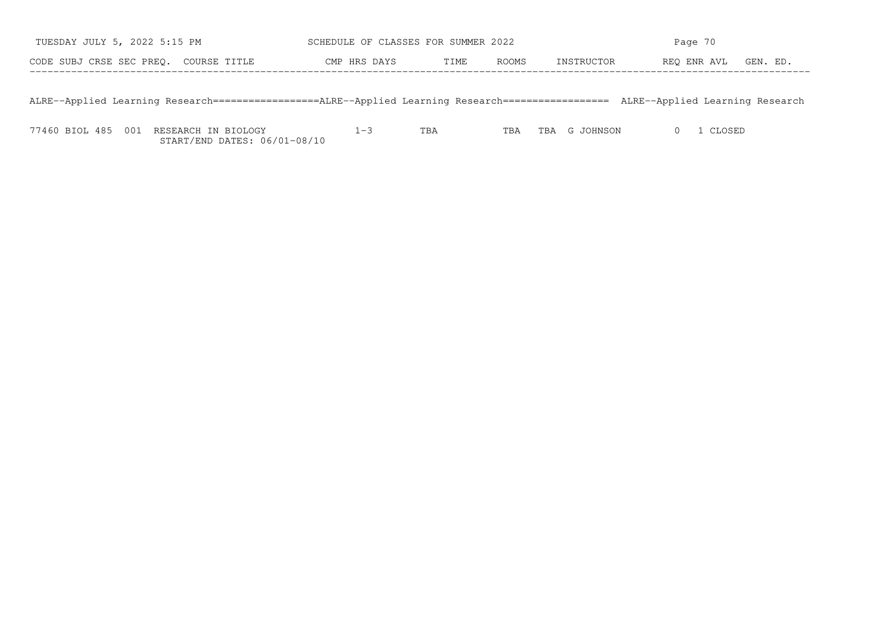| TUESDAY JULY 5, 2022 5:15 PM          | SCHEDULE OF CLASSES FOR SUMMER 2022 |      | Page 70 |            |                      |  |
|---------------------------------------|-------------------------------------|------|---------|------------|----------------------|--|
| CODE SUBJ CRSE SEC PREO. COURSE TITLE | CMP HRS DAYS                        | TIME | ROOMS   | INSTRUCTOR | REO ENR AVL GEN. ED. |  |
|                                       |                                     |      |         |            |                      |  |

ALRE−−Applied Learning Research==================ALRE−−Applied Learning Research================== ALRE−−Applied Learning Research

77460 BIOL 485 001 RESEARCH IN BIOLOGY 1−3 TBA TBA TBA G JOHNSON 0 1 CLOSEDSTART/END DATES: 06/01−08/10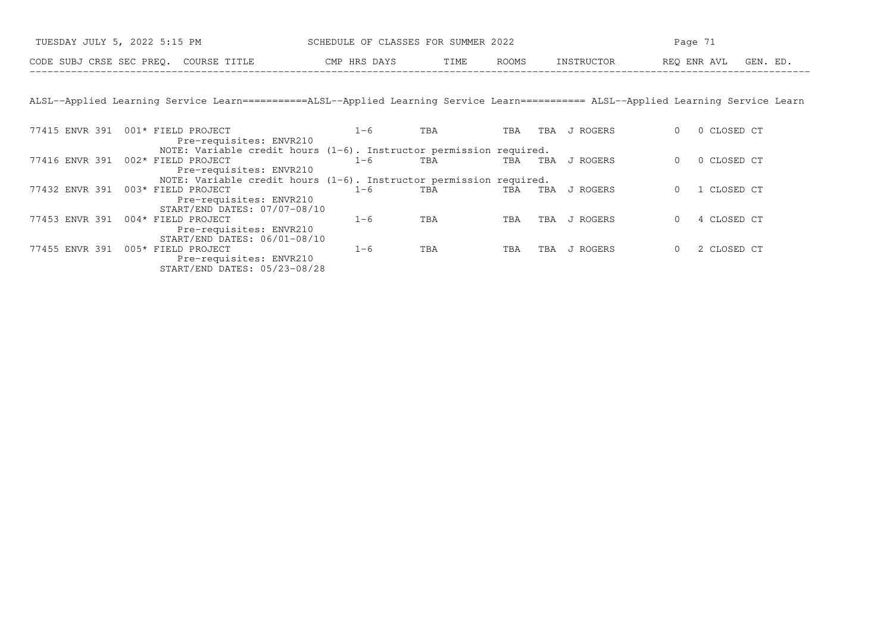| TUESDAY JULY 5, 2022 5:15 PM             | SCHEDULE OF CLASSES FOR SUMMER 2022 |                     | Page                   |
|------------------------------------------|-------------------------------------|---------------------|------------------------|
| CODE SUBJ CRSE SEC PREQ.<br>COURSE TITLE | CMP HRS DAYS<br>T T ME.             | ROOMS<br>INSTRUCTOR | GEN. ED<br>REO ENR AVL |

ALSL−−Applied Learning Service Learn===========ALSL−−Applied Learning Service Learn=========== ALSL−−Applied Learning Service Learn

| 77415 ENVR 391 | 001* FIELD PROJECT                                                    | $1 - 6$ | TBA | TBA | TBA | J ROGERS | 0 CLOSED CT |
|----------------|-----------------------------------------------------------------------|---------|-----|-----|-----|----------|-------------|
|                | Pre-requisites: ENVR210                                               |         |     |     |     |          |             |
|                | NOTE: Variable credit hours $(1-6)$ . Instructor permission required. |         |     |     |     |          |             |
| 77416 ENVR 391 | 002* FIELD PROJECT                                                    | 1-6     | TBA | TBA | TBA | J ROGERS | 0 CLOSED CT |
|                | Pre-requisites: ENVR210                                               |         |     |     |     |          |             |
|                | NOTE: Variable credit hours $(1-6)$ . Instructor permission required. |         |     |     |     |          |             |
| 77432 ENVR 391 | 003* FIELD PROJECT                                                    | 1-6     | TBA | TBA | TBA | J ROGERS | 1 CLOSED CT |
|                | Pre-requisites: ENVR210                                               |         |     |     |     |          |             |
|                | START/END DATES: 07/07-08/10                                          |         |     |     |     |          |             |
| 77453 ENVR 391 | 004* FIELD PROJECT                                                    | 1-6     | TBA | TBA | TBA | J ROGERS | 4 CLOSED CT |
|                | Pre-requisites: ENVR210                                               |         |     |     |     |          |             |
|                | START/END DATES: 06/01-08/10                                          |         |     |     |     |          |             |
| 77455 ENVR 391 | 005* FIELD PROJECT                                                    | $1 - 6$ | TBA | TBA | TBA | J ROGERS | 2 CLOSED CT |
|                | Pre-requisites: ENVR210                                               |         |     |     |     |          |             |
|                | START/END DATES: 05/23-08/28                                          |         |     |     |     |          |             |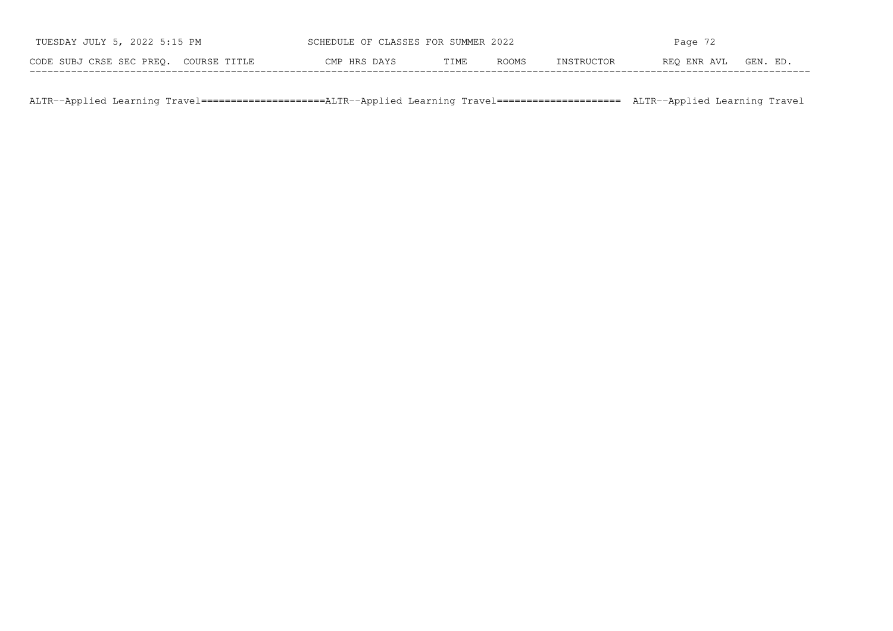| TUESDAY JULY 5, 2022 5:15 PM          | SCHEDULE OF CLASSES FOR SUMMER 2022 |      |       | Page $72$  |             |          |  |
|---------------------------------------|-------------------------------------|------|-------|------------|-------------|----------|--|
| CODE SUBJ CRSE SEC PREO. COURSE TITLE | CMP HRS DAYS                        | TIME | ROOMS | INSTRUCTOR | REO ENR AVL | GEN. ED. |  |

ALTR−−Applied Learning Travel=====================ALTR−−Applied Learning Travel===================== ALTR−−Applied Learning Travel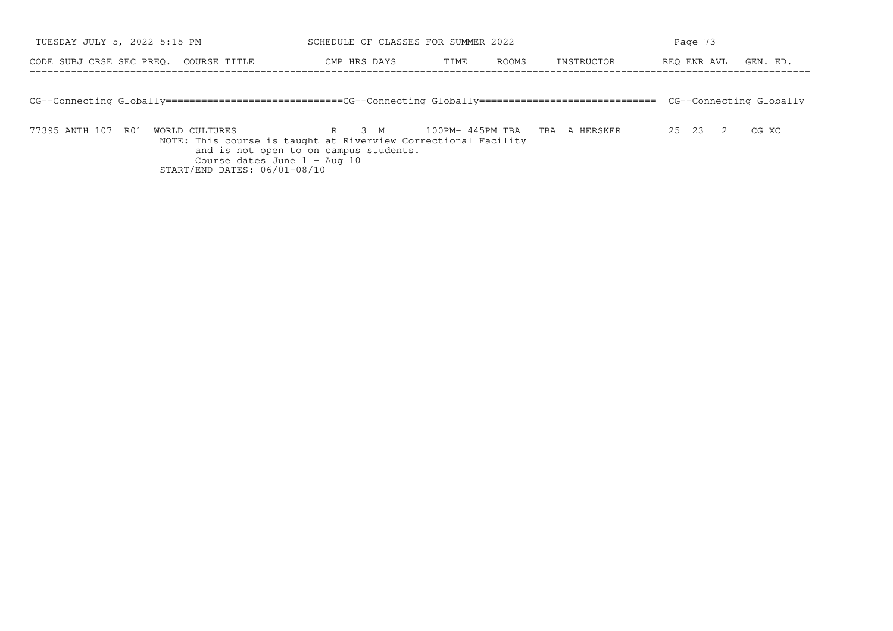| TUESDAY JULY 5, 2022 5:15 PM                                                                                                      | SCHEDULE OF CLASSES FOR SUMMER 2022                                                                                                                          |            | Page 73                 |  |  |  |
|-----------------------------------------------------------------------------------------------------------------------------------|--------------------------------------------------------------------------------------------------------------------------------------------------------------|------------|-------------------------|--|--|--|
| CODE SUBJ CRSE SEC PREO.<br>COURSE TITLE                                                                                          | ROOMS<br>CMP HRS DAYS<br>TIME                                                                                                                                | INSTRUCTOR | REO ENR AVL<br>GEN. ED. |  |  |  |
|                                                                                                                                   |                                                                                                                                                              |            |                         |  |  |  |
| CG--Connecting Globally=============================CG--Connecting Globally============================== CG--Connecting Globally |                                                                                                                                                              |            |                         |  |  |  |
|                                                                                                                                   |                                                                                                                                                              |            |                         |  |  |  |
| 77395 ANTH 107 R01<br>WORLD CULTURES                                                                                              | 100PM-445PM TBA TBA A HERSKER<br>R 3 M<br>recommendation and the contract of the contract of the contract of the contract of the contract of the contract of |            | 25 23<br>CG XC<br>2     |  |  |  |

NOTE: This course is taught at Riverview Correctional Facility and is not open to on campus students. Course dates June 1 − Aug 10 START/END DATES: 06/01−08/10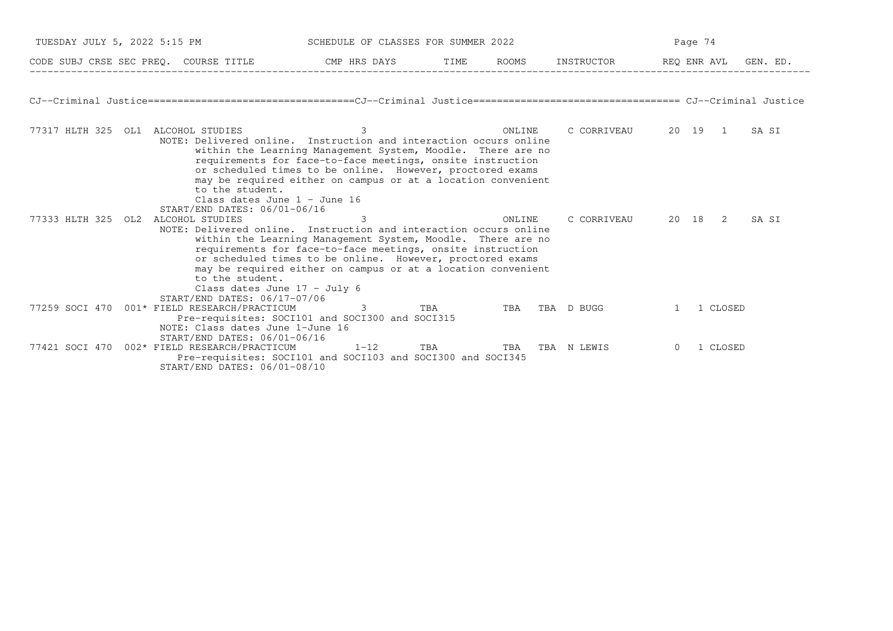| TUESDAY JULY 5, 2022 5:15 PM                           |                                                                                                                                                                                                                                                                                                                                                                                                                  | SCHEDULE OF CLASSES FOR SUMMER 2022 | Page 74 |                |                     |             |          |          |
|--------------------------------------------------------|------------------------------------------------------------------------------------------------------------------------------------------------------------------------------------------------------------------------------------------------------------------------------------------------------------------------------------------------------------------------------------------------------------------|-------------------------------------|---------|----------------|---------------------|-------------|----------|----------|
| CODE SUBJ CRSE SEC PREQ. COURSE TITLE THE CMP HRS DAYS |                                                                                                                                                                                                                                                                                                                                                                                                                  |                                     | TIME    | ROOMS          | INSTRUCTOR          | REQ ENR AVL |          | GEN. ED. |
|                                                        |                                                                                                                                                                                                                                                                                                                                                                                                                  |                                     |         |                |                     |             |          |          |
| 77317 HLTH 325 OL1 ALCOHOL STUDIES                     | NOTE: Delivered online. Instruction and interaction occurs online<br>within the Learning Management System, Moodle. There are no<br>requirements for face-to-face meetings, onsite instruction<br>or scheduled times to be online. However, proctored exams<br>may be required either on campus or at a location convenient<br>to the student.<br>Class dates June $1 -$ June 16<br>START/END DATES: 06/01-06/16 | 3                                   |         | ONLINE         | C CORRIVEAU 20 19 1 |             |          | SA SI    |
| 77333 HLTH 325 OL2 ALCOHOL STUDIES                     | NOTE: Delivered online. Instruction and interaction occurs online<br>within the Learning Management System, Moodle. There are no<br>requirements for face-to-face meetings, onsite instruction<br>or scheduled times to be online. However, proctored exams<br>may be required either on campus or at a location convenient<br>to the student.<br>Class dates June $17 - July 6$                                 | 3                                   |         | ONLINE         | C CORRIVEAU 20 18 2 |             |          | SA SI    |
| 77259 SOCI 470 001* FIELD RESEARCH/PRACTICUM           | START/END DATES: 06/17-07/06<br>Pre-requisites: SOCI101 and SOCI300 and SOCI315<br>NOTE: Class dates June 1-June 16<br>START/END DATES: 06/01-06/16                                                                                                                                                                                                                                                              | 3                                   | TBA     | TBA TBA D BUGG |                     |             | 1 CLOSED |          |
| 77421 SOCI 470 002* FIELD RESEARCH/PRACTICUM           | Pre-requisites: SOCI101 and SOCI103 and SOCI300 and SOCI345<br>START/END DATES: 06/01-08/10                                                                                                                                                                                                                                                                                                                      | $1-12$ TBA                          |         |                | TBA TBA N LEWIS     |             | 1 CLOSED |          |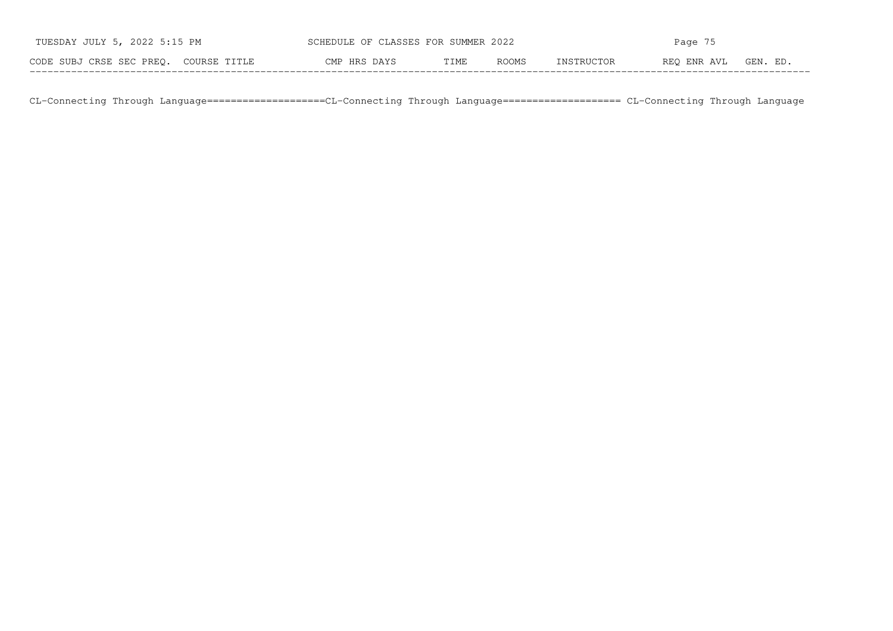| TUESDAY JULY 5, 2022 5:15 PM          | SCHEDULE OF CLASSES FOR SUMMER 2022 |      |              | Page 75    |             |          |  |
|---------------------------------------|-------------------------------------|------|--------------|------------|-------------|----------|--|
| CODE SUBJ CRSE SEC PREO. COURSE TITLE | CMP HRS DAYS                        | TIME | <b>ROOMS</b> | INSTRUCTOR | REO ENR AVL | GEN. ED. |  |

CL−Connecting Through Language====================CL−Connecting Through Language==================== CL−Connecting Through Language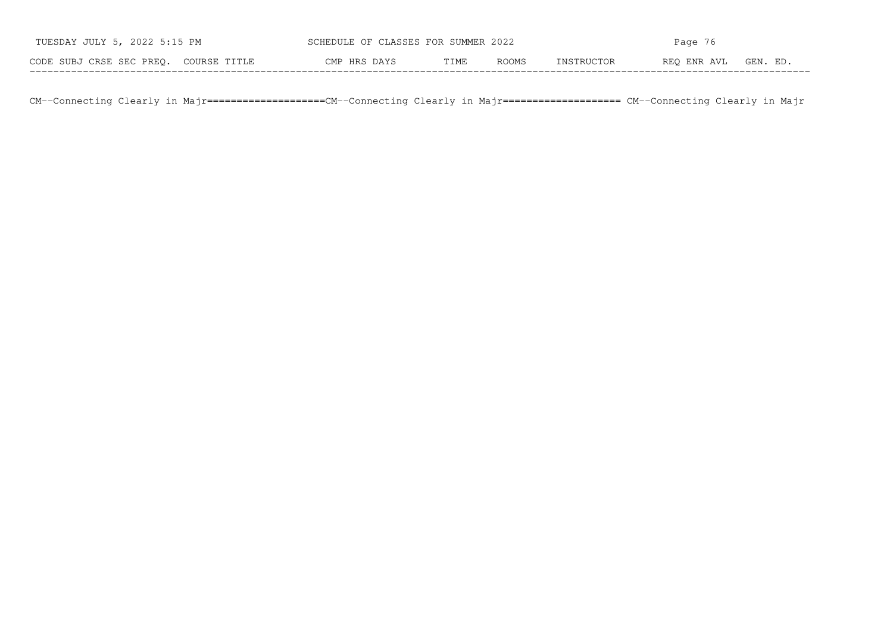| TUESDAY JULY 5, 2022 5:15 PM          | SCHEDULE OF CLASSES FOR SUMMER 2022 |      |       | Page 76    |             |          |  |
|---------------------------------------|-------------------------------------|------|-------|------------|-------------|----------|--|
| CODE SUBJ CRSE SEC PREO. COURSE TITLE | CMP HRS DAYS                        | TIME | ROOMS | INSTRUCTOR | REO ENR AVL | GEN. ED. |  |

CM−−Connecting Clearly in Majr====================CM−−Connecting Clearly in Majr==================== CM−−Connecting Clearly in Majr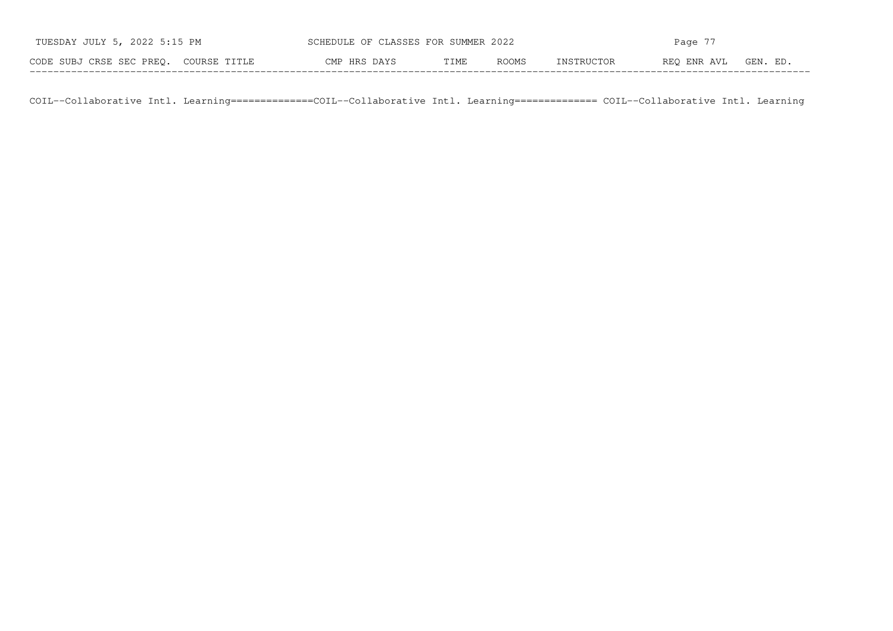| TUESDAY JULY 5, 2022 5:15 PM          | SCHEDULE OF CLASSES FOR SUMMER 2022 |      |       | Page 77    |             |          |  |
|---------------------------------------|-------------------------------------|------|-------|------------|-------------|----------|--|
| CODE SUBJ CRSE SEC PREO. COURSE TITLE | CMP HRS DAYS                        | TIME | ROOMS | INSTRUCTOR | REO ENR AVL | GEN. ED. |  |

COIL−−Collaborative Intl. Learning==============COIL−−Collaborative Intl. Learning============== COIL−−Collaborative Intl. Learning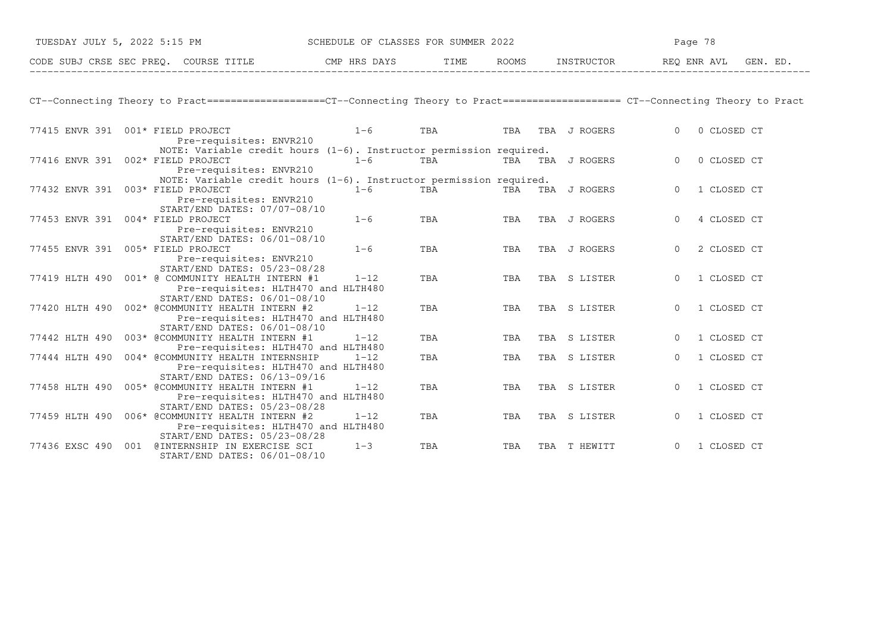| TUESDAY JULY 5, 2022 5:15 PM |  |                                                                                               | SCHEDULE OF CLASSES FOR SUMMER 2022 |     |            | Page 78      |                                                                                                                                     |  |  |
|------------------------------|--|-----------------------------------------------------------------------------------------------|-------------------------------------|-----|------------|--------------|-------------------------------------------------------------------------------------------------------------------------------------|--|--|
|                              |  | CODE SUBJ CRSE SEC PREQ. COURSE TITLE THE CMP HRS DAYS                                        |                                     |     | TIME ROOMS | INSTRUCTOR   | GEN. ED.<br>REQ ENR AVL                                                                                                             |  |  |
|                              |  |                                                                                               |                                     |     |            |              |                                                                                                                                     |  |  |
|                              |  |                                                                                               |                                     |     |            |              | CT--Connecting Theory to Pract===================CT--Connecting Theory to Pract===================== CT--Connecting Theory to Pract |  |  |
|                              |  | 77415 ENVR 391 001* FIELD PROJECT<br>Pre-requisites: ENVR210                                  | $1-6$                               | TBA | TBA        | TBA J ROGERS | 0 CLOSED CT<br>$\Omega$                                                                                                             |  |  |
|                              |  | NOTE: Variable credit hours $(1-6)$ . Instructor permission required.                         |                                     |     |            |              |                                                                                                                                     |  |  |
|                              |  | 77416 ENVR 391 002* FIELD PROJECT                                                             | $1 - 6$                             | TBA | TBA        | TBA J ROGERS | 0 CLOSED CT<br>$\Omega$                                                                                                             |  |  |
|                              |  | Pre-requisites: ENVR210<br>NOTE: Variable credit hours (1-6). Instructor permission required. |                                     |     |            |              |                                                                                                                                     |  |  |
|                              |  | 77432 ENVR 391 003* FIELD PROJECT                                                             | $1 - 6$                             | TBA | TBA        | TBA J ROGERS | 1 CLOSED CT<br>$\Omega$                                                                                                             |  |  |
|                              |  | Pre-requisites: ENVR210<br>START/END DATES: 07/07-08/10                                       |                                     |     |            |              |                                                                                                                                     |  |  |
|                              |  | 77453 ENVR 391 004* FIELD PROJECT                                                             | $1 - 6$                             | TBA | TBA        | TBA J ROGERS | 4 CLOSED CT<br>$\Omega$                                                                                                             |  |  |
|                              |  | Pre-requisites: ENVR210<br>START/END DATES: 06/01-08/10                                       |                                     |     |            |              |                                                                                                                                     |  |  |
| 77455 ENVR 391               |  | 005* FIELD PROJECT                                                                            | $1 - 6$                             | TBA | TBA        | TBA J ROGERS | 2 CLOSED CT<br>$\Omega$                                                                                                             |  |  |
|                              |  | Pre-requisites: ENVR210<br>START/END DATES: 05/23-08/28                                       |                                     |     |            |              |                                                                                                                                     |  |  |
|                              |  | 77419 HLTH 490 001* @ COMMUNITY HEALTH INTERN #1                                              | $1 - 12$                            | TBA | TBA        | TBA S LISTER | 1 CLOSED CT<br>$\Omega$                                                                                                             |  |  |
|                              |  | Pre-requisites: HLTH470 and HLTH480<br>START/END DATES: 06/01-08/10                           |                                     |     |            |              |                                                                                                                                     |  |  |
| 77420 HLTH 490               |  | 002* @COMMUNITY HEALTH INTERN #2                                                              | $1 - 12$                            | TBA | TBA        | TBA S LISTER | 1 CLOSED CT<br>$\Omega$                                                                                                             |  |  |
|                              |  | Pre-requisites: HLTH470 and HLTH480                                                           |                                     |     |            |              |                                                                                                                                     |  |  |
|                              |  | START/END DATES: 06/01-08/10                                                                  |                                     |     |            |              |                                                                                                                                     |  |  |
| 77442 HLTH 490               |  | 003* @COMMUNITY HEALTH INTERN #1<br>Pre-requisites: HLTH470 and HLTH480                       | $1 - 12$                            | TBA | TBA        | TBA S LISTER | 1 CLOSED CT<br>$\Omega$                                                                                                             |  |  |
| 77444 HLTH 490               |  | 004* @COMMUNITY HEALTH INTERNSHIP                                                             | $1 - 12$                            | TBA | TBA        | TBA S LISTER | 1 CLOSED CT<br>$\Omega$                                                                                                             |  |  |
|                              |  | Pre-requisites: HLTH470 and HLTH480                                                           |                                     |     |            |              |                                                                                                                                     |  |  |
|                              |  | START/END DATES: 06/13-09/16                                                                  |                                     |     |            |              |                                                                                                                                     |  |  |
| 77458 HLTH 490               |  | 005* @COMMUNITY HEALTH INTERN #1                                                              | $1 - 12$                            | TBA | TBA        | TBA S LISTER | 1 CLOSED CT<br>$\Omega$                                                                                                             |  |  |
|                              |  | Pre-requisites: HLTH470 and HLTH480                                                           |                                     |     |            |              |                                                                                                                                     |  |  |
|                              |  | START/END DATES: 05/23-08/28                                                                  |                                     |     |            |              |                                                                                                                                     |  |  |
|                              |  | 77459 HLTH 490 006* @COMMUNITY HEALTH INTERN #2                                               | $1 - 12$                            | TBA | TBA        | TBA S LISTER | $\Omega$<br>1 CLOSED CT                                                                                                             |  |  |
|                              |  | Pre-requisites: HLTH470 and HLTH480                                                           |                                     |     |            |              |                                                                                                                                     |  |  |
|                              |  | START/END DATES: 05/23-08/28                                                                  |                                     |     |            |              |                                                                                                                                     |  |  |
|                              |  | 77436 EXSC 490 001 @INTERNSHIP IN EXERCISE SCI                                                | $1 - 3$                             | TBA | TBA        | TBA T HEWITT | 1 CLOSED CT<br>$\circ$                                                                                                              |  |  |

START/END DATES: 06/01−08/10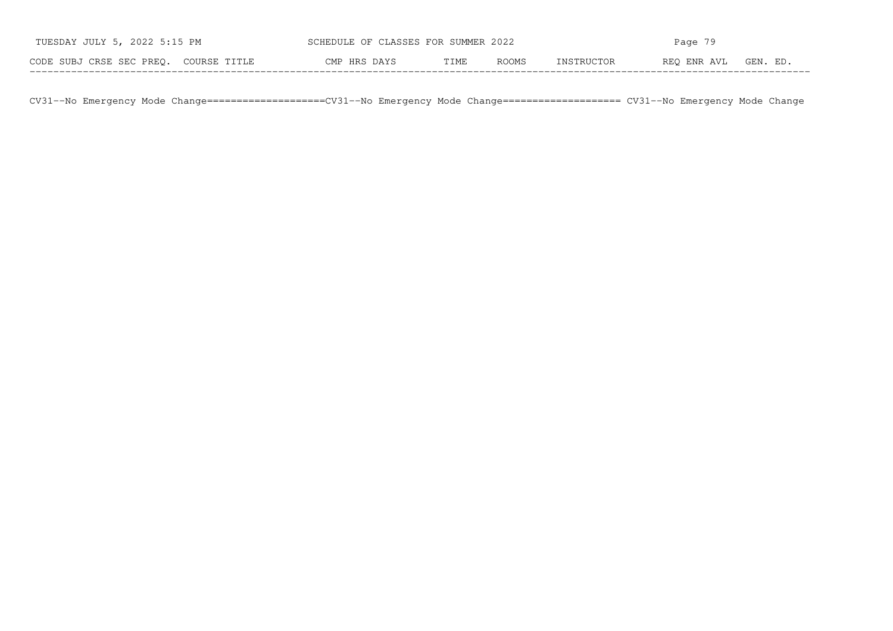| TUESDAY JULY 5, 2022 5:15 PM          | SCHEDULE OF CLASSES FOR SUMMER 2022 |      |       | Page $79$  |             |          |  |
|---------------------------------------|-------------------------------------|------|-------|------------|-------------|----------|--|
| CODE SUBJ CRSE SEC PREO. COURSE TITLE | CMP HRS DAYS                        | TIME | ROOMS | INSTRUCTOR | REO ENR AVL | GEN. ED. |  |

CV31−−No Emergency Mode Change====================CV31−−No Emergency Mode Change==================== CV31−−No Emergency Mode Change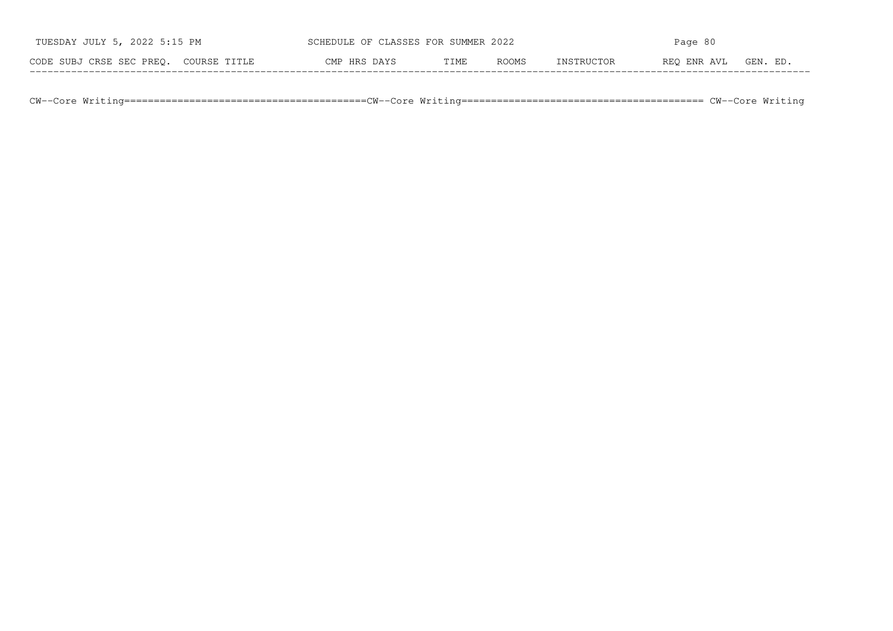| TUESDAY JULY 5, 2022 5:15 PM             | SCHEDULE OF CLASSES FOR SUMMER 2022 |      |              | Page 80     |             |         |  |
|------------------------------------------|-------------------------------------|------|--------------|-------------|-------------|---------|--|
| CODE SUBJ CRSE SEC PREO.<br>COURSE TITLE | CMP HRS DAYS                        | TIME | <b>ROOMS</b> | TNSTRIICTOR | REO ENR AVL | GEN. ED |  |

CW−−Core Writing=========================================CW−−Core Writing========================================= CW−−Core Writing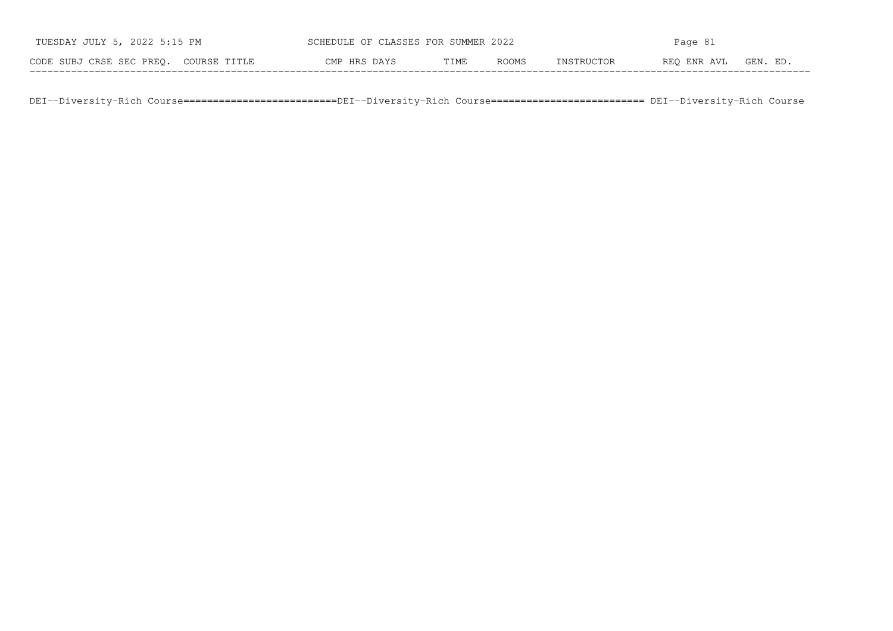| TUESDAY JULY 5, 2022 5:15 PM          | SCHEDULE OF CLASSES FOR SUMMER 2022 |      |              | Page 81    |             |          |  |
|---------------------------------------|-------------------------------------|------|--------------|------------|-------------|----------|--|
| CODE SUBJ CRSE SEC PREO. COURSE TITLE | CMP HRS DAYS                        | TIME | <b>ROOMS</b> | INSTRUCTOR | REO ENR AVL | GEN. ED. |  |

DEI−−Diversity−Rich Course==========================DEI−−Diversity−Rich Course========================== DEI−−Diversity−Rich Course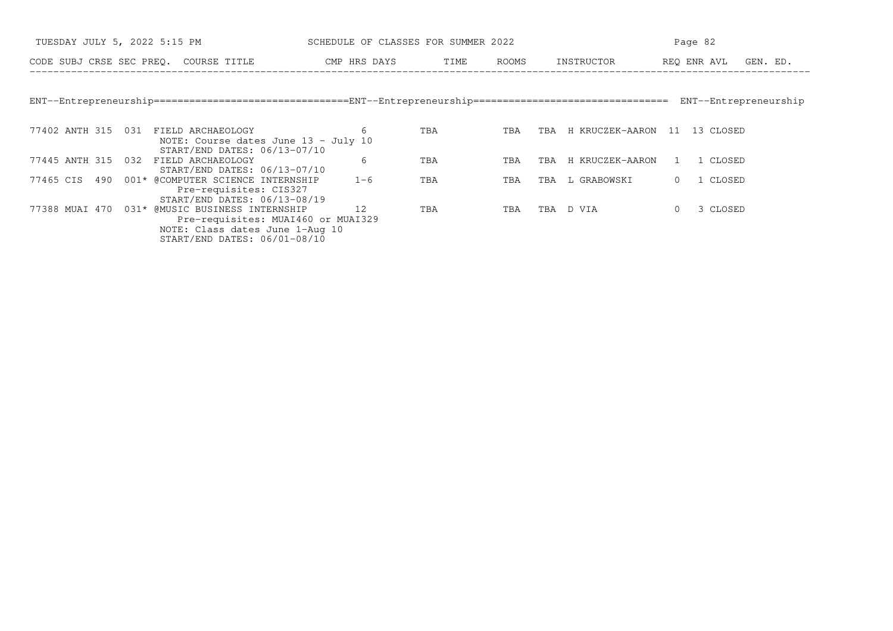| TUESDAY JULY 5, 2022 5:15 PM                                                                                                                            | SCHEDULE OF CLASSES FOR SUMMER 2022 |      |       | Page 82                             |                         |  |  |
|---------------------------------------------------------------------------------------------------------------------------------------------------------|-------------------------------------|------|-------|-------------------------------------|-------------------------|--|--|
| CODE SUBJ CRSE SEC PREQ. COURSE TITLE                                                                                                                   | CMP HRS DAYS                        | TIME | ROOMS | INSTRUCTOR                          | REQ ENR AVL<br>GEN. ED. |  |  |
|                                                                                                                                                         |                                     |      |       |                                     |                         |  |  |
|                                                                                                                                                         |                                     |      |       |                                     | ENT--Entrepreneurship   |  |  |
| 77402 ANTH 315 031<br>FIELD ARCHAEOLOGY<br>NOTE: Course dates June 13 - July 10<br>START/END DATES: 06/13-07/10                                         | 6                                   | TBA  | TBA   | H KRUCZEK-AARON 11 13 CLOSED<br>TBA |                         |  |  |
| 77445 ANTH 315 032<br>FIELD ARCHAEOLOGY<br>START/END DATES: 06/13-07/10                                                                                 | 6                                   | TBA  | TBA   | H KRUCZEK-AARON<br>TBA              | 1 CLOSED                |  |  |
| 001* @COMPUTER SCIENCE INTERNSHIP<br>77465 CIS 490<br>Pre-requisites: CIS327<br>START/END DATES: 06/13-08/19                                            | $1 - 6$                             | TBA  | TBA   | L GRABOWSKI<br>TBA                  | 1 CLOSED<br>$\circ$     |  |  |
| 77388 MUAI 470 031* @MUSIC BUSINESS INTERNSHIP<br>Pre-requisites: MUAI460 or MUAI329<br>NOTE: Class dates June 1-Aug 10<br>START/END DATES: 06/01-08/10 | 12                                  | TBA  | TBA   | D VIA<br>TBA                        | 3 CLOSED<br>$\circ$     |  |  |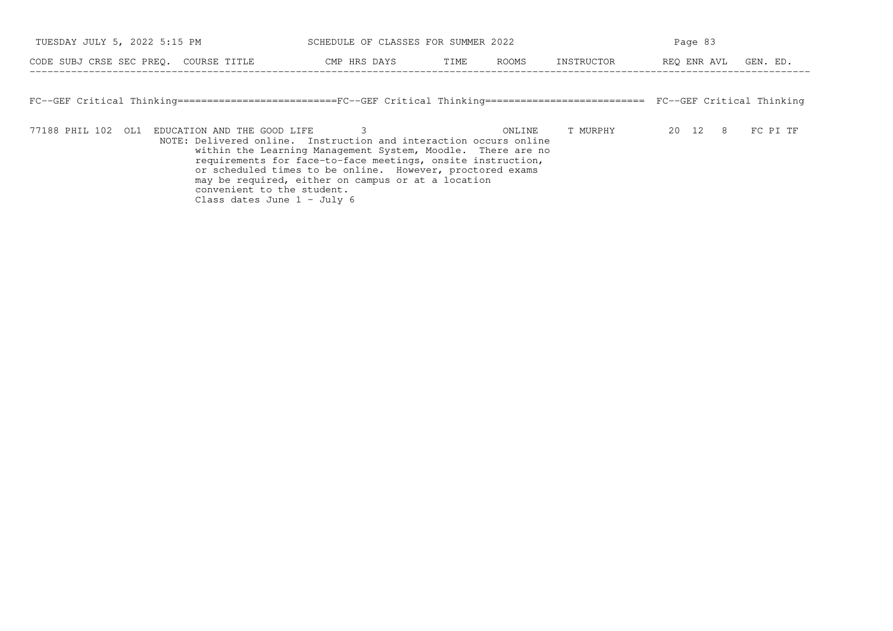| TUESDAY JULY 5, 2022 5:15 PM          | SCHEDULE OF CLASSES FOR SUMMER 2022 |      |       | Page 83    |             |          |  |
|---------------------------------------|-------------------------------------|------|-------|------------|-------------|----------|--|
| CODE SUBJ CRSE SEC PREO. COURSE TITLE | CMP HRS DAYS                        | TIME | ROOMS | INSTRUCTOR | REO ENR AVL | GEN. ED. |  |

FC−−GEF Critical Thinking===========================FC−−GEF Critical Thinking=========================== FC−−GEF Critical Thinking

77188 PHIL 102 OL1 EDUCATION AND THE GOOD LIFE 3 ONLINE T MURPHY 20 12 8 FC PI TF NOTE: Delivered online. Instruction and interaction occurs online within the Learning Management System, Moodle. There are no requirements for face−to−face meetings, onsite instruction,or scheduled times to be online. However, proctored exams may be required, either on campus or at a locationconvenient to the student. Class dates June 1 − July 6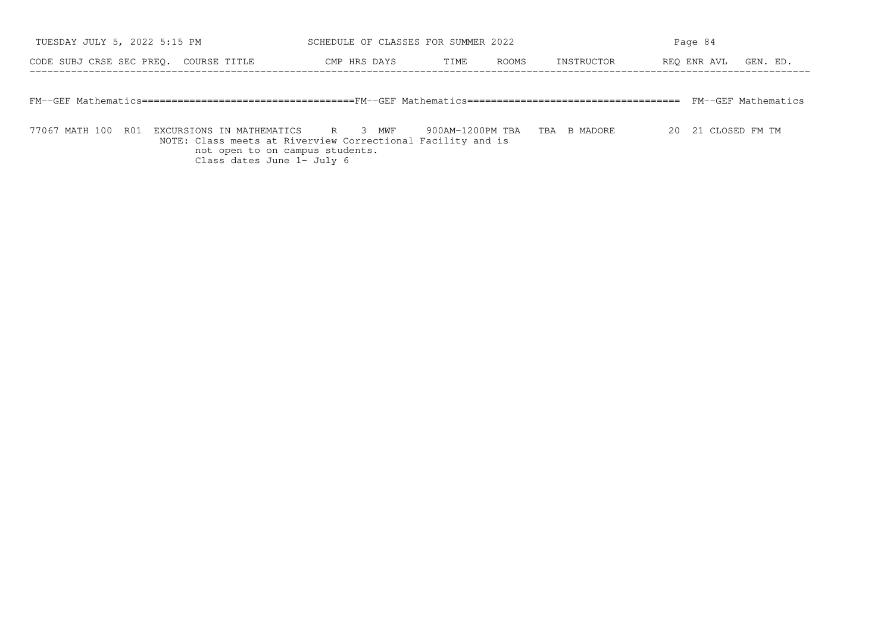| TUESDAY JULY 5, 2022 5:15 PM          |  |              |  | SCHEDULE OF CLASSES FOR SUMMER 2022 |       |            |  |  | Page 84              |  |  |  |
|---------------------------------------|--|--------------|--|-------------------------------------|-------|------------|--|--|----------------------|--|--|--|
| CODE SUBJ CRSE SEC PREO. COURSE TITLE |  | CMP HRS DAYS |  | TIME                                | ROOMS | INSTRUCTOR |  |  | REO ENR AVL GEN. ED. |  |  |  |
|                                       |  |              |  |                                     |       |            |  |  |                      |  |  |  |
|                                       |  |              |  |                                     |       |            |  |  | FM--GEF Mathematics  |  |  |  |

77067 MATH 100 R01 EXCURSIONS IN MATHEMATICS R 3 MWF 900AM−1200PM TBA TBA B MADORE 20 21 CLOSED FM TM NOTE: Class meets at Riverview Correctional Facility and isnot open to on campus students. Class dates June 1− July 6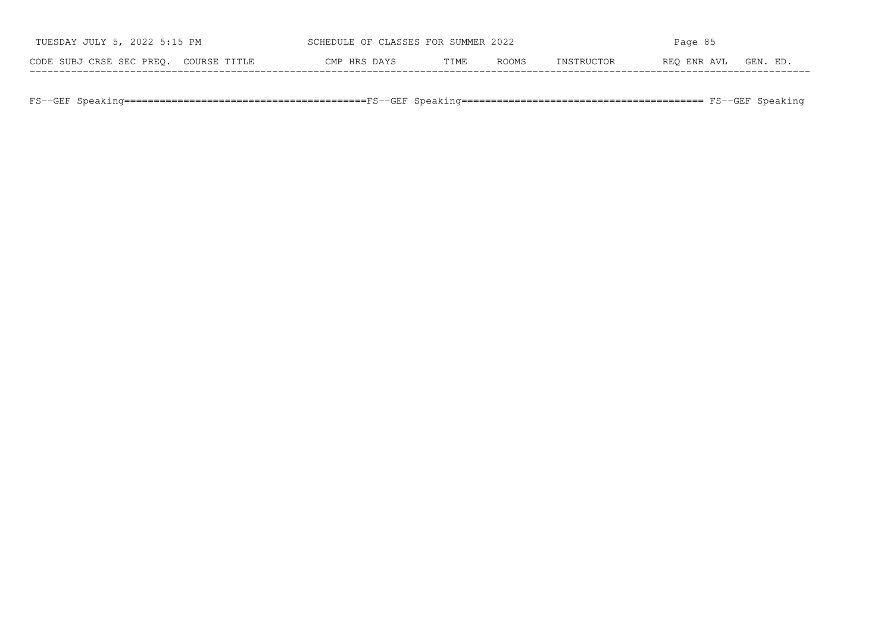| TUESDAY JULY 5, 2022 5:15 PM             |              | SCHEDULE OF CLASSES FOR SUMMER 2022<br>Page 85 |              |                   |             |          |
|------------------------------------------|--------------|------------------------------------------------|--------------|-------------------|-------------|----------|
| CODE SUBJ CRSE SEC PREO.<br>COURSE TITLE | CMP HRS DAYS | TIME                                           | <b>ROOMS</b> | <b>TNSTRHCTOR</b> | REO ENR AVL | GEN. ED. |

FS−−GEF Speaking=========================================FS−−GEF Speaking========================================= FS−−GEF Speaking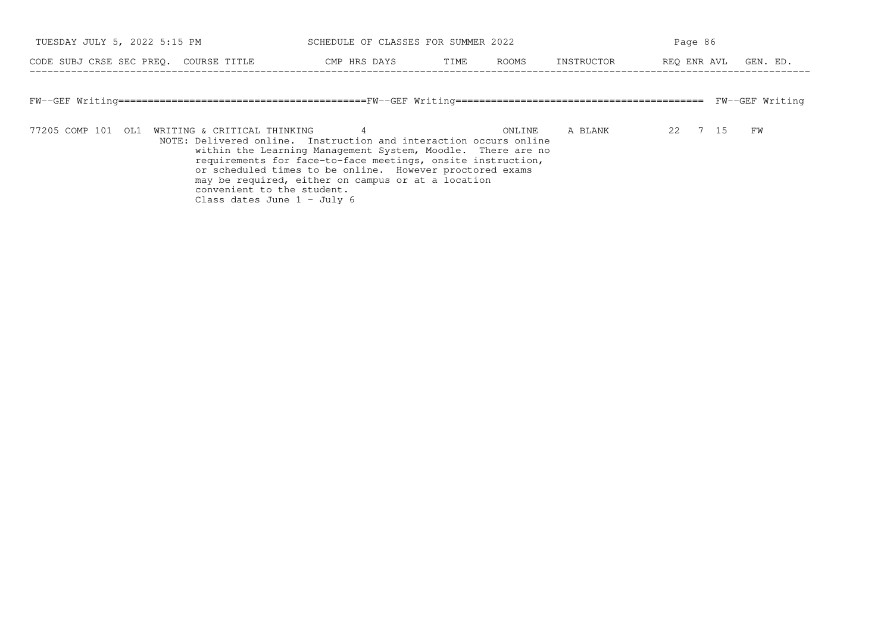| TUESDAY JULY 5, 2022 5:15 PM                      | SCHEDULE OF CLASSES FOR SUMMER 2022                                                                                                                                                                                                                                                                                                 |               |                   | Page 86                 |
|---------------------------------------------------|-------------------------------------------------------------------------------------------------------------------------------------------------------------------------------------------------------------------------------------------------------------------------------------------------------------------------------------|---------------|-------------------|-------------------------|
| CODE SUBJ CRSE SEC PREO. COURSE TITLE             | CMP HRS DAYS                                                                                                                                                                                                                                                                                                                        | ROOMS<br>TIME | INSTRUCTOR        | REO ENR AVL<br>GEN. ED. |
|                                                   |                                                                                                                                                                                                                                                                                                                                     |               |                   | FW--GEF Writing         |
| 77205 COMP 101 OL1<br>WRITING & CRITICAL THINKING | $\overline{4}$<br>NOTE: Delivered online. Instruction and interaction occurs online<br>within the Learning Management System, Moodle. There are no<br>requirements for face-to-face meetings, onsite instruction,<br>or scheduled times to be online. However proctored exams<br>may be required, either on campus or at a location |               | A BLANK<br>ONLINE | 22 7 15<br>FW           |

convenient to the student. Class dates June 1 − July 6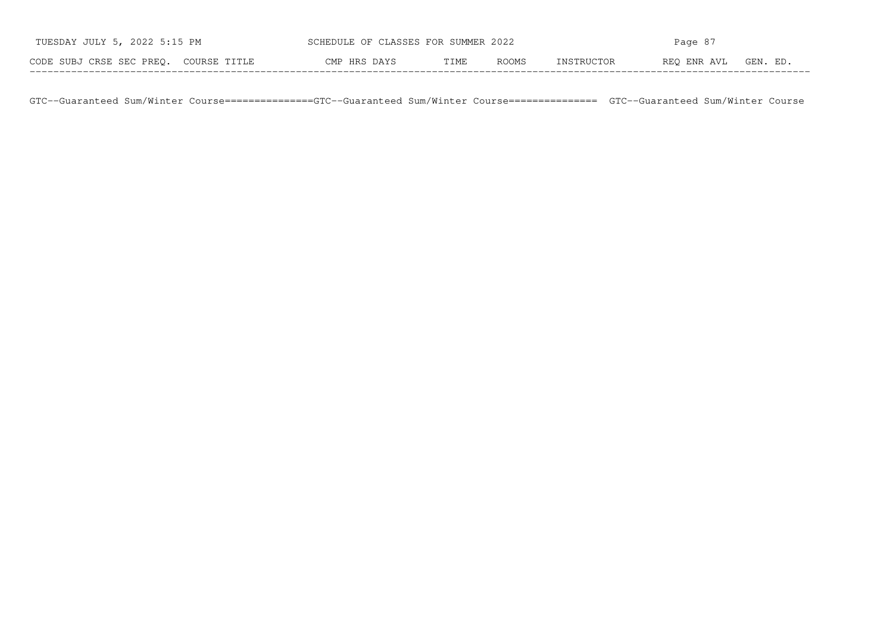| TUESDAY JULY 5, 2022 5:15 PM          | SCHEDULE OF CLASSES FOR SUMMER 2022 |      | Page 87 |            |             |          |
|---------------------------------------|-------------------------------------|------|---------|------------|-------------|----------|
| CODE SUBJ CRSE SEC PREO. COURSE TITLE | CMP HRS DAYS                        | TIME | ROOMS   | INSTRUCTOR | REO ENR AVL | GEN. ED. |

GTC−−Guaranteed Sum/Winter Course===============GTC−−Guaranteed Sum/Winter Course=============== GTC−−Guaranteed Sum/Winter Course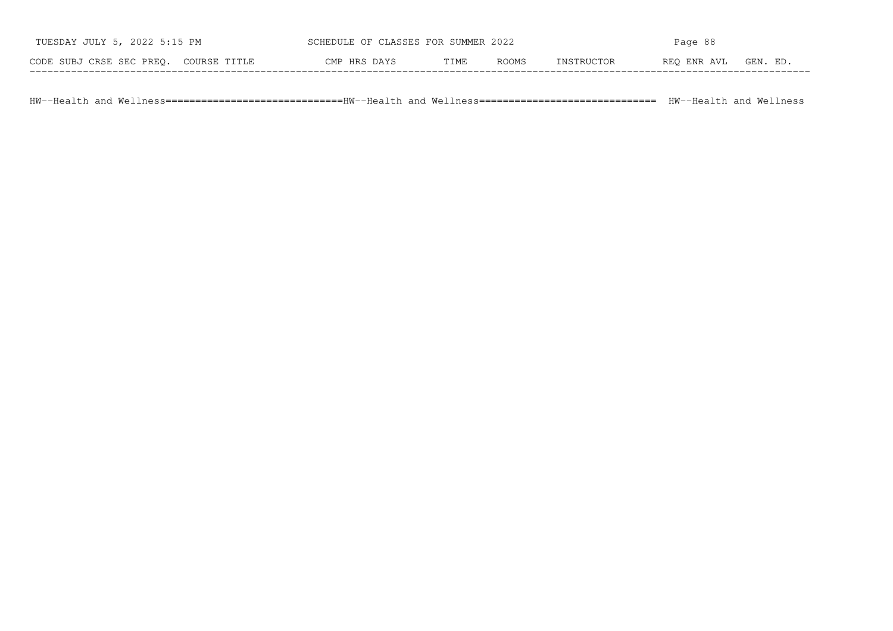| TUESDAY JULY 5, 2022 5:15 PM          | SCHEDULE OF CLASSES FOR SUMMER 2022 |      |              | Page 88    |             |          |
|---------------------------------------|-------------------------------------|------|--------------|------------|-------------|----------|
| CODE SUBJ CRSE SEC PREO. COURSE TITLE | CMP HRS DAYS                        | TIME | <b>ROOMS</b> | INSTRUCTOR | REO ENR AVL | GEN. ED. |

HW−−Health and Wellness==============================HW−−Health and Wellness============================== HW−−Health and Wellness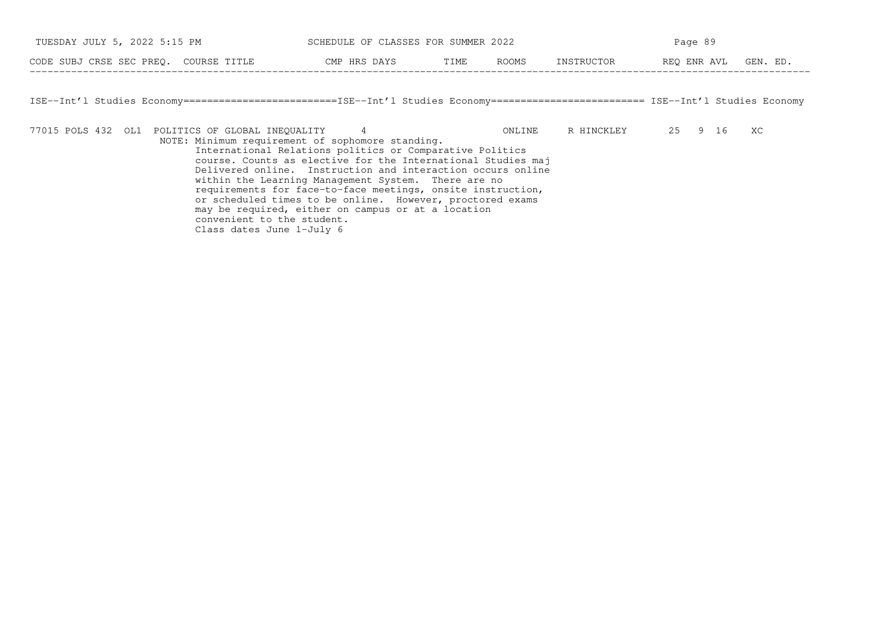| TUESDAY JULY 5, 2022 5:15 PM             | SCHEDULE OF CLASSES FOR SUMMER 2022 |      |              | Page 89    |             |         |
|------------------------------------------|-------------------------------------|------|--------------|------------|-------------|---------|
| CODE SUBJ CRSE SEC PREO.<br>COURSE TITLE | CMP HRS DAYS                        | TIME | <b>ROOMS</b> | INSTRUCTOR | REO ENR AVL | GEN. ED |

ISE−−Int'l Studies Economy==========================ISE−−Int'l Studies Economy========================== ISE−−Int'l Studies Economy

−−−−−−−−−−−−−−−−−−−−−−−−−−−−−−−−−−−−−−−−−−−−−−−−−−−−−−−−−−−−−−−−−−−−−−−−−−−−−−−−−−−−−−−−−−−−−−−−−−−−−−−−−−−−−−−−−−−−−−−−−−−−−−−−−−−−

77015 POLS 432 OL1 POLITICS OF GLOBAL INEQUALITY 4 ONLINE R HINCKLEY 25 9 16 XC

 NOTE: Minimum requirement of sophomore standing. International Relations politics or Comparative Politics course. Counts as elective for the International Studies maj Delivered online. Instruction and interaction occurs online within the Learning Management System. There are no requirements for face−to−face meetings, onsite instruction,or scheduled times to be online. However, proctored exams may be required, either on campus or at a location convenient to the student.Class dates June 1−July 6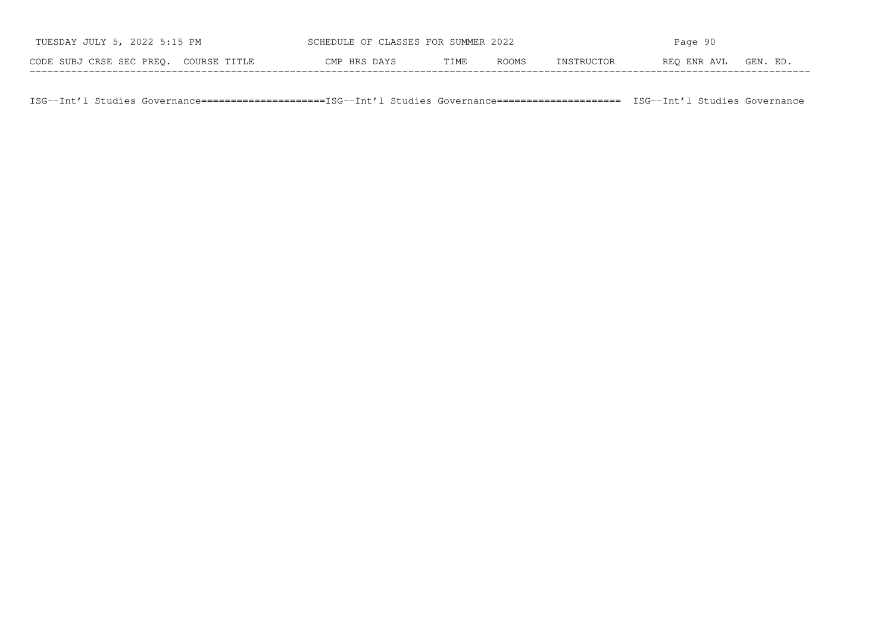| TUESDAY JULY 5, 2022 5:15 PM          | SCHEDULE OF CLASSES FOR SUMMER 2022 |      |       | Page 90    |             |          |
|---------------------------------------|-------------------------------------|------|-------|------------|-------------|----------|
| CODE SUBJ CRSE SEC PREO. COURSE TITLE | CMP HRS DAYS                        | TIME | ROOMS | INSTRUCTOR | REO ENR AVL | GEN. ED. |

ISG−−Int'l Studies Governance=====================ISG−−Int'l Studies Governance===================== ISG−−Int'l Studies Governance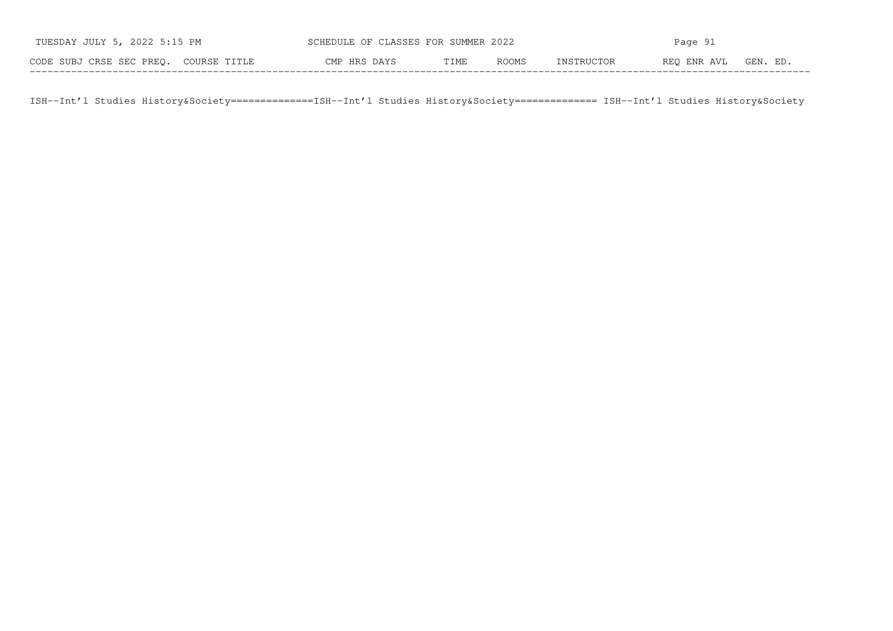| TUESDAY JULY 5, 2022 5:15 PM          |              | SCHEDULE OF CLASSES FOR SUMMER 2022<br>Page 91 |       |            |             |          |
|---------------------------------------|--------------|------------------------------------------------|-------|------------|-------------|----------|
| CODE SUBJ CRSE SEC PREO. COURSE TITLE | CMP HRS DAYS | TIME                                           | ROOMS | INSTRUCTOR | REO ENR AVL | GEN. ED. |

ISH−−Int'l Studies History&Society==============ISH−−Int'l Studies History&Society============== ISH−−Int'l Studies History&Society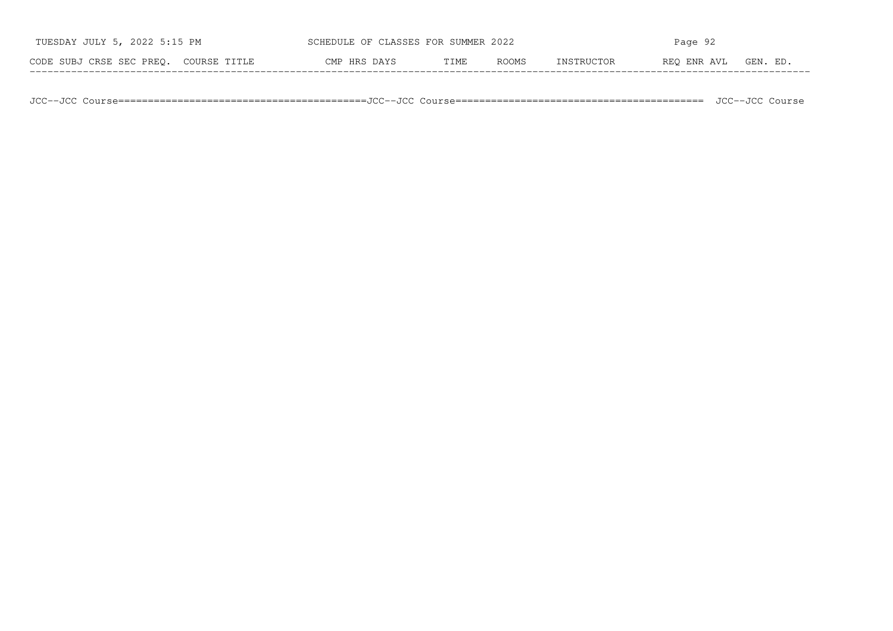| つハつつ                                     | CI N C C LI C<br>∩F        | いいか   | 2022  | Parre |                    |               |
|------------------------------------------|----------------------------|-------|-------|-------|--------------------|---------------|
| CODE SUBJ CRSE SEC PREQ.<br>COURSE TITLE | HRS<br>ヿヹ゙゙゚゚゚゚゚゚ヷ゙<br>∩™∩ | [ IME | ROOMS |       | AVT<br>ENR<br>REO. | ותים<br>. F.D |

JCC−−JCC Course==========================================JCC−−JCC Course========================================== JCC−−JCC Course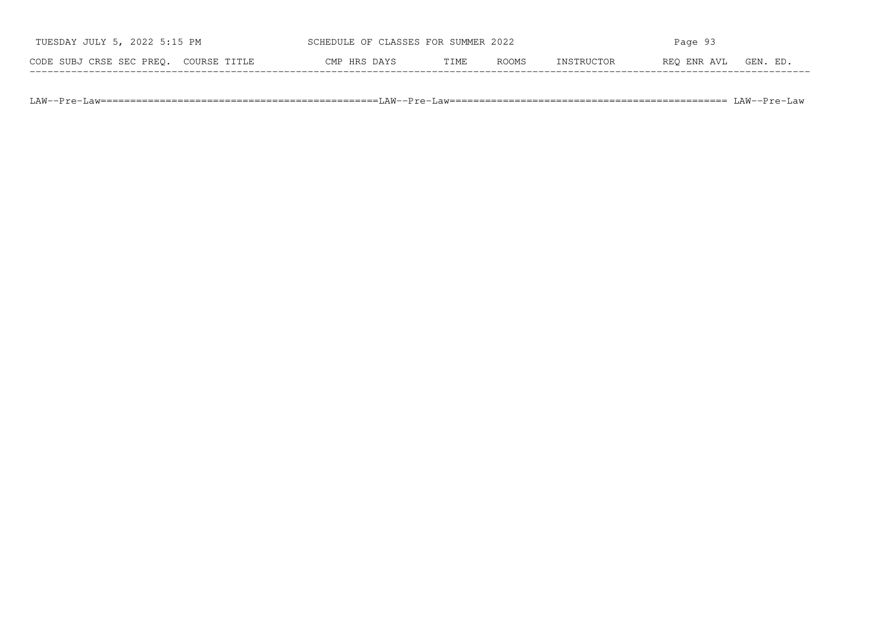| TUESDAY JULY 5, 2022 5:15 PM             | SCHEDULE OF CLASSES FOR SUMMER 2022 |      |       | Page 93    |             |         |
|------------------------------------------|-------------------------------------|------|-------|------------|-------------|---------|
| CODE SUBJ CRSE SEC PREO.<br>COURSE TITLE | CMP HRS DAYS                        | TIME | ROOMS | TNSTRHCTOR | REO ENR AVL | GEN. ED |

LAW−−Pre−Law===============================================LAW−−Pre−Law=============================================== LAW−−Pre−Law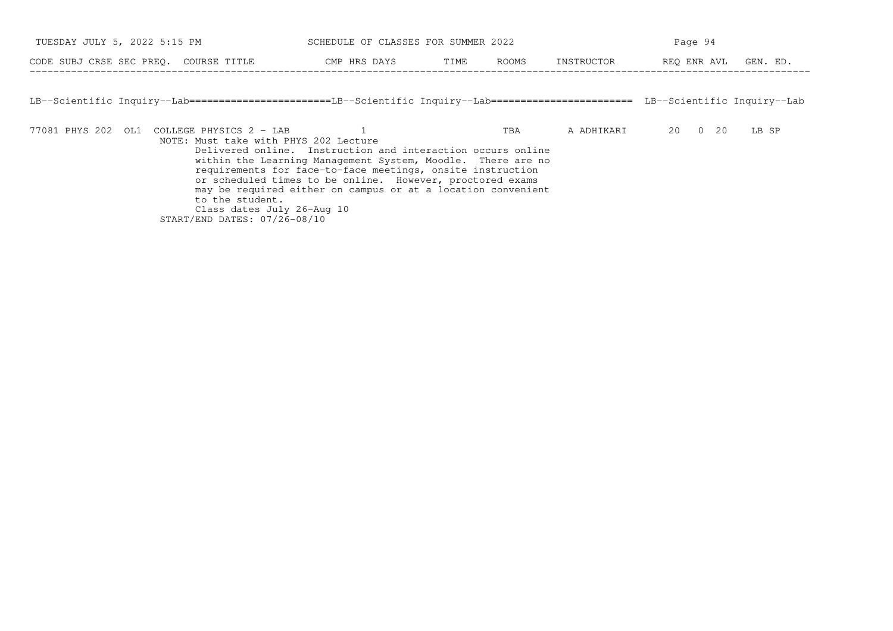| TUESDAY JULY 5, 2022 5:15 PM                                                                                                         | SCHEDULE OF CLASSES FOR SUMMER 2022                                                                                                                                                                                                                                                                                   |               |            | Page 94              |       |  |
|--------------------------------------------------------------------------------------------------------------------------------------|-----------------------------------------------------------------------------------------------------------------------------------------------------------------------------------------------------------------------------------------------------------------------------------------------------------------------|---------------|------------|----------------------|-------|--|
| CODE SUBJ CRSE SEC PREO. COURSE TITLE                                                                                                | CMP HRS DAYS                                                                                                                                                                                                                                                                                                          | ROOMS<br>TIME | INSTRUCTOR | REO ENR AVL GEN. ED. |       |  |
| LB--Scientific Inquiry--Lab=======================LB--Scientific Inquiry--Lab======================= LB--Scientific Inquiry--Lab     |                                                                                                                                                                                                                                                                                                                       |               |            |                      |       |  |
| 77081 PHYS 202 OL1 COLLEGE PHYSICS 2 - LAB<br>NOTE: Must take with PHYS 202 Lecture<br>to the student.<br>Class dates July 26-Aug 10 | Delivered online. Instruction and interaction occurs online<br>within the Learning Management System, Moodle. There are no<br>requirements for face-to-face meetings, onsite instruction<br>or scheduled times to be online. However, proctored exams<br>may be required either on campus or at a location convenient | TBA           | A ADHIKARI | 20<br>$0\quad 20$    | LB SP |  |

START/END DATES: 07/26−08/10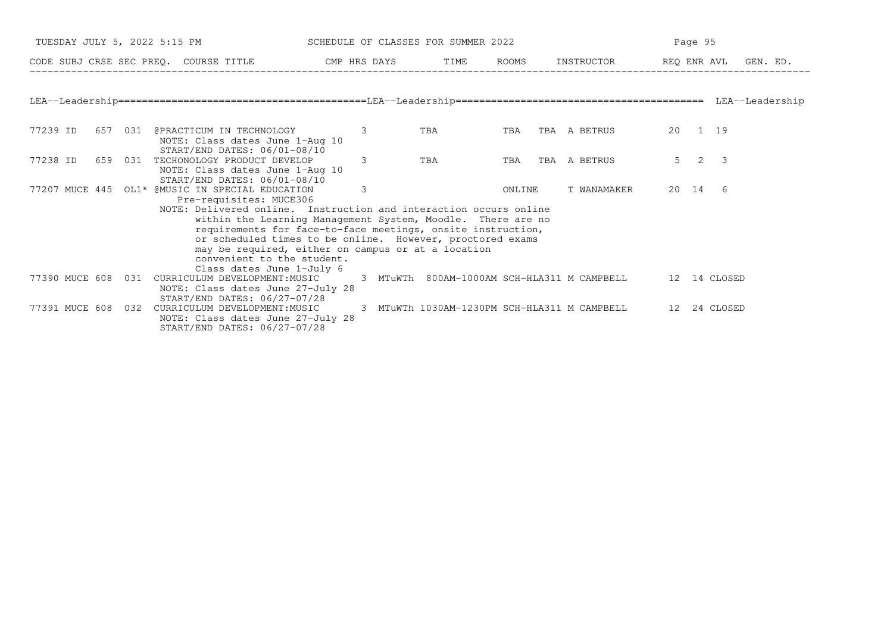| TUESDAY JULY 5, 2022 5:15 PM<br>SCHEDULE OF CLASSES FOR SUMMER 2022                                                                   |                                                                                                                                                                                                                                                                                                                         |     | Page 95 |                                                          |                     |  |
|---------------------------------------------------------------------------------------------------------------------------------------|-------------------------------------------------------------------------------------------------------------------------------------------------------------------------------------------------------------------------------------------------------------------------------------------------------------------------|-----|---------|----------------------------------------------------------|---------------------|--|
| CODE SUBJ CRSE SEC PREQ. COURSE TITLE THE ROATS TIME ROOMS INSTRUCTOR THE REQ ENRAVL GEN. ED.                                         |                                                                                                                                                                                                                                                                                                                         |     |         |                                                          |                     |  |
|                                                                                                                                       |                                                                                                                                                                                                                                                                                                                         |     |         |                                                          |                     |  |
|                                                                                                                                       |                                                                                                                                                                                                                                                                                                                         |     |         |                                                          |                     |  |
| 77239 ID<br>657 031<br>@PRACTICUM IN TECHNOLOGY<br>NOTE: Class dates June 1-Aug 10<br>START/END DATES: 06/01-08/10                    | 3                                                                                                                                                                                                                                                                                                                       | TBA | TBA     | TBA A BETRUS                                             | 20 1 19             |  |
| 77238 ID<br>659 031<br>TECHONOLOGY PRODUCT DEVELOP<br>NOTE: Class dates June 1-Aug 10<br>START/END DATES: 06/01-08/10                 | 3                                                                                                                                                                                                                                                                                                                       | TBA | TBA     | TBA A BETRUS                                             | $5 \quad 2 \quad 3$ |  |
| 77207 MUCE 445 OL1* @MUSIC IN SPECIAL EDUCATION<br>Pre-requisites: MUCE306<br>convenient to the student.<br>Class dates June 1-July 6 | 3<br>NOTE: Delivered online. Instruction and interaction occurs online<br>within the Learning Management System, Moodle. There are no<br>requirements for face-to-face meetings, onsite instruction,<br>or scheduled times to be online. However, proctored exams<br>may be required, either on campus or at a location |     | ONLINE  | T WANAMAKER                                              | 20 14 6             |  |
| 77390 MUCE 608 031<br>CURRICULUM DEVELOPMENT:MUSIC<br>NOTE: Class dates June 27-July 28<br>START/END DATES: 06/27-07/28               |                                                                                                                                                                                                                                                                                                                         |     |         | 3 MTuWTh 800AM-1000AM SCH-HLA311 M CAMPBELL 12 14 CLOSED |                     |  |
| CURRICULUM DEVELOPMENT: MUSIC<br>77391 MUCE 608 032<br>NOTE: Class dates June 27-July 28<br>START/END DATES: 06/27-07/28              |                                                                                                                                                                                                                                                                                                                         |     |         | 3 MTuWTh 1030AM-1230PM SCH-HLA311 M CAMPBELL             | 12 24 CLOSED        |  |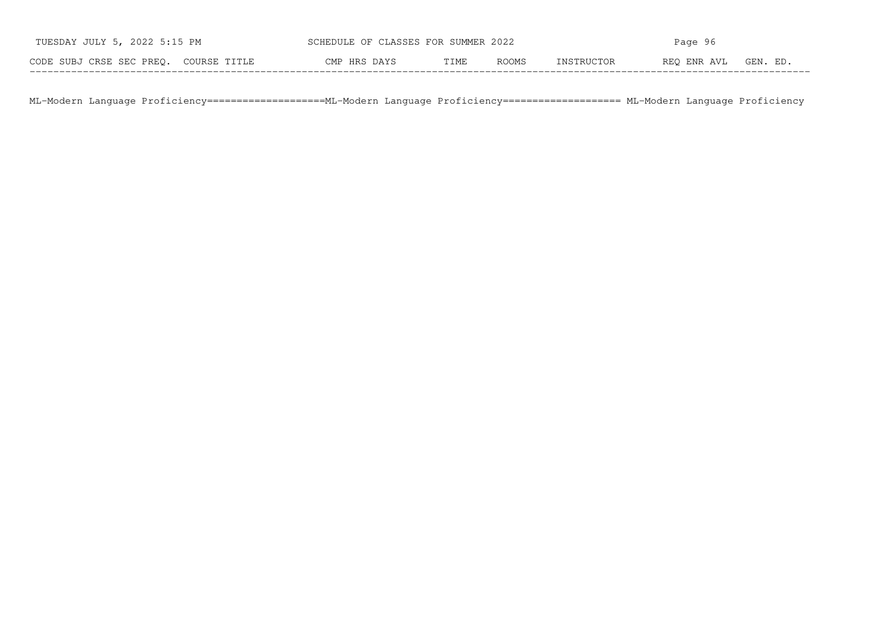| TUESDAY JULY 5, 2022 5:15 PM          | SCHEDULE OF CLASSES FOR SUMMER 2022 |      |       | Page 96    |             |          |
|---------------------------------------|-------------------------------------|------|-------|------------|-------------|----------|
| CODE SUBJ CRSE SEC PREO. COURSE TITLE | CMP HRS DAYS                        | TIME | ROOMS | INSTRUCTOR | REO ENR AVL | GEN. ED. |

ML−Modern Language Proficiency====================ML−Modern Language Proficiency==================== ML−Modern Language Proficiency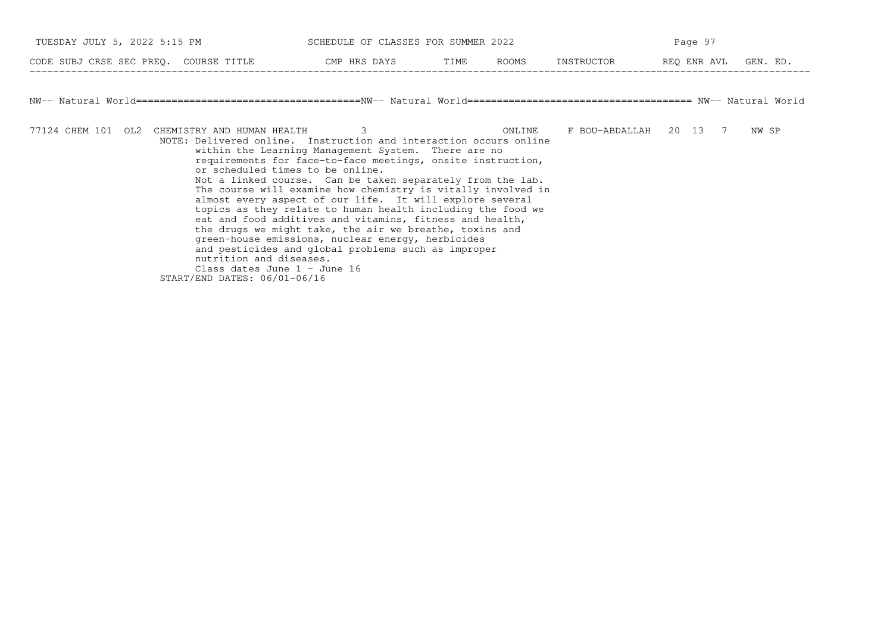| TUESDAY JULY 5, 2022 5:15 PM                                                                                 | SCHEDULE OF CLASSES FOR SUMMER 2022                                                                                                                                                                                                                                                                                                                                                                                                                                                                                                                                                                                                                                                      |        | Page 97                |                      |       |  |
|--------------------------------------------------------------------------------------------------------------|------------------------------------------------------------------------------------------------------------------------------------------------------------------------------------------------------------------------------------------------------------------------------------------------------------------------------------------------------------------------------------------------------------------------------------------------------------------------------------------------------------------------------------------------------------------------------------------------------------------------------------------------------------------------------------------|--------|------------------------|----------------------|-------|--|
| CODE SUBJ CRSE SEC PREQ. COURSE TITLE THE CMP HRS DAYS TIME ROOMS                                            |                                                                                                                                                                                                                                                                                                                                                                                                                                                                                                                                                                                                                                                                                          |        | INSTRUCTOR             | REQ ENR AVL GEN. ED. |       |  |
|                                                                                                              |                                                                                                                                                                                                                                                                                                                                                                                                                                                                                                                                                                                                                                                                                          |        |                        |                      |       |  |
| 77124 CHEM 101 OL2 CHEMISTRY AND HUMAN HEALTH<br>or scheduled times to be online.<br>nutrition and diseases. | 3<br>NOTE: Delivered online. Instruction and interaction occurs online<br>within the Learning Management System. There are no<br>requirements for face-to-face meetings, onsite instruction,<br>Not a linked course. Can be taken separately from the lab.<br>The course will examine how chemistry is vitally involved in<br>almost every aspect of our life. It will explore several<br>topics as they relate to human health including the food we<br>eat and food additives and vitamins, fitness and health,<br>the drugs we might take, the air we breathe, toxins and<br>green-house emissions, nuclear energy, herbicides<br>and pesticides and global problems such as improper | ONLINE | F BOU-ABDALLAH 20 13 7 |                      | NW SP |  |

Class dates June 1 − June 16 START/END DATES: 06/01−06/16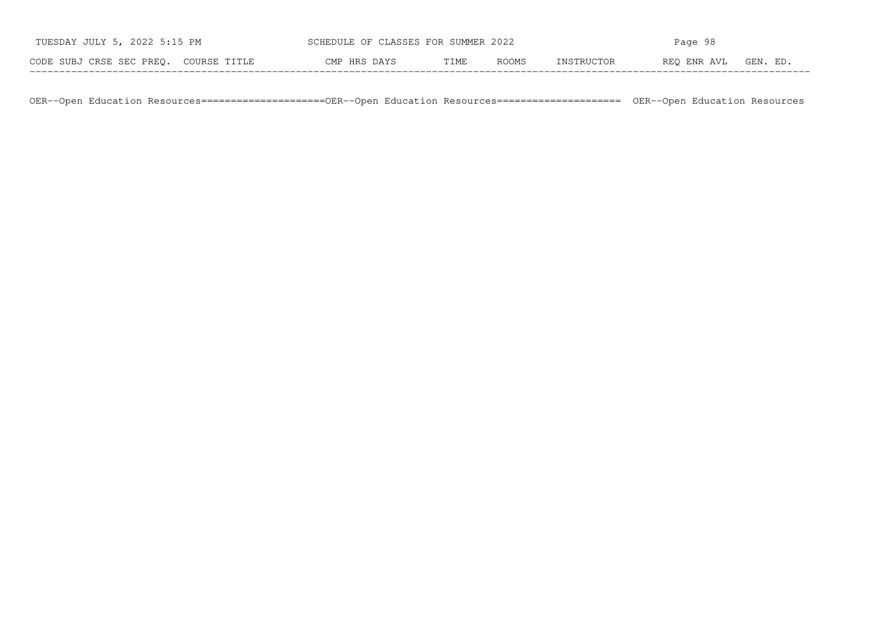| TUESDAY JULY 5, 2022 5:15 PM          | SCHEDULE OF CLASSES FOR SUMMER 2022 |      |       | Page 98    |             |          |  |  |
|---------------------------------------|-------------------------------------|------|-------|------------|-------------|----------|--|--|
| CODE SUBJ CRSE SEC PREO. COURSE TITLE | CMP HRS DAYS                        | TIME | ROOMS | INSTRUCTOR | REO ENR AVL | GEN. ED. |  |  |

OER−−Open Education Resources=====================OER−−Open Education Resources===================== OER−−Open Education Resources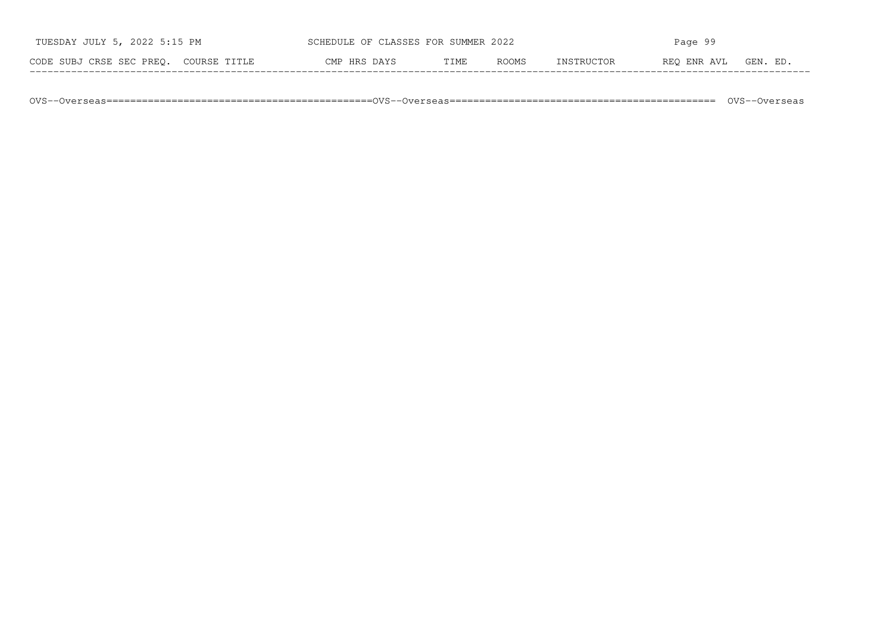| TUESDAY JULY 5, 2022 5:15 PM          | SCHEDULE OF CLASSES FOR SUMMER 2022 |      |              | Page 99    |             |          |
|---------------------------------------|-------------------------------------|------|--------------|------------|-------------|----------|
| CODE SUBJ CRSE SEC PREO. COURSE TITLE | CMP HRS DAYS                        | TIME | <b>ROOMS</b> | INSTRUCTOR | REO ENR AVL | GEN. ED. |

OVS−−Overseas=============================================OVS−−Overseas============================================= OVS−−Overseas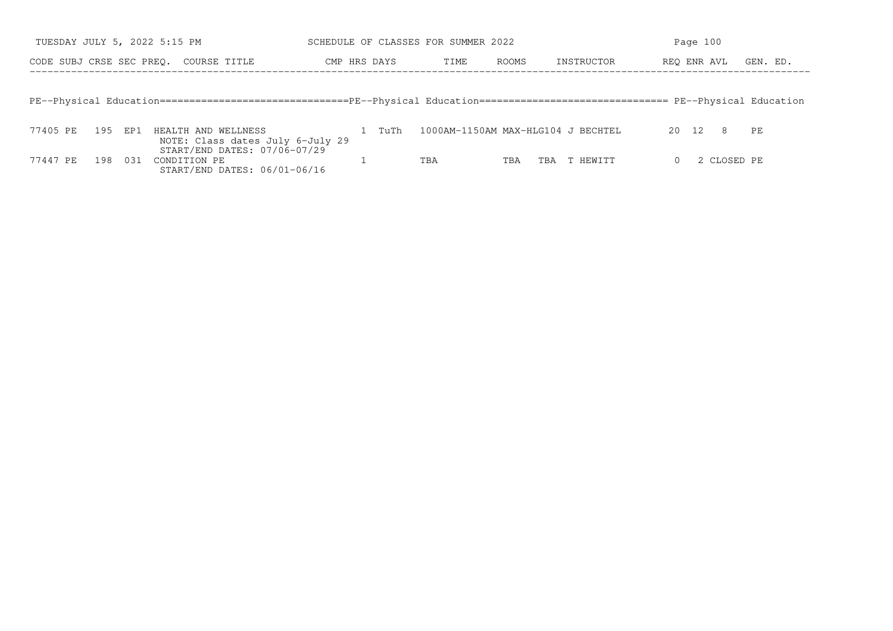| TUESDAY JULY 5, 2022 5:15 PM |         |                                                                                                                                   |              |      | SCHEDULE OF CLASSES FOR SUMMER 2022 |       |     |            |             | Page 100 |             |          |
|------------------------------|---------|-----------------------------------------------------------------------------------------------------------------------------------|--------------|------|-------------------------------------|-------|-----|------------|-------------|----------|-------------|----------|
| CODE SUBJ CRSE SEC PREO.     |         | COURSE TITLE                                                                                                                      | CMP HRS DAYS |      | TIME                                | ROOMS |     | INSTRUCTOR | REO ENR AVL |          |             | GEN. ED. |
|                              |         |                                                                                                                                   |              |      |                                     |       |     |            |             |          |             |          |
|                              |         | PE--Physical Education================================PE--Physical Education============================== PE--Physical Education |              |      |                                     |       |     |            |             |          |             |          |
| 77405 PE                     | 195 EP1 |                                                                                                                                   |              | TuTh | 1000AM-1150AM MAX-HLG104 J BECHTEL  |       |     |            |             | 20 12    | - 8         |          |
|                              |         | HEALTH AND WELLNESS<br>NOTE: Class dates July 6-July 29                                                                           |              |      |                                     |       |     |            |             |          |             | PE       |
| 77447 PE<br>198              | - 031   | START/END DATES: 07/06-07/29<br>CONDITION PE                                                                                      |              |      | TBA                                 | TBA   | TBA | T HEWITT   | $\Omega$    |          | 2 CLOSED PE |          |
|                              |         | START/END DATES: 06/01-06/16                                                                                                      |              |      |                                     |       |     |            |             |          |             |          |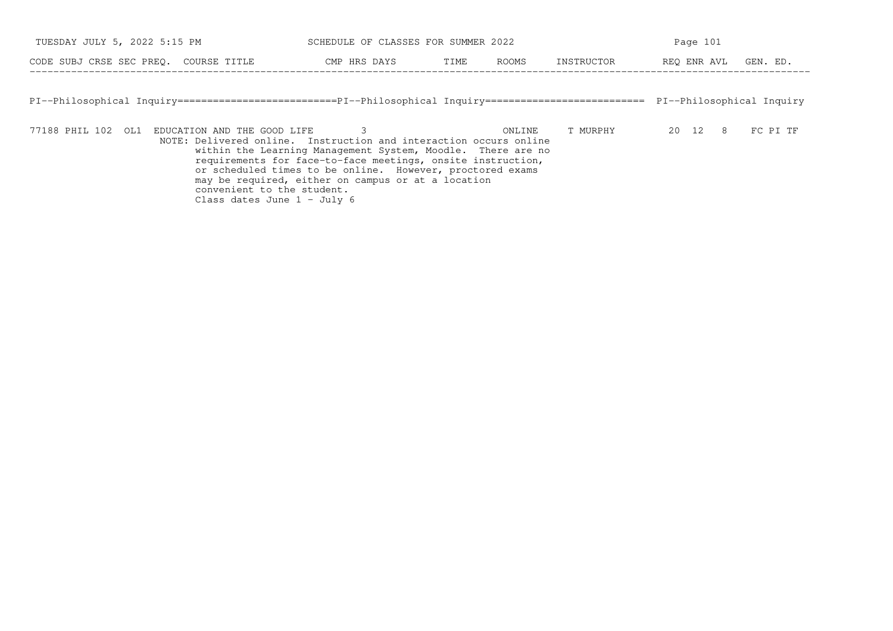| TUESDAY JULY 5, 2022 5:15 PM          | SCHEDULE OF CLASSES FOR SUMMER 2022 |      |              | Page 101   |             |          |  |
|---------------------------------------|-------------------------------------|------|--------------|------------|-------------|----------|--|
| CODE SUBJ CRSE SEC PREO. COURSE TITLE | CMP HRS DAYS                        | TIME | <b>ROOMS</b> | INSTRUCTOR | REO ENR AVL | GEN. ED. |  |

PI−−Philosophical Inquiry===========================PI−−Philosophical Inquiry=========================== PI−−Philosophical Inquiry

77188 PHIL 102 OL1 EDUCATION AND THE GOOD LIFE 3 ONLINE T MURPHY 20 12 8 FC PI TF NOTE: Delivered online. Instruction and interaction occurs online within the Learning Management System, Moodle. There are no requirements for face−to−face meetings, onsite instruction,or scheduled times to be online. However, proctored exams may be required, either on campus or at a locationconvenient to the student. Class dates June 1 − July 6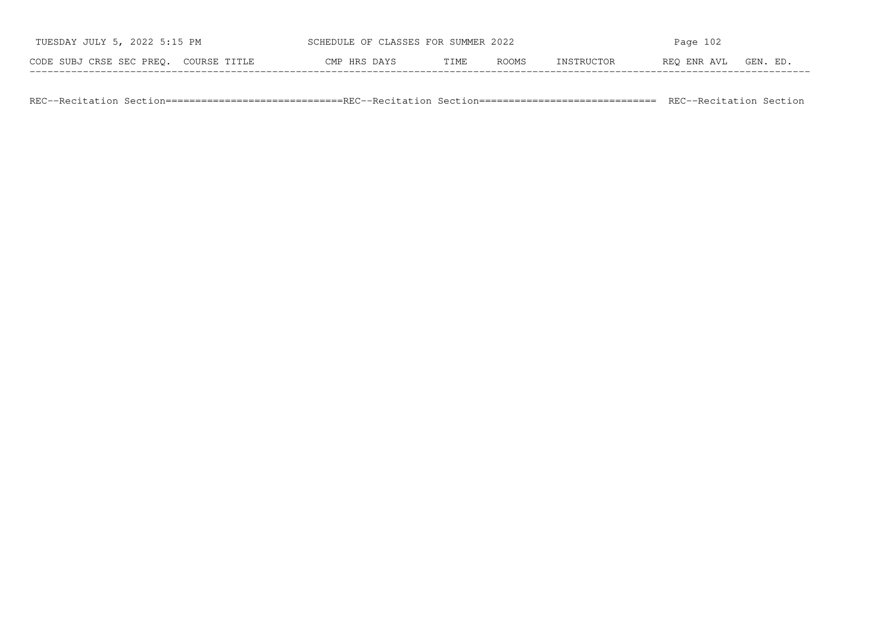| TUESDAY JULY 5, 2022 5:15 PM          | SCHEDULE OF CLASSES FOR SUMMER 2022 |      |              | Page $102$ |             |          |  |
|---------------------------------------|-------------------------------------|------|--------------|------------|-------------|----------|--|
| CODE SUBJ CRSE SEC PREO. COURSE TITLE | CMP HRS DAYS                        | TIME | <b>ROOMS</b> | INSTRUCTOR | REO ENR AVL | GEN. ED. |  |

REC--Recitation Section===========================REC--Recitation Section============================= REC--Recitation Section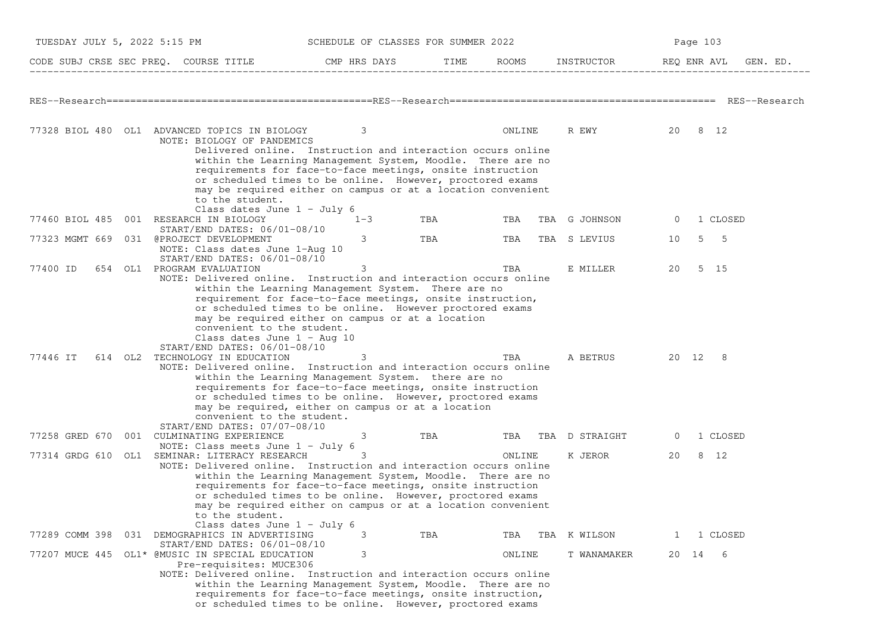| TUESDAY JULY 5, 2022 5:15 PM |                                                                                                                                                                          | SCHEDULE OF CLASSES FOR SUMMER 2022                                                                                                                                                                                                                                                                                   |     |        |                    | Page 103                |
|------------------------------|--------------------------------------------------------------------------------------------------------------------------------------------------------------------------|-----------------------------------------------------------------------------------------------------------------------------------------------------------------------------------------------------------------------------------------------------------------------------------------------------------------------|-----|--------|--------------------|-------------------------|
|                              | CODE SUBJ CRSE SEC PREQ. COURSE TITLE THE ROOMS INSTRUCTOR                                                                                                               |                                                                                                                                                                                                                                                                                                                       |     |        |                    | REQ ENR AVL<br>GEN. ED. |
|                              |                                                                                                                                                                          |                                                                                                                                                                                                                                                                                                                       |     |        |                    |                         |
|                              |                                                                                                                                                                          |                                                                                                                                                                                                                                                                                                                       |     |        |                    |                         |
|                              | 77328 BIOL 480 OL1 ADVANCED TOPICS IN BIOLOGY<br>NOTE: BIOLOGY OF PANDEMICS                                                                                              | 3                                                                                                                                                                                                                                                                                                                     |     | ONLINE | R EWY              | 20 8 12                 |
|                              | to the student.<br>Class dates June $1 - July 6$                                                                                                                         | Delivered online. Instruction and interaction occurs online<br>within the Learning Management System, Moodle. There are no<br>requirements for face-to-face meetings, onsite instruction<br>or scheduled times to be online. However, proctored exams<br>may be required either on campus or at a location convenient |     |        |                    |                         |
|                              | 77460 BIOL 485 001 RESEARCH IN BIOLOGY                                                                                                                                   | $1 - 3$                                                                                                                                                                                                                                                                                                               | TBA | TBA    | TBA G JOHNSON      | 1 CLOSED<br>0           |
|                              | START/END DATES: 06/01-08/10                                                                                                                                             |                                                                                                                                                                                                                                                                                                                       |     |        |                    |                         |
|                              | 77323 MGMT 669 031 @PROJECT DEVELOPMENT<br>NOTE: Class dates June 1-Aug 10<br>START/END DATES: 06/01-08/10                                                               | 3                                                                                                                                                                                                                                                                                                                     | TBA | TBA    | TBA S LEVIUS       | 5<br>$5^{\circ}$<br>10  |
| 77400 ID                     | 654 OL1 PROGRAM EVALUATION                                                                                                                                               | 3                                                                                                                                                                                                                                                                                                                     |     | TBA    | E MILLER           | 5 15<br>20              |
|                              | NOTE: Delivered online. Instruction and interaction occurs online<br>convenient to the student.<br>Class dates June $1 - \text{Aug } 10$<br>START/END DATES: 06/01-08/10 | within the Learning Management System. There are no<br>requirement for face-to-face meetings, onsite instruction,<br>or scheduled times to be online. However proctored exams<br>may be required either on campus or at a location                                                                                    |     |        |                    |                         |
| 77446 IT                     | 614 OL2 TECHNOLOGY IN EDUCATION<br>NOTE: Delivered online. Instruction and interaction occurs online<br>convenient to the student.<br>$START/END$ DATES: $07/07-08/10$   | 3<br>within the Learning Management System. there are no<br>requirements for face-to-face meetings, onsite instruction<br>or scheduled times to be online. However, proctored exams<br>may be required, either on campus or at a location                                                                             |     | TBA    | A BETRUS           | 20 12 8                 |
|                              | 77258 GRED 670 001 CULMINATING EXPERIENCE<br>NOTE: Class meets June $1 -$ July 6                                                                                         | 3                                                                                                                                                                                                                                                                                                                     | TBA |        | TBA TBA D STRAIGHT | 1 CLOSED<br>0           |
|                              | 77314 GRDG 610 OL1 SEMINAR: LITERACY RESEARCH                                                                                                                            | 3                                                                                                                                                                                                                                                                                                                     |     | ONLINE | K JEROR            | 8 12<br>20              |
|                              | NOTE: Delivered online. Instruction and interaction occurs online<br>to the student.<br>Class dates June $1 - July 6$                                                    | within the Learning Management System, Moodle. There are no<br>requirements for face-to-face meetings, onsite instruction<br>or scheduled times to be online. However, proctored exams<br>may be required either on campus or at a location convenient                                                                |     |        |                    |                         |
| 77289 COMM 398               | 031 DEMOGRAPHICS IN ADVERTISING<br>START/END DATES: 06/01-08/10                                                                                                          | 3                                                                                                                                                                                                                                                                                                                     | TBA | TBA    | TBA K WILSON       | 1 CLOSED<br>Τ.          |
|                              | 77207 MUCE 445 OL1* @MUSIC IN SPECIAL EDUCATION<br>Pre-requisites: MUCE306<br>NOTE: Delivered online. Instruction and interaction occurs online                          | 3<br>within the Learning Management System, Moodle. There are no<br>requirements for face-to-face meetings, onsite instruction,<br>or scheduled times to be online. However, proctored exams                                                                                                                          |     | ONLINE | T WANAMAKER        | -6<br>20 14             |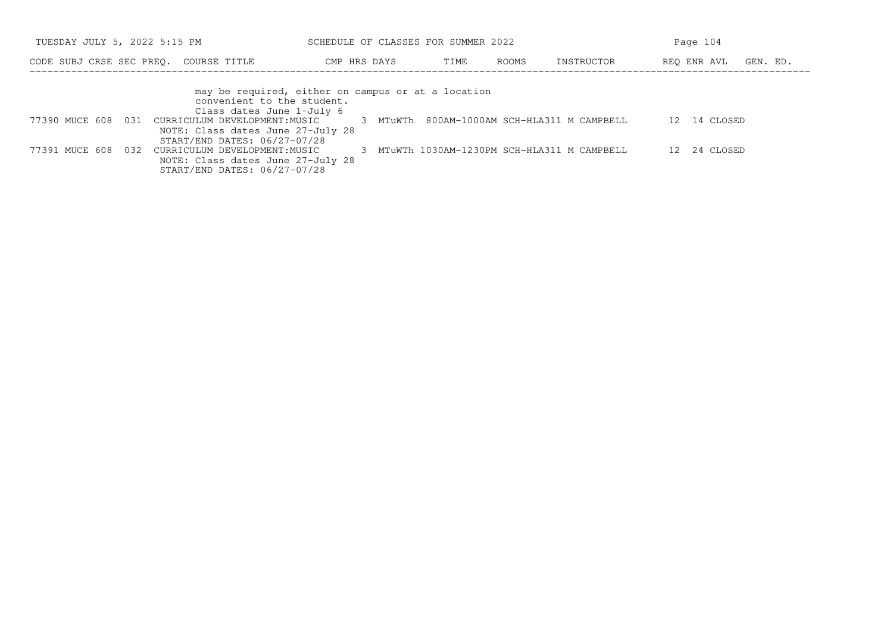| TUESDAY JULY 5, 2022 5:15 PM                |                                                                                                                                                                                                                                                                                                                          | SCHEDULE OF CLASSES FOR SUMMER 2022         |      |       |                                            | Page 104                  |          |
|---------------------------------------------|--------------------------------------------------------------------------------------------------------------------------------------------------------------------------------------------------------------------------------------------------------------------------------------------------------------------------|---------------------------------------------|------|-------|--------------------------------------------|---------------------------|----------|
| CODE SUBJ CRSE SEC PREO. COURSE TITLE       | CMP HRS DAYS                                                                                                                                                                                                                                                                                                             |                                             | TIME | ROOMS | INSTRUCTOR                                 | REO ENR AVL               | GEN. ED. |
| 77390 MUCE 608 031<br>77391 MUCE 608<br>032 | may be required, either on campus or at a location<br>convenient to the student.<br>Class dates June 1-July 6<br>CURRICULUM DEVELOPMENT:MUSIC<br>NOTE: Class dates June 27-July 28<br>START/END DATES: 06/27-07/28<br>CURRICULUM DEVELOPMENT: MUSIC<br>NOTE: Class dates June 27-July 28<br>START/END DATES: 06/27-07/28 | 3 MTuWTh 800AM-1000AM SCH-HLA311 M CAMPBELL |      |       | MTuWTh 1030AM-1230PM SCH-HLA311 M CAMPBELL | 12 14 CLOSED<br>24 CLOSED |          |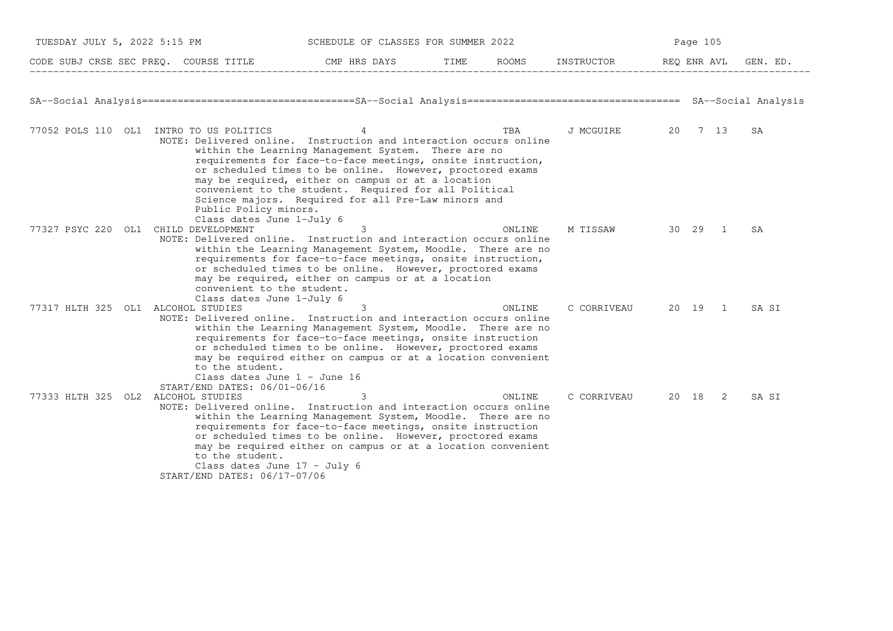| TUESDAY JULY 5, 2022 5:15 PM         |                                                                                                                                                                    | SCHEDULE OF CLASSES FOR SUMMER 2022                                                                                                                                                                                                                                                                                                                        |        |                     | Page 105 |                |          |
|--------------------------------------|--------------------------------------------------------------------------------------------------------------------------------------------------------------------|------------------------------------------------------------------------------------------------------------------------------------------------------------------------------------------------------------------------------------------------------------------------------------------------------------------------------------------------------------|--------|---------------------|----------|----------------|----------|
|                                      | CODE SUBJ CRSE SEC PREQ. COURSE TITLE THE CMP HRS DAYS TIME ROOMS INSTRUCTOR THE REQ ENR AVL<br>______________________________                                     |                                                                                                                                                                                                                                                                                                                                                            |        |                     |          |                | GEN. ED. |
|                                      |                                                                                                                                                                    |                                                                                                                                                                                                                                                                                                                                                            |        |                     |          |                |          |
|                                      | 77052 POLS 110 OL1 INTRO TO US POLITICS<br>NOTE: Delivered online. Instruction and interaction occurs online<br>Public Policy minors.<br>Class dates June 1-July 6 | 4<br>within the Learning Management System. There are no<br>requirements for face-to-face meetings, onsite instruction,<br>or scheduled times to be online. However, proctored exams<br>may be required, either on campus or at a location<br>convenient to the student. Required for all Political<br>Science majors. Required for all Pre-Law minors and | TBA    | J MCGUIRE 20 7 13   |          |                | SA       |
| 77327 PSYC 220 OL1 CHILD DEVELOPMENT | NOTE: Delivered online. Instruction and interaction occurs online<br>convenient to the student.<br>Class dates June 1-July 6                                       | 3<br>within the Learning Management System, Moodle. There are no<br>requirements for face-to-face meetings, onsite instruction,<br>or scheduled times to be online. However, proctored exams<br>may be required, either on campus or at a location                                                                                                         | ONLINE | M TISSAW 30 29      |          | $\overline{1}$ | SA       |
| 77317 HLTH 325 OL1 ALCOHOL STUDIES   | NOTE: Delivered online. Instruction and interaction occurs online<br>to the student.<br>Class dates June $1 -$ June 16<br>START/END DATES: 06/01-06/16             | 3<br>within the Learning Management System, Moodle. There are no<br>requirements for face-to-face meetings, onsite instruction<br>or scheduled times to be online. However, proctored exams<br>may be required either on campus or at a location convenient                                                                                                | ONLINE | C CORRIVEAU 20 19 1 |          |                | SA SI    |
| 77333 HLTH 325 OL2 ALCOHOL STUDIES   | NOTE: Delivered online. Instruction and interaction occurs online<br>to the student.<br>Class dates June $17 - July 6$<br>START/END DATES: 06/17-07/06             | 3<br>within the Learning Management System, Moodle. There are no<br>requirements for face-to-face meetings, onsite instruction<br>or scheduled times to be online. However, proctored exams<br>may be required either on campus or at a location convenient                                                                                                | ONLINE | C CORRIVEAU         | 20 18 2  |                | SA SI    |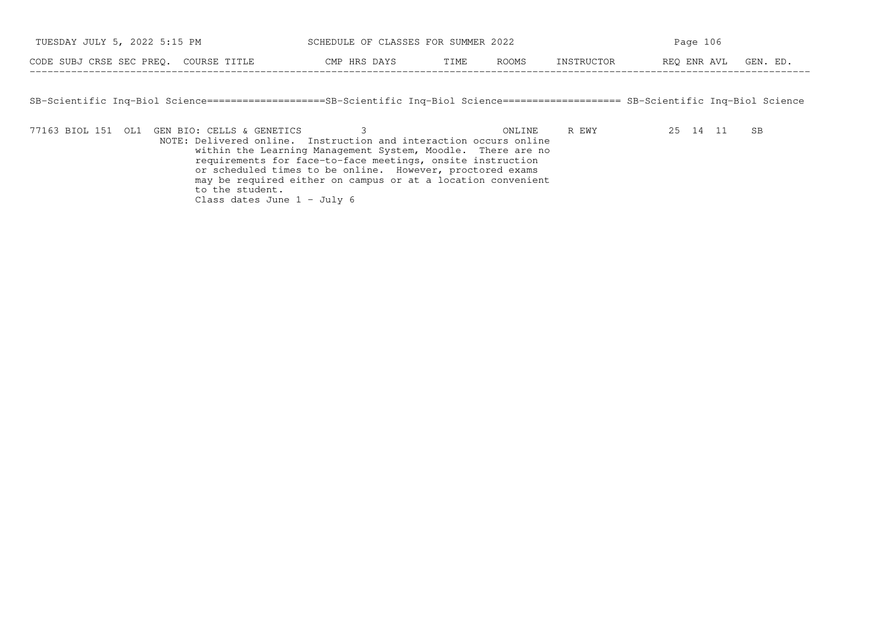| TUESDAY JULY 5, 2022 5:15 PM          | SCHEDULE OF CLASSES FOR SUMMER 2022 |                      |            | Page 106    |          |  |
|---------------------------------------|-------------------------------------|----------------------|------------|-------------|----------|--|
| CODE SUBJ CRSE SEC PREO. COURSE TITLE | CMP HRS DAYS                        | <b>ROOMS</b><br>TIME | INSTRUCTOR | REO ENR AVL | GEN. ED. |  |

SB−Scientific Inq−Biol Science====================SB−Scientific Inq−Biol Science==================== SB−Scientific Inq−Biol Science

−−−−−−−−−−−−−−−−−−−−−−−−−−−−−−−−−−−−−−−−−−−−−−−−−−−−−−−−−−−−−−−−−−−−−−−−−−−−−−−−−−−−−−−−−−−−−−−−−−−−−−−−−−−−−−−−−−−−−−−−−−−−−−−−−−−−

77163 BIOL 151 OL1 GEN BIO: CELLS & GENETICS 3 ONLINE R EWY 25 14 11 SB NOTE: Delivered online. Instruction and interaction occurs online within the Learning Management System, Moodle. There are no requirements for face−to−face meetings, onsite instruction or scheduled times to be online. However, proctored exams may be required either on campus or at a location convenient to the student.Class dates June 1 − July 6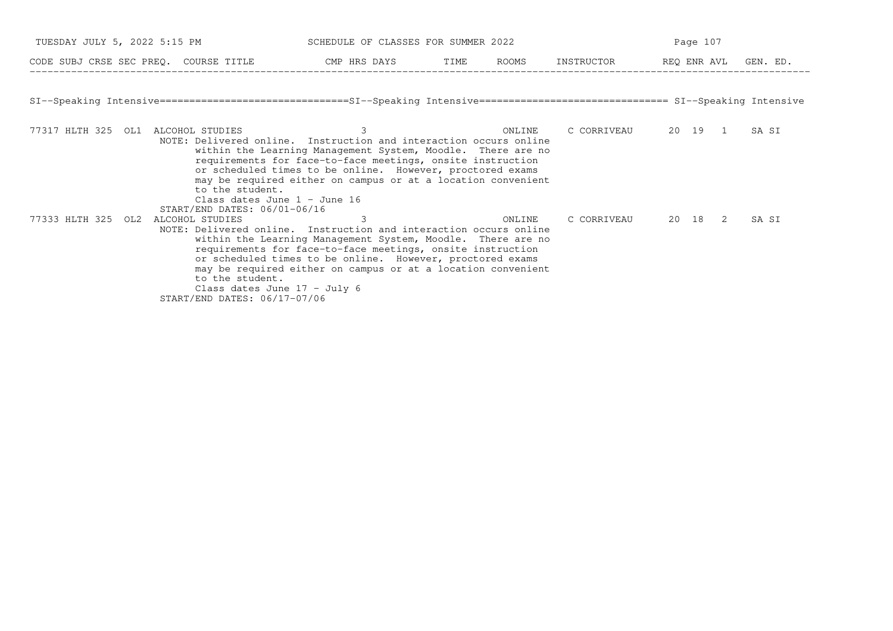| TUESDAY JULY 5, 2022 5:15 PM |                                                                                                                                   | SCHEDULE OF CLASSES FOR SUMMER 2022                                                                                                                                                                                                                                                                                              |        | Page 107                  |       |
|------------------------------|-----------------------------------------------------------------------------------------------------------------------------------|----------------------------------------------------------------------------------------------------------------------------------------------------------------------------------------------------------------------------------------------------------------------------------------------------------------------------------|--------|---------------------------|-------|
|                              | CODE SUBJ CRSE SEC PREQ. COURSE TITLE TO THE ROOMS INSTRUCTOR THE ROOMS ENGLAVIL GEN. ED.                                         |                                                                                                                                                                                                                                                                                                                                  |        |                           |       |
|                              | SI--Speaking Intensive==============================SI--Speaking Intensive================================ SI--Speaking Intensive |                                                                                                                                                                                                                                                                                                                                  |        |                           |       |
|                              | 77317 HLTH 325 OL1 ALCOHOL STUDIES<br>to the student.<br>Class dates June $1 -$ June 16<br>START/END DATES: 06/01-06/16           | 3<br>NOTE: Delivered online. Instruction and interaction occurs online<br>within the Learning Management System, Moodle. There are no<br>requirements for face-to-face meetings, onsite instruction<br>or scheduled times to be online. However, proctored exams<br>may be required either on campus or at a location convenient | ONLINE | C CORRIVEAU 20 19 1 SA SI |       |
| 77333 HLTH 325 OL2           | ALCOHOL STUDIES<br>to the student.<br>Class dates June $17 - July 6$<br>START/END DATES: 06/17-07/06                              | 3<br>NOTE: Delivered online. Instruction and interaction occurs online<br>within the Learning Management System, Moodle. There are no<br>requirements for face-to-face meetings, onsite instruction<br>or scheduled times to be online. However, proctored exams<br>may be required either on campus or at a location convenient | ONLINE | C CORRIVEAU 20 18 2       | SA SI |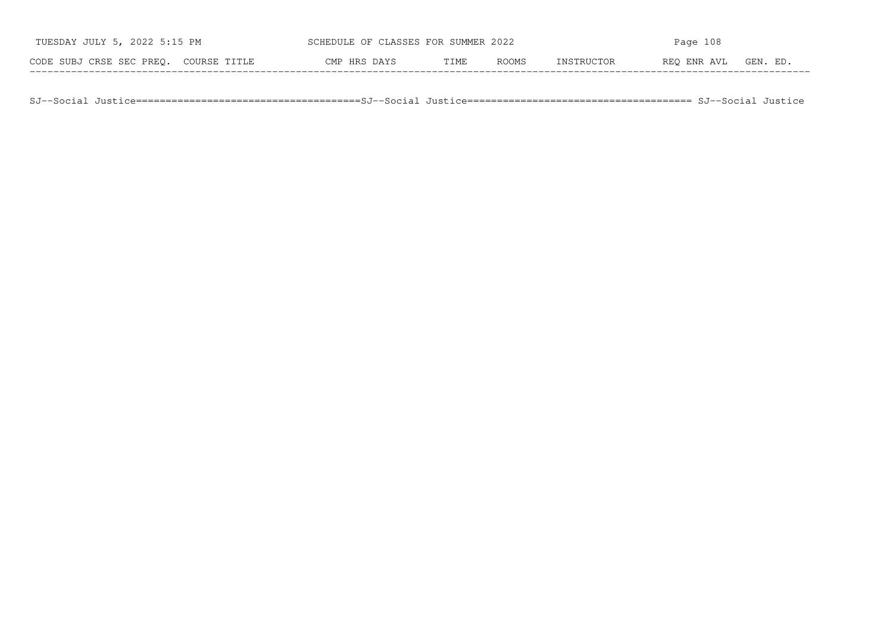| TUESDAY JULY 5, 2022 5:15 PM          | SCHEDULE OF CLASSES FOR SUMMER 2022 |      |              | Page $108$ |             |          |
|---------------------------------------|-------------------------------------|------|--------------|------------|-------------|----------|
| CODE SUBJ CRSE SEC PREO. COURSE TITLE | CMP HRS DAYS                        | TIME | <b>ROOMS</b> | INSTRUCTOR | REO ENR AVL | GEN. ED. |

SJ−−Social Justice======================================SJ−−Social Justice====================================== SJ−−Social Justice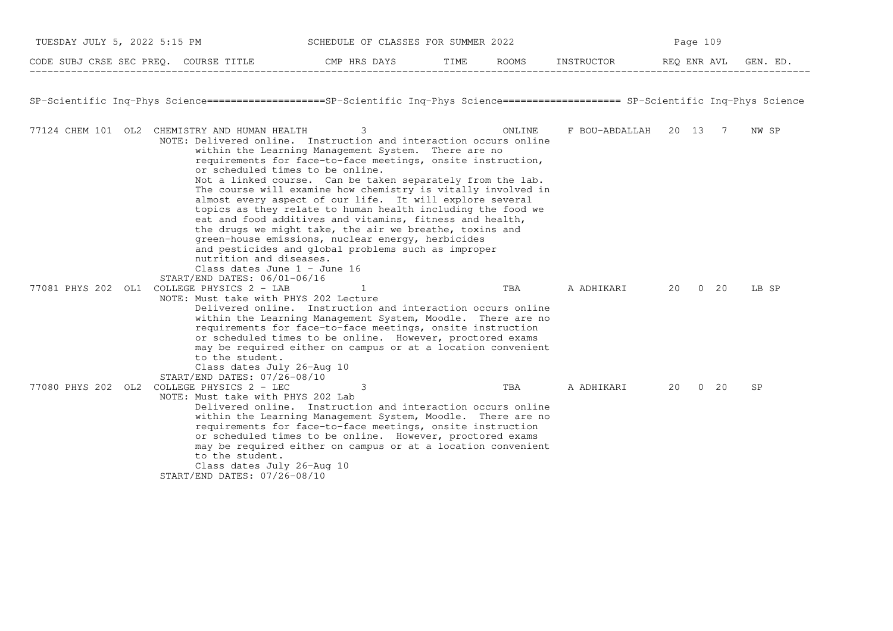| TUESDAY JULY 5, 2022 5:15 PM<br>SCHEDULE OF CLASSES FOR SUMMER 2022 |  | Page 109                                                                                                                                                             |                                                                                                                                                                                                                                                                                                                                                                                                                                                                                                                                                                                                                                                                                                                              |      |        |                        |  |             |          |
|---------------------------------------------------------------------|--|----------------------------------------------------------------------------------------------------------------------------------------------------------------------|------------------------------------------------------------------------------------------------------------------------------------------------------------------------------------------------------------------------------------------------------------------------------------------------------------------------------------------------------------------------------------------------------------------------------------------------------------------------------------------------------------------------------------------------------------------------------------------------------------------------------------------------------------------------------------------------------------------------------|------|--------|------------------------|--|-------------|----------|
|                                                                     |  | CODE SUBJ CRSE SEC PREO. COURSE TITLE                                                                                                                                | CMP HRS DAYS                                                                                                                                                                                                                                                                                                                                                                                                                                                                                                                                                                                                                                                                                                                 | TIME |        | ROOMS INSTRUCTOR       |  | REO ENR AVL | GEN. ED. |
|                                                                     |  |                                                                                                                                                                      | SP-Scientific Ing-Phys Science===================SP-Scientific Ing-Phys Science==================== SP-Scientific Ing-Phys Science                                                                                                                                                                                                                                                                                                                                                                                                                                                                                                                                                                                           |      |        |                        |  |             |          |
|                                                                     |  | 77124 CHEM 101 OL2 CHEMISTRY AND HUMAN HEALTH<br>nutrition and diseases.<br>Class dates June 1 - June 16<br>START/END DATES: 06/01-06/16                             | 3<br>NOTE: Delivered online. Instruction and interaction occurs online<br>within the Learning Management System. There are no<br>requirements for face-to-face meetings, onsite instruction,<br>or scheduled times to be online.<br>Not a linked course. Can be taken separately from the lab.<br>The course will examine how chemistry is vitally involved in<br>almost every aspect of our life. It will explore several<br>topics as they relate to human health including the food we<br>eat and food additives and vitamins, fitness and health,<br>the drugs we might take, the air we breathe, toxins and<br>green-house emissions, nuclear energy, herbicides<br>and pesticides and global problems such as improper |      | ONLINE | F BOU-ABDALLAH 20 13 7 |  |             | NW SP    |
|                                                                     |  | 77081 PHYS 202 OL1 COLLEGE PHYSICS 2 - LAB<br>NOTE: Must take with PHYS 202 Lecture<br>to the student.<br>Class dates July 26-Aug 10<br>START/END DATES: 07/26-08/10 | Delivered online. Instruction and interaction occurs online<br>within the Learning Management System, Moodle. There are no<br>requirements for face-to-face meetings, onsite instruction<br>or scheduled times to be online. However, proctored exams<br>may be required either on campus or at a location convenient                                                                                                                                                                                                                                                                                                                                                                                                        |      | TBA    | A ADHIKARI             |  | 20 0 20     | LB SP    |
| 77080 PHYS 202 OL2                                                  |  | COLLEGE PHYSICS 2 - LEC<br>NOTE: Must take with PHYS 202 Lab<br>to the student.<br>Class dates July 26-Aug 10<br>START/END DATES: 07/26-08/10                        | 3<br>Delivered online. Instruction and interaction occurs online<br>within the Learning Management System, Moodle. There are no<br>requirements for face-to-face meetings, onsite instruction<br>or scheduled times to be online. However, proctored exams<br>may be required either on campus or at a location convenient                                                                                                                                                                                                                                                                                                                                                                                                   |      | TBA    | A ADHIKARI             |  | 20 0 20     | SP       |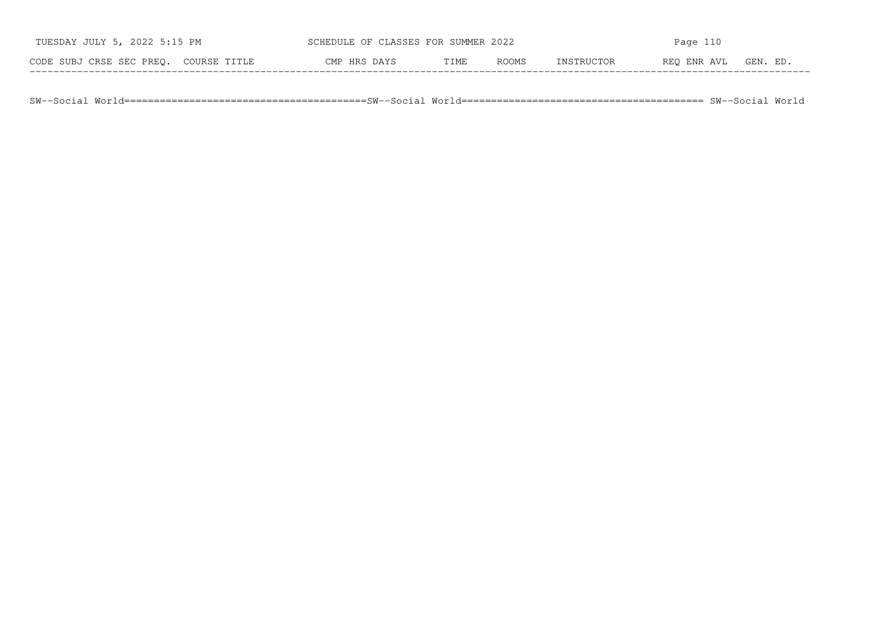| TUESDAY JULY 5, 2022 5:15 PM             | SCHEDULE OF CLASSES FOR SUMMER 2022 |      |              | Page $110$  |             |          |
|------------------------------------------|-------------------------------------|------|--------------|-------------|-------------|----------|
| CODE SUBJ CRSE SEC PREO.<br>COURSE TITLE | CMP HRS DAYS                        | TIME | <b>ROOMS</b> | INSTRIICTOR | REO ENR AVL | GEN. ED. |

SW−−Social World=========================================SW−−Social World========================================= SW−−Social World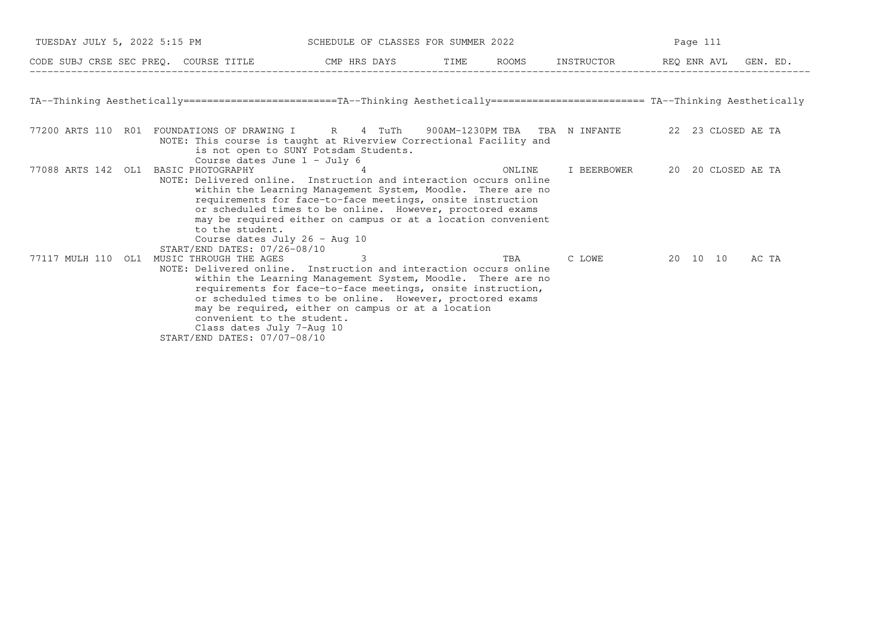| TUESDAY JULY 5, 2022 5:15 PM |                                                                                        | SCHEDULE OF CLASSES FOR SUMMER 2022                                                                                                                                                                                                                                                                                                                                                |                                  | Page 111    |                    |       |
|------------------------------|----------------------------------------------------------------------------------------|------------------------------------------------------------------------------------------------------------------------------------------------------------------------------------------------------------------------------------------------------------------------------------------------------------------------------------------------------------------------------------|----------------------------------|-------------|--------------------|-------|
|                              |                                                                                        |                                                                                                                                                                                                                                                                                                                                                                                    |                                  |             |                    |       |
|                              |                                                                                        | TA--Thinking Aesthetically=========================TA--Thinking Aesthetically========================= TA--Thinking Aesthetically                                                                                                                                                                                                                                                  |                                  |             |                    |       |
| 77200 ARTS 110 R01           |                                                                                        | FOUNDATIONS OF DRAWING I R 4 TuTh<br>NOTE: This course is taught at Riverview Correctional Facility and<br>is not open to SUNY Potsdam Students.<br>Course dates June $1 - July 6$                                                                                                                                                                                                 | 900AM-1230PM TBA  TBA  N INFANTE |             | 22 23 CLOSED AE TA |       |
| 77088 ARTS 142 OL1           | BASIC PHOTOGRAPHY<br>to the student.                                                   | 4<br>NOTE: Delivered online. Instruction and interaction occurs online<br>within the Learning Management System, Moodle. There are no<br>requirements for face-to-face meetings, onsite instruction<br>or scheduled times to be online. However, proctored exams<br>may be required either on campus or at a location convenient<br>Course dates July 26 - Aug 10                  | ONLINE                           | I BEERBOWER | 20 20 CLOSED AE TA |       |
| 77117 MULH 110 OL1           | START/END DATES: 07/26-08/10<br>MUSIC THROUGH THE AGES<br>START/END DATES: 07/07-08/10 | 3<br>NOTE: Delivered online. Instruction and interaction occurs online<br>within the Learning Management System, Moodle. There are no<br>requirements for face-to-face meetings, onsite instruction,<br>or scheduled times to be online. However, proctored exams<br>may be required, either on campus or at a location<br>convenient to the student.<br>Class dates July 7-Aug 10 | TBA                              | C LOWE      | 20 10 10           | AC TA |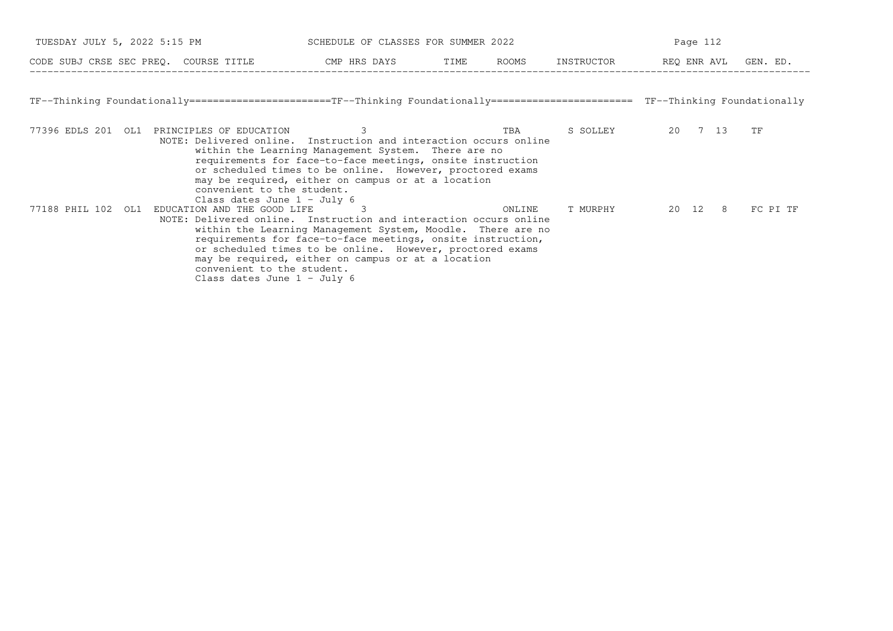| TUESDAY JULY 5, 2022 5:15 PM |                                                                                            | SCHEDULE OF CLASSES FOR SUMMER 2022                                                                                                                                                                                                                                                                                     |      |        | Page 112   |                      |          |  |
|------------------------------|--------------------------------------------------------------------------------------------|-------------------------------------------------------------------------------------------------------------------------------------------------------------------------------------------------------------------------------------------------------------------------------------------------------------------------|------|--------|------------|----------------------|----------|--|
|                              | CODE SUBJ CRSE SEC PREQ. COURSE TITLE THE CMP HRS DAYS                                     |                                                                                                                                                                                                                                                                                                                         | TIME | ROOMS  | INSTRUCTOR | REQ ENR AVL GEN. ED. |          |  |
|                              |                                                                                            | TF--Thinking Foundationally======================TF--Thinking Foundationally======================== TF--Thinking Foundationally                                                                                                                                                                                        |      |        |            |                      |          |  |
| 77396 EDLS 201 OL1           | PRINCIPLES OF EDUCATION<br>convenient to the student.<br>Class dates June $1 -$ July 6     | 3<br>NOTE: Delivered online. Instruction and interaction occurs online<br>within the Learning Management System. There are no<br>requirements for face-to-face meetings, onsite instruction<br>or scheduled times to be online. However, proctored exams<br>may be required, either on campus or at a location          |      | TBA    | S SOLLEY   | 20 7 13              | TF       |  |
| 77188 PHIL 102<br>OL1        | EDUCATION AND THE GOOD LIFE<br>convenient to the student.<br>Class dates June $1 -$ July 6 | 3<br>NOTE: Delivered online. Instruction and interaction occurs online<br>within the Learning Management System, Moodle. There are no<br>requirements for face-to-face meetings, onsite instruction,<br>or scheduled times to be online. However, proctored exams<br>may be required, either on campus or at a location |      | ONLINE | T MURPHY   | 20 12 8              | FC PI TF |  |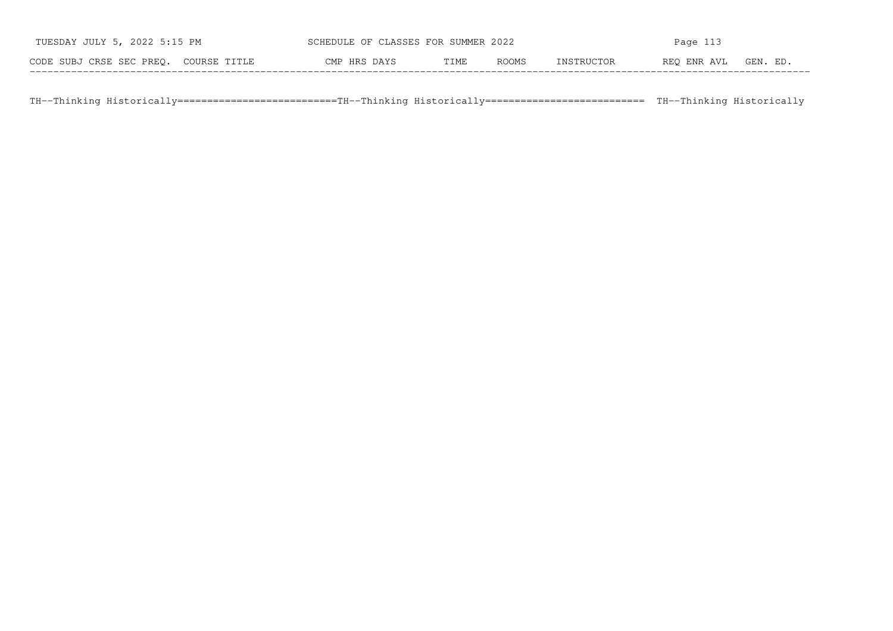| TUESDAY JULY 5, 2022 5:15 PM          | SCHEDULE OF CLASSES FOR SUMMER 2022 |      |              | Page $113$ |             |          |
|---------------------------------------|-------------------------------------|------|--------------|------------|-------------|----------|
| CODE SUBJ CRSE SEC PREO. COURSE TITLE | CMP HRS DAYS                        | TIME | <b>ROOMS</b> | INSTRUCTOR | REO ENR AVL | GEN. ED. |

TH−−Thinking Historically===========================TH−−Thinking Historically=========================== TH−−Thinking Historically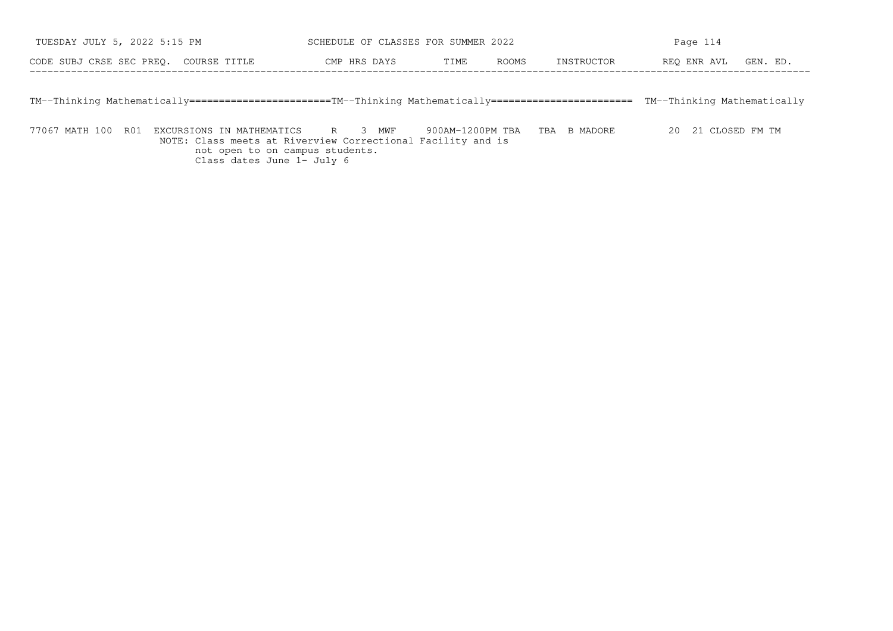| JULY 5, 2022 5:15 PM                     | OF CLASSES FOR SUMMER 2022 |             |              |             |             |                     |
|------------------------------------------|----------------------------|-------------|--------------|-------------|-------------|---------------------|
| CODE SUBJ CRSE SEC PREQ.<br>COURSE TITLE | CMP HRS DAYS               | T TME.<br>. | <b>ROOMS</b> | TNSTRHCTOR. | REO ENR AVL | <b>CFN</b><br>. F.D |

TM−−Thinking Mathematically========================TM−−Thinking Mathematically======================== TM−−Thinking Mathematically

77067 MATH 100 R01 EXCURSIONS IN MATHEMATICS R 3 MWF 900AM−1200PM TBA TBA B MADORE 20 21 CLOSED FM TM NOTE: Class meets at Riverview Correctional Facility and isnot open to on campus students. Class dates June 1− July 6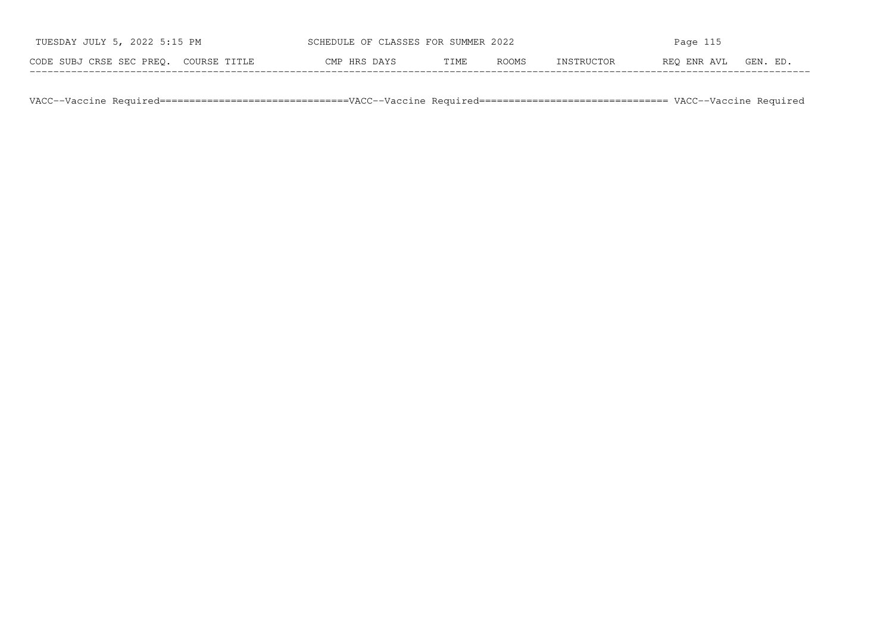| TUESDAY JULY 5, 2022 5:15 PM          | SCHEDULE OF CLASSES FOR SUMMER 2022 |      |       | Page $115$ |             |          |  |
|---------------------------------------|-------------------------------------|------|-------|------------|-------------|----------|--|
| CODE SUBJ CRSE SEC PREO. COURSE TITLE | CMP HRS DAYS                        | TIME | ROOMS | INSTRUCTOR | REO ENR AVL | GEN. ED. |  |

VACC−−Vaccine Required================================VACC−−Vaccine Required================================ VACC−−Vaccine Required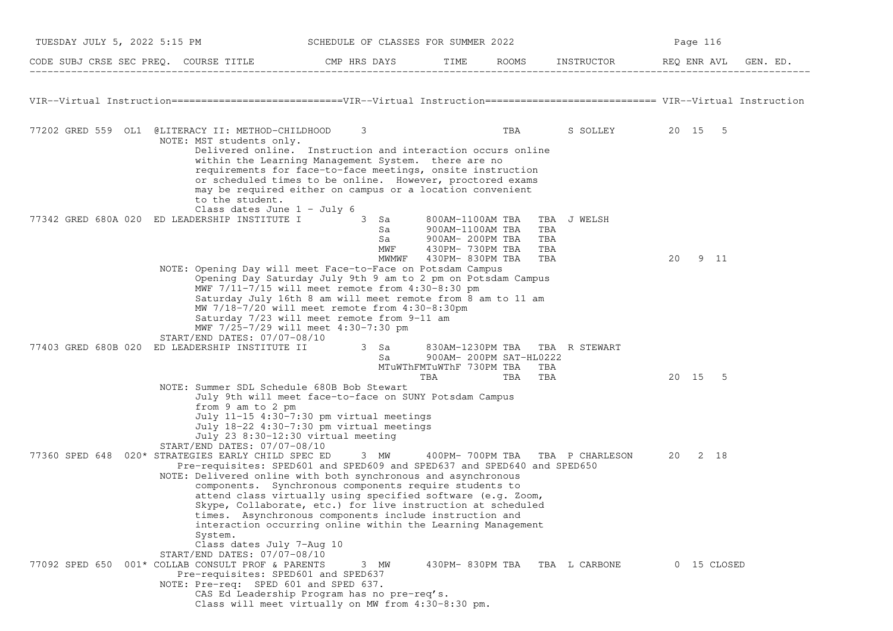| TUESDAY JULY 5, 2022 5:15 PM                                                                                                                                      | SCHEDULE OF CLASSES FOR SUMMER 2022                                                                                                                                                                                                                                                                                                                                                              |                                                                |     |                                  | Page 116    |          |  |
|-------------------------------------------------------------------------------------------------------------------------------------------------------------------|--------------------------------------------------------------------------------------------------------------------------------------------------------------------------------------------------------------------------------------------------------------------------------------------------------------------------------------------------------------------------------------------------|----------------------------------------------------------------|-----|----------------------------------|-------------|----------|--|
| CODE SUBJ CRSE SEC PREQ. COURSE TITLE THE CMP HRS DAYS TIME ROOMS INSTRUCTOR REQ ENR AVL GE THE LOODE SUBJ CRSE SEC PREQ. THE COURSE TITLE                        |                                                                                                                                                                                                                                                                                                                                                                                                  |                                                                |     |                                  |             | GEN. ED. |  |
| VIR--Virtual Instruction==============================VIR--Virtual Instruction============================ VIR--Virtual Instruction                               |                                                                                                                                                                                                                                                                                                                                                                                                  |                                                                |     |                                  |             |          |  |
| 77202 GRED 559 OL1 @LITERACY II: METHOD-CHILDHOOD                                                                                                                 | 3                                                                                                                                                                                                                                                                                                                                                                                                |                                                                | TBA | S SOLLEY 20 15 5                 |             |          |  |
| NOTE: MST students only.<br>to the student.<br>Class dates June $1 -$ July 6                                                                                      | Delivered online. Instruction and interaction occurs online<br>within the Learning Management System. there are no<br>requirements for face-to-face meetings, onsite instruction<br>or scheduled times to be online. However, proctored exams<br>may be required either on campus or a location convenient                                                                                       |                                                                |     |                                  |             |          |  |
| 77342 GRED 680A 020 ED LEADERSHIP INSTITUTE I 3 Sa 800AM-1100AM TBA                                                                                               | Sa<br>Sa<br>MWF                                                                                                                                                                                                                                                                                                                                                                                  | 900AM-1100AM TBA<br>900AM- 200PM TBA<br>430PM- 730PM TBA       |     | TBA J WELSH<br>TBA<br>TBA<br>TBA |             |          |  |
|                                                                                                                                                                   | MWMWF                                                                                                                                                                                                                                                                                                                                                                                            | 430PM- 830PM TBA                                               |     | TBA                              | 20<br>9 11  |          |  |
| NOTE: Opening Day will meet Face-to-Face on Potsdam Campus                                                                                                        | Opening Day Saturday July 9th 9 am to 2 pm on Potsdam Campus<br>MWF $7/11-7/15$ will meet remote from $4:30-8:30$ pm<br>Saturday July 16th 8 am will meet remote from 8 am to 11 am<br>MW 7/18-7/20 will meet remote from 4:30-8:30pm<br>Saturday 7/23 will meet remote from 9-11 am<br>MWF 7/25-7/29 will meet 4:30-7:30 pm                                                                     |                                                                |     |                                  |             |          |  |
| START/END DATES: 07/07-08/10<br>77403 GRED 680B 020 ED LEADERSHIP INSTITUTE II 3 Sa 30AM-1230PM TBA TBA R STEWART                                                 |                                                                                                                                                                                                                                                                                                                                                                                                  |                                                                |     |                                  |             |          |  |
|                                                                                                                                                                   | Sa                                                                                                                                                                                                                                                                                                                                                                                               | 900AM- 200PM SAT-HL0222<br>MTuWThFMTuWThF 730PM TBA TBA<br>TBA | TBA | TBA                              | 20 15 5     |          |  |
| NOTE: Summer SDL Schedule 680B Bob Stewart<br>from 9 am to 2 pm<br>July 23 8:30-12:30 virtual meeting<br>START/END DATES: 07/07-08/10                             | July 9th will meet face-to-face on SUNY Potsdam Campus<br>July 11-15 4:30-7:30 pm virtual meetings<br>July 18-22 4:30-7:30 pm virtual meetings                                                                                                                                                                                                                                                   |                                                                |     |                                  |             |          |  |
| 77360 SPED 648 020* STRATEGIES EARLY CHILD SPEC ED<br>NOTE: Delivered online with both synchronous and asynchronous<br>System.<br>Class dates July 7-Aug 10       | 3 MW<br>Pre-requisites: SPED601 and SPED609 and SPED637 and SPED640 and SPED650<br>components. Synchronous components require students to<br>attend class virtually using specified software (e.g. Zoom,<br>Skype, Collaborate, etc.) for live instruction at scheduled<br>times. Asynchronous components include instruction and<br>interaction occurring online within the Learning Management |                                                                |     | 400PM-700PM TBA TBA P CHARLESON  | 20<br>2 18  |          |  |
| START/END DATES: 07/07-08/10<br>77092 SPED 650 001* COLLAB CONSULT PROF & PARENTS<br>Pre-requisites: SPED601 and SPED637<br>NOTE: Pre-req: SPED 601 and SPED 637. | 3 MW<br>CAS Ed Leadership Program has no pre-req's.<br>Class will meet virtually on MW from 4:30-8:30 pm.                                                                                                                                                                                                                                                                                        |                                                                |     | 430PM-830PM TBA TBA L CARBONE    | 0 15 CLOSED |          |  |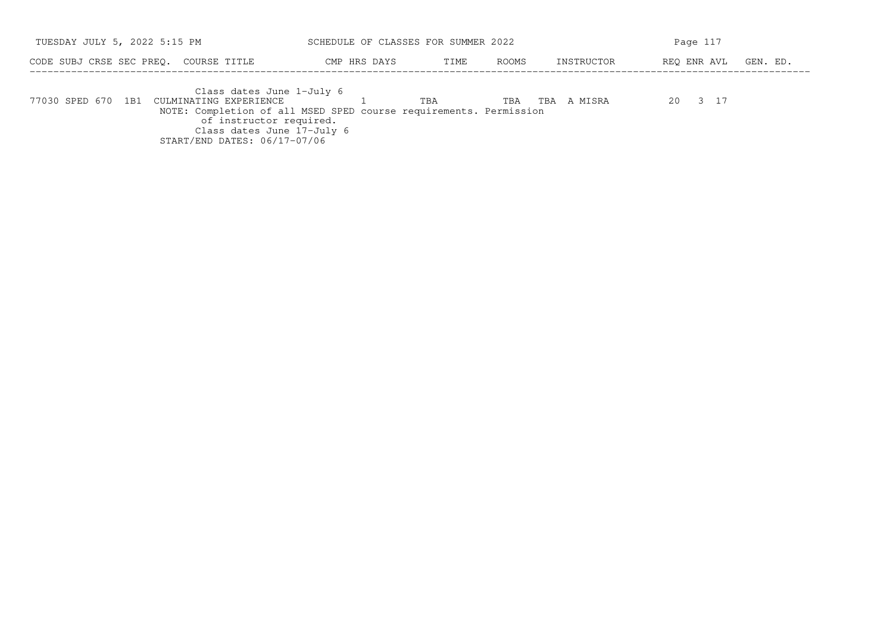| TUESDAY JULY 5, 2022 5:15 PM                                                                                                                                                                                                         | SCHEDULE OF CLASSES FOR SUMMER 2022 |               |                | Page 117                |  |  |  |
|--------------------------------------------------------------------------------------------------------------------------------------------------------------------------------------------------------------------------------------|-------------------------------------|---------------|----------------|-------------------------|--|--|--|
| CODE SUBJ CRSE SEC PREO. COURSE TITLE                                                                                                                                                                                                | CMP HRS DAYS                        | ROOMS<br>TIME | INSTRUCTOR     | REO ENR AVL<br>GEN. ED. |  |  |  |
| Class dates June 1-July 6<br>77030 SPED 670 1B1 CULMINATING EXPERIENCE<br>NOTE: Completion of all MSED SPED course requirements. Permission<br>of instructor required.<br>Class dates June 17-July 6<br>START/END DATES: 06/17-07/06 |                                     | TBA<br>TBA    | A MISRA<br>TBA | 20 3 17                 |  |  |  |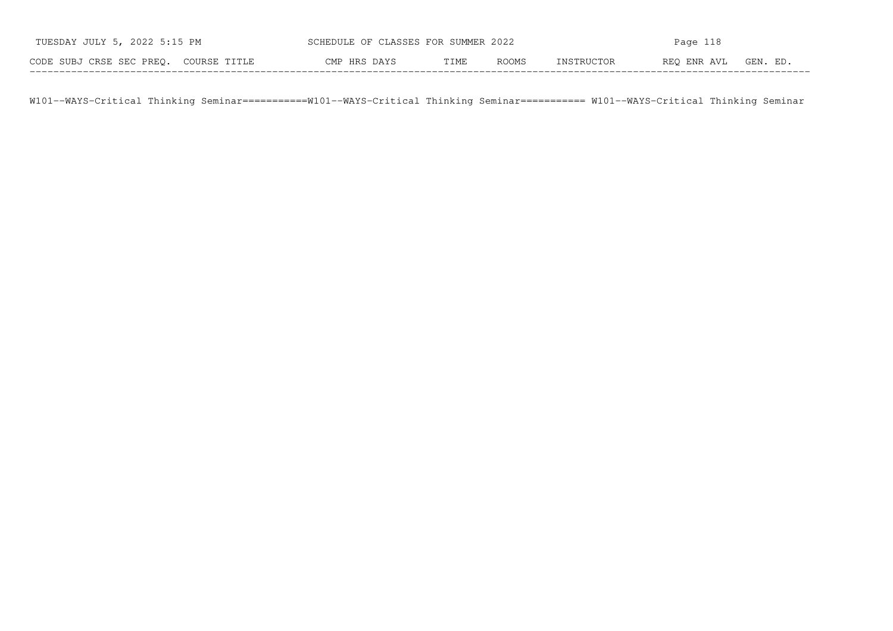| TUESDAY JULY 5, 2022 5:15 PM          | SCHEDULE OF CLASSES FOR SUMMER 2022 |      |       | Page 118   |             |          |
|---------------------------------------|-------------------------------------|------|-------|------------|-------------|----------|
| CODE SUBJ CRSE SEC PREO. COURSE TITLE | CMP HRS DAYS                        | TIME | ROOMS | INSTRUCTOR | REO ENR AVL | GEN. ED. |

W101−−WAYS−Critical Thinking Seminar===========W101−−WAYS−Critical Thinking Seminar=========== W101−−WAYS−Critical Thinking Seminar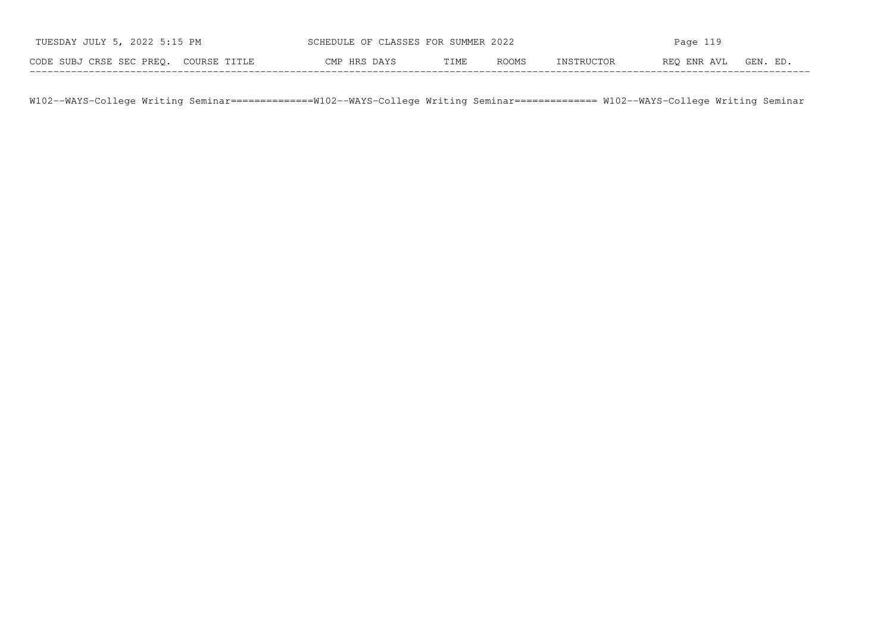| TUESDAY JULY 5, 2022 5:15 PM          | SCHEDULE OF CLASSES FOR SUMMER 2022 |      |       | Page $119$ |             |          |
|---------------------------------------|-------------------------------------|------|-------|------------|-------------|----------|
| CODE SUBJ CRSE SEC PREO. COURSE TITLE | CMP HRS DAYS                        | TIME | ROOMS | INSTRUCTOR | REO ENR AVL | GEN. ED. |

W102−−WAYS−College Writing Seminar==============W102−−WAYS−College Writing Seminar============== W102−−WAYS−College Writing Seminar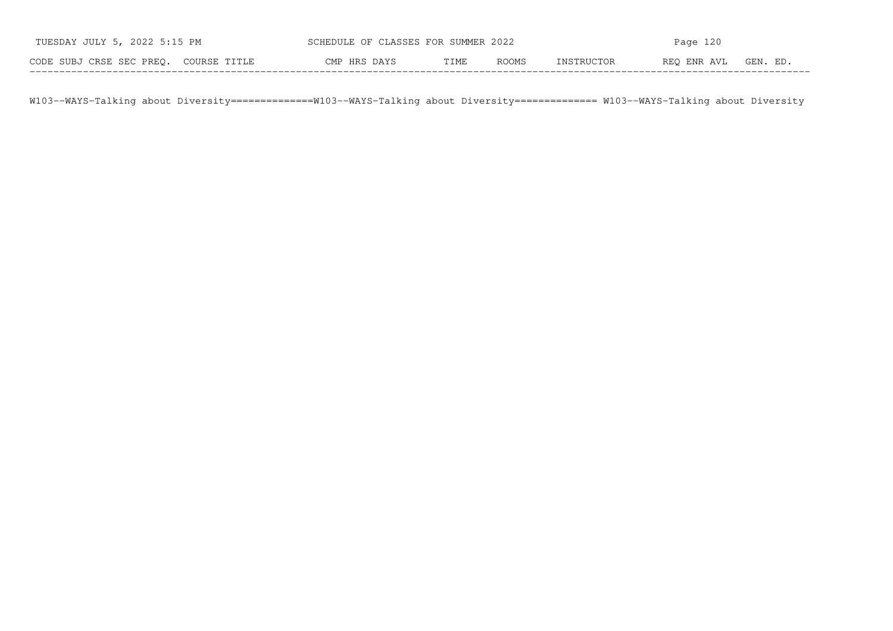| TUESDAY JULY 5, 2022 5:15 PM          | SCHEDULE OF CLASSES FOR SUMMER 2022 |      |       | Page $120$ |             |          |
|---------------------------------------|-------------------------------------|------|-------|------------|-------------|----------|
| CODE SUBJ CRSE SEC PREO. COURSE TITLE | CMP HRS DAYS                        | TIME | ROOMS | INSTRUCTOR | REO ENR AVL | GEN. ED. |

W103--WAYS-Talking about Diversity==============W103--WAYS-Talking about Diversity============== W103--WAYS-Talking about Diversity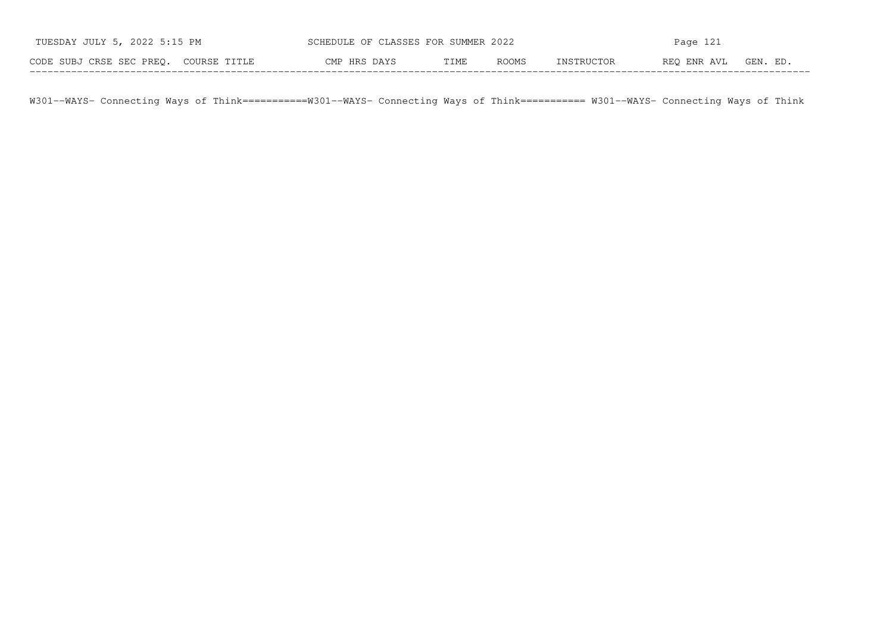| TUESDAY JULY 5, 2022 5:15 PM          | SCHEDULE OF CLASSES FOR SUMMER 2022 |      | Page $121$ |            |             |          |
|---------------------------------------|-------------------------------------|------|------------|------------|-------------|----------|
| CODE SUBJ CRSE SEC PREO. COURSE TITLE | CMP HRS DAYS                        | TIME | ROOMS      | INSTRUCTOR | REO ENR AVL | GEN. ED. |

W301−−WAYS− Connecting Ways of Think===========W301−−WAYS− Connecting Ways of Think=========== W301−−WAYS− Connecting Ways of Think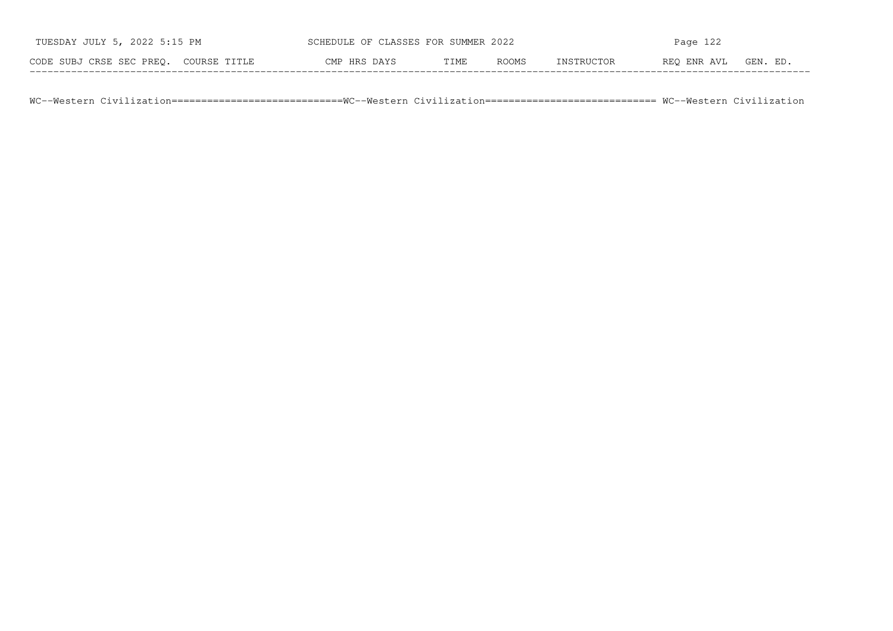| TUESDAY JULY 5, 2022 5:15 PM          | SCHEDULE OF CLASSES FOR SUMMER 2022 |      | Page $122$ |            |             |          |
|---------------------------------------|-------------------------------------|------|------------|------------|-------------|----------|
| CODE SUBJ CRSE SEC PREO. COURSE TITLE | CMP HRS DAYS                        | TIME | ROOMS      | INSTRUCTOR | REO ENR AVL | GEN. ED. |

WC−−Western Civilization=============================WC−−Western Civilization============================= WC−−Western Civilization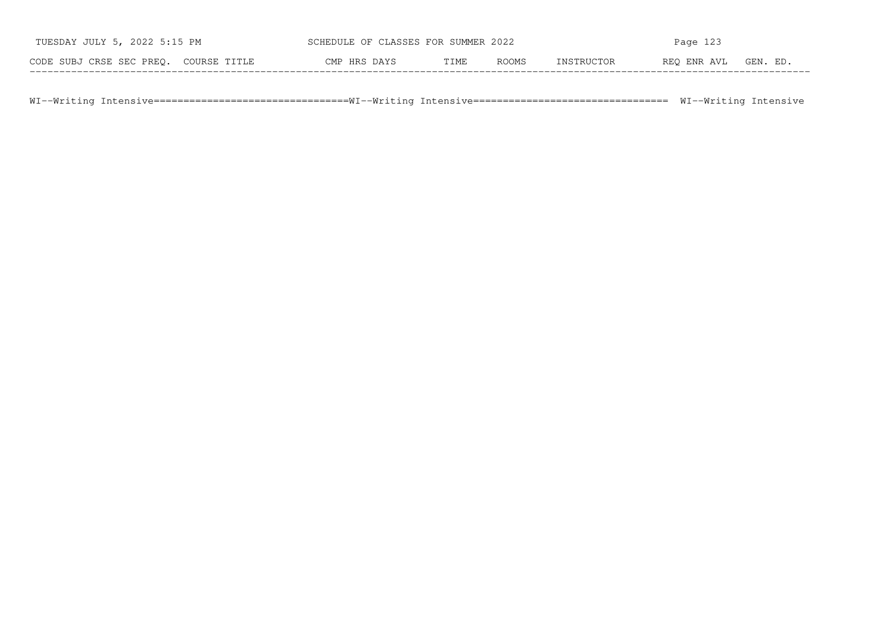| TUESDAY JULY 5, 2022 5:15 PM          | SCHEDULE OF CLASSES FOR SUMMER 2022 |      |              | Page 123   |             |          |  |
|---------------------------------------|-------------------------------------|------|--------------|------------|-------------|----------|--|
| CODE SUBJ CRSE SEC PREO. COURSE TITLE | CMP HRS DAYS                        | TIME | <b>ROOMS</b> | INSTRUCTOR | REO ENR AVL | GEN. ED. |  |

WI--Writing Intensive================================WI--Writing Intensive================================== WI--Writing Intensive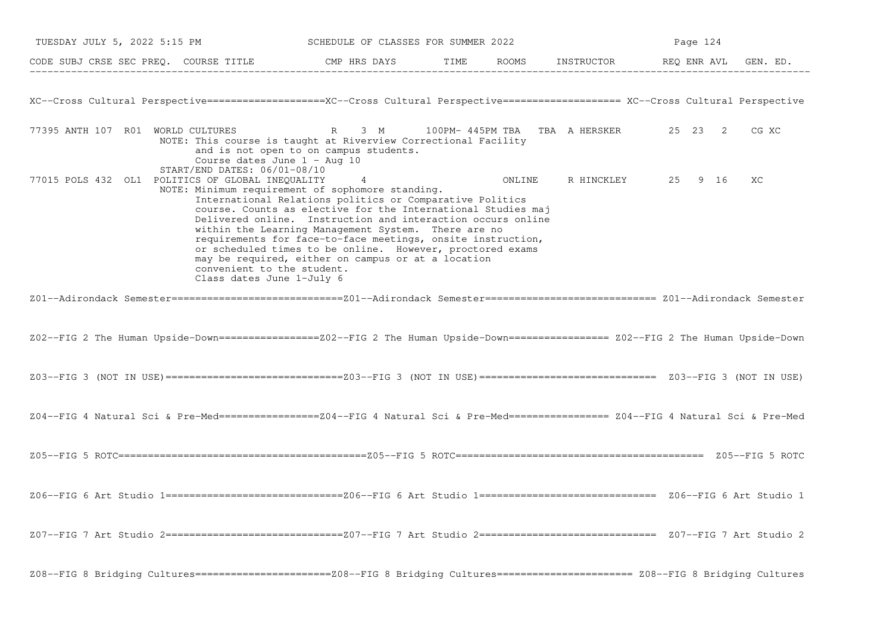| TUESDAY JULY 5, 2022 5:15 PM                                                                                                                                                                    | SCHEDULE OF CLASSES FOR SUMMER 2022                                                                                                                                                                                                                                                                                                                                                                                                   |  |        | Page 124   |                                        |       |  |
|-------------------------------------------------------------------------------------------------------------------------------------------------------------------------------------------------|---------------------------------------------------------------------------------------------------------------------------------------------------------------------------------------------------------------------------------------------------------------------------------------------------------------------------------------------------------------------------------------------------------------------------------------|--|--------|------------|----------------------------------------|-------|--|
| CODE SUBJ CRSE SEC PREQ. COURSE TITLE THE ROOMS INSTRUCTOR THE ROOMS INSTRUCTOR THE REQ ENR AVL GEN. ED.                                                                                        |                                                                                                                                                                                                                                                                                                                                                                                                                                       |  |        |            |                                        |       |  |
| XC--Cross Cultural Perspective===================XC--Cross Cultural Perspective=================== XC--Cross Cultural Perspective                                                               |                                                                                                                                                                                                                                                                                                                                                                                                                                       |  |        |            |                                        |       |  |
| 77395 ANTH 107 R01 WORLD CULTURES<br>NOTE: This course is taught at Riverview Correctional Facility<br>Course dates June $1 - \text{Aug } 10$                                                   | 3 M<br>$R_{\parallel}$<br>and is not open to on campus students.                                                                                                                                                                                                                                                                                                                                                                      |  |        |            | 100PM- 445PM TBA TBA A HERSKER 25 23 2 | CG XC |  |
| START/END DATES: 06/01-08/10<br>77015 POLS 432 OL1 POLITICS OF GLOBAL INEQUALITY<br>NOTE: Minimum requirement of sophomore standing.<br>convenient to the student.<br>Class dates June 1-July 6 | 4<br>International Relations politics or Comparative Politics<br>course. Counts as elective for the International Studies maj<br>Delivered online. Instruction and interaction occurs online<br>within the Learning Management System. There are no<br>requirements for face-to-face meetings, onsite instruction,<br>or scheduled times to be online. However, proctored exams<br>may be required, either on campus or at a location |  | ONLINE | R HINCKLEY | 25 9 16                                | XC    |  |
|                                                                                                                                                                                                 |                                                                                                                                                                                                                                                                                                                                                                                                                                       |  |        |            |                                        |       |  |
| Z02--FIG 2 The Human Upside-Down=================Z02--FIG 2 The Human Upside-Down================= Z02--FIG 2 The Human Upside-Down                                                             |                                                                                                                                                                                                                                                                                                                                                                                                                                       |  |        |            |                                        |       |  |
|                                                                                                                                                                                                 |                                                                                                                                                                                                                                                                                                                                                                                                                                       |  |        |            |                                        |       |  |
| Z04--FIG 4 Natural Sci & Pre-Med=================Z04--FIG 4 Natural Sci & Pre-Med================= Z04--FIG 4 Natural Sci & Pre-Med                                                             |                                                                                                                                                                                                                                                                                                                                                                                                                                       |  |        |            |                                        |       |  |
|                                                                                                                                                                                                 |                                                                                                                                                                                                                                                                                                                                                                                                                                       |  |        |            |                                        |       |  |
|                                                                                                                                                                                                 |                                                                                                                                                                                                                                                                                                                                                                                                                                       |  |        |            |                                        |       |  |
|                                                                                                                                                                                                 |                                                                                                                                                                                                                                                                                                                                                                                                                                       |  |        |            |                                        |       |  |
| Z08--FIG 8 Bridging Cultures=========================Z08--FIG 8 Bridging Cultures===================== Z08--FIG 8 Bridging Cultures                                                             |                                                                                                                                                                                                                                                                                                                                                                                                                                       |  |        |            |                                        |       |  |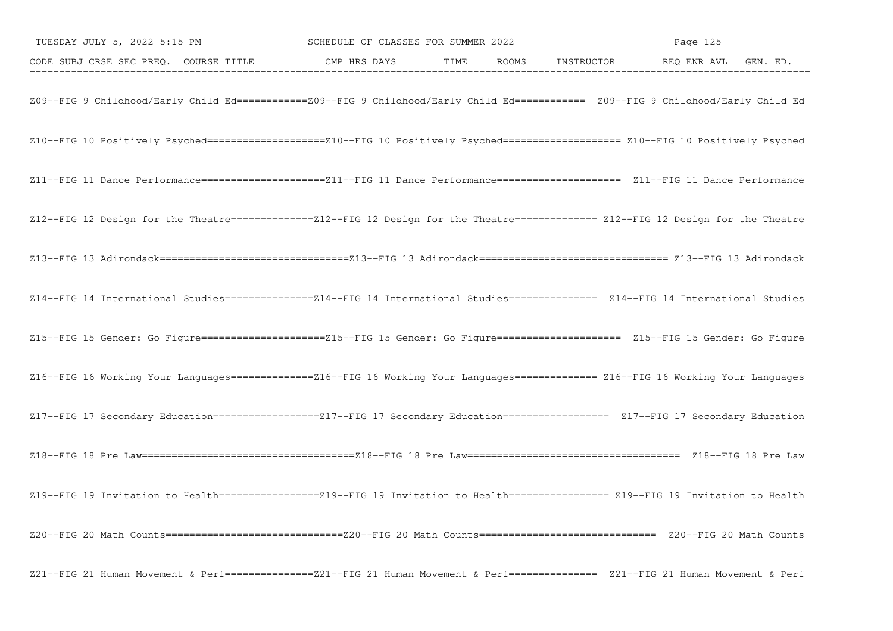| TUESDAY JULY 5, 2022 5:15 PM SCHEDULE OF CLASSES FOR SUMMER 2022                                                                     |  | Page 125 |  |  |  |
|--------------------------------------------------------------------------------------------------------------------------------------|--|----------|--|--|--|
| CODE SUBJ CRSE SEC PREQ. COURSE TITLE CMP HRS DAYS TIME ROOMS INSTRUCTOR REQ ENR AVL GEN. ED.                                        |  |          |  |  |  |
| Z09--FIG 9 Childhood/Early Child Ed===========Z09--FIG 9 Childhood/Early Child Ed========== Z09--FIG 9 Childhood/Early Child Ed      |  |          |  |  |  |
| Z10--FIG 10 Positively Psyched===================210--FIG 10 Positively Psyched==================== Z10--FIG 10 Positively Psyched   |  |          |  |  |  |
| Z11--FIG 11 Dance Performance=======================Z11--FIG 11 Dance Performance==================== Z11--FIG 11 Dance Performance  |  |          |  |  |  |
| Z12--FIG 12 Design for the Theatre==============Z12--FIG 12 Design for the Theatre============== Z12--FIG 12 Design for the Theatre  |  |          |  |  |  |
|                                                                                                                                      |  |          |  |  |  |
| Z14--FIG 14 International Studies================Z14--FIG 14 International Studies=============== Z14--FIG 14 International Studies  |  |          |  |  |  |
| Z15--FIG 15 Gender: Go Figure=======================Z15--FIG 15 Gender: Go Figure===================== Z15--FIG 15 Gender: Go Figure |  |          |  |  |  |
| Z16--FIG 16 Working Your Languages==============Z16--FIG 16 Working Your Languages============= Z16--FIG 16 Working Your Languages   |  |          |  |  |  |
| Z17--FIG 17 Secondary Education==================217--FIG 17 Secondary Education================== Z17--FIG 17 Secondary Education   |  |          |  |  |  |
|                                                                                                                                      |  |          |  |  |  |
| Z19--FIG 19 Invitation to Health=================219--FIG 19 Invitation to Health================= Z19--FIG 19 Invitation to Health  |  |          |  |  |  |
|                                                                                                                                      |  |          |  |  |  |
| Z21--FIG 21 Human Movement & Perf================Z21--FIG 21 Human Movement & Perf=============== Z21--FIG 21 Human Movement & Perf  |  |          |  |  |  |